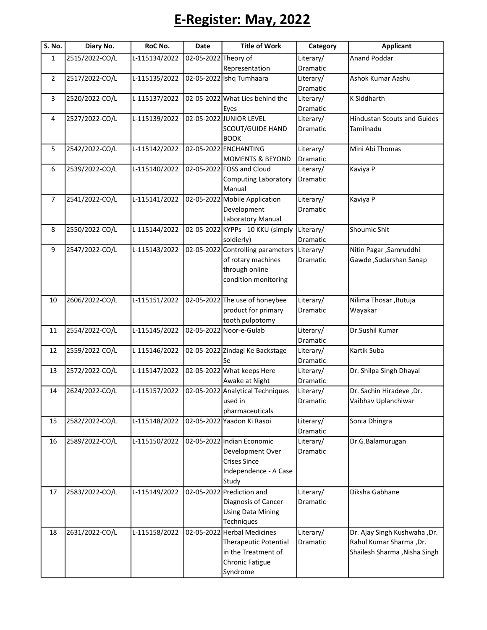## E-Register: May, 2022

| S. No.         | Diary No.      | RoC No.       | <b>Date</b>          | <b>Title of Work</b>              | Category              | <b>Applicant</b>                                |
|----------------|----------------|---------------|----------------------|-----------------------------------|-----------------------|-------------------------------------------------|
| $\mathbf{1}$   | 2515/2022-CO/L | L-115134/2022 | 02-05-2022 Theory of |                                   | Literary/             | <b>Anand Poddar</b>                             |
|                |                |               |                      | Representation                    | Dramatic              |                                                 |
| $\overline{2}$ | 2517/2022-CO/L | L-115135/2022 |                      | 02-05-2022 Ishq Tumhaara          | Literary/             | Ashok Kumar Aashu                               |
|                |                |               |                      |                                   | <b>Dramatic</b>       |                                                 |
| 3              | 2520/2022-CO/L | L-115137/2022 |                      | 02-05-2022 What Lies behind the   | Literary/             | <b>K Siddharth</b>                              |
|                |                |               |                      | Eyes                              | Dramatic              |                                                 |
| 4              | 2527/2022-CO/L | L-115139/2022 |                      | 02-05-2022 JUNIOR LEVEL           | Literary/             | <b>Hindustan Scouts and Guides</b><br>Tamilnadu |
|                |                |               |                      | SCOUT/GUIDE HAND<br><b>BOOK</b>   | Dramatic              |                                                 |
| 5              | 2542/2022-CO/L | L-115142/2022 |                      | 02-05-2022 ENCHANTING             | Literary/             | Mini Abi Thomas                                 |
|                |                |               |                      | <b>MOMENTS &amp; BEYOND</b>       | Dramatic              |                                                 |
| 6              | 2539/2022-CO/L | L-115140/2022 |                      | 02-05-2022 FOSS and Cloud         | Literary/             | Kaviya P                                        |
|                |                |               |                      | <b>Computing Laboratory</b>       | Dramatic              |                                                 |
|                |                |               |                      | Manual                            |                       |                                                 |
| $\overline{7}$ | 2541/2022-CO/L | L-115141/2022 |                      | 02-05-2022 Mobile Application     | Literary/             | Kaviya P                                        |
|                |                |               |                      | Development                       | Dramatic              |                                                 |
|                |                |               |                      | Laboratory Manual                 |                       |                                                 |
| 8              | 2550/2022-CO/L | L-115144/2022 |                      | 02-05-2022 KYPPs - 10 KKU (simply | Literary/             | <b>Shoumic Shit</b>                             |
|                |                |               |                      | soldierly)                        | Dramatic              |                                                 |
| 9              | 2547/2022-CO/L | L-115143/2022 |                      | 02-05-2022 Controlling parameters | Literary/             | Nitin Pagar, Samruddhi                          |
|                |                |               |                      | of rotary machines                | <b>Dramatic</b>       | Gawde, Sudarshan Sanap                          |
|                |                |               |                      | through online                    |                       |                                                 |
|                |                |               |                      | condition monitoring              |                       |                                                 |
| 10             | 2606/2022-CO/L | L-115151/2022 |                      | 02-05-2022 The use of honeybee    | Literary/             | Nilima Thosar, Rutuja                           |
|                |                |               |                      | product for primary               | Dramatic              | Wayakar                                         |
|                |                |               |                      | tooth pulpotomy                   |                       |                                                 |
| 11             | 2554/2022-CO/L | L-115145/2022 |                      | 02-05-2022 Noor-e-Gulab           | Literary/             | Dr.Sushil Kumar                                 |
|                |                |               |                      |                                   | Dramatic              |                                                 |
| 12             | 2559/2022-CO/L | L-115146/2022 |                      | 02-05-2022 Zindagi Ke Backstage   | Literary/             | Kartik Suba                                     |
|                |                |               |                      | Se                                | Dramatic              |                                                 |
| 13             | 2572/2022-CO/L | L-115147/2022 |                      | 02-05-2022 What keeps Here        | Literary/             | Dr. Shilpa Singh Dhayal                         |
|                |                |               |                      | Awake at Night                    | Dramatic              |                                                 |
| 14             | 2624/2022-CO/L | L-115157/2022 |                      | 02-05-2022 Analytical Techniques  | Literary/             | Dr. Sachin Hiradeve, Dr.                        |
|                |                |               |                      | used in                           | Dramatic              | Vaibhav Uplanchiwar                             |
|                |                |               |                      | pharmaceuticals                   |                       |                                                 |
| 15             | 2582/2022-CO/L | L-115148/2022 |                      | 02-05-2022 Yaadon Ki Rasoi        | Literary/             | Sonia Dhingra                                   |
|                |                |               |                      | 02-05-2022 Indian Economic        | Dramatic              |                                                 |
| 16             | 2589/2022-CO/L | L-115150/2022 |                      | Development Over                  | Literary/<br>Dramatic | Dr.G.Balamurugan                                |
|                |                |               |                      | <b>Crises Since</b>               |                       |                                                 |
|                |                |               |                      | Independence - A Case             |                       |                                                 |
|                |                |               |                      | Study                             |                       |                                                 |
| 17             | 2583/2022-CO/L | L-115149/2022 | 02-05-2022           | Prediction and                    | Literary/             | Diksha Gabhane                                  |
|                |                |               |                      | Diagnosis of Cancer               | Dramatic              |                                                 |
|                |                |               |                      | <b>Using Data Mining</b>          |                       |                                                 |
|                |                |               |                      | Techniques                        |                       |                                                 |
| 18             | 2631/2022-CO/L | L-115158/2022 |                      | 02-05-2022 Herbal Medicines       | Literary/             | Dr. Ajay Singh Kushwaha , Dr.                   |
|                |                |               |                      | <b>Therapeutic Potential</b>      | Dramatic              | Rahul Kumar Sharma, Dr.                         |
|                |                |               |                      | in the Treatment of               |                       | Shailesh Sharma , Nisha Singh                   |
|                |                |               |                      | Chronic Fatigue                   |                       |                                                 |
|                |                |               |                      | Syndrome                          |                       |                                                 |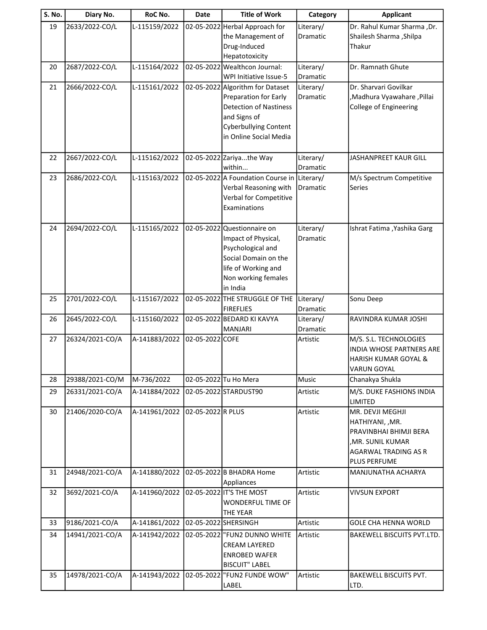| S. No. | Diary No.       | RoC No.       | Date              | <b>Title of Work</b>                                    | Category              | <b>Applicant</b>                                          |
|--------|-----------------|---------------|-------------------|---------------------------------------------------------|-----------------------|-----------------------------------------------------------|
| 19     | 2633/2022-CO/L  | L-115159/2022 |                   | 02-05-2022 Herbal Approach for                          | Literary/             | Dr. Rahul Kumar Sharma , Dr.                              |
|        |                 |               |                   | the Management of                                       | Dramatic              | Shailesh Sharma, Shilpa                                   |
|        |                 |               |                   | Drug-Induced                                            |                       | Thakur                                                    |
|        |                 |               |                   | Hepatotoxicity                                          |                       |                                                           |
| 20     | 2687/2022-CO/L  | L-115164/2022 |                   | 02-05-2022 Wealthcon Journal:<br>WPI Initiative Issue-5 | Literary/<br>Dramatic | Dr. Ramnath Ghute                                         |
| 21     | 2666/2022-CO/L  | L-115161/2022 |                   | 02-05-2022 Algorithm for Dataset                        | Literary/             | Dr. Sharvari Govilkar                                     |
|        |                 |               |                   | Preparation for Early                                   | Dramatic              | ,Madhura Vyawahare, Pillai                                |
|        |                 |               |                   | <b>Detection of Nastiness</b>                           |                       | College of Engineering                                    |
|        |                 |               |                   | and Signs of                                            |                       |                                                           |
|        |                 |               |                   | <b>Cyberbullying Content</b>                            |                       |                                                           |
|        |                 |               |                   | in Online Social Media                                  |                       |                                                           |
|        |                 |               |                   |                                                         |                       |                                                           |
| 22     | 2667/2022-CO/L  | L-115162/2022 |                   | 02-05-2022 Zariyathe Way                                | Literary/             | JASHANPREET KAUR GILL                                     |
| 23     | 2686/2022-CO/L  | L-115163/2022 |                   | within<br>02-05-2022 A Foundation Course in             | Dramatic<br>Literary/ | M/s Spectrum Competitive                                  |
|        |                 |               |                   | Verbal Reasoning with                                   | Dramatic              | <b>Series</b>                                             |
|        |                 |               |                   | Verbal for Competitive                                  |                       |                                                           |
|        |                 |               |                   | Examinations                                            |                       |                                                           |
|        |                 |               |                   |                                                         |                       |                                                           |
| 24     | 2694/2022-CO/L  | L-115165/2022 |                   | 02-05-2022 Questionnaire on                             | Literary/             | Ishrat Fatima , Yashika Garg                              |
|        |                 |               |                   | Impact of Physical,                                     | <b>Dramatic</b>       |                                                           |
|        |                 |               |                   | Psychological and                                       |                       |                                                           |
|        |                 |               |                   | Social Domain on the<br>life of Working and             |                       |                                                           |
|        |                 |               |                   | Non working females                                     |                       |                                                           |
|        |                 |               |                   | in India                                                |                       |                                                           |
| 25     | 2701/2022-CO/L  | L-115167/2022 |                   | 02-05-2022 THE STRUGGLE OF THE                          | Literary/             | Sonu Deep                                                 |
|        |                 |               |                   | <b>FIREFLIES</b>                                        | Dramatic              |                                                           |
| 26     | 2645/2022-CO/L  | L-115160/2022 |                   | 02-05-2022 BEDARD KI KAVYA                              | Literary/             | RAVINDRA KUMAR JOSHI                                      |
|        |                 |               |                   | <b>MANJARI</b>                                          | Dramatic              |                                                           |
| 27     | 26324/2021-CO/A | A-141883/2022 | 02-05-2022 COFE   |                                                         | Artistic              | M/S. S.L. TECHNOLOGIES<br><b>INDIA WHOSE PARTNERS ARE</b> |
|        |                 |               |                   |                                                         |                       | HARISH KUMAR GOYAL &                                      |
|        |                 |               |                   |                                                         |                       | VARUN GOYAL                                               |
| 28     | 29388/2021-CO/M | M-736/2022    |                   | 02-05-2022 Tu Ho Mera                                   | Music                 | Chanakya Shukla                                           |
| 29     | 26331/2021-CO/A | A-141884/2022 |                   | 02-05-2022 STARDUST90                                   | Artistic              | M/S. DUKE FASHIONS INDIA                                  |
|        |                 |               |                   |                                                         |                       | LIMITED                                                   |
| 30     | 21406/2020-CO/A | A-141961/2022 | 02-05-2022 R PLUS |                                                         | Artistic              | MR. DEVJI MEGHJI                                          |
|        |                 |               |                   |                                                         |                       | HATHIYANI, , MR.                                          |
|        |                 |               |                   |                                                         |                       | PRAVINBHAI BHIMJI BERA                                    |
|        |                 |               |                   |                                                         |                       | , MR. SUNIL KUMAR<br>AGARWAL TRADING AS R                 |
|        |                 |               |                   |                                                         |                       | <b>PLUS PERFUME</b>                                       |
| 31     | 24948/2021-CO/A | A-141880/2022 |                   | 02-05-2022 B BHADRA Home                                | Artistic              | MANJUNATHA ACHARYA                                        |
|        |                 |               |                   | Appliances                                              |                       |                                                           |
| 32     | 3692/2021-CO/A  | A-141960/2022 |                   | 02-05-2022 IT'S THE MOST                                | Artistic              | <b>VIVSUN EXPORT</b>                                      |
|        |                 |               |                   | WONDERFUL TIME OF                                       |                       |                                                           |
|        |                 |               |                   | <b>THE YEAR</b>                                         |                       |                                                           |
| 33     | 9186/2021-CO/A  | A-141861/2022 |                   | 02-05-2022 SHERSINGH                                    | Artistic              | <b>GOLE CHA HENNA WORLD</b>                               |
| 34     | 14941/2021-CO/A | A-141942/2022 |                   | 02-05-2022  "FUN2 DUNNO WHITE                           | Artistic              | BAKEWELL BISCUITS PVT.LTD.                                |
|        |                 |               |                   | <b>CREAM LAYERED</b>                                    |                       |                                                           |
|        |                 |               |                   | <b>ENROBED WAFER</b><br><b>BISCUIT" LABEL</b>           |                       |                                                           |
| 35     | 14978/2021-CO/A | A-141943/2022 | 02-05-2022        | "FUN2 FUNDE WOW"                                        | Artistic              | BAKEWELL BISCUITS PVT.                                    |
|        |                 |               |                   | LABEL                                                   |                       | LTD.                                                      |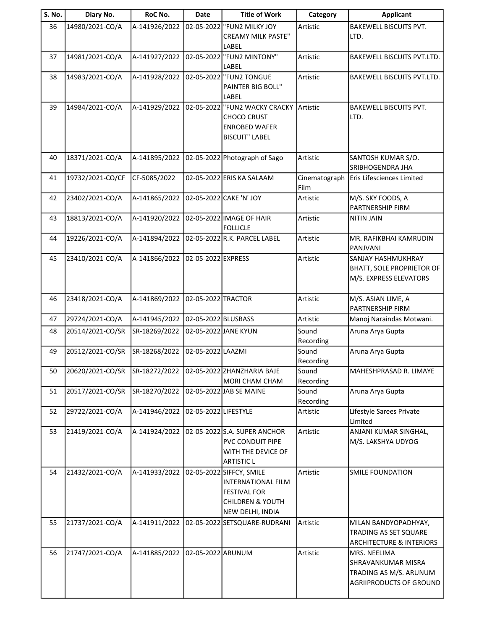| <b>S. No.</b> | Diary No.        | RoC No.       | <b>Date</b>          | <b>Title of Work</b>                               | Category              | <b>Applicant</b>                                  |
|---------------|------------------|---------------|----------------------|----------------------------------------------------|-----------------------|---------------------------------------------------|
| 36            | 14980/2021-CO/A  | A-141926/2022 | 02-05-2022           | <b>FUN2 MILKY JOY</b><br><b>CREAMY MILK PASTE"</b> | Artistic              | BAKEWELL BISCUITS PVT.<br>LTD.                    |
|               |                  |               |                      | LABEL                                              |                       |                                                   |
| 37            | 14981/2021-CO/A  | A-141927/2022 |                      | 02-05-2022  "FUN2 MINTONY"<br>LABEL                | Artistic              | BAKEWELL BISCUITS PVT.LTD.                        |
| 38            | 14983/2021-CO/A  | A-141928/2022 |                      | 02-05-2022  "FUN2 TONGUE                           | Artistic              | BAKEWELL BISCUITS PVT.LTD.                        |
|               |                  |               |                      | PAINTER BIG BOLL"<br>LABEL                         |                       |                                                   |
| 39            | 14984/2021-CO/A  | A-141929/2022 |                      | 02-05-2022  "FUN2 WACKY CRACKY                     | Artistic              | <b>BAKEWELL BISCUITS PVT.</b>                     |
|               |                  |               |                      | <b>CHOCO CRUST</b>                                 |                       | LTD.                                              |
|               |                  |               |                      | <b>ENROBED WAFER</b><br><b>BISCUIT" LABEL</b>      |                       |                                                   |
|               |                  |               |                      |                                                    |                       |                                                   |
| 40            | 18371/2021-CO/A  | A-141895/2022 |                      | 02-05-2022 Photograph of Sago                      | Artistic              | SANTOSH KUMAR S/O.<br>SRIBHOGENDRA JHA            |
| 41            | 19732/2021-CO/CF | CF-5085/2022  |                      | 02-05-2022 ERIS KA SALAAM                          | Cinematograph<br>Film | Eris Lifesciences Limited                         |
| 42            | 23402/2021-CO/A  | A-141865/2022 |                      | 02-05-2022 CAKE 'N' JOY                            | Artistic              | M/S. SKY FOODS, A<br>PARTNERSHIP FIRM             |
| 43            | 18813/2021-CO/A  | A-141920/2022 |                      | 02-05-2022 IMAGE OF HAIR<br><b>FOLLICLE</b>        | Artistic              | <b>NITIN JAIN</b>                                 |
| 44            | 19226/2021-CO/A  | A-141894/2022 |                      | 02-05-2022 R.K. PARCEL LABEL                       | Artistic              | MR. RAFIKBHAI KAMRUDIN<br>PANJVANI                |
| 45            | 23410/2021-CO/A  | A-141866/2022 | 02-05-2022 EXPRESS   |                                                    | Artistic              | SANJAY HASHMUKHRAY                                |
|               |                  |               |                      |                                                    |                       | <b>BHATT, SOLE PROPRIETOR OF</b>                  |
|               |                  |               |                      |                                                    |                       | M/S. EXPRESS ELEVATORS                            |
| 46            | 23418/2021-CO/A  | A-141869/2022 | 02-05-2022 TRACTOR   |                                                    | Artistic              | M/S. ASIAN LIME, A                                |
|               |                  |               |                      |                                                    |                       | PARTNERSHIP FIRM                                  |
| 47            | 29724/2021-CO/A  | A-141945/2022 | 02-05-2022 BLUSBASS  |                                                    | Artistic              | Manoj Naraindas Motwani.                          |
| 48            | 20514/2021-CO/SR | SR-18269/2022 |                      | 02-05-2022 JANE KYUN                               | Sound<br>Recording    | Aruna Arya Gupta                                  |
| 49            | 20512/2021-CO/SR | SR-18268/2022 | 02-05-2022 LAAZMI    |                                                    | Sound<br>Recording    | Aruna Arya Gupta                                  |
| 50            | 20620/2021-CO/SR | SR-18272/2022 |                      | 02-05-2022 ZHANZHARIA BAJE<br>MORI CHAM CHAM       | Sound<br>Recording    | MAHESHPRASAD R. LIMAYE                            |
| 51            | 20517/2021-CO/SR | SR-18270/2022 |                      | 02-05-2022 JAB SE MAINE                            | Sound                 | Aruna Arya Gupta                                  |
|               |                  |               |                      |                                                    | Recording             |                                                   |
| 52            | 29722/2021-CO/A  | A-141946/2022 | 02-05-2022 LIFESTYLE |                                                    | Artistic              | Lifestyle Sarees Private<br>Limited               |
| 53            | 21419/2021-CO/A  | A-141924/2022 |                      | 02-05-2022 S.A. SUPER ANCHOR                       | Artistic              | ANJANI KUMAR SINGHAL,                             |
|               |                  |               |                      | PVC CONDUIT PIPE<br>WITH THE DEVICE OF             |                       | M/S. LAKSHYA UDYOG                                |
|               |                  |               |                      | <b>ARTISTIC L</b>                                  |                       |                                                   |
| 54            | 21432/2021-CO/A  | A-141933/2022 |                      | 02-05-2022 SIFFCY, SMILE                           | Artistic              | <b>SMILE FOUNDATION</b>                           |
|               |                  |               |                      | <b>INTERNATIONAL FILM</b>                          |                       |                                                   |
|               |                  |               |                      | <b>FESTIVAL FOR</b>                                |                       |                                                   |
|               |                  |               |                      | <b>CHILDREN &amp; YOUTH</b>                        |                       |                                                   |
| 55            | 21737/2021-CO/A  | A-141911/2022 |                      | NEW DELHI, INDIA<br>02-05-2022 SETSQUARE-RUDRANI   | Artistic              | MILAN BANDYOPADHYAY,                              |
|               |                  |               |                      |                                                    |                       | TRADING AS SET SQUARE                             |
|               |                  |               |                      |                                                    |                       | <b>ARCHITECTURE &amp; INTERIORS</b>               |
| 56            | 21747/2021-CO/A  | A-141885/2022 | 02-05-2022 ARUNUM    |                                                    | Artistic              | MRS. NEELIMA                                      |
|               |                  |               |                      |                                                    |                       | SHRAVANKUMAR MISRA                                |
|               |                  |               |                      |                                                    |                       | TRADING AS M/S. ARUNUM<br>AGRIIPRODUCTS OF GROUND |
|               |                  |               |                      |                                                    |                       |                                                   |
|               |                  |               |                      |                                                    |                       |                                                   |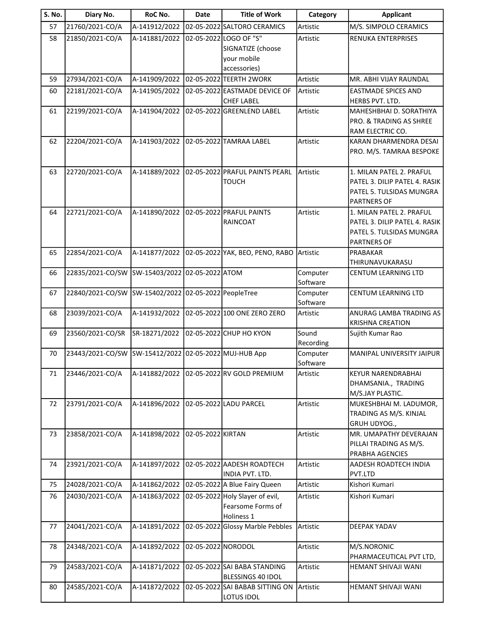| <b>S. No.</b> | Diary No.        | RoC No.                             | <b>Date</b>        | <b>Title of Work</b>                                               | Category             | <b>Applicant</b>                                                                                            |
|---------------|------------------|-------------------------------------|--------------------|--------------------------------------------------------------------|----------------------|-------------------------------------------------------------------------------------------------------------|
| 57            | 21760/2021-CO/A  | A-141912/2022                       |                    | 02-05-2022 SALTORO CERAMICS                                        | Artistic             | M/S. SIMPOLO CERAMICS                                                                                       |
| 58            | 21850/2021-CO/A  | A-141881/2022                       |                    | 02-05-2022 LOGO OF "S"<br>SIGNATIZE (choose<br>your mobile         | Artistic             | RENUKA ENTERPRISES                                                                                          |
| 59            | 27934/2021-CO/A  | A-141909/2022                       |                    | accessories)<br>02-05-2022 TEERTH 2WORK                            | Artistic             | MR. ABHI VIJAY RAUNDAL                                                                                      |
|               |                  |                                     |                    |                                                                    |                      |                                                                                                             |
| 60            | 22181/2021-CO/A  | A-141905/2022                       |                    | 02-05-2022 EASTMADE DEVICE OF<br><b>CHEF LABEL</b>                 | Artistic             | <b>EASTMADE SPICES AND</b><br>HERBS PVT. LTD.                                                               |
| 61            | 22199/2021-CO/A  | A-141904/2022                       |                    | 02-05-2022 GREENLEND LABEL                                         | Artistic             | MAHESHBHAI D. SORATHIYA<br><b>PRO. &amp; TRADING AS SHREE</b><br>RAM ELECTRIC CO.                           |
| 62            | 22204/2021-CO/A  | A-141903/2022                       |                    | 02-05-2022 TAMRAA LABEL                                            | Artistic             | KARAN DHARMENDRA DESAI<br>PRO. M/S. TAMRAA BESPOKE                                                          |
| 63            | 22720/2021-CO/A  | A-141889/2022                       |                    | 02-05-2022 PRAFUL PAINTS PEARL<br><b>TOUCH</b>                     | Artistic             | 1. MILAN PATEL 2. PRAFUL<br>PATEL 3. DILIP PATEL 4. RASIK<br>PATEL 5. TULSIDAS MUNGRA<br><b>PARTNERS OF</b> |
| 64            | 22721/2021-CO/A  | A-141890/2022                       |                    | 02-05-2022 PRAFUL PAINTS<br>RAINCOAT                               | Artistic             | 1. MILAN PATEL 2. PRAFUL<br>PATEL 3. DILIP PATEL 4. RASIK<br>PATEL 5. TULSIDAS MUNGRA<br><b>PARTNERS OF</b> |
| 65            | 22854/2021-CO/A  | A-141877/2022                       |                    | 02-05-2022 YAK, BEO, PENO, RABO                                    | Artistic             | PRABAKAR<br>THIRUNAVUKARASU                                                                                 |
| 66            | 22835/2021-CO/SW | SW-15403/2022 02-05-2022 ATOM       |                    |                                                                    | Computer<br>Software | CENTUM LEARNING LTD                                                                                         |
| 67            | 22840/2021-CO/SW | SW-15402/2022 02-05-2022 PeopleTree |                    |                                                                    | Computer<br>Software | CENTUM LEARNING LTD                                                                                         |
| 68            | 23039/2021-CO/A  | A-141932/2022                       |                    | 02-05-2022 100 ONE ZERO ZERO                                       | Artistic             | <b>ANURAG LAMBA TRADING AS</b><br><b>KRISHNA CREATION</b>                                                   |
| 69            | 23560/2021-CO/SR | SR-18271/2022                       |                    | 02-05-2022 CHUP HO KYON                                            | Sound<br>Recording   | Sujith Kumar Rao                                                                                            |
| 70            | 23443/2021-CO/SW | SW-15412/2022                       |                    | 02-05-2022 MUJ-HUB App                                             | Computer<br>Software | MANIPAL UNIVERSITY JAIPUR                                                                                   |
| 71            | 23446/2021-CO/A  | A-141882/2022                       |                    | 02-05-2022 RV GOLD PREMIUM                                         | Artistic             | <b>KEYUR NARENDRABHAI</b><br>DHAMSANIA., TRADING<br>M/S.JAY PLASTIC.                                        |
| 72            | 23791/2021-CO/A  | A-141896/2022                       |                    | 02-05-2022 LADU PARCEL                                             | Artistic             | MUKESHBHAI M. LADUMOR,<br>TRADING AS M/S. KINJAL<br>GRUH UDYOG.,                                            |
| 73            | 23858/2021-CO/A  | A-141898/2022                       | 02-05-2022 KIRTAN  |                                                                    | Artistic             | MR. UMAPATHY DEVERAJAN<br>PILLAI TRADING AS M/S.<br>PRABHA AGENCIES                                         |
| 74            | 23921/2021-CO/A  | A-141897/2022                       |                    | 02-05-2022 AADESH ROADTECH<br>INDIA PVT. LTD.                      | Artistic             | AADESH ROADTECH INDIA<br>PVT.LTD                                                                            |
| 75            | 24028/2021-CO/A  | A-141862/2022                       |                    | 02-05-2022 A Blue Fairy Queen                                      | Artistic             | Kishori Kumari                                                                                              |
| 76            | 24030/2021-CO/A  | A-141863/2022                       |                    | 02-05-2022 Holy Slayer of evil,<br>Fearsome Forms of<br>Holiness 1 | Artistic             | Kishori Kumari                                                                                              |
| 77            | 24041/2021-CO/A  | A-141891/2022                       |                    | 02-05-2022 Glossy Marble Pebbles                                   | Artistic             | DEEPAK YADAV                                                                                                |
| 78            | 24348/2021-CO/A  | A-141892/2022                       | 02-05-2022 NORODOL |                                                                    | Artistic             | M/S.NORONIC<br>PHARMACEUTICAL PVT LTD,                                                                      |
| 79            | 24583/2021-CO/A  | A-141871/2022                       |                    | 02-05-2022 SAI BABA STANDING<br>BLESSINGS 40 IDOL                  | Artistic             | HEMANT SHIVAJI WANI                                                                                         |
| 80            | 24585/2021-CO/A  | A-141872/2022                       |                    | 02-05-2022 SAI BABAB SITTING ON<br>LOTUS IDOL                      | Artistic             | HEMANT SHIVAJI WANI                                                                                         |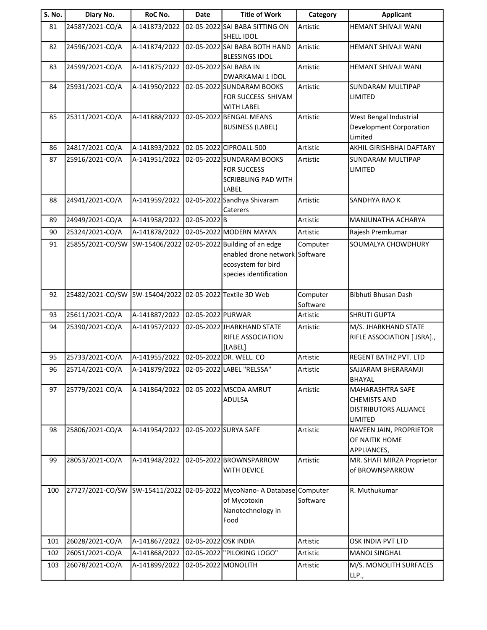| <b>S. No.</b> | Diary No.        | RoC No.                                 | <b>Date</b>          | <b>Title of Work</b>                                                                                                 | Category             | <b>Applicant</b>                                                                   |
|---------------|------------------|-----------------------------------------|----------------------|----------------------------------------------------------------------------------------------------------------------|----------------------|------------------------------------------------------------------------------------|
| 81            | 24587/2021-CO/A  | A-141873/2022                           |                      | 02-05-2022 SAI BABA SITTING ON<br><b>SHELL IDOL</b>                                                                  | Artistic             | HEMANT SHIVAJI WANI                                                                |
| 82            | 24596/2021-CO/A  | A-141874/2022                           |                      | 02-05-2022 SAI BABA BOTH HAND<br><b>BLESSINGS IDOL</b>                                                               | Artistic             | HEMANT SHIVAJI WANI                                                                |
| 83            | 24599/2021-CO/A  | A-141875/2022                           |                      | 02-05-2022 SAI BABA IN<br><b>DWARKAMAI 1 IDOL</b>                                                                    | Artistic             | HEMANT SHIVAJI WANI                                                                |
| 84            | 25931/2021-CO/A  | A-141950/2022                           |                      | 02-05-2022 SUNDARAM BOOKS<br>FOR SUCCESS SHIVAM<br><b>WITH LABEL</b>                                                 | Artistic             | SUNDARAM MULTIPAP<br>LIMITED                                                       |
| 85            | 25311/2021-CO/A  | A-141888/2022                           |                      | 02-05-2022 BENGAL MEANS<br><b>BUSINESS (LABEL)</b>                                                                   | Artistic             | West Bengal Industrial<br>Development Corporation<br>Limited                       |
| 86            | 24817/2021-CO/A  | A-141893/2022                           |                      | 02-05-2022 CIPROALL-500                                                                                              | Artistic             | AKHIL GIRISHBHAI DAFTARY                                                           |
| 87            | 25916/2021-CO/A  | A-141951/2022                           |                      | 02-05-2022 SUNDARAM BOOKS<br><b>FOR SUCCESS</b><br><b>SCRIBBLING PAD WITH</b><br>LABEL                               | Artistic             | SUNDARAM MULTIPAP<br>LIMITED                                                       |
| 88            | 24941/2021-CO/A  | A-141959/2022                           |                      | 02-05-2022 Sandhya Shivaram<br>Caterers                                                                              | Artistic             | SANDHYA RAO K                                                                      |
| 89            | 24949/2021-CO/A  | A-141958/2022                           | 02-05-2022B          |                                                                                                                      | Artistic             | MANJUNATHA ACHARYA                                                                 |
| 90            | 25324/2021-CO/A  | A-141878/2022                           |                      | 02-05-2022 MODERN MAYAN                                                                                              | Artistic             | Rajesh Premkumar                                                                   |
| 91            | 25855/2021-CO/SW | SW-15406/2022                           |                      | 02-05-2022 Building of an edge<br>enabled drone network Software<br>ecosystem for bird<br>species identification     | Computer             | SOUMALYA CHOWDHURY                                                                 |
| 92            | 25482/2021-CO/SW | SW-15404/2022                           |                      | 02-05-2022 Textile 3D Web                                                                                            | Computer<br>Software | Bibhuti Bhusan Dash                                                                |
| 93            | 25611/2021-CO/A  | A-141887/2022                           | 02-05-2022 PURWAR    |                                                                                                                      | Artistic             | <b>SHRUTI GUPTA</b>                                                                |
| 94            | 25390/2021-CO/A  | A-141957/2022                           |                      | 02-05-2022 JHARKHAND STATE<br>RIFLE ASSOCIATION<br>[LABEL]                                                           | Artistic             | M/S. JHARKHAND STATE<br>RIFLE ASSOCIATION [ JSRA].,                                |
| 95            | 25733/2021-CO/A  | A-141955/2022                           |                      | 02-05-2022 DR. WELL. CO                                                                                              | Artistic             | REGENT BATHZ PVT. LTD                                                              |
| 96            | 25714/2021-CO/A  | A-141879/2022 02-05-2022 LABEL "RELSSA" |                      |                                                                                                                      | Artistic             | SAJJARAM BHERARAMJI<br><b>BHAYAL</b>                                               |
| 97            | 25779/2021-CO/A  | A-141864/2022                           |                      | 02-05-2022 MSCDA AMRUT<br>ADULSA                                                                                     | Artistic             | <b>MAHARASHTRA SAFE</b><br><b>CHEMISTS AND</b><br>DISTRIBUTORS ALLIANCE<br>LIMITED |
| 98            | 25806/2021-CO/A  | A-141954/2022                           |                      | 02-05-2022 SURYA SAFE                                                                                                | Artistic             | NAVEEN JAIN, PROPRIETOR<br>OF NAITIK HOME<br>APPLIANCES,                           |
| 99            | 28053/2021-CO/A  | A-141948/2022                           |                      | 02-05-2022 BROWNSPARROW<br><b>WITH DEVICE</b>                                                                        | Artistic             | MR. SHAFI MIRZA Proprietor<br>of BROWNSPARROW                                      |
| 100           |                  |                                         |                      | 27727/2021-CO/SW SW-15411/2022 02-05-2022 MycoNano- A Database Computer<br>of Mycotoxin<br>Nanotechnology in<br>Food | Software             | R. Muthukumar                                                                      |
| 101           | 26028/2021-CO/A  | A-141867/2022                           | 02-05-2022 OSK INDIA |                                                                                                                      | Artistic             | OSK INDIA PVT LTD                                                                  |
| 102           | 26051/2021-CO/A  | A-141868/2022                           |                      | 02-05-2022  "PILOKING LOGO"                                                                                          | Artistic             | <b>MANOJ SINGHAL</b>                                                               |
| 103           | 26078/2021-CO/A  | A-141899/2022                           | 02-05-2022 MONOLITH  |                                                                                                                      | Artistic             | M/S. MONOLITH SURFACES<br>LLP.,                                                    |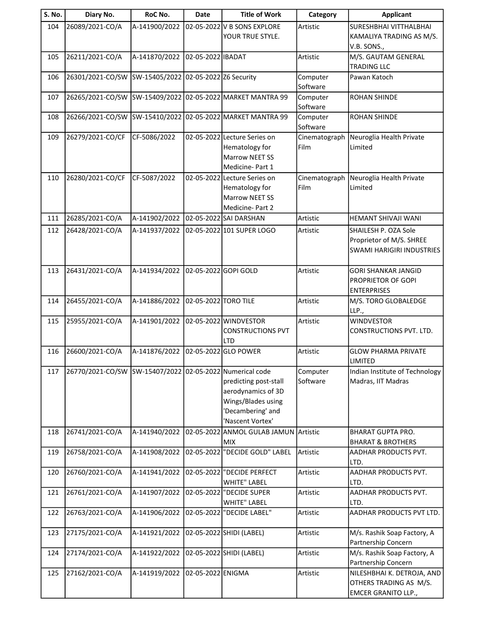| S. No. | Diary No.                                                | RoC No.                              | <b>Date</b>          | <b>Title of Work</b>                                                                                       | Category              | <b>Applicant</b>                                                                     |
|--------|----------------------------------------------------------|--------------------------------------|----------------------|------------------------------------------------------------------------------------------------------------|-----------------------|--------------------------------------------------------------------------------------|
| 104    | 26089/2021-CO/A                                          | A-141900/2022                        |                      | 02-05-2022 V B SONS EXPLORE<br>YOUR TRUE STYLE.                                                            | Artistic              | SURESHBHAI VITTHALBHAI<br>KAMALIYA TRADING AS M/S.                                   |
| 105    | 26211/2021-CO/A                                          | A-141870/2022                        | 02-05-2022 IBADAT    |                                                                                                            | Artistic              | V.B. SONS.,<br>M/S. GAUTAM GENERAL<br><b>TRADING LLC</b>                             |
| 106    | 26301/2021-CO/SW                                         | SW-15405/2022 02-05-2022 Z6 Security |                      |                                                                                                            | Computer<br>Software  | Pawan Katoch                                                                         |
| 107    | 26265/2021-CO/SW                                         | SW-15409/2022                        |                      | 02-05-2022 MARKET MANTRA 99                                                                                | Computer<br>Software  | <b>ROHAN SHINDE</b>                                                                  |
| 108    | 26266/2021-CO/SW                                         | SW-15410/2022                        |                      | 02-05-2022 MARKET MANTRA 99                                                                                | Computer<br>Software  | <b>ROHAN SHINDE</b>                                                                  |
| 109    | 26279/2021-CO/CF                                         | CF-5086/2022                         |                      | 02-05-2022 Lecture Series on<br>Hematology for<br><b>Marrow NEET SS</b><br>Medicine-Part 1                 | Cinematograph<br>Film | Neuroglia Health Private<br>Limited                                                  |
| 110    | 26280/2021-CO/CF                                         | CF-5087/2022                         |                      | 02-05-2022 Lecture Series on<br>Hematology for<br><b>Marrow NEET SS</b><br>Medicine-Part 2                 | Cinematograph<br>Film | Neuroglia Health Private<br>Limited                                                  |
| 111    | 26285/2021-CO/A                                          | A-141902/2022                        |                      | 02-05-2022 SAI DARSHAN                                                                                     | Artistic              | HEMANT SHIVAJI WANI                                                                  |
| 112    | 26428/2021-CO/A                                          | A-141937/2022                        |                      | 02-05-2022 101 SUPER LOGO                                                                                  | Artistic              | SHAILESH P. OZA Sole<br>Proprietor of M/S. SHREE<br><b>SWAMI HARIGIRI INDUSTRIES</b> |
| 113    | 26431/2021-CO/A                                          | A-141934/2022                        | 02-05-2022 GOPI GOLD |                                                                                                            | Artistic              | <b>GORI SHANKAR JANGID</b><br><b>PROPRIETOR OF GOPI</b><br><b>ENTERPRISES</b>        |
| 114    | 26455/2021-CO/A                                          | A-141886/2022                        | 02-05-2022 TORO TILE |                                                                                                            | Artistic              | M/S. TORO GLOBALEDGE<br>LLP.,                                                        |
| 115    | 25955/2021-CO/A                                          | A-141901/2022                        |                      | 02-05-2022 WINDVESTOR<br><b>CONSTRUCTIONS PVT</b><br><b>LTD</b>                                            | Artistic              | <b>WINDVESTOR</b><br>CONSTRUCTIONS PVT. LTD.                                         |
| 116    | 26600/2021-CO/A                                          | A-141876/2022                        |                      | 02-05-2022 GLO POWER                                                                                       | Artistic              | <b>GLOW PHARMA PRIVATE</b><br><b>LIMITED</b>                                         |
| 117    | 26770/2021-CO/SW SW-15407/2022 02-05-2022 Numerical code |                                      |                      | predicting post-stall<br>aerodynamics of 3D<br>Wings/Blades using<br>'Decambering' and<br>'Nascent Vortex' | Computer<br>Software  | Indian Institute of Technology<br>Madras, IIT Madras                                 |
| 118    | 26741/2021-CO/A                                          | A-141940/2022                        |                      | 02-05-2022 ANMOL GULAB JAMUN Artistic<br><b>MIX</b>                                                        |                       | <b>BHARAT GUPTA PRO.</b><br><b>BHARAT &amp; BROTHERS</b>                             |
| 119    | 26758/2021-CO/A                                          | A-141908/2022                        |                      | 02-05-2022 "DECIDE GOLD" LABEL                                                                             | Artistic              | AADHAR PRODUCTS PVT.<br>LTD.                                                         |
| 120    | 26760/2021-CO/A                                          | A-141941/2022                        |                      | 02-05-2022 DECIDE PERFECT<br><b>WHITE" LABEL</b>                                                           | Artistic              | AADHAR PRODUCTS PVT.<br>LTD.                                                         |
| 121    | 26761/2021-CO/A                                          | A-141907/2022                        |                      | 02-05-2022 DECIDE SUPER<br><b>WHITE" LABEL</b>                                                             | Artistic              | AADHAR PRODUCTS PVT.<br>LTD.                                                         |
| 122    | 26763/2021-CO/A                                          | A-141906/2022                        |                      | 02-05-2022  "DECIDE LABEL"                                                                                 | Artistic              | AADHAR PRODUCTS PVT LTD.                                                             |
| 123    | 27175/2021-CO/A                                          | A-141921/2022                        |                      | 02-05-2022 SHIDI (LABEL)                                                                                   | Artistic              | M/s. Rashik Soap Factory, A<br>Partnership Concern                                   |
| 124    | 27174/2021-CO/A                                          | A-141922/2022                        |                      | 02-05-2022 SHIDI (LABEL)                                                                                   | Artistic              | M/s. Rashik Soap Factory, A<br>Partnership Concern                                   |
| 125    | 27162/2021-CO/A                                          | A-141919/2022                        | 02-05-2022 ENIGMA    |                                                                                                            | Artistic              | NILESHBHAI K. DETROJA, AND<br>OTHERS TRADING AS M/S.<br><b>EMCER GRANITO LLP.,</b>   |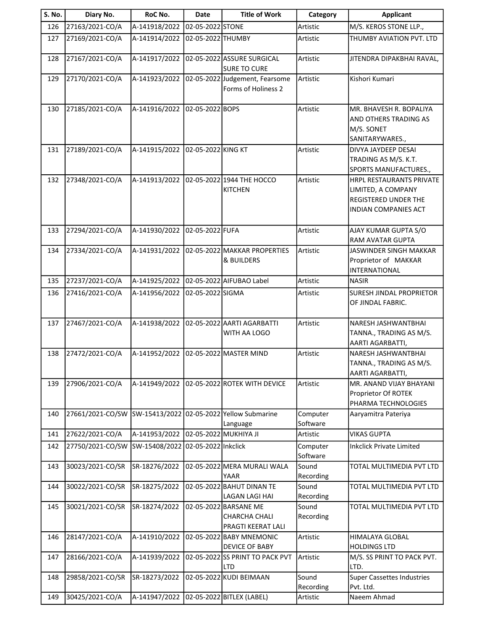| S. No. | Diary No.        | RoC No.       | <b>Date</b>         | <b>Title of Work</b>                                         | Category             | <b>Applicant</b>                                                                                      |
|--------|------------------|---------------|---------------------|--------------------------------------------------------------|----------------------|-------------------------------------------------------------------------------------------------------|
| 126    | 27163/2021-CO/A  | A-141918/2022 | 02-05-2022 STONE    |                                                              | Artistic             | M/S. KEROS STONE LLP.,                                                                                |
| 127    | 27169/2021-CO/A  | A-141914/2022 | 02-05-2022 THUMBY   |                                                              | Artistic             | THUMBY AVIATION PVT. LTD                                                                              |
| 128    | 27167/2021-CO/A  | A-141917/2022 |                     | 02-05-2022 ASSURE SURGICAL<br><b>SURE TO CURE</b>            | Artistic             | JITENDRA DIPAKBHAI RAVAL,                                                                             |
| 129    | 27170/2021-CO/A  | A-141923/2022 |                     | 02-05-2022 Judgement, Fearsome<br>Forms of Holiness 2        | Artistic             | Kishori Kumari                                                                                        |
| 130    | 27185/2021-CO/A  | A-141916/2022 | 02-05-2022 BOPS     |                                                              | Artistic             | MR. BHAVESH R. BOPALIYA<br>AND OTHERS TRADING AS<br>M/S. SONET<br>SANITARYWARES.,                     |
| 131    | 27189/2021-CO/A  | A-141915/2022 | 02-05-2022 KING KT  |                                                              | Artistic             | DIVYA JAYDEEP DESAI<br>TRADING AS M/S. K.T.<br>SPORTS MANUFACTURES.,                                  |
| 132    | 27348/2021-CO/A  | A-141913/2022 |                     | 02-05-2022 1944 THE HOCCO<br><b>KITCHEN</b>                  | Artistic             | HRPL RESTAURANTS PRIVATE<br>LIMITED, A COMPANY<br><b>REGISTERED UNDER THE</b><br>INDIAN COMPANIES ACT |
| 133    | 27294/2021-CO/A  | A-141930/2022 | 02-05-2022 FUFA     |                                                              | Artistic             | AJAY KUMAR GUPTA S/O<br>RAM AVATAR GUPTA                                                              |
| 134    | 27334/2021-CO/A  | A-141931/2022 |                     | 02-05-2022 MAKKAR PROPERTIES<br>& BUILDERS                   | Artistic             | JASWINDER SINGH MAKKAR<br>Proprietor of MAKKAR<br>INTERNATIONAL                                       |
| 135    | 27237/2021-CO/A  | A-141925/2022 |                     | 02-05-2022 AIFUBAO Label                                     | Artistic             | <b>NASIR</b>                                                                                          |
| 136    | 27416/2021-CO/A  | A-141956/2022 | 02-05-2022 SIGMA    |                                                              | Artistic             | SURESH JINDAL PROPRIETOR<br>OF JINDAL FABRIC.                                                         |
| 137    | 27467/2021-CO/A  | A-141938/2022 |                     | 02-05-2022 AARTI AGARBATTI<br>WITH AA LOGO                   | Artistic             | NARESH JASHWANTBHAI<br>TANNA., TRADING AS M/S.<br>AARTI AGARBATTI,                                    |
| 138    | 27472/2021-CO/A  | A-141952/2022 |                     | 02-05-2022 MASTER MIND                                       | Artistic             | NARESH JASHWANTBHAI<br>TANNA., TRADING AS M/S.<br>AARTI AGARBATTI,                                    |
| 139    | 27906/2021-CO/A  | A-141949/2022 |                     | 02-05-2022 ROTEK WITH DEVICE                                 | Artistic             | MR. ANAND VIJAY BHAYANI<br>Proprietor Of ROTEK<br>PHARMA TECHNOLOGIES                                 |
| 140    | 27661/2021-CO/SW | SW-15413/2022 |                     | 02-05-2022 Yellow Submarine<br>Language                      | Computer<br>Software | Aaryamitra Pateriya                                                                                   |
| 141    | 27622/2021-CO/A  | A-141953/2022 |                     | 02-05-2022 MUKHIYA JI                                        | Artistic             | <b>VIKAS GUPTA</b>                                                                                    |
| 142    | 27750/2021-CO/SW | SW-15408/2022 | 02-05-2022 Inkclick |                                                              | Computer<br>Software | <b>Inkclick Private Limited</b>                                                                       |
| 143    | 30023/2021-CO/SR | SR-18276/2022 |                     | 02-05-2022 MERA MURALI WALA<br><b>YAAR</b>                   | Sound<br>Recording   | TOTAL MULTIMEDIA PVT LTD                                                                              |
| 144    | 30022/2021-CO/SR | SR-18275/2022 |                     | 02-05-2022 BAHUT DINAN TE<br>LAGAN LAGI HAI                  | Sound<br>Recording   | TOTAL MULTIMEDIA PVT LTD                                                                              |
| 145    | 30021/2021-CO/SR | SR-18274/2022 |                     | 02-05-2022 BARSANE ME<br>CHARCHA CHALI<br>PRAGTI KEERAT LALI | Sound<br>Recording   | TOTAL MULTIMEDIA PVT LTD                                                                              |
| 146    | 28147/2021-CO/A  | A-141910/2022 |                     | 02-05-2022 BABY MNEMONIC<br><b>DEVICE OF BABY</b>            | Artistic             | HIMALAYA GLOBAL<br><b>HOLDINGS LTD</b>                                                                |
| 147    | 28166/2021-CO/A  | A-141939/2022 |                     | 02-05-2022 SS PRINT TO PACK PVT<br>LTD                       | Artistic             | M/S. SS PRINT TO PACK PVT.<br>LTD.                                                                    |
| 148    | 29858/2021-CO/SR | SR-18273/2022 |                     | 02-05-2022 KUDI BEIMAAN                                      | Sound                | <b>Super Cassettes Industries</b>                                                                     |
|        |                  |               |                     |                                                              | Recording            | Pvt. Ltd.                                                                                             |
| 149    | 30425/2021-CO/A  | A-141947/2022 |                     | 02-05-2022 BITLEX (LABEL)                                    | Artistic             | Naeem Ahmad                                                                                           |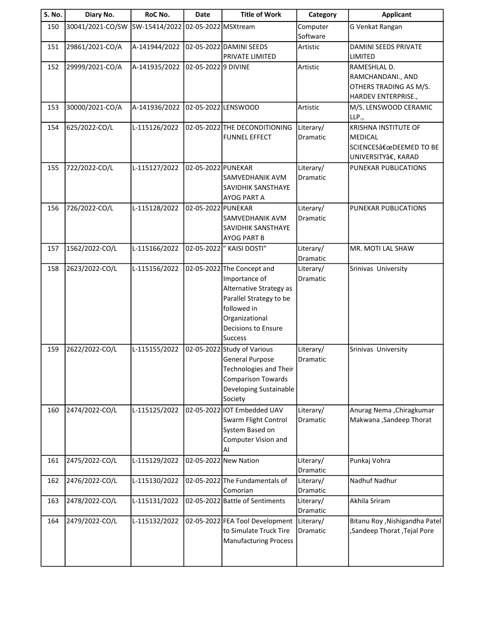| <b>S. No.</b> | Diary No.        | RoC No.       | <b>Date</b>         | <b>Title of Work</b>            | Category  | <b>Applicant</b>               |
|---------------|------------------|---------------|---------------------|---------------------------------|-----------|--------------------------------|
| 150           | 30041/2021-CO/SW | SW-15414/2022 | 02-05-2022 MSXtream |                                 | Computer  | G Venkat Rangan                |
|               |                  |               |                     |                                 | Software  |                                |
| 151           | 29861/2021-CO/A  | A-141944/2022 |                     | 02-05-2022 DAMINI SEEDS         | Artistic  | DAMINI SEEDS PRIVATE           |
|               |                  |               |                     | PRIVATE LIMITED                 |           | LIMITED                        |
| 152           | 29999/2021-CO/A  | A-141935/2022 | 02-05-2022 9 DIVINE |                                 | Artistic  | RAMESHLAL D.                   |
|               |                  |               |                     |                                 |           | RAMCHANDANI., AND              |
|               |                  |               |                     |                                 |           | OTHERS TRADING AS M/S.         |
|               |                  |               |                     |                                 |           | HARDEV ENTERPRISE.,            |
| 153           | 30000/2021-CO/A  | A-141936/2022 |                     | 02-05-2022 LENSWOOD             | Artistic  | M/S. LENSWOOD CERAMIC<br>LLP., |
| 154           | 625/2022-CO/L    | L-115126/2022 |                     | 02-05-2022 THE DECONDITIONING   | Literary/ | <b>KRISHNA INSTITUTE OF</b>    |
|               |                  |               |                     | <b>FUNNEL EFFECT</b>            | Dramatic  | MEDICAL                        |
|               |                  |               |                     |                                 |           | SCIENCES"DEEMED TO BE          |
|               |                  |               |                     |                                 |           | UNIVERSITYâ€, KARAD            |
| 155           | 722/2022-CO/L    | L-115127/2022 | 02-05-2022 PUNEKAR  |                                 | Literary/ | PUNEKAR PUBLICATIONS           |
|               |                  |               |                     | SAMVEDHANIK AVM                 | Dramatic  |                                |
|               |                  |               |                     | SAVIDHIK SANSTHAYE              |           |                                |
|               |                  |               |                     | AYOG PART A                     |           |                                |
| 156           | 726/2022-CO/L    | L-115128/2022 | 02-05-2022 PUNEKAR  |                                 | Literary/ | PUNEKAR PUBLICATIONS           |
|               |                  |               |                     | SAMVEDHANIK AVM                 | Dramatic  |                                |
|               |                  |               |                     | SAVIDHIK SANSTHAYE              |           |                                |
|               |                  |               |                     | AYOG PART B                     |           |                                |
| 157           | 1562/2022-CO/L   | L-115166/2022 |                     | 02-05-2022  " KAISI DOSTI"      | Literary/ | MR. MOTI LAL SHAW              |
|               |                  |               |                     |                                 | Dramatic  |                                |
| 158           | 2623/2022-CO/L   | L-115156/2022 |                     | 02-05-2022 The Concept and      | Literary/ | Srinivas University            |
|               |                  |               |                     | Importance of                   | Dramatic  |                                |
|               |                  |               |                     | Alternative Strategy as         |           |                                |
|               |                  |               |                     | Parallel Strategy to be         |           |                                |
|               |                  |               |                     | followed in                     |           |                                |
|               |                  |               |                     | Organizational                  |           |                                |
|               |                  |               |                     | Decisions to Ensure             |           |                                |
|               |                  |               |                     | <b>Success</b>                  |           |                                |
| 159           | 2622/2022-CO/L   | L-115155/2022 |                     | 02-05-2022 Study of Various     | Literary/ | Srinivas University            |
|               |                  |               |                     | <b>General Purpose</b>          | Dramatic  |                                |
|               |                  |               |                     | <b>Technologies and Their</b>   |           |                                |
|               |                  |               |                     | <b>Comparison Towards</b>       |           |                                |
|               |                  |               |                     | Developing Sustainable          |           |                                |
|               |                  |               |                     | Society                         |           |                                |
| 160           | 2474/2022-CO/L   | L-115125/2022 |                     | 02-05-2022 IOT Embedded UAV     | Literary/ | Anurag Nema , Chiragkumar      |
|               |                  |               |                     | Swarm Flight Control            | Dramatic  | Makwana , Sandeep Thorat       |
|               |                  |               |                     | System Based on                 |           |                                |
|               |                  |               |                     | Computer Vision and             |           |                                |
|               |                  |               |                     | AI                              |           |                                |
| 161           | 2475/2022-CO/L   | L-115129/2022 |                     | 02-05-2022 New Nation           | Literary/ | Punkaj Vohra                   |
|               |                  |               |                     |                                 | Dramatic  |                                |
| 162           | 2476/2022-CO/L   | L-115130/2022 |                     | 02-05-2022 The Fundamentals of  | Literary/ | Nadhuf Nadhur                  |
|               |                  |               |                     | Comorian                        | Dramatic  |                                |
| 163           | 2478/2022-CO/L   | L-115131/2022 |                     | 02-05-2022 Battle of Sentiments | Literary/ | Akhila Sriram                  |
|               |                  |               |                     |                                 | Dramatic  |                                |
| 164           | 2479/2022-CO/L   | L-115132/2022 |                     | 02-05-2022 FEA Tool Development | Literary/ | Bitanu Roy , Nishigandha Patel |
|               |                  |               |                     | to Simulate Truck Tire          | Dramatic  | ,Sandeep Thorat, Tejal Pore    |
|               |                  |               |                     | <b>Manufacturing Process</b>    |           |                                |
|               |                  |               |                     |                                 |           |                                |
|               |                  |               |                     |                                 |           |                                |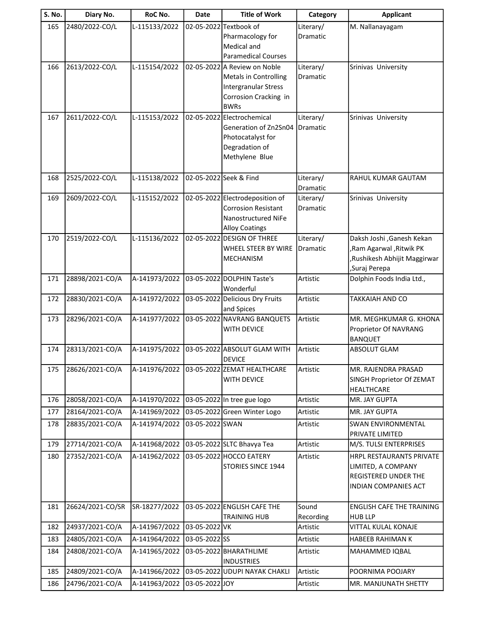| S. No. | Diary No.        | RoC No.       | <b>Date</b>     | <b>Title of Work</b>                                       | Category  | <b>Applicant</b>                           |
|--------|------------------|---------------|-----------------|------------------------------------------------------------|-----------|--------------------------------------------|
| 165    | 2480/2022-CO/L   | L-115133/2022 |                 | 02-05-2022 Textbook of                                     | Literary/ | M. Nallanayagam                            |
|        |                  |               |                 | Pharmacology for                                           | Dramatic  |                                            |
|        |                  |               |                 | Medical and                                                |           |                                            |
| 166    | 2613/2022-CO/L   | L-115154/2022 |                 | <b>Paramedical Courses</b><br>02-05-2022 A Review on Noble | Literary/ | Srinivas University                        |
|        |                  |               |                 | <b>Metals in Controlling</b>                               | Dramatic  |                                            |
|        |                  |               |                 | <b>Intergranular Stress</b>                                |           |                                            |
|        |                  |               |                 | Corrosion Cracking in                                      |           |                                            |
|        |                  |               |                 | <b>BWRs</b>                                                |           |                                            |
| 167    | 2611/2022-CO/L   | L-115153/2022 |                 | 02-05-2022 Electrochemical                                 | Literary/ | Srinivas University                        |
|        |                  |               |                 | Generation of Zn2Sn04                                      | Dramatic  |                                            |
|        |                  |               |                 | Photocatalyst for<br>Degradation of                        |           |                                            |
|        |                  |               |                 | Methylene Blue                                             |           |                                            |
|        |                  |               |                 |                                                            |           |                                            |
| 168    | 2525/2022-CO/L   | L-115138/2022 |                 | 02-05-2022 Seek & Find                                     | Literary/ | RAHUL KUMAR GAUTAM                         |
|        |                  |               |                 |                                                            | Dramatic  |                                            |
| 169    | 2609/2022-CO/L   | L-115152/2022 |                 | 02-05-2022 Electrodeposition of                            | Literary/ | Srinivas University                        |
|        |                  |               |                 | <b>Corrosion Resistant</b><br>Nanostructured NiFe          | Dramatic  |                                            |
|        |                  |               |                 | <b>Alloy Coatings</b>                                      |           |                                            |
| 170    | 2519/2022-CO/L   | L-115136/2022 |                 | 02-05-2022 DESIGN OF THREE                                 | Literary/ | Daksh Joshi , Ganesh Kekan                 |
|        |                  |               |                 | WHEEL STEER BY WIRE                                        | Dramatic  | Ram Agarwal , Ritwik PK                    |
|        |                  |               |                 | <b>MECHANISM</b>                                           |           | Rushikesh Abhijit Maggirwar                |
|        |                  |               |                 |                                                            |           | ,Suraj Perepa                              |
| 171    | 28898/2021-CO/A  | A-141973/2022 |                 | 03-05-2022 DOLPHIN Taste's                                 | Artistic  | Dolphin Foods India Ltd.,                  |
| 172    | 28830/2021-CO/A  | A-141972/2022 |                 | Wonderful<br>03-05-2022 Delicious Dry Fruits               | Artistic  | TAKKAIAH AND CO                            |
|        |                  |               |                 | and Spices                                                 |           |                                            |
| 173    | 28296/2021-CO/A  | A-141977/2022 |                 | 03-05-2022 NAVRANG BANQUETS                                | Artistic  | MR. MEGHKUMAR G. KHONA                     |
|        |                  |               |                 | WITH DEVICE                                                |           | Proprietor Of NAVRANG                      |
|        |                  |               |                 |                                                            |           | <b>BANQUET</b>                             |
| 174    | 28313/2021-CO/A  | A-141975/2022 |                 | 03-05-2022 ABSOLUT GLAM WITH                               | Artistic  | <b>ABSOLUT GLAM</b>                        |
| 175    | 28626/2021-CO/A  | A-141976/2022 |                 | <b>DEVICE</b><br>03-05-2022 ZEMAT HEALTHCARE               | Artistic  | MR. RAJENDRA PRASAD                        |
|        |                  |               |                 | <b>WITH DEVICE</b>                                         |           | SINGH Proprietor Of ZEMAT                  |
|        |                  |               |                 |                                                            |           | HEALTHCARE                                 |
| 176    | 28058/2021-CO/A  | A-141970/2022 |                 | 03-05-2022 In tree gue logo                                | Artistic  | MR. JAY GUPTA                              |
| 177    | 28164/2021-CO/A  | A-141969/2022 |                 | 03-05-2022 Green Winter Logo                               | Artistic  | MR. JAY GUPTA                              |
| 178    | 28835/2021-CO/A  | A-141974/2022 | 03-05-2022 SWAN |                                                            | Artistic  | <b>SWAN ENVIRONMENTAL</b>                  |
|        |                  |               |                 |                                                            |           | PRIVATE LIMITED                            |
| 179    | 27714/2021-CO/A  | A-141968/2022 |                 | 03-05-2022 SLTC Bhavya Tea                                 | Artistic  | M/S. TULSI ENTERPRISES                     |
| 180    | 27352/2021-CO/A  | A-141962/2022 |                 | 03-05-2022 HOCCO EATERY                                    | Artistic  | HRPL RESTAURANTS PRIVATE                   |
|        |                  |               |                 | STORIES SINCE 1944                                         |           | LIMITED, A COMPANY<br>REGISTERED UNDER THE |
|        |                  |               |                 |                                                            |           | INDIAN COMPANIES ACT                       |
|        |                  |               |                 |                                                            |           |                                            |
| 181    | 26624/2021-CO/SR | SR-18277/2022 |                 | 03-05-2022 ENGLISH CAFE THE                                | Sound     | ENGLISH CAFE THE TRAINING                  |
|        |                  |               |                 | <b>TRAINING HUB</b>                                        | Recording | <b>HUB LLP</b>                             |
| 182    | 24937/2021-CO/A  | A-141967/2022 | 03-05-2022 VK   |                                                            | Artistic  | VITTAL KULAL KONAJE                        |
| 183    | 24805/2021-CO/A  | A-141964/2022 | 03-05-2022 SS   |                                                            | Artistic  | HABEEB RAHIMAN K                           |
| 184    | 24808/2021-CO/A  | A-141965/2022 |                 | 03-05-2022 BHARATHLIME                                     | Artistic  | MAHAMMED IQBAL                             |
| 185    | 24809/2021-CO/A  | A-141966/2022 |                 | <b>INDUSTRIES</b><br>03-05-2022 UDUPI NAYAK CHAKLI         | Artistic  | POORNIMA POOJARY                           |
| 186    | 24796/2021-CO/A  | A-141963/2022 | 03-05-2022 JOY  |                                                            | Artistic  | MR. MANJUNATH SHETTY                       |
|        |                  |               |                 |                                                            |           |                                            |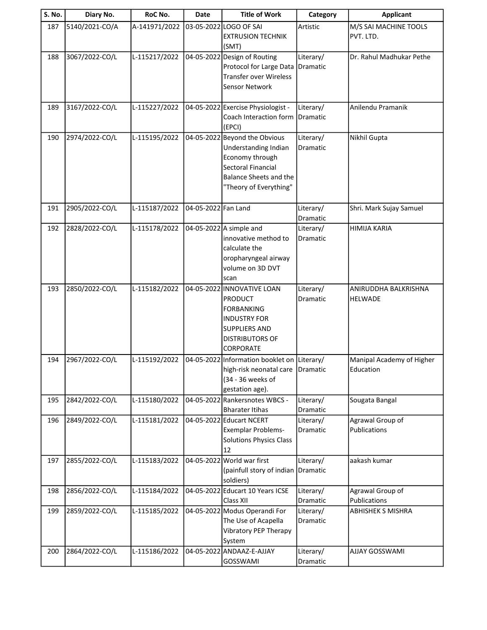| <b>S. No.</b> | Diary No.      | RoC No.       | <b>Date</b>         | <b>Title of Work</b>                                     | Category              | <b>Applicant</b>                         |
|---------------|----------------|---------------|---------------------|----------------------------------------------------------|-----------------------|------------------------------------------|
| 187           | 5140/2021-CO/A | A-141971/2022 |                     | 03-05-2022 LOGO OF SAI                                   | Artistic              | M/S SAI MACHINE TOOLS                    |
|               |                |               |                     | <b>EXTRUSION TECHNIK</b>                                 |                       | PVT. LTD.                                |
|               |                |               |                     | (SMT)                                                    |                       |                                          |
| 188           | 3067/2022-CO/L | L-115217/2022 |                     | 04-05-2022 Design of Routing                             | Literary/             | Dr. Rahul Madhukar Pethe                 |
|               |                |               |                     | Protocol for Large Data                                  | Dramatic              |                                          |
|               |                |               |                     | <b>Transfer over Wireless</b>                            |                       |                                          |
|               |                |               |                     | Sensor Network                                           |                       |                                          |
| 189           | 3167/2022-CO/L | L-115227/2022 |                     | 04-05-2022 Exercise Physiologist -                       | Literary/             | Anilendu Pramanik                        |
|               |                |               |                     | Coach Interaction form                                   | Dramatic              |                                          |
|               |                |               |                     | (EPCI)                                                   |                       |                                          |
| 190           | 2974/2022-CO/L | L-115195/2022 |                     | 04-05-2022 Beyond the Obvious                            | Literary/             | Nikhil Gupta                             |
|               |                |               |                     | Understanding Indian                                     | Dramatic              |                                          |
|               |                |               |                     | Economy through                                          |                       |                                          |
|               |                |               |                     | Sectoral Financial                                       |                       |                                          |
|               |                |               |                     | <b>Balance Sheets and the</b>                            |                       |                                          |
|               |                |               |                     | "Theory of Everything"                                   |                       |                                          |
| 191           | 2905/2022-CO/L | L-115187/2022 | 04-05-2022 Fan Land |                                                          | Literary/             | Shri. Mark Sujay Samuel                  |
|               |                |               |                     |                                                          | Dramatic              |                                          |
| 192           | 2828/2022-CO/L | L-115178/2022 |                     | 04-05-2022 A simple and                                  | Literary/             | <b>HIMIJA KARIA</b>                      |
|               |                |               |                     | innovative method to                                     | <b>Dramatic</b>       |                                          |
|               |                |               |                     | calculate the                                            |                       |                                          |
|               |                |               |                     | oropharyngeal airway                                     |                       |                                          |
|               |                |               |                     | volume on 3D DVT                                         |                       |                                          |
|               |                |               |                     | scan                                                     |                       |                                          |
| 193           | 2850/2022-CO/L | L-115182/2022 |                     | 04-05-2022 INNOVATIVE LOAN<br><b>PRODUCT</b>             | Literary/<br>Dramatic | ANIRUDDHA BALKRISHNA<br><b>HELWADE</b>   |
|               |                |               |                     | <b>FORBANKING</b>                                        |                       |                                          |
|               |                |               |                     | <b>INDUSTRY FOR</b>                                      |                       |                                          |
|               |                |               |                     | <b>SUPPLIERS AND</b>                                     |                       |                                          |
|               |                |               |                     | <b>DISTRIBUTORS OF</b>                                   |                       |                                          |
|               |                |               |                     | <b>CORPORATE</b>                                         |                       |                                          |
| 194           | 2967/2022-CO/L | L-115192/2022 |                     | 04-05-2022 Information booklet on Literary/              |                       | Manipal Academy of Higher                |
|               |                |               |                     | high-risk neonatal care                                  | <b>Dramatic</b>       | Education                                |
|               |                |               |                     | (34 - 36 weeks of                                        |                       |                                          |
|               |                |               |                     | gestation age).                                          |                       |                                          |
| 195           | 2842/2022-CO/L | L-115180/2022 |                     | 04-05-2022 Rankersnotes WBCS -<br><b>Bharater Itihas</b> | Literary/<br>Dramatic | Sougata Bangal                           |
| 196           | 2849/2022-CO/L | L-115181/2022 |                     | 04-05-2022 Educart NCERT                                 | Literary/             | Agrawal Group of                         |
|               |                |               |                     | <b>Exemplar Problems-</b>                                | Dramatic              | Publications                             |
|               |                |               |                     | <b>Solutions Physics Class</b>                           |                       |                                          |
|               |                |               |                     | 12                                                       |                       |                                          |
| 197           | 2855/2022-CO/L | L-115183/2022 |                     | 04-05-2022 World war first                               | Literary/             | aakash kumar                             |
|               |                |               |                     | (painfull story of indian                                | Dramatic              |                                          |
|               |                |               |                     | soldiers)                                                |                       |                                          |
| 198           | 2856/2022-CO/L | L-115184/2022 |                     | 04-05-2022 Educart 10 Years ICSE                         | Literary/             | Agrawal Group of                         |
| 199           | 2859/2022-CO/L | L-115185/2022 |                     | Class XII<br>04-05-2022 Modus Operandi For               | Dramatic<br>Literary/ | Publications<br><b>ABHISHEK S MISHRA</b> |
|               |                |               |                     | The Use of Acapella                                      | Dramatic              |                                          |
|               |                |               |                     | Vibratory PEP Therapy                                    |                       |                                          |
|               |                |               |                     | System                                                   |                       |                                          |
| 200           | 2864/2022-CO/L | L-115186/2022 |                     | 04-05-2022 ANDAAZ-E-AJJAY                                | Literary/             | <b>AJJAY GOSSWAMI</b>                    |
|               |                |               |                     | GOSSWAMI                                                 | Dramatic              |                                          |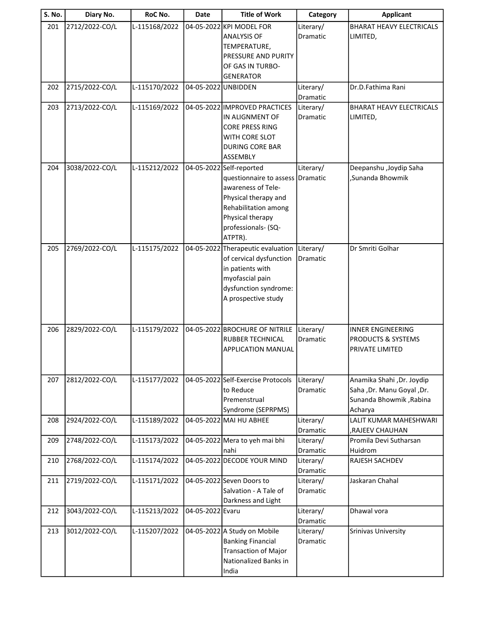| <b>S. No.</b> | Diary No.      | RoC No.       | <b>Date</b>         | <b>Title of Work</b>                                                                                                                                                            | Category              | <b>Applicant</b>                                                                               |
|---------------|----------------|---------------|---------------------|---------------------------------------------------------------------------------------------------------------------------------------------------------------------------------|-----------------------|------------------------------------------------------------------------------------------------|
| 201           | 2712/2022-CO/L | L-115168/2022 |                     | 04-05-2022 KPI MODEL FOR<br><b>ANALYSIS OF</b><br>TEMPERATURE,<br>PRESSURE AND PURITY<br>OF GAS IN TURBO-<br><b>GENERATOR</b>                                                   | Literary/<br>Dramatic | <b>BHARAT HEAVY ELECTRICALS</b><br>LIMITED,                                                    |
| 202           | 2715/2022-CO/L | L-115170/2022 | 04-05-2022 UNBIDDEN |                                                                                                                                                                                 | Literary/<br>Dramatic | Dr.D.Fathima Rani                                                                              |
| 203           | 2713/2022-CO/L | L-115169/2022 |                     | 04-05-2022 IMPROVED PRACTICES<br>IN ALIGNMENT OF<br><b>CORE PRESS RING</b><br>WITH CORE SLOT<br><b>DURING CORE BAR</b><br>ASSEMBLY                                              | Literary/<br>Dramatic | <b>BHARAT HEAVY ELECTRICALS</b><br>LIMITED,                                                    |
| 204           | 3038/2022-CO/L | L-115212/2022 |                     | 04-05-2022 Self-reported<br>questionnaire to assess<br>awareness of Tele-<br>Physical therapy and<br>Rehabilitation among<br>Physical therapy<br>professionals- (SQ-<br>ATPTR). | Literary/<br>Dramatic | Deepanshu , Joydip Saha<br>,Sunanda Bhowmik                                                    |
| 205           | 2769/2022-CO/L | L-115175/2022 |                     | 04-05-2022 Therapeutic evaluation<br>of cervical dysfunction<br>in patients with<br>myofascial pain<br>dysfunction syndrome:<br>A prospective study                             | Literary/<br>Dramatic | Dr Smriti Golhar                                                                               |
| 206           | 2829/2022-CO/L | L-115179/2022 |                     | 04-05-2022 BROCHURE OF NITRILE<br>RUBBER TECHNICAL<br><b>APPLICATION MANUAL</b>                                                                                                 | Literary/<br>Dramatic | <b>INNER ENGINEERING</b><br>PRODUCTS & SYSTEMS<br>PRIVATE LIMITED                              |
| 207           | 2812/2022-CO/L | L-115177/2022 |                     | 04-05-2022 Self-Exercise Protocols<br>to Reduce<br>Premenstrual<br>Syndrome (SEPRPMS)                                                                                           | Literary/<br>Dramatic | Anamika Shahi, Dr. Joydip<br>Saha , Dr. Manu Goyal , Dr.<br>Sunanda Bhowmik, Rabina<br>Acharya |
| 208           | 2924/2022-CO/L | L-115189/2022 |                     | 04-05-2022 MAI HU ABHEE                                                                                                                                                         | Literary/<br>Dramatic | LALIT KUMAR MAHESHWARI<br>,RAJEEV CHAUHAN                                                      |
| 209           | 2748/2022-CO/L | L-115173/2022 |                     | 04-05-2022 Mera to yeh mai bhi<br>nahi                                                                                                                                          | Literary/<br>Dramatic | Promila Devi Sutharsan<br>Huidrom                                                              |
| 210           | 2768/2022-CO/L | L-115174/2022 |                     | 04-05-2022 DECODE YOUR MIND                                                                                                                                                     | Literary/<br>Dramatic | RAJESH SACHDEV                                                                                 |
| 211           | 2719/2022-CO/L | L-115171/2022 |                     | 04-05-2022 Seven Doors to<br>Salvation - A Tale of<br>Darkness and Light                                                                                                        | Literary/<br>Dramatic | Jaskaran Chahal                                                                                |
| 212           | 3043/2022-CO/L | L-115213/2022 | 04-05-2022 Evaru    |                                                                                                                                                                                 | Literary/<br>Dramatic | Dhawal vora                                                                                    |
| 213           | 3012/2022-CO/L | L-115207/2022 |                     | 04-05-2022 A Study on Mobile<br><b>Banking Financial</b><br><b>Transaction of Major</b><br>Nationalized Banks in<br>India                                                       | Literary/<br>Dramatic | Srinivas University                                                                            |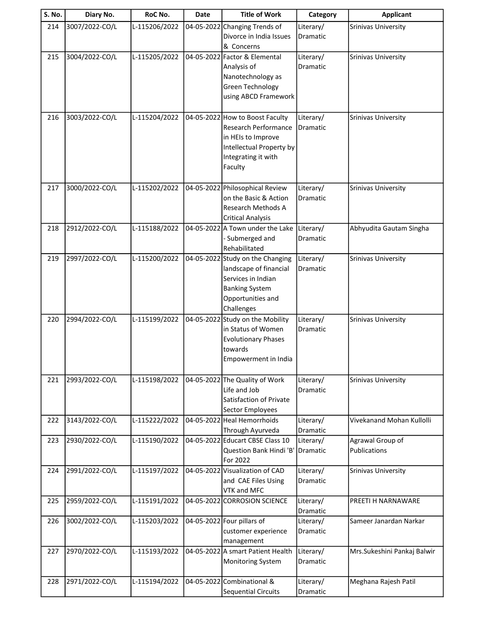| S. No. | Diary No.      | RoC No.       | <b>Date</b> | <b>Title of Work</b>                                                                                                                         | Category              | <b>Applicant</b>                 |
|--------|----------------|---------------|-------------|----------------------------------------------------------------------------------------------------------------------------------------------|-----------------------|----------------------------------|
| 214    | 3007/2022-CO/L | L-115206/2022 | 04-05-2022  | Changing Trends of<br>Divorce in India Issues<br>& Concerns                                                                                  | Literary/<br>Dramatic | <b>Srinivas University</b>       |
| 215    | 3004/2022-CO/L | L-115205/2022 |             | 04-05-2022 Factor & Elemental<br>Analysis of<br>Nanotechnology as<br>Green Technology<br>using ABCD Framework                                | Literary/<br>Dramatic | <b>Srinivas University</b>       |
| 216    | 3003/2022-CO/L | L-115204/2022 |             | 04-05-2022 How to Boost Faculty<br>Research Performance<br>in HEIs to Improve<br>Intellectual Property by<br>Integrating it with<br>Faculty  | Literary/<br>Dramatic | <b>Srinivas University</b>       |
| 217    | 3000/2022-CO/L | L-115202/2022 |             | 04-05-2022 Philosophical Review<br>on the Basic & Action<br><b>Research Methods A</b><br><b>Critical Analysis</b>                            | Literary/<br>Dramatic | <b>Srinivas University</b>       |
| 218    | 2912/2022-CO/L | L-115188/2022 |             | 04-05-2022 A Town under the Lake<br>- Submerged and<br>Rehabilitated                                                                         | Literary/<br>Dramatic | Abhyudita Gautam Singha          |
| 219    | 2997/2022-CO/L | L-115200/2022 |             | 04-05-2022 Study on the Changing<br>landscape of financial<br>Services in Indian<br><b>Banking System</b><br>Opportunities and<br>Challenges | Literary/<br>Dramatic | <b>Srinivas University</b>       |
| 220    | 2994/2022-CO/L | L-115199/2022 |             | 04-05-2022 Study on the Mobility<br>in Status of Women<br><b>Evolutionary Phases</b><br>towards<br>Empowerment in India                      | Literary/<br>Dramatic | Srinivas University              |
| 221    | 2993/2022-CO/L | L-115198/2022 |             | 04-05-2022 The Quality of Work<br>Life and Job<br>Satisfaction of Private<br>Sector Employees                                                | Literary/<br>Dramatic | <b>Srinivas University</b>       |
| 222    | 3143/2022-CO/L | L-115222/2022 |             | 04-05-2022 Heal Hemorrhoids<br>Through Ayurveda                                                                                              | Literary/<br>Dramatic | Vivekanand Mohan Kullolli        |
| 223    | 2930/2022-CO/L | L-115190/2022 |             | 04-05-2022 Educart CBSE Class 10<br>Question Bank Hindi 'B'<br>For 2022                                                                      | Literary/<br>Dramatic | Agrawal Group of<br>Publications |
| 224    | 2991/2022-CO/L | L-115197/2022 |             | 04-05-2022 Visualization of CAD<br>and CAE Files Using<br>VTK and MFC                                                                        | Literary/<br>Dramatic | <b>Srinivas University</b>       |
| 225    | 2959/2022-CO/L | L-115191/2022 |             | 04-05-2022 CORROSION SCIENCE                                                                                                                 | Literary/<br>Dramatic | PREETI H NARNAWARE               |
| 226    | 3002/2022-CO/L | L-115203/2022 |             | 04-05-2022 Four pillars of<br>customer experience<br>management                                                                              | Literary/<br>Dramatic | Sameer Janardan Narkar           |
| 227    | 2970/2022-CO/L | L-115193/2022 |             | 04-05-2022 A smart Patient Health<br><b>Monitoring System</b>                                                                                | Literary/<br>Dramatic | Mrs.Sukeshini Pankaj Balwir      |
| 228    | 2971/2022-CO/L | L-115194/2022 |             | 04-05-2022 Combinational &<br><b>Sequential Circuits</b>                                                                                     | Literary/<br>Dramatic | Meghana Rajesh Patil             |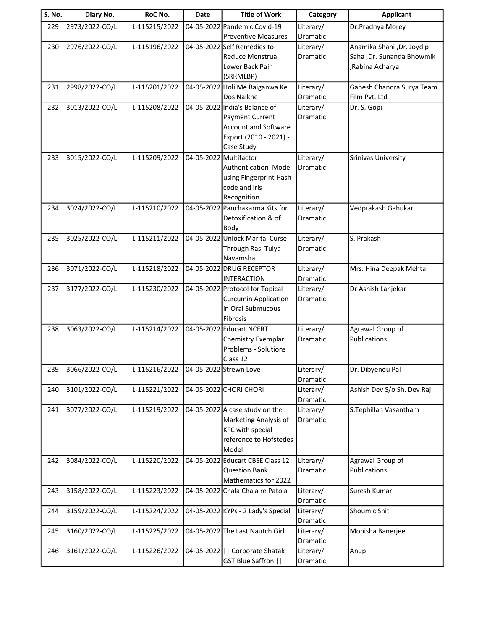| <b>S. No.</b> | Diary No.      | RoC No.       | Date                   | <b>Title of Work</b>               | Category              | <b>Applicant</b>           |
|---------------|----------------|---------------|------------------------|------------------------------------|-----------------------|----------------------------|
| 229           | 2973/2022-CO/L | L-115215/2022 |                        | 04-05-2022 Pandemic Covid-19       | Literary/             | Dr.Pradnya Morey           |
|               |                |               |                        | <b>Preventive Measures</b>         | <b>Dramatic</b>       |                            |
| 230           | 2976/2022-CO/L | L-115196/2022 |                        | 04-05-2022 Self Remedies to        | Literary/             | Anamika Shahi , Dr. Joydip |
|               |                |               |                        | <b>Reduce Menstrual</b>            | Dramatic              | Saha , Dr. Sunanda Bhowmik |
|               |                |               |                        | Lower Back Pain                    |                       | ,Rabina Acharya            |
|               |                |               |                        | (SRRMLBP)                          |                       |                            |
| 231           | 2998/2022-CO/L | L-115201/2022 |                        | 04-05-2022 Holi Me Baiganwa Ke     | Literary/             | Ganesh Chandra Surya Team  |
|               |                |               |                        | Dos Naikhe                         | Dramatic              | Film Pvt. Ltd              |
| 232           | 3013/2022-CO/L | L-115208/2022 |                        | 04-05-2022 India's Balance of      | Literary/             | Dr. S. Gopi                |
|               |                |               |                        | Payment Current                    | Dramatic              |                            |
|               |                |               |                        | <b>Account and Software</b>        |                       |                            |
|               |                |               |                        | Export (2010 - 2021) -             |                       |                            |
|               |                |               |                        | Case Study                         |                       |                            |
| 233           | 3015/2022-CO/L | L-115209/2022 | 04-05-2022 Multifactor |                                    | Literary/             | <b>Srinivas University</b> |
|               |                |               |                        | Authentication Model               | Dramatic              |                            |
|               |                |               |                        | using Fingerprint Hash             |                       |                            |
|               |                |               |                        | code and Iris<br>Recognition       |                       |                            |
|               | 3024/2022-CO/L | L-115210/2022 |                        | 04-05-2022 Panchakarma Kits for    |                       |                            |
| 234           |                |               |                        | Detoxification & of                | Literary/<br>Dramatic | Vedprakash Gahukar         |
|               |                |               |                        | Body                               |                       |                            |
| 235           | 3025/2022-CO/L | L-115211/2022 |                        | 04-05-2022 Unlock Marital Curse    | Literary/             | S. Prakash                 |
|               |                |               |                        | Through Rasi Tulya                 | Dramatic              |                            |
|               |                |               |                        | Navamsha                           |                       |                            |
| 236           | 3071/2022-CO/L | L-115218/2022 |                        | 04-05-2022 DRUG RECEPTOR           | Literary/             | Mrs. Hina Deepak Mehta     |
|               |                |               |                        | <b>INTERACTION</b>                 | Dramatic              |                            |
| 237           | 3177/2022-CO/L | L-115230/2022 |                        | 04-05-2022 Protocol for Topical    | Literary/             | Dr Ashish Lanjekar         |
|               |                |               |                        | <b>Curcumin Application</b>        | Dramatic              |                            |
|               |                |               |                        | in Oral Submucous                  |                       |                            |
|               |                |               |                        | Fibrosis                           |                       |                            |
| 238           | 3063/2022-CO/L | L-115214/2022 |                        | 04-05-2022 Educart NCERT           | Literary/             | Agrawal Group of           |
|               |                |               |                        | Chemistry Exemplar                 | <b>Dramatic</b>       | Publications               |
|               |                |               |                        | <b>Problems - Solutions</b>        |                       |                            |
|               |                |               |                        | Class 12                           |                       |                            |
| 239           | 3066/2022-CO/L | L-115216/2022 |                        | 04-05-2022 Strewn Love             | Literary/             | Dr. Dibyendu Pal           |
|               |                |               |                        |                                    | Dramatic              |                            |
| 240           | 3101/2022-CO/L | L-115221/2022 |                        | 04-05-2022 CHORI CHORI             | Literary/             | Ashish Dev S/o Sh. Dev Raj |
|               |                |               |                        |                                    | Dramatic              |                            |
| 241           | 3077/2022-CO/L | L-115219/2022 |                        | 04-05-2022 A case study on the     | Literary/             | S.Tephillah Vasantham      |
|               |                |               |                        | Marketing Analysis of              | Dramatic              |                            |
|               |                |               |                        | <b>KFC with special</b>            |                       |                            |
|               |                |               |                        | reference to Hofstedes             |                       |                            |
|               |                |               |                        | Model                              |                       |                            |
| 242           | 3084/2022-CO/L | L-115220/2022 |                        | 04-05-2022 Educart CBSE Class 12   | Literary/             | Agrawal Group of           |
|               |                |               |                        | <b>Question Bank</b>               | Dramatic              | Publications               |
|               |                |               |                        | Mathematics for 2022               |                       |                            |
| 243           | 3158/2022-CO/L | L-115223/2022 |                        | 04-05-2022 Chala Chala re Patola   | Literary/<br>Dramatic | Suresh Kumar               |
| 244           | 3159/2022-CO/L | L-115224/2022 |                        | 04-05-2022 KYPs - 2 Lady's Special | Literary/             | Shoumic Shit               |
|               |                |               |                        |                                    | Dramatic              |                            |
| 245           | 3160/2022-CO/L | L-115225/2022 |                        | 04-05-2022 The Last Nautch Girl    | Literary/             | Monisha Banerjee           |
|               |                |               |                        |                                    | Dramatic              |                            |
| 246           | 3161/2022-CO/L | L-115226/2022 |                        | 04-05-2022     Corporate Shatak    | Literary/             | Anup                       |
|               |                |               |                        | GST Blue Saffron                   | Dramatic              |                            |
|               |                |               |                        |                                    |                       |                            |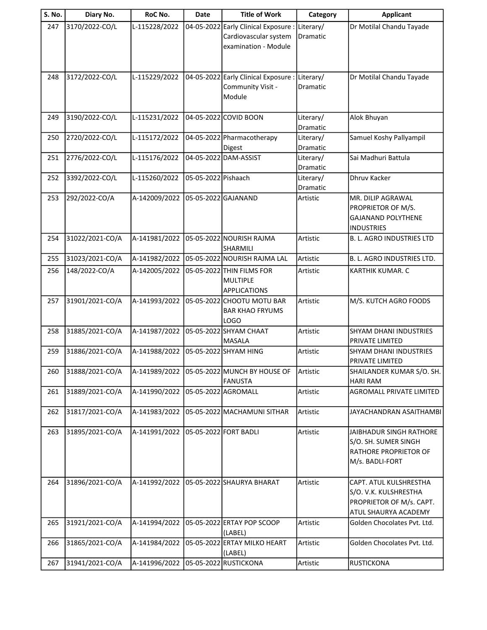| S. No. | Diary No.       | RoC No.       | Date                | <b>Title of Work</b>                                                            | Category                     | <b>Applicant</b>                                                                                    |
|--------|-----------------|---------------|---------------------|---------------------------------------------------------------------------------|------------------------------|-----------------------------------------------------------------------------------------------------|
| 247    | 3170/2022-CO/L  | L-115228/2022 | 04-05-2022          | <b>Early Clinical Exposure</b><br>Cardiovascular system<br>examination - Module | Literary/<br>Dramatic        | Dr Motilal Chandu Tayade                                                                            |
| 248    | 3172/2022-CO/L  | L-115229/2022 |                     | 04-05-2022 Early Clinical Exposure:<br>Community Visit -<br>Module              | Literary/<br>Dramatic        | Dr Motilal Chandu Tayade                                                                            |
| 249    | 3190/2022-CO/L  | L-115231/2022 |                     | 04-05-2022 COVID BOON                                                           | Literary/<br>Dramatic        | Alok Bhuyan                                                                                         |
| 250    | 2720/2022-CO/L  | L-115172/2022 |                     | 04-05-2022 Pharmacotherapy<br>Digest                                            | Literary/<br>Dramatic        | Samuel Koshy Pallyampil                                                                             |
| 251    | 2776/2022-CO/L  | L-115176/2022 |                     | 04-05-2022 DAM-ASSIST                                                           | Literary/<br>Dramatic        | Sai Madhuri Battula                                                                                 |
| 252    | 3392/2022-CO/L  | L-115260/2022 | 05-05-2022 Pishaach |                                                                                 | Literary/<br><b>Dramatic</b> | <b>Dhruv Kacker</b>                                                                                 |
| 253    | 292/2022-CO/A   | A-142009/2022 |                     | 05-05-2022 GAJANAND                                                             | Artistic                     | <b>MR. DILIP AGRAWAL</b><br>PROPRIETOR OF M/S.<br><b>GAJANAND POLYTHENE</b><br><b>INDUSTRIES</b>    |
| 254    | 31022/2021-CO/A | A-141981/2022 |                     | 05-05-2022 NOURISH RAJMA<br>SHARMILI                                            | Artistic                     | <b>B. L. AGRO INDUSTRIES LTD</b>                                                                    |
| 255    | 31023/2021-CO/A | A-141982/2022 |                     | 05-05-2022 NOURISH RAJMA LAL                                                    | Artistic                     | B. L. AGRO INDUSTRIES LTD.                                                                          |
| 256    | 148/2022-CO/A   | A-142005/2022 |                     | 05-05-2022 THIN FILMS FOR<br><b>MULTIPLE</b><br><b>APPLICATIONS</b>             | Artistic                     | <b>KARTHIK KUMAR. C</b>                                                                             |
| 257    | 31901/2021-CO/A | A-141993/2022 |                     | 05-05-2022 CHOOTU MOTU BAR<br><b>BAR KHAO FRYUMS</b><br><b>LOGO</b>             | Artistic                     | M/S. KUTCH AGRO FOODS                                                                               |
| 258    | 31885/2021-CO/A | A-141987/2022 |                     | 05-05-2022 SHYAM CHAAT<br><b>MASALA</b>                                         | Artistic                     | <b>SHYAM DHANI INDUSTRIES</b><br>PRIVATE LIMITED                                                    |
| 259    | 31886/2021-CO/A | A-141988/2022 |                     | 05-05-2022 SHYAM HING                                                           | Artistic                     | <b>SHYAM DHANI INDUSTRIES</b><br><b>PRIVATE LIMITED</b>                                             |
| 260    | 31888/2021-CO/A | A-141989/2022 |                     | 05-05-2022 MUNCH BY HOUSE OF<br><b>FANUSTA</b>                                  | Artistic                     | SHAILANDER KUMAR S/O. SH.<br><b>HARI RAM</b>                                                        |
| 261    | 31889/2021-CO/A | A-141990/2022 |                     | 05-05-2022 AGROMALL                                                             | Artistic                     | AGROMALL PRIVATE LIMITED                                                                            |
| 262    | 31817/2021-CO/A | A-141983/2022 |                     | 05-05-2022 MACHAMUNI SITHAR                                                     | Artistic                     | JAYACHANDRAN ASAITHAMBI                                                                             |
| 263    | 31895/2021-CO/A | A-141991/2022 |                     | 05-05-2022 FORT BADLI                                                           | Artistic                     | JAIBHADUR SINGH RATHORE<br>S/O. SH. SUMER SINGH<br>RATHORE PROPRIETOR OF<br>M/s. BADLI-FORT         |
| 264    | 31896/2021-CO/A | A-141992/2022 |                     | 05-05-2022 SHAURYA BHARAT                                                       | Artistic                     | CAPT. ATUL KULSHRESTHA<br>S/O. V.K. KULSHRESTHA<br>PROPRIETOR OF M/s. CAPT.<br>ATUL SHAURYA ACADEMY |
| 265    | 31921/2021-CO/A | A-141994/2022 |                     | 05-05-2022 ERTAY POP SCOOP<br>(LABEL)                                           | Artistic                     | Golden Chocolates Pvt. Ltd.                                                                         |
| 266    | 31865/2021-CO/A | A-141984/2022 |                     | 05-05-2022 ERTAY MILKO HEART<br>(LABEL)                                         | Artistic                     | Golden Chocolates Pvt. Ltd.                                                                         |
| 267    | 31941/2021-CO/A | A-141996/2022 |                     | 05-05-2022 RUSTICKONA                                                           | Artistic                     | RUSTICKONA                                                                                          |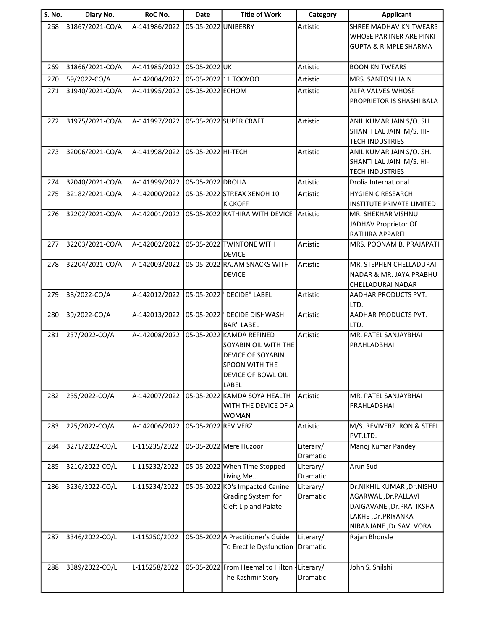| S. No. | Diary No.       | RoC No.       | <b>Date</b>         | <b>Title of Work</b>                                                                                                   | Category              | <b>Applicant</b>                                                                                                              |
|--------|-----------------|---------------|---------------------|------------------------------------------------------------------------------------------------------------------------|-----------------------|-------------------------------------------------------------------------------------------------------------------------------|
| 268    | 31867/2021-CO/A | A-141986/2022 | 05-05-2022 UNIBERRY |                                                                                                                        | Artistic              | <b>SHREE MADHAV KNITWEARS</b><br>WHOSE PARTNER ARE PINKI<br><b>GUPTA &amp; RIMPLE SHARMA</b>                                  |
| 269    | 31866/2021-CO/A | A-141985/2022 | 05-05-2022UK        |                                                                                                                        | Artistic              | <b>BOON KNITWEARS</b>                                                                                                         |
| 270    | 59/2022-CO/A    | A-142004/2022 |                     | 05-05-2022 11 TOOYOO                                                                                                   | Artistic              | MRS. SANTOSH JAIN                                                                                                             |
| 271    | 31940/2021-CO/A | A-141995/2022 | 05-05-2022 ECHOM    |                                                                                                                        | Artistic              | <b>ALFA VALVES WHOSE</b><br>PROPRIETOR IS SHASHI BALA                                                                         |
| 272    | 31975/2021-CO/A | A-141997/2022 |                     | 05-05-2022 SUPER CRAFT                                                                                                 | Artistic              | ANIL KUMAR JAIN S/O. SH.<br>SHANTI LAL JAIN M/S. HI-<br><b>TECH INDUSTRIES</b>                                                |
| 273    | 32006/2021-CO/A | A-141998/2022 | 05-05-2022 HI-TECH  |                                                                                                                        | Artistic              | ANIL KUMAR JAIN S/O. SH.<br>SHANTI LAL JAIN M/S. HI-<br><b>TECH INDUSTRIES</b>                                                |
| 274    | 32040/2021-CO/A | A-141999/2022 | 05-05-2022 DROLIA   |                                                                                                                        | Artistic              | Drolia International                                                                                                          |
| 275    | 32182/2021-CO/A | A-142000/2022 |                     | 05-05-2022 STREAX XENOH 10<br><b>KICKOFF</b>                                                                           | Artistic              | <b>HYGIENIC RESEARCH</b><br><b>INSTITUTE PRIVATE LIMITED</b>                                                                  |
| 276    | 32202/2021-CO/A | A-142001/2022 |                     | 05-05-2022 RATHIRA WITH DEVICE Artistic                                                                                |                       | MR. SHEKHAR VISHNU<br>JADHAV Proprietor Of<br>RATHIRA APPAREL                                                                 |
| 277    | 32203/2021-CO/A | A-142002/2022 |                     | 05-05-2022 TWINTONE WITH<br><b>DEVICE</b>                                                                              | Artistic              | MRS. POONAM B. PRAJAPATI                                                                                                      |
| 278    | 32204/2021-CO/A | A-142003/2022 |                     | 05-05-2022 RAJAM SNACKS WITH<br><b>DEVICE</b>                                                                          | Artistic              | MR. STEPHEN CHELLADURAI<br><b>NADAR &amp; MR. JAYA PRABHU</b><br>CHELLADURAI NADAR                                            |
| 279    | 38/2022-CO/A    | A-142012/2022 |                     | 05-05-2022 "DECIDE" LABEL                                                                                              | Artistic              | AADHAR PRODUCTS PVT.<br>LTD.                                                                                                  |
| 280    | 39/2022-CO/A    | A-142013/2022 |                     | 05-05-2022  "DECIDE DISHWASH<br><b>BAR" LABEL</b>                                                                      | Artistic              | AADHAR PRODUCTS PVT.<br>LTD.                                                                                                  |
| 281    | 237/2022-CO/A   | A-142008/2022 |                     | 05-05-2022 KAMDA REFINED<br>SOYABIN OIL WITH THE<br>DEVICE OF SOYABIN<br>SPOON WITH THE<br>DEVICE OF BOWL OIL<br>LABEL | Artistic              | MR. PATEL SANJAYBHAI<br>PRAHLADBHAI                                                                                           |
| 282    | 235/2022-CO/A   | A-142007/2022 |                     | 05-05-2022 KAMDA SOYA HEALTH<br>WITH THE DEVICE OF A<br><b>WOMAN</b>                                                   | Artistic              | MR. PATEL SANJAYBHAI<br>PRAHLADBHAI                                                                                           |
| 283    | 225/2022-CO/A   | A-142006/2022 | 05-05-2022 REVIVERZ |                                                                                                                        | Artistic              | M/S. REVIVERZ IRON & STEEL<br>PVT.LTD.                                                                                        |
| 284    | 3271/2022-CO/L  | L-115235/2022 |                     | 05-05-2022 Mere Huzoor                                                                                                 | Literary/<br>Dramatic | Manoj Kumar Pandey                                                                                                            |
| 285    | 3210/2022-CO/L  | L-115232/2022 |                     | 05-05-2022 When Time Stopped<br>Living Me                                                                              | Literary/<br>Dramatic | Arun Sud                                                                                                                      |
| 286    | 3236/2022-CO/L  | L-115234/2022 |                     | 05-05-2022 KD's Impacted Canine<br>Grading System for<br>Cleft Lip and Palate                                          | Literary/<br>Dramatic | Dr.NIKHIL KUMAR ,Dr.NISHU<br>AGARWAL, Dr. PALLAVI<br>DAIGAVANE, Dr.PRATIKSHA<br>LAKHE, Dr.PRIYANKA<br>NIRANJANE, Dr.SAVI VORA |
| 287    | 3346/2022-CO/L  | L-115250/2022 |                     | 05-05-2022 A Practitioner's Guide<br>To Erectile Dysfunction                                                           | Literary/<br>Dramatic | Rajan Bhonsle                                                                                                                 |
| 288    | 3389/2022-CO/L  | L-115258/2022 |                     | 05-05-2022 From Heemal to Hilton -<br>The Kashmir Story                                                                | Literary/<br>Dramatic | John S. Shilshi                                                                                                               |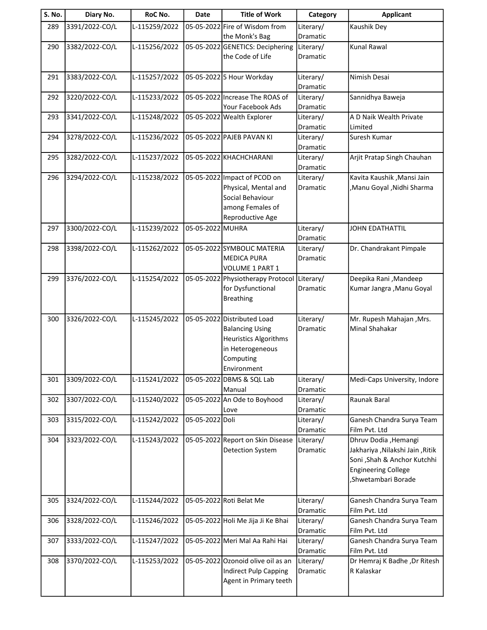| S. No. | Diary No.      | RoC No.       | Date             | <b>Title of Work</b>                                 | Category              | <b>Applicant</b>                                  |
|--------|----------------|---------------|------------------|------------------------------------------------------|-----------------------|---------------------------------------------------|
| 289    | 3391/2022-CO/L | L-115259/2022 |                  | 05-05-2022 Fire of Wisdom from                       | Literary/             | Kaushik Dey                                       |
|        |                |               |                  | the Monk's Bag                                       | Dramatic              |                                                   |
| 290    | 3382/2022-CO/L | L-115256/2022 |                  | 05-05-2022 GENETICS: Deciphering<br>the Code of Life | Literary/<br>Dramatic | <b>Kunal Rawal</b>                                |
|        |                |               |                  |                                                      |                       |                                                   |
| 291    | 3383/2022-CO/L | L-115257/2022 |                  | 05-05-2022 5 Hour Workday                            | Literary/             | Nimish Desai                                      |
|        |                |               |                  |                                                      | Dramatic              |                                                   |
| 292    | 3220/2022-CO/L | L-115233/2022 |                  | 05-05-2022 Increase The ROAS of                      | Literary/             | Sannidhya Baweja                                  |
|        |                |               |                  | Your Facebook Ads                                    | Dramatic              |                                                   |
| 293    | 3341/2022-CO/L | L-115248/2022 |                  | 05-05-2022 Wealth Explorer                           | Literary/             | A D Naik Wealth Private                           |
| 294    | 3278/2022-CO/L | L-115236/2022 |                  | 05-05-2022 PAJEB PAVAN KI                            | Dramatic<br>Literary/ | Limited<br>Suresh Kumar                           |
|        |                |               |                  |                                                      | Dramatic              |                                                   |
| 295    | 3282/2022-CO/L | L-115237/2022 |                  | 05-05-2022 KHACHCHARANI                              | Literary/             | Arjit Pratap Singh Chauhan                        |
|        |                |               |                  |                                                      | Dramatic              |                                                   |
| 296    | 3294/2022-CO/L | L-115238/2022 |                  | 05-05-2022 Impact of PCOD on                         | Literary/             | Kavita Kaushik , Mansi Jain                       |
|        |                |               |                  | Physical, Mental and                                 | <b>Dramatic</b>       | , Manu Goyal , Nidhi Sharma                       |
|        |                |               |                  | Social Behaviour<br>among Females of                 |                       |                                                   |
|        |                |               |                  | Reproductive Age                                     |                       |                                                   |
| 297    | 3300/2022-CO/L | L-115239/2022 | 05-05-2022 MUHRA |                                                      | Literary/             | <b>JOHN EDATHATTIL</b>                            |
|        |                |               |                  |                                                      | Dramatic              |                                                   |
| 298    | 3398/2022-CO/L | L-115262/2022 |                  | 05-05-2022 SYMBOLIC MATERIA                          | Literary/             | Dr. Chandrakant Pimpale                           |
|        |                |               |                  | <b>MEDICA PURA</b>                                   | Dramatic              |                                                   |
| 299    | 3376/2022-CO/L | L-115254/2022 |                  | VOLUME 1 PART 1<br>05-05-2022 Physiotherapy Protocol | Literary/             | Deepika Rani, Mandeep                             |
|        |                |               |                  | for Dysfunctional                                    | Dramatic              | Kumar Jangra , Manu Goyal                         |
|        |                |               |                  | <b>Breathing</b>                                     |                       |                                                   |
|        |                |               |                  |                                                      |                       |                                                   |
| 300    | 3326/2022-CO/L | L-115245/2022 |                  | 05-05-2022 Distributed Load                          | Literary/             | Mr. Rupesh Mahajan , Mrs.                         |
|        |                |               |                  | <b>Balancing Using</b>                               | Dramatic              | Minal Shahakar                                    |
|        |                |               |                  | <b>Heuristics Algorithms</b><br>in Heterogeneous     |                       |                                                   |
|        |                |               |                  | Computing                                            |                       |                                                   |
|        |                |               |                  | Environment                                          |                       |                                                   |
| 301    | 3309/2022-CO/L | L-115241/2022 |                  | 05-05-2022 DBMS & SQL Lab                            | Literary/             | Medi-Caps University, Indore                      |
|        |                |               |                  | Manual                                               | Dramatic              |                                                   |
| 302    | 3307/2022-CO/L | L-115240/2022 |                  | 05-05-2022 An Ode to Boyhood                         | Literary/             | Raunak Baral                                      |
| 303    | 3315/2022-CO/L | L-115242/2022 | 05-05-2022 Doli  | Love                                                 | Dramatic<br>Literary/ | Ganesh Chandra Surya Team                         |
|        |                |               |                  |                                                      | Dramatic              | Film Pvt. Ltd                                     |
| 304    | 3323/2022-CO/L | L-115243/2022 |                  | 05-05-2022 Report on Skin Disease                    | Literary/             | Dhruv Dodia , Hemangi                             |
|        |                |               |                  | <b>Detection System</b>                              | Dramatic              | Jakhariya , Nilakshi Jain , Ritik                 |
|        |                |               |                  |                                                      |                       | Soni , Shah & Anchor Kutchhi                      |
|        |                |               |                  |                                                      |                       | <b>Engineering College</b><br>,Shwetambari Borade |
|        |                |               |                  |                                                      |                       |                                                   |
| 305    | 3324/2022-CO/L | L-115244/2022 |                  | 05-05-2022 Roti Belat Me                             | Literary/             | Ganesh Chandra Surya Team                         |
|        |                |               |                  |                                                      | Dramatic              | Film Pvt. Ltd                                     |
| 306    | 3328/2022-CO/L | L-115246/2022 |                  | 05-05-2022 Holi Me Jija Ji Ke Bhai                   | Literary/             | Ganesh Chandra Surya Team                         |
|        |                |               |                  |                                                      | Dramatic              | Film Pvt. Ltd                                     |
| 307    | 3333/2022-CO/L | L-115247/2022 |                  | 05-05-2022 Meri Mal Aa Rahi Hai                      | Literary/             | Ganesh Chandra Surya Team                         |
| 308    | 3370/2022-CO/L | L-115253/2022 |                  | 05-05-2022 Ozonoid olive oil as an                   | Dramatic<br>Literary/ | Film Pvt. Ltd<br>Dr Hemraj K Badhe , Dr Ritesh    |
|        |                |               |                  | <b>Indirect Pulp Capping</b>                         | Dramatic              | R Kalaskar                                        |
|        |                |               |                  | Agent in Primary teeth                               |                       |                                                   |
|        |                |               |                  |                                                      |                       |                                                   |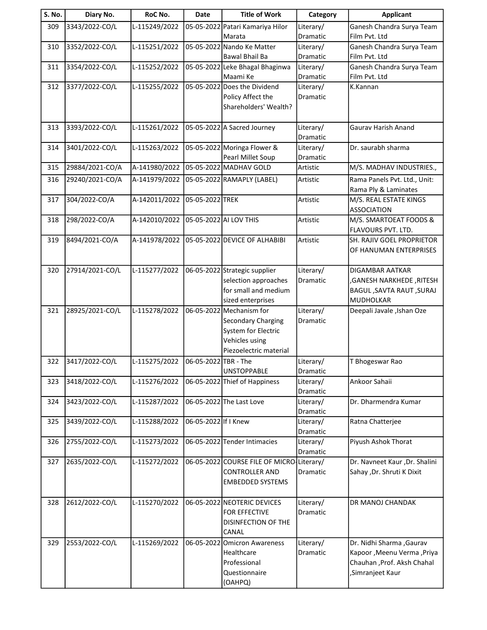| S. No. | Diary No.       | RoC No.       | <b>Date</b>          | <b>Title of Work</b>                              | Category              | <b>Applicant</b>                                    |
|--------|-----------------|---------------|----------------------|---------------------------------------------------|-----------------------|-----------------------------------------------------|
| 309    | 3343/2022-CO/L  | L-115249/2022 |                      | 05-05-2022 Patari Kamariya Hilor                  | Literary/             | Ganesh Chandra Surya Team                           |
|        |                 |               |                      | Marata                                            | <b>Dramatic</b>       | Film Pvt. Ltd                                       |
| 310    | 3352/2022-CO/L  | L-115251/2022 |                      | 05-05-2022 Nando Ke Matter                        | Literary/             | Ganesh Chandra Surya Team                           |
|        |                 |               |                      | Bawal Bhail Ba                                    | Dramatic              | Film Pvt. Ltd                                       |
| 311    | 3354/2022-CO/L  | L-115252/2022 |                      | 05-05-2022 Leke Bhagal Bhaginwa                   | Literary/             | Ganesh Chandra Surya Team                           |
|        |                 |               |                      | Maami Ke                                          | Dramatic              | Film Pvt. Ltd                                       |
| 312    | 3377/2022-CO/L  | L-115255/2022 |                      | 05-05-2022 Does the Dividend<br>Policy Affect the | Literary/<br>Dramatic | K.Kannan                                            |
|        |                 |               |                      | Shareholders' Wealth?                             |                       |                                                     |
|        |                 |               |                      |                                                   |                       |                                                     |
| 313    | 3393/2022-CO/L  | L-115261/2022 |                      | 05-05-2022 A Sacred Journey                       | Literary/             | <b>Gaurav Harish Anand</b>                          |
|        |                 |               |                      |                                                   | Dramatic              |                                                     |
| 314    | 3401/2022-CO/L  | L-115263/2022 |                      | 05-05-2022 Moringa Flower &                       | Literary/             | Dr. saurabh sharma                                  |
|        |                 |               |                      | Pearl Millet Soup                                 | Dramatic              |                                                     |
| 315    | 29884/2021-CO/A | A-141980/2022 |                      | 05-05-2022 MADHAV GOLD                            | Artistic              | M/S. MADHAV INDUSTRIES.,                            |
| 316    | 29240/2021-CO/A | A-141979/2022 |                      | 05-05-2022 RAMAPLY (LABEL)                        | Artistic              | Rama Panels Pvt. Ltd., Unit:                        |
|        |                 |               |                      |                                                   |                       | Rama Ply & Laminates                                |
| 317    | 304/2022-CO/A   | A-142011/2022 | 05-05-2022 TREK      |                                                   | Artistic              | M/S. REAL ESTATE KINGS                              |
|        |                 |               |                      |                                                   |                       | <b>ASSOCIATION</b>                                  |
| 318    | 298/2022-CO/A   | A-142010/2022 |                      | 05-05-2022 AI LOV THIS                            | Artistic              | M/S. SMARTOEAT FOODS &                              |
|        |                 |               |                      |                                                   |                       | FLAVOURS PVT. LTD.                                  |
| 319    | 8494/2021-CO/A  | A-141978/2022 |                      | 05-05-2022 DEVICE OF ALHABIBI                     | Artistic              | SH. RAJIV GOEL PROPRIETOR                           |
|        |                 |               |                      |                                                   |                       | OF HANUMAN ENTERPRISES                              |
|        |                 |               |                      |                                                   |                       |                                                     |
| 320    | 27914/2021-CO/L | L-115277/2022 |                      | 06-05-2022 Strategic supplier                     | Literary/             | DIGAMBAR AATKAR                                     |
|        |                 |               |                      | selection approaches                              | Dramatic              | ,GANESH NARKHEDE, RITESH                            |
|        |                 |               |                      | for small and medium                              |                       | <b>BAGUL, SAVTA RAUT, SURAJ</b><br><b>MUDHOLKAR</b> |
| 321    | 28925/2021-CO/L | L-115278/2022 |                      | sized enterprises<br>06-05-2022 Mechanism for     | Literary/             | Deepali Javale , Ishan Oze                          |
|        |                 |               |                      | Secondary Charging                                | Dramatic              |                                                     |
|        |                 |               |                      | System for Electric                               |                       |                                                     |
|        |                 |               |                      | Vehicles using                                    |                       |                                                     |
|        |                 |               |                      | Piezoelectric material                            |                       |                                                     |
| 322    | 3417/2022-CO/L  | L-115275/2022 | 06-05-2022 TBR - The |                                                   | Literary/             | T Bhogeswar Rao                                     |
|        |                 |               |                      | <b>UNSTOPPABLE</b>                                | Dramatic              |                                                     |
| 323    | 3418/2022-CO/L  | L-115276/2022 |                      | 06-05-2022 Thief of Happiness                     | Literary/             | Ankoor Sahaii                                       |
|        |                 |               |                      |                                                   | Dramatic              |                                                     |
| 324    | 3423/2022-CO/L  | L-115287/2022 |                      | 06-05-2022 The Last Love                          | Literary/             | Dr. Dharmendra Kumar                                |
|        |                 |               |                      |                                                   | Dramatic              |                                                     |
| 325    | 3439/2022-CO/L  | L-115288/2022 | 06-05-2022 If I Knew |                                                   | Literary/             | Ratna Chatterjee                                    |
|        |                 |               |                      |                                                   | Dramatic              |                                                     |
| 326    | 2755/2022-CO/L  | L-115273/2022 |                      | 06-05-2022 Tender Intimacies                      | Literary/             | Piyush Ashok Thorat                                 |
| 327    | 2635/2022-CO/L  | L-115272/2022 |                      | 06-05-2022 COURSE FILE OF MICRO Literary/         | Dramatic              | Dr. Navneet Kaur , Dr. Shalini                      |
|        |                 |               |                      | <b>CONTROLLER AND</b>                             | Dramatic              | Sahay , Dr. Shruti K Dixit                          |
|        |                 |               |                      | <b>EMBEDDED SYSTEMS</b>                           |                       |                                                     |
|        |                 |               |                      |                                                   |                       |                                                     |
| 328    | 2612/2022-CO/L  | L-115270/2022 |                      | 06-05-2022 NEOTERIC DEVICES                       | Literary/             | DR MANOJ CHANDAK                                    |
|        |                 |               |                      | FOR EFFECTIVE                                     | Dramatic              |                                                     |
|        |                 |               |                      | DISINFECTION OF THE                               |                       |                                                     |
|        |                 |               |                      | CANAL                                             |                       |                                                     |
| 329    | 2553/2022-CO/L  | L-115269/2022 |                      | 06-05-2022 Omicron Awareness                      | Literary/             | Dr. Nidhi Sharma , Gaurav                           |
|        |                 |               |                      | Healthcare                                        | Dramatic              | Kapoor, Meenu Verma, Priya                          |
|        |                 |               |                      | Professional                                      |                       | Chauhan , Prof. Aksh Chahal                         |
|        |                 |               |                      | Questionnaire                                     |                       | ,Simranjeet Kaur                                    |
|        |                 |               |                      | (OAHPQ)                                           |                       |                                                     |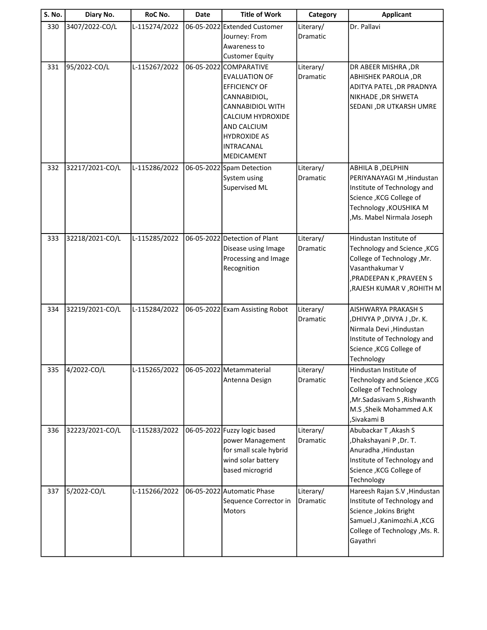| <b>S. No.</b> | Diary No.       | RoC No.       | <b>Date</b> | <b>Title of Work</b>                                                                                                                                                                                            | Category              | <b>Applicant</b>                                                                                                                                                      |
|---------------|-----------------|---------------|-------------|-----------------------------------------------------------------------------------------------------------------------------------------------------------------------------------------------------------------|-----------------------|-----------------------------------------------------------------------------------------------------------------------------------------------------------------------|
| 330           | 3407/2022-CO/L  | L-115274/2022 |             | 06-05-2022 Extended Customer<br>Journey: From<br>Awareness to<br><b>Customer Equity</b>                                                                                                                         | Literary/<br>Dramatic | Dr. Pallavi                                                                                                                                                           |
| 331           | 95/2022-CO/L    | L-115267/2022 |             | 06-05-2022 COMPARATIVE<br><b>EVALUATION OF</b><br><b>EFFICIENCY OF</b><br>CANNABIDIOL,<br><b>CANNABIDIOL WITH</b><br>CALCIUM HYDROXIDE<br>AND CALCIUM<br><b>HYDROXIDE AS</b><br>INTRACANAL<br><b>MEDICAMENT</b> | Literary/<br>Dramatic | DR ABEER MISHRA, DR<br>ABHISHEK PAROLIA, DR<br>ADITYA PATEL, DR PRADNYA<br>NIKHADE, DR SHWETA<br>SEDANI , DR UTKARSH UMRE                                             |
| 332           | 32217/2021-CO/L | L-115286/2022 |             | 06-05-2022 Spam Detection<br>System using<br>Supervised ML                                                                                                                                                      | Literary/<br>Dramatic | ABHILA B, DELPHIN<br>PERIYANAYAGI M , Hindustan<br>Institute of Technology and<br>Science, KCG College of<br>Technology , KOUSHIKA M<br>,Ms. Mabel Nirmala Joseph     |
| 333           | 32218/2021-CO/L | L-115285/2022 |             | 06-05-2022 Detection of Plant<br>Disease using Image<br>Processing and Image<br>Recognition                                                                                                                     | Literary/<br>Dramatic | Hindustan Institute of<br>Technology and Science, KCG<br>College of Technology , Mr.<br>Vasanthakumar V<br>, PRADEEPAN K, PRAVEEN S<br>,RAJESH KUMAR V,ROHITH M       |
| 334           | 32219/2021-CO/L | L-115284/2022 |             | 06-05-2022 Exam Assisting Robot                                                                                                                                                                                 | Literary/<br>Dramatic | AISHWARYA PRAKASH S<br>,DHIVYA P,DIVYA J,Dr. K.<br>Nirmala Devi, Hindustan<br>Institute of Technology and<br>Science, KCG College of<br>Technology                    |
| 335           | 4/2022-CO/L     | L-115265/2022 |             | 06-05-2022 Metammaterial<br>Antenna Design                                                                                                                                                                      | Literary/<br>Dramatic | Hindustan Institute of<br>Technology and Science, KCG<br><b>College of Technology</b><br>, Mr. Sadasivam S, Rishwanth<br>M.S , Sheik Mohammed A.K<br>,Sivakami B      |
| 336           | 32223/2021-CO/L | L-115283/2022 |             | 06-05-2022 Fuzzy logic based<br>power Management<br>for small scale hybrid<br>wind solar battery<br>based microgrid                                                                                             | Literary/<br>Dramatic | Abubackar T, Akash S<br>,Dhakshayani P, Dr. T.<br>Anuradha, Hindustan<br>Institute of Technology and<br>Science , KCG College of<br>Technology                        |
| 337           | 5/2022-CO/L     | L-115266/2022 |             | 06-05-2022 Automatic Phase<br>Sequence Corrector in<br><b>Motors</b>                                                                                                                                            | Literary/<br>Dramatic | Hareesh Rajan S.V , Hindustan<br>Institute of Technology and<br>Science , Jokins Bright<br>Samuel.J , Kanimozhi.A , KCG<br>College of Technology , Ms. R.<br>Gayathri |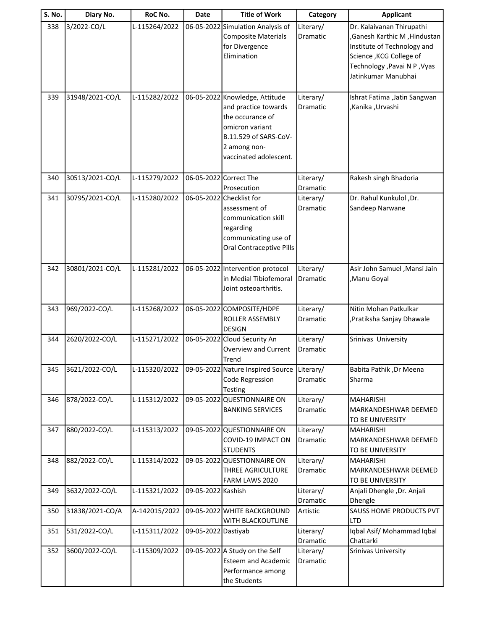| S. No. | Diary No.       | RoC No.       | Date                | <b>Title of Work</b>                                                                                                                                             | Category                     | <b>Applicant</b>                                                                                                                                                             |
|--------|-----------------|---------------|---------------------|------------------------------------------------------------------------------------------------------------------------------------------------------------------|------------------------------|------------------------------------------------------------------------------------------------------------------------------------------------------------------------------|
| 338    | 3/2022-CO/L     | L-115264/2022 |                     | 06-05-2022 Simulation Analysis of<br><b>Composite Materials</b><br>for Divergence<br>Elimination                                                                 | Literary/<br>Dramatic        | Dr. Kalaivanan Thirupathi<br>, Ganesh Karthic M, Hindustan<br>Institute of Technology and<br>Science, KCG College of<br>Technology , Pavai N P , Vyas<br>Jatinkumar Manubhai |
| 339    | 31948/2021-CO/L | L-115282/2022 |                     | 06-05-2022 Knowledge, Attitude<br>and practice towards<br>the occurance of<br>omicron variant<br>B.11.529 of SARS-CoV-<br>2 among non-<br>vaccinated adolescent. | Literary/<br>Dramatic        | Ishrat Fatima , Jatin Sangwan<br>,Kanika, Urvashi                                                                                                                            |
| 340    | 30513/2021-CO/L | L-115279/2022 |                     | 06-05-2022 Correct The<br>Prosecution                                                                                                                            | Literary/<br>Dramatic        | Rakesh singh Bhadoria                                                                                                                                                        |
| 341    | 30795/2021-CO/L | L-115280/2022 |                     | 06-05-2022 Checklist for<br>assessment of<br>communication skill<br>regarding<br>communicating use of<br>Oral Contraceptive Pills                                | Literary/<br><b>Dramatic</b> | Dr. Rahul Kunkulol ,Dr.<br>Sandeep Narwane                                                                                                                                   |
| 342    | 30801/2021-CO/L | L-115281/2022 |                     | 06-05-2022 Intervention protocol<br>in Medial Tibiofemoral<br>Joint osteoarthritis.                                                                              | Literary/<br>Dramatic        | Asir John Samuel , Mansi Jain<br>,Manu Goyal                                                                                                                                 |
| 343    | 969/2022-CO/L   | L-115268/2022 |                     | 06-05-2022 COMPOSITE/HDPE<br>ROLLER ASSEMBLY<br><b>DESIGN</b>                                                                                                    | Literary/<br>Dramatic        | Nitin Mohan Patkulkar<br>Pratiksha Sanjay Dhawale                                                                                                                            |
| 344    | 2620/2022-CO/L  | L-115271/2022 |                     | 06-05-2022 Cloud Security An<br><b>Overview and Current</b><br>Trend                                                                                             | Literary/<br>Dramatic        | Srinivas University                                                                                                                                                          |
| 345    | 3621/2022-CO/L  | L-115320/2022 |                     | 09-05-2022 Nature Inspired Source Literary/<br><b>Code Regression</b><br>Testing                                                                                 | Dramatic                     | Babita Pathik , Dr Meena<br>Sharma                                                                                                                                           |
| 346    | 878/2022-CO/L   | L-115312/2022 |                     | 09-05-2022 QUESTIONNAIRE ON<br><b>BANKING SERVICES</b>                                                                                                           | Literary/<br>Dramatic        | <b>MAHARISHI</b><br>MARKANDESHWAR DEEMED<br>TO BE UNIVERSITY                                                                                                                 |
| 347    | 880/2022-CO/L   | L-115313/2022 |                     | 09-05-2022 QUESTIONNAIRE ON<br>COVID-19 IMPACT ON<br><b>STUDENTS</b>                                                                                             | Literary/<br>Dramatic        | <b>MAHARISHI</b><br>MARKANDESHWAR DEEMED<br>TO BE UNIVERSITY                                                                                                                 |
| 348    | 882/2022-CO/L   | L-115314/2022 |                     | 09-05-2022 QUESTIONNAIRE ON<br>THREE AGRICULTURE<br>FARM LAWS 2020                                                                                               | Literary/<br>Dramatic        | <b>MAHARISHI</b><br>MARKANDESHWAR DEEMED<br>TO BE UNIVERSITY                                                                                                                 |
| 349    | 3632/2022-CO/L  | L-115321/2022 | 09-05-2022 Kashish  |                                                                                                                                                                  | Literary/<br>Dramatic        | Anjali Dhengle, Dr. Anjali<br>Dhengle                                                                                                                                        |
| 350    | 31838/2021-CO/A | A-142015/2022 |                     | 09-05-2022 WHITE BACKGROUND<br>WITH BLACKOUTLINE                                                                                                                 | Artistic                     | SAUSS HOME PRODUCTS PVT<br>LTD                                                                                                                                               |
| 351    | 531/2022-CO/L   | L-115311/2022 | 09-05-2022 Dastiyab |                                                                                                                                                                  | Literary/<br>Dramatic        | Iqbal Asif/ Mohammad Iqbal<br>Chattarki                                                                                                                                      |
| 352    | 3600/2022-CO/L  | L-115309/2022 |                     | 09-05-2022 A Study on the Self<br><b>Esteem and Academic</b><br>Performance among<br>the Students                                                                | Literary/<br>Dramatic        | <b>Srinivas University</b>                                                                                                                                                   |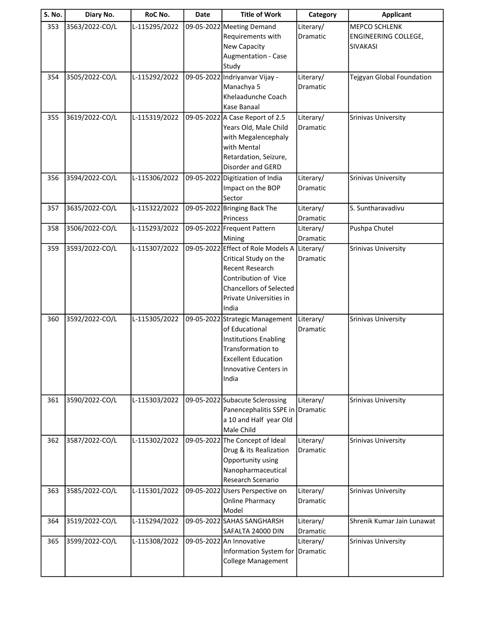| S. No. | Diary No.      | RoC No.       | Date | <b>Title of Work</b>               | Category  | <b>Applicant</b>           |
|--------|----------------|---------------|------|------------------------------------|-----------|----------------------------|
| 353    | 3563/2022-CO/L | L-115295/2022 |      | 09-05-2022 Meeting Demand          | Literary/ | <b>MEPCO SCHLENK</b>       |
|        |                |               |      | Requirements with                  | Dramatic  | ENGINEERING COLLEGE,       |
|        |                |               |      | New Capacity                       |           | <b>SIVAKASI</b>            |
|        |                |               |      | Augmentation - Case                |           |                            |
|        |                |               |      | Study                              |           |                            |
| 354    | 3505/2022-CO/L | L-115292/2022 |      | 09-05-2022 Indriyanvar Vijay -     | Literary/ | Tejgyan Global Foundation  |
|        |                |               |      | Manachya 5                         | Dramatic  |                            |
|        |                |               |      | Khelaadunche Coach                 |           |                            |
|        |                |               |      | Kase Banaal                        |           |                            |
| 355    | 3619/2022-CO/L | L-115319/2022 |      | 09-05-2022 A Case Report of 2.5    | Literary/ | Srinivas University        |
|        |                |               |      | Years Old, Male Child              | Dramatic  |                            |
|        |                |               |      | with Megalencephaly                |           |                            |
|        |                |               |      | with Mental                        |           |                            |
|        |                |               |      | Retardation, Seizure,              |           |                            |
|        |                |               |      | Disorder and GERD                  |           |                            |
| 356    | 3594/2022-CO/L | L-115306/2022 |      | 09-05-2022 Digitization of India   | Literary/ | Srinivas University        |
|        |                |               |      | Impact on the BOP                  | Dramatic  |                            |
|        |                |               |      | Sector                             |           |                            |
| 357    | 3635/2022-CO/L | L-115322/2022 |      | 09-05-2022 Bringing Back The       | Literary/ | S. Suntharavadivu          |
|        |                |               |      | Princess                           | Dramatic  |                            |
| 358    | 3506/2022-CO/L | L-115293/2022 |      | 09-05-2022 Frequent Pattern        | Literary/ | Pushpa Chutel              |
|        |                |               |      | Mining                             | Dramatic  |                            |
| 359    | 3593/2022-CO/L | L-115307/2022 |      | 09-05-2022 Effect of Role Models A | Literary/ | <b>Srinivas University</b> |
|        |                |               |      | Critical Study on the              | Dramatic  |                            |
|        |                |               |      | <b>Recent Research</b>             |           |                            |
|        |                |               |      | Contribution of Vice               |           |                            |
|        |                |               |      | <b>Chancellors of Selected</b>     |           |                            |
|        |                |               |      | Private Universities in            |           |                            |
|        |                |               |      | India                              |           |                            |
| 360    | 3592/2022-CO/L | L-115305/2022 |      | 09-05-2022 Strategic Management    | Literary/ | Srinivas University        |
|        |                |               |      | of Educational                     | Dramatic  |                            |
|        |                |               |      | <b>Institutions Enabling</b>       |           |                            |
|        |                |               |      | Transformation to                  |           |                            |
|        |                |               |      | <b>Excellent Education</b>         |           |                            |
|        |                |               |      | Innovative Centers in              |           |                            |
|        |                |               |      | India                              |           |                            |
|        |                |               |      |                                    |           |                            |
| 361    | 3590/2022-CO/L | L-115303/2022 |      | 09-05-2022 Subacute Sclerossing    | Literary/ | Srinivas University        |
|        |                |               |      | Panencephalitis SSPE in Dramatic   |           |                            |
|        |                |               |      | a 10 and Half year Old             |           |                            |
|        |                |               |      | Male Child                         |           |                            |
| 362    | 3587/2022-CO/L | L-115302/2022 |      | 09-05-2022 The Concept of Ideal    | Literary/ | Srinivas University        |
|        |                |               |      | Drug & its Realization             | Dramatic  |                            |
|        |                |               |      | Opportunity using                  |           |                            |
|        |                |               |      | Nanopharmaceutical                 |           |                            |
|        |                |               |      | Research Scenario                  |           |                            |
| 363    | 3585/2022-CO/L | L-115301/2022 |      | 09-05-2022 Users Perspective on    | Literary/ | Srinivas University        |
|        |                |               |      | <b>Online Pharmacy</b>             | Dramatic  |                            |
|        |                |               |      | Model                              |           |                            |
| 364    | 3519/2022-CO/L | L-115294/2022 |      | 09-05-2022 SAHAS SANGHARSH         | Literary/ | Shrenik Kumar Jain Lunawat |
|        |                |               |      | SAFALTA 24000 DIN                  | Dramatic  |                            |
| 365    | 3599/2022-CO/L | L-115308/2022 |      | 09-05-2022 An Innovative           | Literary/ | Srinivas University        |
|        |                |               |      | Information System for             | Dramatic  |                            |
|        |                |               |      | <b>College Management</b>          |           |                            |
|        |                |               |      |                                    |           |                            |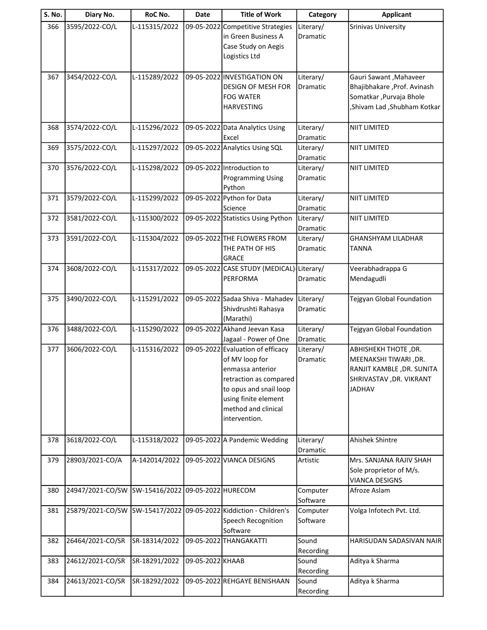| <b>S. No.</b> | Diary No.        | RoC No.       | <b>Date</b>        | <b>Title of Work</b>                                                                                                                                                                        | Category                     | <b>Applicant</b>                                                                                                       |
|---------------|------------------|---------------|--------------------|---------------------------------------------------------------------------------------------------------------------------------------------------------------------------------------------|------------------------------|------------------------------------------------------------------------------------------------------------------------|
| 366           | 3595/2022-CO/L   | L-115315/2022 | 09-05-2022         | Competitive Strategies<br>in Green Business A<br>Case Study on Aegis<br>Logistics Ltd                                                                                                       | Literary/<br>Dramatic        | Srinivas University                                                                                                    |
| 367           | 3454/2022-CO/L   | L-115289/2022 |                    | 09-05-2022 INVESTIGATION ON<br>DESIGN OF MESH FOR<br><b>FOG WATER</b><br><b>HARVESTING</b>                                                                                                  | Literary/<br><b>Dramatic</b> | Gauri Sawant, Mahaveer<br>Bhajibhakare, Prof. Avinash<br>Somatkar, Purvaja Bhole<br>,Shivam Lad ,Shubham Kotkar        |
| 368           | 3574/2022-CO/L   | L-115296/2022 |                    | 09-05-2022 Data Analytics Using<br>Excel                                                                                                                                                    | Literary/<br>Dramatic        | <b>NIIT LIMITED</b>                                                                                                    |
| 369           | 3575/2022-CO/L   | L-115297/2022 |                    | 09-05-2022 Analytics Using SQL                                                                                                                                                              | Literary/<br>Dramatic        | <b>NIIT LIMITED</b>                                                                                                    |
| 370           | 3576/2022-CO/L   | L-115298/2022 |                    | 09-05-2022 Introduction to<br><b>Programming Using</b><br>Python                                                                                                                            | Literary/<br>Dramatic        | NIIT LIMITED                                                                                                           |
| 371           | 3579/2022-CO/L   | L-115299/2022 |                    | 09-05-2022 Python for Data<br>Science                                                                                                                                                       | Literary/<br>Dramatic        | <b>NIIT LIMITED</b>                                                                                                    |
| 372           | 3581/2022-CO/L   | L-115300/2022 |                    | 09-05-2022 Statistics Using Python                                                                                                                                                          | Literary/<br>Dramatic        | NIIT LIMITED                                                                                                           |
| 373           | 3591/2022-CO/L   | L-115304/2022 |                    | 09-05-2022 THE FLOWERS FROM<br>THE PATH OF HIS<br><b>GRACE</b>                                                                                                                              | Literary/<br>Dramatic        | <b>GHANSHYAM LILADHAR</b><br><b>TANNA</b>                                                                              |
| 374           | 3608/2022-CO/L   | L-115317/2022 |                    | 09-05-2022 CASE STUDY (MEDICAL) Literary/<br>PERFORMA                                                                                                                                       | Dramatic                     | Veerabhadrappa G<br>Mendagudli                                                                                         |
| 375           | 3490/2022-CO/L   | L-115291/2022 |                    | 09-05-2022 Sadaa Shiva - Mahadev<br>Shivdrushti Rahasya<br>(Marathi)                                                                                                                        | Literary/<br>Dramatic        | Tejgyan Global Foundation                                                                                              |
| 376           | 3488/2022-CO/L   | L-115290/2022 |                    | 09-05-2022 Akhand Jeevan Kasa<br>Jagaal - Power of One                                                                                                                                      | Literary/<br>Dramatic        | Tejgyan Global Foundation                                                                                              |
| 377           | 3606/2022-CO/L   | L-115316/2022 |                    | 09-05-2022 Evaluation of efficacy<br>of MV loop for<br>enmassa anterior<br>retraction as compared<br>to opus and snail loop<br>using finite element<br>method and clinical<br>intervention. | Literary/<br>Dramatic        | ABHISHEKH THOTE, DR.<br>MEENAKSHI TIWARI ,DR.<br>RANJIT KAMBLE, DR. SUNITA<br>SHRIVASTAV, DR. VIKRANT<br><b>JADHAV</b> |
| 378           | 3618/2022-CO/L   | L-115318/2022 |                    | 09-05-2022 A Pandemic Wedding                                                                                                                                                               | Literary/<br>Dramatic        | Ahishek Shintre                                                                                                        |
| 379           | 28903/2021-CO/A  | A-142014/2022 |                    | 09-05-2022 VIANCA DESIGNS                                                                                                                                                                   | Artistic                     | Mrs. SANJANA RAJIV SHAH<br>Sole proprietor of M/s.<br><b>VIANCA DESIGNS</b>                                            |
| 380           | 24947/2021-CO/SW | SW-15416/2022 | 09-05-2022 HURECOM |                                                                                                                                                                                             | Computer<br>Software         | Afroze Aslam                                                                                                           |
| 381           | 25879/2021-CO/SW | SW-15417/2022 |                    | 09-05-2022 Kiddiction - Children's<br>Speech Recognition<br>Software                                                                                                                        | Computer<br>Software         | Volga Infotech Pvt. Ltd.                                                                                               |
| 382           | 26464/2021-CO/SR | SR-18314/2022 |                    | 09-05-2022 THANGAKATTI                                                                                                                                                                      | Sound<br>Recording           | HARISUDAN SADASIVAN NAIR                                                                                               |
| 383           | 24612/2021-CO/SR | SR-18291/2022 | 09-05-2022 KHAAB   |                                                                                                                                                                                             | Sound<br>Recording           | Aditya k Sharma                                                                                                        |
| 384           | 24613/2021-CO/SR | SR-18292/2022 |                    | 09-05-2022 REHGAYE BENISHAAN                                                                                                                                                                | Sound<br>Recording           | Aditya k Sharma                                                                                                        |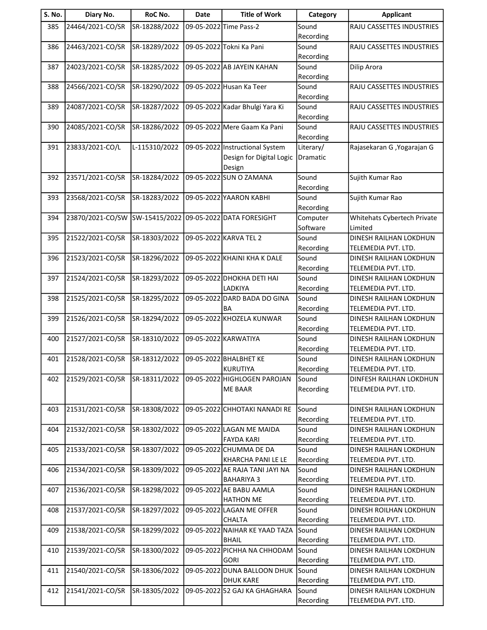| S. No. | Diary No.        | RoC No.       | <b>Date</b> | <b>Title of Work</b>                           | Category           | <b>Applicant</b>                                     |
|--------|------------------|---------------|-------------|------------------------------------------------|--------------------|------------------------------------------------------|
| 385    | 24464/2021-CO/SR | SR-18288/2022 |             | 09-05-2022 Time Pass-2                         | Sound              | RAJU CASSETTES INDUSTRIES                            |
|        |                  |               |             |                                                | Recording          |                                                      |
| 386    | 24463/2021-CO/SR | SR-18289/2022 |             | 09-05-2022 Tokni Ka Pani                       | Sound              | RAJU CASSETTES INDUSTRIES                            |
|        |                  |               |             |                                                | Recording          |                                                      |
| 387    | 24023/2021-CO/SR | SR-18285/2022 |             | 09-05-2022 AB JAYEIN KAHAN                     | Sound              | Dilip Arora                                          |
| 388    | 24566/2021-CO/SR | SR-18290/2022 |             | 09-05-2022 Husan Ka Teer                       | Recording<br>Sound | RAJU CASSETTES INDUSTRIES                            |
|        |                  |               |             |                                                | Recording          |                                                      |
| 389    | 24087/2021-CO/SR | SR-18287/2022 |             | 09-05-2022 Kadar Bhulgi Yara Ki                | Sound              | RAJU CASSETTES INDUSTRIES                            |
|        |                  |               |             |                                                | Recording          |                                                      |
| 390    | 24085/2021-CO/SR | SR-18286/2022 |             | 09-05-2022 Mere Gaam Ka Pani                   | Sound              | RAJU CASSETTES INDUSTRIES                            |
|        |                  |               |             |                                                | Recording          |                                                      |
| 391    | 23833/2021-CO/L  | L-115310/2022 |             | 09-05-2022 Instructional System                | Literary/          | Rajasekaran G , Yogarajan G                          |
|        |                  |               |             | Design for Digital Logic<br>Design             | Dramatic           |                                                      |
| 392    | 23571/2021-CO/SR | SR-18284/2022 |             | 09-05-2022 SUN O ZAMANA                        | Sound              | Sujith Kumar Rao                                     |
|        |                  |               |             |                                                | Recording          |                                                      |
| 393    | 23568/2021-CO/SR | SR-18283/2022 |             | 09-05-2022 YAARON KABHI                        | Sound              | Sujith Kumar Rao                                     |
|        |                  |               |             |                                                | Recording          |                                                      |
| 394    | 23870/2021-CO/SW | SW-15415/2022 |             | 09-05-2022 DATA FORESIGHT                      | Computer           | Whitehats Cybertech Private                          |
|        |                  |               |             |                                                | Software           | Limited                                              |
| 395    | 21522/2021-CO/SR | SR-18303/2022 |             | 09-05-2022 KARVA TEL 2                         | Sound              | DINESH RAILHAN LOKDHUN                               |
|        |                  |               |             |                                                | Recording          | TELEMEDIA PVT. LTD.                                  |
| 396    | 21523/2021-CO/SR | SR-18296/2022 |             | 09-05-2022 KHAINI KHA K DALE                   | Sound<br>Recording | DINESH RAILHAN LOKDHUN<br>TELEMEDIA PVT. LTD.        |
| 397    | 21524/2021-CO/SR | SR-18293/2022 |             | 09-05-2022 DHOKHA DETI HAI                     | Sound              | DINESH RAILHAN LOKDHUN                               |
|        |                  |               |             | LADKIYA                                        | Recording          | TELEMEDIA PVT. LTD.                                  |
| 398    | 21525/2021-CO/SR | SR-18295/2022 |             | 09-05-2022 DARD BADA DO GINA                   | Sound              | DINESH RAILHAN LOKDHUN                               |
|        |                  |               |             | BA                                             | Recording          | TELEMEDIA PVT. LTD.                                  |
| 399    | 21526/2021-CO/SR | SR-18294/2022 |             | 09-05-2022 KHOZELA KUNWAR                      | Sound              | <b>DINESH RAILHAN LOKDHUN</b>                        |
|        |                  |               |             |                                                | Recording          | TELEMEDIA PVT. LTD.                                  |
| 400    | 21527/2021-CO/SR | SR-18310/2022 |             | 09-05-2022 KARWATIYA                           | Sound              | DINESH RAILHAN LOKDHUN                               |
| 401    | 21528/2021-CO/SR | SR-18312/2022 |             | 09-05-2022 BHALBHET KE                         | Recording<br>Sound | TELEMEDIA PVT. LTD.<br>DINESH RAILHAN LOKDHUN        |
|        |                  |               |             | KURUTIYA                                       | Recording          | TELEMEDIA PVT. LTD.                                  |
| 402    | 21529/2021-CO/SR | SR-18311/2022 |             | 09-05-2022 HIGHLOGEN PAROJAN                   | Sound              | DINFESH RAILHAN LOKDHUN                              |
|        |                  |               |             | <b>ME BAAR</b>                                 | Recording          | TELEMEDIA PVT. LTD.                                  |
|        |                  |               |             |                                                |                    |                                                      |
| 403    | 21531/2021-CO/SR | SR-18308/2022 |             | 09-05-2022 CHHOTAKI NANADI RE                  | Sound              | DINESH RAILHAN LOKDHUN                               |
|        |                  |               |             |                                                | Recording          | TELEMEDIA PVT. LTD.                                  |
| 404    | 21532/2021-CO/SR | SR-18302/2022 |             | 09-05-2022 LAGAN ME MAIDA<br><b>FAYDA KARI</b> | Sound<br>Recording | <b>DINESH RAILHAN LOKDHUN</b><br>TELEMEDIA PVT. LTD. |
| 405    | 21533/2021-CO/SR | SR-18307/2022 |             | 09-05-2022 CHUMMA DE DA                        | Sound              | DINESH RAILHAN LOKDHUN                               |
|        |                  |               |             | KHARCHA PANI LE LE                             | Recording          | TELEMEDIA PVT. LTD.                                  |
| 406    | 21534/2021-CO/SR | SR-18309/2022 |             | 09-05-2022 AE RAJA TANI JAYI NA                | Sound              | DINESH RAILHAN LOKDHUN                               |
|        |                  |               |             | <b>BAHARIYA 3</b>                              | Recording          | TELEMEDIA PVT. LTD.                                  |
| 407    | 21536/2021-CO/SR | SR-18298/2022 |             | 09-05-2022 AE BABU AAMLA                       | Sound              | DINESH RAILHAN LOKDHUN                               |
|        |                  |               |             | <b>HATHON ME</b>                               | Recording          | TELEMEDIA PVT. LTD.                                  |
| 408    | 21537/2021-CO/SR | SR-18297/2022 |             | 09-05-2022 LAGAN ME OFFER                      | Sound              | DINESH ROILHAN LOKDHUN                               |
|        |                  |               |             | CHALTA                                         | Recording          | TELEMEDIA PVT. LTD.                                  |
| 409    | 21538/2021-CO/SR | SR-18299/2022 |             | 09-05-2022 NAIHAR KE YAAD TAZA<br><b>BHAIL</b> | Sound<br>Recording | DINESH RAILHAN LOKDHUN<br>TELEMEDIA PVT. LTD.        |
| 410    | 21539/2021-CO/SR | SR-18300/2022 |             | 09-05-2022 PICHHA NA CHHODAM                   | Sound              | DINESH RAILHAN LOKDHUN                               |
|        |                  |               |             | <b>GORI</b>                                    | Recording          | TELEMEDIA PVT. LTD.                                  |
| 411    | 21540/2021-CO/SR | SR-18306/2022 |             | 09-05-2022 DUNA BALLOON DHUK                   | Sound              | DINESH RAILHAN LOKDHUN                               |
|        |                  |               |             | <b>DHUK KARE</b>                               | Recording          | TELEMEDIA PVT. LTD.                                  |
| 412    | 21541/2021-CO/SR | SR-18305/2022 |             | 09-05-2022 52 GAJ KA GHAGHARA                  | Sound              | DINESH RAILHAN LOKDHUN                               |
|        |                  |               |             |                                                | Recording          | TELEMEDIA PVT. LTD.                                  |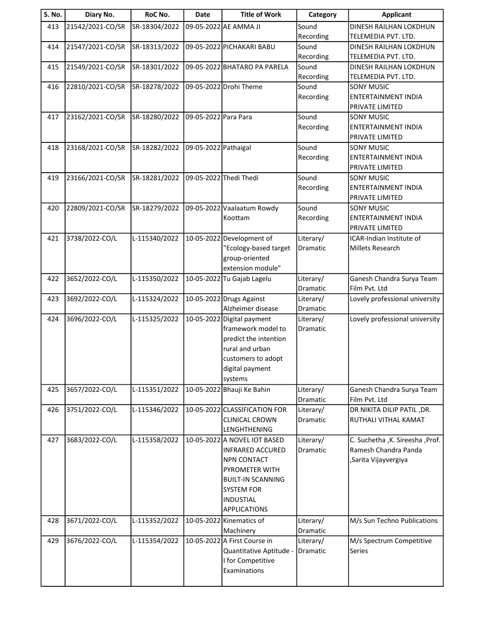| <b>S. No.</b> | Diary No.        | RoC No.       | Date                 | <b>Title of Work</b>                          | Category  | <b>Applicant</b>                                          |
|---------------|------------------|---------------|----------------------|-----------------------------------------------|-----------|-----------------------------------------------------------|
| 413           | 21542/2021-CO/SR | SR-18304/2022 |                      | 09-05-2022 AE AMMA JI                         | Sound     | DINESH RAILHAN LOKDHUN                                    |
|               |                  |               |                      |                                               | Recording | TELEMEDIA PVT. LTD.                                       |
| 414           | 21547/2021-CO/SR | SR-18313/2022 |                      | 09-05-2022 PICHAKARI BABU                     | Sound     | DINESH RAILHAN LOKDHUN                                    |
|               |                  |               |                      |                                               | Recording | TELEMEDIA PVT. LTD.                                       |
| 415           | 21549/2021-CO/SR | SR-18301/2022 |                      | 09-05-2022 BHATARO PA PARELA                  | Sound     | DINESH RAILHAN LOKDHUN                                    |
|               |                  |               |                      |                                               | Recording | TELEMEDIA PVT. LTD.                                       |
| 416           | 22810/2021-CO/SR | SR-18278/2022 |                      | 09-05-2022 Drohi Theme                        | Sound     | <b>SONY MUSIC</b>                                         |
|               |                  |               |                      |                                               | Recording | <b>ENTERTAINMENT INDIA</b>                                |
|               |                  |               |                      |                                               |           | PRIVATE LIMITED                                           |
| 417           | 23162/2021-CO/SR | SR-18280/2022 | 09-05-2022 Para Para |                                               | Sound     | <b>SONY MUSIC</b>                                         |
|               |                  |               |                      |                                               | Recording | ENTERTAINMENT INDIA                                       |
|               |                  |               |                      |                                               |           | PRIVATE LIMITED                                           |
| 418           | 23168/2021-CO/SR | SR-18282/2022 | 09-05-2022 Pathaigal |                                               | Sound     | <b>SONY MUSIC</b>                                         |
|               |                  |               |                      |                                               | Recording | <b>ENTERTAINMENT INDIA</b><br>PRIVATE LIMITED             |
| 419           | 23166/2021-CO/SR | SR-18281/2022 |                      | 09-05-2022 Thedi Thedi                        | Sound     | <b>SONY MUSIC</b>                                         |
|               |                  |               |                      |                                               | Recording | <b>ENTERTAINMENT INDIA</b>                                |
|               |                  |               |                      |                                               |           | PRIVATE LIMITED                                           |
| 420           | 22809/2021-CO/SR | SR-18279/2022 |                      | 09-05-2022 Vaalaatum Rowdy                    | Sound     | <b>SONY MUSIC</b>                                         |
|               |                  |               |                      | Koottam                                       | Recording | ENTERTAINMENT INDIA                                       |
|               |                  |               |                      |                                               |           | <b>PRIVATE LIMITED</b>                                    |
| 421           | 3738/2022-CO/L   | L-115340/2022 |                      | 10-05-2022 Development of                     | Literary/ | ICAR-Indian Institute of                                  |
|               |                  |               |                      | "Ecology-based target                         | Dramatic  | Millets Research                                          |
|               |                  |               |                      | group-oriented                                |           |                                                           |
|               |                  |               |                      | extension module"                             |           |                                                           |
| 422           | 3652/2022-CO/L   | L-115350/2022 |                      | 10-05-2022 Tu Gajab Lagelu                    | Literary/ | Ganesh Chandra Surya Team                                 |
|               |                  |               |                      |                                               | Dramatic  | Film Pvt. Ltd                                             |
| 423           | 3692/2022-CO/L   | L-115324/2022 |                      | 10-05-2022 Drugs Against                      | Literary/ | Lovely professional university                            |
|               |                  |               |                      | Alzheimer disease                             | Dramatic  |                                                           |
| 424           | 3696/2022-CO/L   | L-115325/2022 |                      | 10-05-2022 Digital payment                    | Literary/ | Lovely professional university                            |
|               |                  |               |                      | framework model to                            | Dramatic  |                                                           |
|               |                  |               |                      | predict the intention                         |           |                                                           |
|               |                  |               |                      | rural and urban                               |           |                                                           |
|               |                  |               |                      | customers to adopt                            |           |                                                           |
|               |                  |               |                      | digital payment                               |           |                                                           |
|               |                  |               |                      | systems                                       |           |                                                           |
| 425           | 3657/2022-CO/L   | L-115351/2022 |                      | 10-05-2022 Bhauji Ke Bahin                    | Literary/ | Ganesh Chandra Surya Team                                 |
|               |                  |               |                      |                                               | Dramatic  | Film Pvt. Ltd                                             |
| 426           | 3751/2022-CO/L   | L-115346/2022 |                      | 10-05-2022 CLASSIFICATION FOR                 | Literary/ | DR NIKITA DILIP PATIL, DR.                                |
|               |                  |               |                      | <b>CLINICAL CROWN</b>                         | Dramatic  | RUTHALI VITHAL KAMAT                                      |
|               |                  |               |                      | LENGHTHENING                                  |           |                                                           |
| 427           | 3683/2022-CO/L   | L-115358/2022 |                      | 10-05-2022 A NOVEL IOT BASED                  | Literary/ | C. Suchetha , K. Sireesha , Prof.<br>Ramesh Chandra Panda |
|               |                  |               |                      | <b>INFRARED ACCURED</b><br><b>NPN CONTACT</b> | Dramatic  |                                                           |
|               |                  |               |                      | PYROMETER WITH                                |           | , Sarita Vijayvergiya                                     |
|               |                  |               |                      | <b>BUILT-IN SCANNING</b>                      |           |                                                           |
|               |                  |               |                      | <b>SYSTEM FOR</b>                             |           |                                                           |
|               |                  |               |                      | <b>INDUSTIAL</b>                              |           |                                                           |
|               |                  |               |                      | <b>APPLICATIONS</b>                           |           |                                                           |
| 428           | 3671/2022-CO/L   | L-115352/2022 |                      | 10-05-2022 Kinematics of                      | Literary/ | M/s Sun Techno Publications                               |
|               |                  |               |                      | Machinery                                     | Dramatic  |                                                           |
| 429           | 3676/2022-CO/L   | L-115354/2022 |                      | 10-05-2022 A First Course in                  | Literary/ | M/s Spectrum Competitive                                  |
|               |                  |               |                      | Quantitative Aptitude -                       | Dramatic  | <b>Series</b>                                             |
|               |                  |               |                      | I for Competitive                             |           |                                                           |
|               |                  |               |                      | Examinations                                  |           |                                                           |
|               |                  |               |                      |                                               |           |                                                           |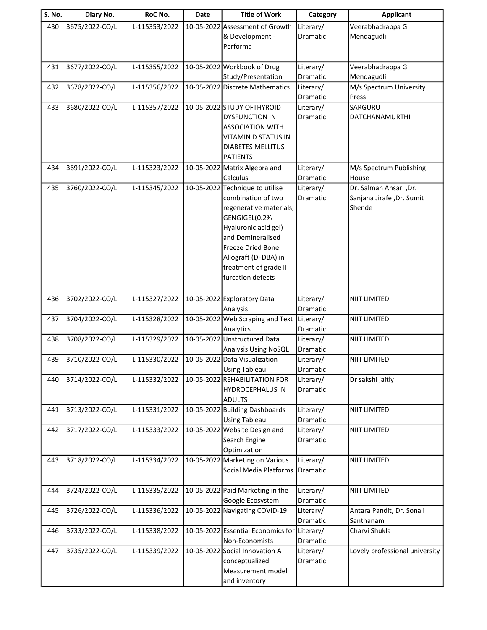| <b>S. No.</b> | Diary No.      | RoC No.       | Date | <b>Title of Work</b>                                  | Category              | <b>Applicant</b>                 |
|---------------|----------------|---------------|------|-------------------------------------------------------|-----------------------|----------------------------------|
| 430           | 3675/2022-CO/L | L-115353/2022 |      | 10-05-2022 Assessment of Growth                       | Literary/             | Veerabhadrappa G                 |
|               |                |               |      | & Development -                                       | <b>Dramatic</b>       | Mendagudli                       |
|               |                |               |      | Performa                                              |                       |                                  |
|               |                |               |      |                                                       |                       |                                  |
| 431           | 3677/2022-CO/L | L-115355/2022 |      | 10-05-2022 Workbook of Drug                           | Literary/             | Veerabhadrappa G                 |
|               |                |               |      | Study/Presentation                                    | Dramatic              | Mendagudli                       |
| 432           | 3678/2022-CO/L | L-115356/2022 |      | 10-05-2022 Discrete Mathematics                       | Literary/<br>Dramatic | M/s Spectrum University<br>Press |
| 433           | 3680/2022-CO/L | L-115357/2022 |      | 10-05-2022 STUDY OFTHYROID                            | Literary/             | SARGURU                          |
|               |                |               |      | <b>DYSFUNCTION IN</b>                                 | Dramatic              | DATCHANAMURTHI                   |
|               |                |               |      | <b>ASSOCIATION WITH</b>                               |                       |                                  |
|               |                |               |      | VITAMIN D STATUS IN                                   |                       |                                  |
|               |                |               |      | <b>DIABETES MELLITUS</b>                              |                       |                                  |
|               |                |               |      | <b>PATIENTS</b>                                       |                       |                                  |
| 434           | 3691/2022-CO/L | L-115323/2022 |      | 10-05-2022 Matrix Algebra and                         | Literary/             | M/s Spectrum Publishing          |
|               |                |               |      | Calculus                                              | <b>Dramatic</b>       | House                            |
| 435           | 3760/2022-CO/L | L-115345/2022 |      | 10-05-2022 Technique to utilise                       | Literary/             | Dr. Salman Ansari ,Dr.           |
|               |                |               |      | combination of two                                    | <b>Dramatic</b>       | Sanjana Jirafe, Dr. Sumit        |
|               |                |               |      | regenerative materials;                               |                       | Shende                           |
|               |                |               |      | GENGIGEL(0.2%                                         |                       |                                  |
|               |                |               |      | Hyaluronic acid gel)<br>and Demineralised             |                       |                                  |
|               |                |               |      | Freeze Dried Bone                                     |                       |                                  |
|               |                |               |      | Allograft (DFDBA) in                                  |                       |                                  |
|               |                |               |      | treatment of grade II                                 |                       |                                  |
|               |                |               |      | furcation defects                                     |                       |                                  |
|               |                |               |      |                                                       |                       |                                  |
| 436           | 3702/2022-CO/L | L-115327/2022 |      | 10-05-2022 Exploratory Data                           | Literary/             | <b>NIIT LIMITED</b>              |
|               |                |               |      | Analysis                                              | Dramatic              |                                  |
| 437           | 3704/2022-CO/L | L-115328/2022 |      | 10-05-2022 Web Scraping and Text                      | Literary/             | <b>NIIT LIMITED</b>              |
|               |                |               |      | Analytics                                             | Dramatic              |                                  |
| 438           | 3708/2022-CO/L | L-115329/2022 |      | 10-05-2022 Unstructured Data                          | Literary/             | <b>NIIT LIMITED</b>              |
| 439           | 3710/2022-CO/L |               |      | Analysis Using NoSQL<br>10-05-2022 Data Visualization | Dramatic              |                                  |
|               |                | L-115330/2022 |      | <b>Using Tableau</b>                                  | Literary/<br>Dramatic | <b>NIIT LIMITED</b>              |
| 440           | 3714/2022-CO/L | L-115332/2022 |      | 10-05-2022 REHABILITATION FOR                         | Literary/             | Dr sakshi jaitly                 |
|               |                |               |      | <b>HYDROCEPHALUS IN</b>                               | Dramatic              |                                  |
|               |                |               |      | <b>ADULTS</b>                                         |                       |                                  |
| 441           | 3713/2022-CO/L | L-115331/2022 |      | 10-05-2022 Building Dashboards                        | Literary/             | NIIT LIMITED                     |
|               |                |               |      | <b>Using Tableau</b>                                  | Dramatic              |                                  |
| 442           | 3717/2022-CO/L | L-115333/2022 |      | 10-05-2022 Website Design and                         | Literary/             | NIIT LIMITED                     |
|               |                |               |      | Search Engine                                         | Dramatic              |                                  |
|               |                |               |      | Optimization                                          |                       |                                  |
| 443           | 3718/2022-CO/L | L-115334/2022 |      | 10-05-2022 Marketing on Various                       | Literary/             | NIIT LIMITED                     |
|               |                |               |      | Social Media Platforms                                | Dramatic              |                                  |
| 444           | 3724/2022-CO/L | L-115335/2022 |      | 10-05-2022 Paid Marketing in the                      | Literary/             | <b>NIIT LIMITED</b>              |
|               |                |               |      | Google Ecosystem                                      | Dramatic              |                                  |
| 445           | 3726/2022-CO/L | L-115336/2022 |      | 10-05-2022 Navigating COVID-19                        | Literary/             | Antara Pandit, Dr. Sonali        |
|               |                |               |      |                                                       | Dramatic              | Santhanam                        |
| 446           | 3733/2022-CO/L | L-115338/2022 |      | 10-05-2022 Essential Economics for                    | Literary/             | Charvi Shukla                    |
|               |                |               |      | Non-Economists                                        | Dramatic              |                                  |
| 447           | 3735/2022-CO/L | L-115339/2022 |      | 10-05-2022 Social Innovation A                        | Literary/             | Lovely professional university   |
|               |                |               |      | conceptualized                                        | Dramatic              |                                  |
|               |                |               |      | Measurement model                                     |                       |                                  |
|               |                |               |      | and inventory                                         |                       |                                  |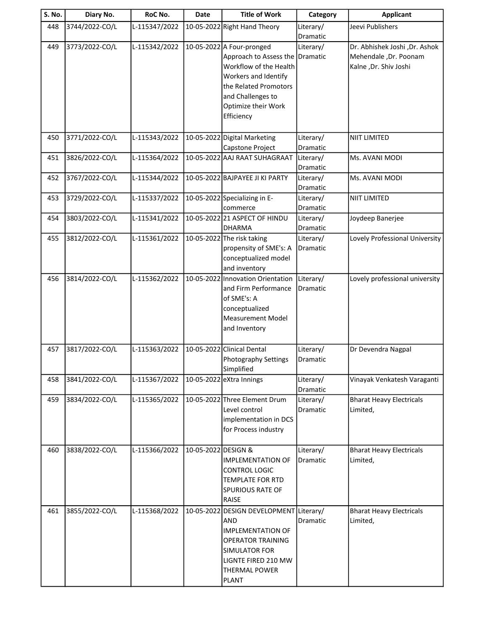| S. No. | Diary No.      | RoC No.       | Date                | <b>Title of Work</b>                             | Category        | <b>Applicant</b>                |
|--------|----------------|---------------|---------------------|--------------------------------------------------|-----------------|---------------------------------|
| 448    | 3744/2022-CO/L | L-115347/2022 |                     | 10-05-2022 Right Hand Theory                     | Literary/       | Jeevi Publishers                |
|        |                |               |                     |                                                  | Dramatic        |                                 |
| 449    | 3773/2022-CO/L | L-115342/2022 |                     | 10-05-2022 A Four-pronged                        | Literary/       | Dr. Abhishek Joshi , Dr. Ashok  |
|        |                |               |                     | Approach to Assess the Dramatic                  |                 | Mehendale, Dr. Poonam           |
|        |                |               |                     | Workflow of the Health                           |                 | Kalne, Dr. Shiv Joshi           |
|        |                |               |                     | Workers and Identify                             |                 |                                 |
|        |                |               |                     | the Related Promotors<br>and Challenges to       |                 |                                 |
|        |                |               |                     | Optimize their Work                              |                 |                                 |
|        |                |               |                     | Efficiency                                       |                 |                                 |
|        |                |               |                     |                                                  |                 |                                 |
| 450    | 3771/2022-CO/L | L-115343/2022 |                     | 10-05-2022 Digital Marketing                     | Literary/       | <b>NIIT LIMITED</b>             |
|        |                |               |                     | Capstone Project                                 | Dramatic        |                                 |
| 451    | 3826/2022-CO/L | L-115364/2022 |                     | 10-05-2022 AAJ RAAT SUHAGRAAT                    | Literary/       | Ms. AVANI MODI                  |
|        |                |               |                     |                                                  | Dramatic        |                                 |
| 452    | 3767/2022-CO/L | L-115344/2022 |                     | 10-05-2022 BAJPAYEE JI KI PARTY                  | Literary/       | Ms. AVANI MODI                  |
|        |                |               |                     |                                                  | <b>Dramatic</b> |                                 |
| 453    | 3729/2022-CO/L | L-115337/2022 |                     | 10-05-2022 Specializing in E-                    | Literary/       | <b>NIIT LIMITED</b>             |
|        |                |               |                     | commerce                                         | Dramatic        |                                 |
| 454    | 3803/2022-CO/L | L-115341/2022 |                     | 10-05-2022 21 ASPECT OF HINDU                    | Literary/       | Joydeep Banerjee                |
|        |                |               |                     | <b>DHARMA</b>                                    | Dramatic        |                                 |
| 455    | 3812/2022-CO/L | L-115361/2022 |                     | 10-05-2022 The risk taking                       | Literary/       | Lovely Professional University  |
|        |                |               |                     | propensity of SME's: A                           | Dramatic        |                                 |
|        |                |               |                     | conceptualized model                             |                 |                                 |
|        |                |               |                     | and inventory                                    |                 |                                 |
| 456    | 3814/2022-CO/L | L-115362/2022 |                     | 10-05-2022 Innovation Orientation                | Literary/       | Lovely professional university  |
|        |                |               |                     | and Firm Performance<br>of SME's: A              | Dramatic        |                                 |
|        |                |               |                     | conceptualized                                   |                 |                                 |
|        |                |               |                     | <b>Measurement Model</b>                         |                 |                                 |
|        |                |               |                     | and Inventory                                    |                 |                                 |
|        |                |               |                     |                                                  |                 |                                 |
| 457    | 3817/2022-CO/L | L-115363/2022 |                     | 10-05-2022 Clinical Dental                       | Literary/       | Dr Devendra Nagpal              |
|        |                |               |                     | <b>Photography Settings</b>                      | Dramatic        |                                 |
|        |                |               |                     | Simplified                                       |                 |                                 |
| 458    | 3841/2022-CO/L | L-115367/2022 |                     | 10-05-2022 eXtra Innings                         | Literary/       | Vinayak Venkatesh Varaganti     |
|        |                |               |                     |                                                  | Dramatic        |                                 |
| 459    | 3834/2022-CO/L | L-115365/2022 |                     | 10-05-2022 Three Element Drum                    | Literary/       | <b>Bharat Heavy Electricals</b> |
|        |                |               |                     | Level control                                    | Dramatic        | Limited,                        |
|        |                |               |                     | implementation in DCS                            |                 |                                 |
|        |                |               |                     | for Process industry                             |                 |                                 |
|        |                |               |                     |                                                  |                 |                                 |
| 460    | 3838/2022-CO/L | L-115366/2022 | 10-05-2022 DESIGN & |                                                  | Literary/       | <b>Bharat Heavy Electricals</b> |
|        |                |               |                     | <b>IMPLEMENTATION OF</b><br><b>CONTROL LOGIC</b> | Dramatic        | Limited,                        |
|        |                |               |                     | <b>TEMPLATE FOR RTD</b>                          |                 |                                 |
|        |                |               |                     | <b>SPURIOUS RATE OF</b>                          |                 |                                 |
|        |                |               |                     | <b>RAISE</b>                                     |                 |                                 |
| 461    | 3855/2022-CO/L | L-115368/2022 |                     | 10-05-2022 DESIGN DEVELOPMENT Literary/          |                 | <b>Bharat Heavy Electricals</b> |
|        |                |               |                     | <b>AND</b>                                       | Dramatic        | Limited,                        |
|        |                |               |                     | <b>IMPLEMENTATION OF</b>                         |                 |                                 |
|        |                |               |                     | <b>OPERATOR TRAINING</b>                         |                 |                                 |
|        |                |               |                     | <b>SIMULATOR FOR</b>                             |                 |                                 |
|        |                |               |                     | LIGNTE FIRED 210 MW                              |                 |                                 |
|        |                |               |                     | <b>THERMAL POWER</b>                             |                 |                                 |
|        |                |               |                     | <b>PLANT</b>                                     |                 |                                 |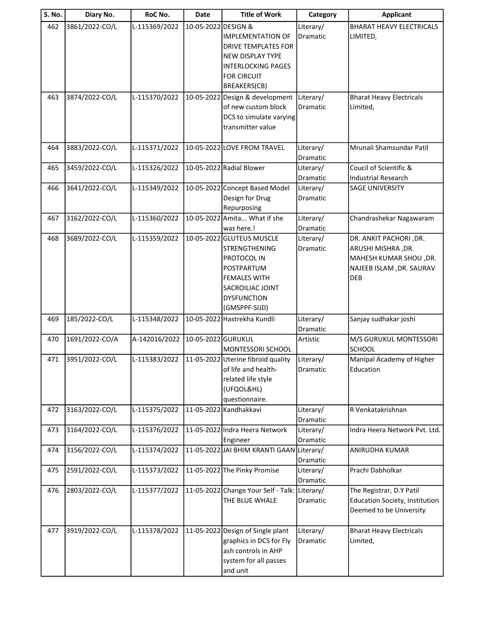| S. No. | Diary No.      | RoC No.       | Date                | <b>Title of Work</b>                                                                                                                                      | Category              | <b>Applicant</b>                                                                                                   |
|--------|----------------|---------------|---------------------|-----------------------------------------------------------------------------------------------------------------------------------------------------------|-----------------------|--------------------------------------------------------------------------------------------------------------------|
| 462    | 3861/2022-CO/L | L-115369/2022 | 10-05-2022 DESIGN & | <b>IMPLEMENTATION OF</b><br><b>DRIVE TEMPLATES FOR</b><br><b>NEW DISPLAY TYPE</b>                                                                         | Literary/<br>Dramatic | <b>BHARAT HEAVY ELECTRICALS</b><br>LIMITED,                                                                        |
|        |                |               |                     | <b>INTERLOCKING PAGES</b><br><b>FOR CIRCUIT</b><br>BREAKERS(CB)                                                                                           |                       |                                                                                                                    |
| 463    | 3874/2022-CO/L | L-115370/2022 | 10-05-2022          | Design & development<br>of new custom block<br>DCS to simulate varying<br>transmitter value                                                               | Literary/<br>Dramatic | <b>Bharat Heavy Electricals</b><br>Limited,                                                                        |
| 464    | 3883/2022-CO/L | L-115371/2022 |                     | 10-05-2022 LOVE FROM TRAVEL                                                                                                                               | Literary/<br>Dramatic | Mrunali Shamsundar Patil                                                                                           |
| 465    | 3459/2022-CO/L | L-115326/2022 |                     | 10-05-2022 Radial Blower                                                                                                                                  | Literary/<br>Dramatic | Coucil of Scientific &<br><b>Industrial Research</b>                                                               |
| 466    | 3641/2022-CO/L | L-115349/2022 |                     | 10-05-2022 Concept Based Model<br>Design for Drug<br>Repurposing                                                                                          | Literary/<br>Dramatic | <b>SAGE UNIVERSITY</b>                                                                                             |
| 467    | 3162/2022-CO/L | L-115360/2022 |                     | 10-05-2022 Amita What if she<br>was here.!                                                                                                                | Literary/<br>Dramatic | Chandrashekar Nagawaram                                                                                            |
| 468    | 3689/2022-CO/L | L-115359/2022 |                     | 10-05-2022 GLUTEUS MUSCLE<br>STRENGTHENING<br>PROTOCOL IN<br>POSTPARTUM<br><b>FEMALES WITH</b><br>SACROILIAC JOINT<br><b>DYSFUNCTION</b><br>(GMSPPF-SIJD) | Literary/<br>Dramatic | DR. ANKIT PACHORI , DR.<br>ARUSHI MISHRA, DR.<br>MAHESH KUMAR SHOU, DR.<br>NAJEEB ISLAM , DR. SAURAV<br><b>DEB</b> |
| 469    | 185/2022-CO/L  | L-115348/2022 |                     | 10-05-2022 Hastrekha Kundli                                                                                                                               | Literary/<br>Dramatic | Sanjay sudhakar joshi                                                                                              |
| 470    | 1691/2022-CO/A | A-142016/2022 | 10-05-2022 GURUKUL  | MONTESSORI SCHOOL                                                                                                                                         | Artistic              | M/S GURUKUL MONTESSORI<br><b>SCHOOL</b>                                                                            |
| 471    | 3951/2022-CO/L | L-115383/2022 |                     | 11-05-2022 Uterine fibroid quality<br>of life and health-<br>related life style<br>(UFQOL&HL)<br>questionnaire.                                           | Literary/<br>Dramatic | Manipal Academy of Higher<br>Education                                                                             |
| 472    | 3163/2022-CO/L | L-115375/2022 |                     | 11-05-2022 Kandhakkavi                                                                                                                                    | Literary/<br>Dramatic | R Venkatakrishnan                                                                                                  |
| 473    | 3164/2022-CO/L | L-115376/2022 |                     | 11-05-2022 Indra Heera Network<br>Engineer                                                                                                                | Literary/<br>Dramatic | Indra Heera Network Pvt. Ltd.                                                                                      |
| 474    | 3156/2022-CO/L | L-115374/2022 |                     | 11-05-2022 JAI BHIM KRANTI GAAN Literary/                                                                                                                 | Dramatic              | ANIRUDHA KUMAR                                                                                                     |
| 475    | 2591/2022-CO/L | L-115373/2022 |                     | 11-05-2022 The Pinky Promise                                                                                                                              | Literary/<br>Dramatic | Prachi Dabholkar                                                                                                   |
| 476    | 2803/2022-CO/L | L-115377/2022 |                     | 11-05-2022 Change Your Self - Talk: Literary/<br>THE BLUE WHALE                                                                                           | Dramatic              | The Registrar, D.Y Patil<br>Education Society, Institution<br>Deemed to be University                              |
| 477    | 3919/2022-CO/L | L-115378/2022 |                     | 11-05-2022 Design of Single plant<br>graphics in DCS for Fly<br>ash controls in AHP<br>system for all passes<br>and unit                                  | Literary/<br>Dramatic | <b>Bharat Heavy Electricals</b><br>Limited,                                                                        |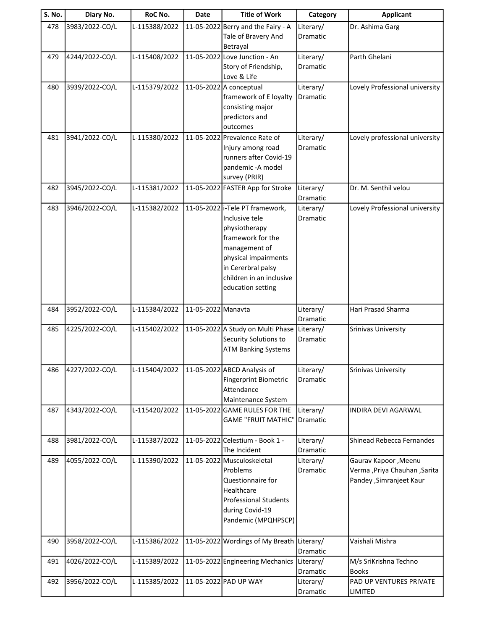| S. No. | Diary No.      | RoC No.       | <b>Date</b>        | <b>Title of Work</b>                                | Category              | <b>Applicant</b>                                           |
|--------|----------------|---------------|--------------------|-----------------------------------------------------|-----------------------|------------------------------------------------------------|
| 478    | 3983/2022-CO/L | L-115388/2022 |                    | 11-05-2022 Berry and the Fairy - A                  | Literary/             | Dr. Ashima Garg                                            |
|        |                |               |                    | Tale of Bravery And                                 | Dramatic              |                                                            |
|        |                |               |                    | Betrayal                                            |                       |                                                            |
| 479    | 4244/2022-CO/L | L-115408/2022 |                    | 11-05-2022 Love Junction - An                       | Literary/             | Parth Ghelani                                              |
|        |                |               |                    | Story of Friendship,<br>Love & Life                 | Dramatic              |                                                            |
| 480    | 3939/2022-CO/L | L-115379/2022 |                    | 11-05-2022 A conceptual                             | Literary/             | Lovely Professional university                             |
|        |                |               |                    | framework of E loyalty                              | Dramatic              |                                                            |
|        |                |               |                    | consisting major                                    |                       |                                                            |
|        |                |               |                    | predictors and                                      |                       |                                                            |
|        |                |               |                    | outcomes                                            |                       |                                                            |
| 481    | 3941/2022-CO/L | L-115380/2022 |                    | 11-05-2022 Prevalence Rate of                       | Literary/             | Lovely professional university                             |
|        |                |               |                    | Injury among road                                   | Dramatic              |                                                            |
|        |                |               |                    | runners after Covid-19<br>pandemic - A model        |                       |                                                            |
|        |                |               |                    | survey (PRIR)                                       |                       |                                                            |
| 482    | 3945/2022-CO/L | L-115381/2022 |                    | 11-05-2022 FASTER App for Stroke                    | Literary/             | Dr. M. Senthil velou                                       |
|        |                |               |                    |                                                     | Dramatic              |                                                            |
| 483    | 3946/2022-CO/L | L-115382/2022 |                    | 11-05-2022 i-Tele PT framework,                     | Literary/             | Lovely Professional university                             |
|        |                |               |                    | Inclusive tele                                      | Dramatic              |                                                            |
|        |                |               |                    | physiotherapy                                       |                       |                                                            |
|        |                |               |                    | framework for the                                   |                       |                                                            |
|        |                |               |                    | management of<br>physical impairments               |                       |                                                            |
|        |                |               |                    | in Cererbral palsy                                  |                       |                                                            |
|        |                |               |                    | children in an inclusive                            |                       |                                                            |
|        |                |               |                    | education setting                                   |                       |                                                            |
|        |                |               |                    |                                                     |                       |                                                            |
| 484    | 3952/2022-CO/L | L-115384/2022 | 11-05-2022 Manavta |                                                     | Literary/             | Hari Prasad Sharma                                         |
| 485    | 4225/2022-CO/L | L-115402/2022 |                    | 11-05-2022 A Study on Multi Phase                   | Dramatic<br>Literary/ | Srinivas University                                        |
|        |                |               |                    | Security Solutions to                               | Dramatic              |                                                            |
|        |                |               |                    | <b>ATM Banking Systems</b>                          |                       |                                                            |
|        |                |               |                    |                                                     |                       |                                                            |
| 486    | 4227/2022-CO/L | L-115404/2022 |                    | 11-05-2022 ABCD Analysis of                         | Literary/             | Srinivas University                                        |
|        |                |               |                    | <b>Fingerprint Biometric</b>                        | Dramatic              |                                                            |
|        |                |               |                    | Attendance                                          |                       |                                                            |
| 487    | 4343/2022-CO/L | L-115420/2022 |                    | Maintenance System<br>11-05-2022 GAME RULES FOR THE | Literary/             | INDIRA DEVI AGARWAL                                        |
|        |                |               |                    | <b>GAME "FRUIT MATHIC"</b>                          | Dramatic              |                                                            |
|        |                |               |                    |                                                     |                       |                                                            |
| 488    | 3981/2022-CO/L | L-115387/2022 |                    | 11-05-2022 Celestium - Book 1 -                     | Literary/             | Shinead Rebecca Fernandes                                  |
|        |                |               |                    | The Incident                                        | Dramatic              |                                                            |
| 489    | 4055/2022-CO/L | L-115390/2022 |                    | 11-05-2022 Musculoskeletal                          | Literary/             | Gaurav Kapoor , Meenu                                      |
|        |                |               |                    | Problems<br>Questionnaire for                       | Dramatic              | Verma , Priya Chauhan , Sarita<br>Pandey , Simranjeet Kaur |
|        |                |               |                    | Healthcare                                          |                       |                                                            |
|        |                |               |                    | <b>Professional Students</b>                        |                       |                                                            |
|        |                |               |                    | during Covid-19                                     |                       |                                                            |
|        |                |               |                    | Pandemic (MPQHPSCP)                                 |                       |                                                            |
|        |                |               |                    |                                                     |                       |                                                            |
| 490    | 3958/2022-CO/L | L-115386/2022 |                    | 11-05-2022 Wordings of My Breath                    | Literary/<br>Dramatic | Vaishali Mishra                                            |
| 491    | 4026/2022-CO/L | L-115389/2022 |                    | 11-05-2022 Engineering Mechanics                    | Literary/             | M/s SriKrishna Techno                                      |
|        |                |               |                    |                                                     | Dramatic              | <b>Books</b>                                               |
| 492    | 3956/2022-CO/L | L-115385/2022 |                    | 11-05-2022 PAD UP WAY                               | Literary/             | PAD UP VENTURES PRIVATE                                    |
|        |                |               |                    |                                                     | Dramatic              | <b>LIMITED</b>                                             |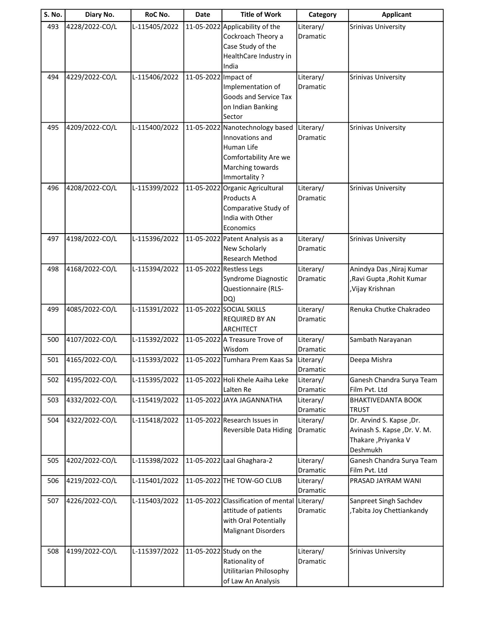| <b>S. No.</b> | Diary No.      | RoC No.       | <b>Date</b>          | <b>Title of Work</b>                                                                                                          | Category                     | <b>Applicant</b>                                                                           |
|---------------|----------------|---------------|----------------------|-------------------------------------------------------------------------------------------------------------------------------|------------------------------|--------------------------------------------------------------------------------------------|
| 493           | 4228/2022-CO/L | L-115405/2022 | 11-05-2022           | Applicability of the<br>Cockroach Theory a<br>Case Study of the<br>HealthCare Industry in<br>India                            | Literary/<br>Dramatic        | Srinivas University                                                                        |
| 494           | 4229/2022-CO/L | L-115406/2022 | 11-05-2022 Impact of | Implementation of<br>Goods and Service Tax<br>on Indian Banking<br>Sector                                                     | Literary/<br><b>Dramatic</b> | <b>Srinivas University</b>                                                                 |
| 495           | 4209/2022-CO/L | L-115400/2022 |                      | 11-05-2022 Nanotechnology based<br>Innovations and<br>Human Life<br>Comfortability Are we<br>Marching towards<br>Immortality? | Literary/<br>Dramatic        | Srinivas University                                                                        |
| 496           | 4208/2022-CO/L | L-115399/2022 | 11-05-2022           | Organic Agricultural<br>Products A<br>Comparative Study of<br>India with Other<br>Economics                                   | Literary/<br><b>Dramatic</b> | <b>Srinivas University</b>                                                                 |
| 497           | 4198/2022-CO/L | L-115396/2022 |                      | 11-05-2022 Patent Analysis as a<br>New Scholarly<br>Research Method                                                           | Literary/<br>Dramatic        | Srinivas University                                                                        |
| 498           | 4168/2022-CO/L | L-115394/2022 |                      | 11-05-2022 Restless Legs<br>Syndrome Diagnostic<br>Questionnaire (RLS-<br>DQ)                                                 | Literary/<br>Dramatic        | Anindya Das , Niraj Kumar<br>,Ravi Gupta, Rohit Kumar<br>, Vijay Krishnan                  |
| 499           | 4085/2022-CO/L | L-115391/2022 |                      | 11-05-2022 SOCIAL SKILLS<br>REQUIRED BY AN<br><b>ARCHITECT</b>                                                                | Literary/<br>Dramatic        | Renuka Chutke Chakradeo                                                                    |
| 500           | 4107/2022-CO/L | L-115392/2022 |                      | 11-05-2022 A Treasure Trove of<br>Wisdom                                                                                      | Literary/<br>Dramatic        | Sambath Narayanan                                                                          |
| 501           | 4165/2022-CO/L | L-115393/2022 |                      | 11-05-2022 Tumhara Prem Kaas Sa                                                                                               | Literary/<br>Dramatic        | Deepa Mishra                                                                               |
| 502           | 4195/2022-CO/L | L-115395/2022 |                      | 11-05-2022 Holi Khele Aaiha Leke<br>Lalten Re                                                                                 | Literary/<br>Dramatic        | Ganesh Chandra Surya Team<br>Film Pvt. Ltd                                                 |
| 503           | 4332/2022-CO/L | L-115419/2022 |                      | 11-05-2022 JAYA JAGANNATHA                                                                                                    | Literary/<br>Dramatic        | <b>BHAKTIVEDANTA BOOK</b><br><b>TRUST</b>                                                  |
| 504           | 4322/2022-CO/L | L-115418/2022 |                      | 11-05-2022 Research Issues in<br>Reversible Data Hiding                                                                       | Literary/<br>Dramatic        | Dr. Arvind S. Kapse ,Dr.<br>Avinash S. Kapse, Dr. V. M.<br>Thakare, Priyanka V<br>Deshmukh |
| 505           | 4202/2022-CO/L | L-115398/2022 |                      | 11-05-2022 Laal Ghaghara-2                                                                                                    | Literary/<br>Dramatic        | Ganesh Chandra Surya Team<br>Film Pvt. Ltd                                                 |
| 506           | 4219/2022-CO/L | L-115401/2022 |                      | 11-05-2022 THE TOW-GO CLUB                                                                                                    | Literary/<br>Dramatic        | PRASAD JAYRAM WANI                                                                         |
| 507           | 4226/2022-CO/L | L-115403/2022 |                      | 11-05-2022 Classification of mental Literary/<br>attitude of patients<br>with Oral Potentially<br><b>Malignant Disorders</b>  | Dramatic                     | Sanpreet Singh Sachdev<br>,Tabita Joy Chettiankandy                                        |
| 508           | 4199/2022-CO/L | L-115397/2022 |                      | 11-05-2022 Study on the<br>Rationality of<br><b>Utilitarian Philosophy</b><br>of Law An Analysis                              | Literary/<br>Dramatic        | Srinivas University                                                                        |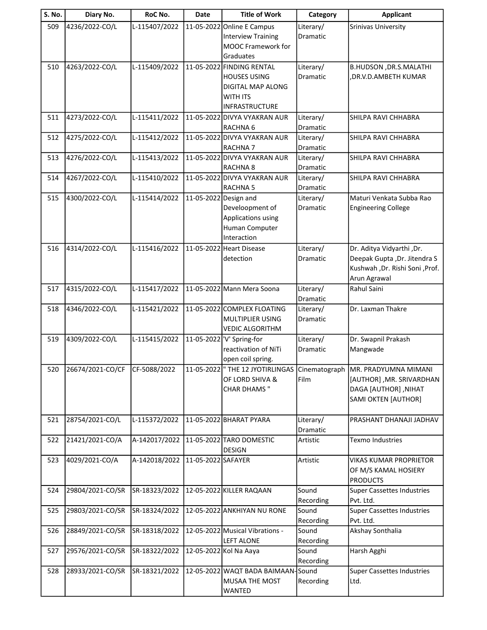| 509<br>4236/2022-CO/L<br>L-115407/2022<br>11-05-2022 Online E Campus<br>Literary/<br>Srinivas University<br><b>Interview Training</b><br>Dramatic<br>MOOC Framework for<br>Graduates<br>L-115409/2022<br>4263/2022-CO/L<br>11-05-2022 FINDING RENTAL<br>Literary/<br>B.HUDSON , DR.S.MALATHI<br>510<br><b>HOUSES USING</b><br>Dramatic<br>DR.V.D.AMBETH KUMAR,<br>DIGITAL MAP ALONG<br><b>WITH ITS</b><br><b>INFRASTRUCTURE</b><br>4273/2022-CO/L<br>11-05-2022 DIVYA VYAKRAN AUR<br>511<br>L-115411/2022<br>Literary/<br>SHILPA RAVI CHHABRA<br>RACHNA <sub>6</sub><br>Dramatic<br>11-05-2022 DIVYA VYAKRAN AUR<br>512<br>4275/2022-CO/L<br>L-115412/2022<br>SHILPA RAVI CHHABRA<br>Literary/<br>Dramatic<br><b>RACHNA7</b><br>4276/2022-CO/L<br>L-115413/2022<br>11-05-2022 DIVYA VYAKRAN AUR<br>513<br>SHILPA RAVI CHHABRA<br>Literary/<br>Dramatic<br><b>RACHNA 8</b><br>4267/2022-CO/L<br>L-115410/2022<br>11-05-2022 DIVYA VYAKRAN AUR<br>514<br>Literary/<br>SHILPA RAVI CHHABRA<br><b>RACHNA 5</b><br>Dramatic<br>4300/2022-CO/L<br>L-115414/2022<br>Maturi Venkata Subba Rao<br>515<br>11-05-2022 Design and<br>Literary/<br>Develoopment of<br>Dramatic<br><b>Engineering College</b><br>Applications using<br>Human Computer<br>Interaction<br>4314/2022-CO/L<br>L-115416/2022<br>Dr. Aditya Vidyarthi, Dr.<br>516<br>11-05-2022 Heart Disease<br>Literary/<br>Deepak Gupta, Dr. Jitendra S<br>detection<br>Dramatic<br>Kushwah , Dr. Rishi Soni , Prof.<br>Arun Agrawal<br>4315/2022-CO/L<br>L-115417/2022<br>11-05-2022 Mann Mera Soona<br>Rahul Saini<br>517<br>Literary/<br>Dramatic<br>518<br>4346/2022-CO/L<br>L-115421/2022<br>11-05-2022 COMPLEX FLOATING<br>Dr. Laxman Thakre<br>Literary/<br>MULTIPLIER USING<br><b>Dramatic</b><br><b>VEDIC ALGORITHM</b><br>4309/2022-CO/L<br>L-115415/2022<br>11-05-2022 V' Spring-for<br>Literary/<br>Dr. Swapnil Prakash<br>519<br>reactivation of NiTi<br>Mangwade<br>Dramatic<br>open coil spring.<br>520<br>26674/2021-CO/CF<br>CF-5088/2022<br>11-05-2022 THE 12 JYOTIRLINGAS Cinematograph MR. PRADYUMNA MIMANI<br>OF LORD SHIVA &<br>Film<br>[AUTHOR], MR. SRIVARDHAN<br><b>CHAR DHAMS</b> "<br><b>DAGA [AUTHOR], NIHAT</b><br><b>SAMI OKTEN [AUTHOR]</b><br>28754/2021-CO/L<br>11-05-2022 BHARAT PYARA<br>L-115372/2022<br>PRASHANT DHANAJI JADHAV<br>521<br>Literary/<br>Dramatic<br>21421/2021-CO/A<br>A-142017/2022<br>11-05-2022 TARO DOMESTIC<br>522<br>Texmo Industries<br>Artistic<br><b>DESIGN</b><br>4029/2021-CO/A<br>A-142018/2022<br>11-05-2022 SAFAYER<br>Artistic<br>VIKAS KUMAR PROPRIETOR<br>523<br>OF M/S KAMAL HOSIERY<br><b>PRODUCTS</b><br>29804/2021-CO/SR<br>SR-18323/2022<br>12-05-2022 KILLER RAQAAN<br>Sound<br>524<br><b>Super Cassettes Industries</b><br>Recording<br>Pvt. Ltd.<br>12-05-2022 ANKHIYAN NU RONE<br>29803/2021-CO/SR<br>SR-18324/2022<br>525<br>Sound<br><b>Super Cassettes Industries</b><br>Recording<br>Pvt. Ltd.<br>12-05-2022 Musical Vibrations -<br>526<br>28849/2021-CO/SR<br>SR-18318/2022<br>Sound<br>Akshay Sonthalia<br><b>LEFT ALONE</b><br>Recording<br>29576/2021-CO/SR<br>SR-18322/2022<br>Sound<br>12-05-2022 Kol Na Aaya<br>Harsh Agghi<br>527<br>Recording<br>528<br>28933/2021-CO/SR<br>SR-18321/2022<br>12-05-2022 WAQT BADA BAIMAAN-Sound<br><b>Super Cassettes Industries</b><br>MUSAA THE MOST<br>Recording<br>Ltd. | <b>S. No.</b> | Diary No. | RoC No. | <b>Date</b> | <b>Title of Work</b> | Category | <b>Applicant</b> |
|--------------------------------------------------------------------------------------------------------------------------------------------------------------------------------------------------------------------------------------------------------------------------------------------------------------------------------------------------------------------------------------------------------------------------------------------------------------------------------------------------------------------------------------------------------------------------------------------------------------------------------------------------------------------------------------------------------------------------------------------------------------------------------------------------------------------------------------------------------------------------------------------------------------------------------------------------------------------------------------------------------------------------------------------------------------------------------------------------------------------------------------------------------------------------------------------------------------------------------------------------------------------------------------------------------------------------------------------------------------------------------------------------------------------------------------------------------------------------------------------------------------------------------------------------------------------------------------------------------------------------------------------------------------------------------------------------------------------------------------------------------------------------------------------------------------------------------------------------------------------------------------------------------------------------------------------------------------------------------------------------------------------------------------------------------------------------------------------------------------------------------------------------------------------------------------------------------------------------------------------------------------------------------------------------------------------------------------------------------------------------------------------------------------------------------------------------------------------------------------------------------------------------------------------------------------------------------------------------------------------------------------------------------------------------------------------------------------------------------------------------------------------------------------------------------------------------------------------------------------------------------------------------------------------------------------------------------------------------------------------------------------------------------------------------------------------------------------------------------------------------------------------------------------------------------------------------------------------------------------------------------------------------------------------------------------------------------------------------------|---------------|-----------|---------|-------------|----------------------|----------|------------------|
|                                                                                                                                                                                                                                                                                                                                                                                                                                                                                                                                                                                                                                                                                                                                                                                                                                                                                                                                                                                                                                                                                                                                                                                                                                                                                                                                                                                                                                                                                                                                                                                                                                                                                                                                                                                                                                                                                                                                                                                                                                                                                                                                                                                                                                                                                                                                                                                                                                                                                                                                                                                                                                                                                                                                                                                                                                                                                                                                                                                                                                                                                                                                                                                                                                                                                                                                                        |               |           |         |             |                      |          |                  |
|                                                                                                                                                                                                                                                                                                                                                                                                                                                                                                                                                                                                                                                                                                                                                                                                                                                                                                                                                                                                                                                                                                                                                                                                                                                                                                                                                                                                                                                                                                                                                                                                                                                                                                                                                                                                                                                                                                                                                                                                                                                                                                                                                                                                                                                                                                                                                                                                                                                                                                                                                                                                                                                                                                                                                                                                                                                                                                                                                                                                                                                                                                                                                                                                                                                                                                                                                        |               |           |         |             |                      |          |                  |
|                                                                                                                                                                                                                                                                                                                                                                                                                                                                                                                                                                                                                                                                                                                                                                                                                                                                                                                                                                                                                                                                                                                                                                                                                                                                                                                                                                                                                                                                                                                                                                                                                                                                                                                                                                                                                                                                                                                                                                                                                                                                                                                                                                                                                                                                                                                                                                                                                                                                                                                                                                                                                                                                                                                                                                                                                                                                                                                                                                                                                                                                                                                                                                                                                                                                                                                                                        |               |           |         |             |                      |          |                  |
|                                                                                                                                                                                                                                                                                                                                                                                                                                                                                                                                                                                                                                                                                                                                                                                                                                                                                                                                                                                                                                                                                                                                                                                                                                                                                                                                                                                                                                                                                                                                                                                                                                                                                                                                                                                                                                                                                                                                                                                                                                                                                                                                                                                                                                                                                                                                                                                                                                                                                                                                                                                                                                                                                                                                                                                                                                                                                                                                                                                                                                                                                                                                                                                                                                                                                                                                                        |               |           |         |             |                      |          |                  |
|                                                                                                                                                                                                                                                                                                                                                                                                                                                                                                                                                                                                                                                                                                                                                                                                                                                                                                                                                                                                                                                                                                                                                                                                                                                                                                                                                                                                                                                                                                                                                                                                                                                                                                                                                                                                                                                                                                                                                                                                                                                                                                                                                                                                                                                                                                                                                                                                                                                                                                                                                                                                                                                                                                                                                                                                                                                                                                                                                                                                                                                                                                                                                                                                                                                                                                                                                        |               |           |         |             |                      |          |                  |
|                                                                                                                                                                                                                                                                                                                                                                                                                                                                                                                                                                                                                                                                                                                                                                                                                                                                                                                                                                                                                                                                                                                                                                                                                                                                                                                                                                                                                                                                                                                                                                                                                                                                                                                                                                                                                                                                                                                                                                                                                                                                                                                                                                                                                                                                                                                                                                                                                                                                                                                                                                                                                                                                                                                                                                                                                                                                                                                                                                                                                                                                                                                                                                                                                                                                                                                                                        |               |           |         |             |                      |          |                  |
|                                                                                                                                                                                                                                                                                                                                                                                                                                                                                                                                                                                                                                                                                                                                                                                                                                                                                                                                                                                                                                                                                                                                                                                                                                                                                                                                                                                                                                                                                                                                                                                                                                                                                                                                                                                                                                                                                                                                                                                                                                                                                                                                                                                                                                                                                                                                                                                                                                                                                                                                                                                                                                                                                                                                                                                                                                                                                                                                                                                                                                                                                                                                                                                                                                                                                                                                                        |               |           |         |             |                      |          |                  |
|                                                                                                                                                                                                                                                                                                                                                                                                                                                                                                                                                                                                                                                                                                                                                                                                                                                                                                                                                                                                                                                                                                                                                                                                                                                                                                                                                                                                                                                                                                                                                                                                                                                                                                                                                                                                                                                                                                                                                                                                                                                                                                                                                                                                                                                                                                                                                                                                                                                                                                                                                                                                                                                                                                                                                                                                                                                                                                                                                                                                                                                                                                                                                                                                                                                                                                                                                        |               |           |         |             |                      |          |                  |
|                                                                                                                                                                                                                                                                                                                                                                                                                                                                                                                                                                                                                                                                                                                                                                                                                                                                                                                                                                                                                                                                                                                                                                                                                                                                                                                                                                                                                                                                                                                                                                                                                                                                                                                                                                                                                                                                                                                                                                                                                                                                                                                                                                                                                                                                                                                                                                                                                                                                                                                                                                                                                                                                                                                                                                                                                                                                                                                                                                                                                                                                                                                                                                                                                                                                                                                                                        |               |           |         |             |                      |          |                  |
|                                                                                                                                                                                                                                                                                                                                                                                                                                                                                                                                                                                                                                                                                                                                                                                                                                                                                                                                                                                                                                                                                                                                                                                                                                                                                                                                                                                                                                                                                                                                                                                                                                                                                                                                                                                                                                                                                                                                                                                                                                                                                                                                                                                                                                                                                                                                                                                                                                                                                                                                                                                                                                                                                                                                                                                                                                                                                                                                                                                                                                                                                                                                                                                                                                                                                                                                                        |               |           |         |             |                      |          |                  |
|                                                                                                                                                                                                                                                                                                                                                                                                                                                                                                                                                                                                                                                                                                                                                                                                                                                                                                                                                                                                                                                                                                                                                                                                                                                                                                                                                                                                                                                                                                                                                                                                                                                                                                                                                                                                                                                                                                                                                                                                                                                                                                                                                                                                                                                                                                                                                                                                                                                                                                                                                                                                                                                                                                                                                                                                                                                                                                                                                                                                                                                                                                                                                                                                                                                                                                                                                        |               |           |         |             |                      |          |                  |
|                                                                                                                                                                                                                                                                                                                                                                                                                                                                                                                                                                                                                                                                                                                                                                                                                                                                                                                                                                                                                                                                                                                                                                                                                                                                                                                                                                                                                                                                                                                                                                                                                                                                                                                                                                                                                                                                                                                                                                                                                                                                                                                                                                                                                                                                                                                                                                                                                                                                                                                                                                                                                                                                                                                                                                                                                                                                                                                                                                                                                                                                                                                                                                                                                                                                                                                                                        |               |           |         |             |                      |          |                  |
|                                                                                                                                                                                                                                                                                                                                                                                                                                                                                                                                                                                                                                                                                                                                                                                                                                                                                                                                                                                                                                                                                                                                                                                                                                                                                                                                                                                                                                                                                                                                                                                                                                                                                                                                                                                                                                                                                                                                                                                                                                                                                                                                                                                                                                                                                                                                                                                                                                                                                                                                                                                                                                                                                                                                                                                                                                                                                                                                                                                                                                                                                                                                                                                                                                                                                                                                                        |               |           |         |             |                      |          |                  |
|                                                                                                                                                                                                                                                                                                                                                                                                                                                                                                                                                                                                                                                                                                                                                                                                                                                                                                                                                                                                                                                                                                                                                                                                                                                                                                                                                                                                                                                                                                                                                                                                                                                                                                                                                                                                                                                                                                                                                                                                                                                                                                                                                                                                                                                                                                                                                                                                                                                                                                                                                                                                                                                                                                                                                                                                                                                                                                                                                                                                                                                                                                                                                                                                                                                                                                                                                        |               |           |         |             |                      |          |                  |
|                                                                                                                                                                                                                                                                                                                                                                                                                                                                                                                                                                                                                                                                                                                                                                                                                                                                                                                                                                                                                                                                                                                                                                                                                                                                                                                                                                                                                                                                                                                                                                                                                                                                                                                                                                                                                                                                                                                                                                                                                                                                                                                                                                                                                                                                                                                                                                                                                                                                                                                                                                                                                                                                                                                                                                                                                                                                                                                                                                                                                                                                                                                                                                                                                                                                                                                                                        |               |           |         |             |                      |          |                  |
|                                                                                                                                                                                                                                                                                                                                                                                                                                                                                                                                                                                                                                                                                                                                                                                                                                                                                                                                                                                                                                                                                                                                                                                                                                                                                                                                                                                                                                                                                                                                                                                                                                                                                                                                                                                                                                                                                                                                                                                                                                                                                                                                                                                                                                                                                                                                                                                                                                                                                                                                                                                                                                                                                                                                                                                                                                                                                                                                                                                                                                                                                                                                                                                                                                                                                                                                                        |               |           |         |             |                      |          |                  |
|                                                                                                                                                                                                                                                                                                                                                                                                                                                                                                                                                                                                                                                                                                                                                                                                                                                                                                                                                                                                                                                                                                                                                                                                                                                                                                                                                                                                                                                                                                                                                                                                                                                                                                                                                                                                                                                                                                                                                                                                                                                                                                                                                                                                                                                                                                                                                                                                                                                                                                                                                                                                                                                                                                                                                                                                                                                                                                                                                                                                                                                                                                                                                                                                                                                                                                                                                        |               |           |         |             |                      |          |                  |
|                                                                                                                                                                                                                                                                                                                                                                                                                                                                                                                                                                                                                                                                                                                                                                                                                                                                                                                                                                                                                                                                                                                                                                                                                                                                                                                                                                                                                                                                                                                                                                                                                                                                                                                                                                                                                                                                                                                                                                                                                                                                                                                                                                                                                                                                                                                                                                                                                                                                                                                                                                                                                                                                                                                                                                                                                                                                                                                                                                                                                                                                                                                                                                                                                                                                                                                                                        |               |           |         |             |                      |          |                  |
|                                                                                                                                                                                                                                                                                                                                                                                                                                                                                                                                                                                                                                                                                                                                                                                                                                                                                                                                                                                                                                                                                                                                                                                                                                                                                                                                                                                                                                                                                                                                                                                                                                                                                                                                                                                                                                                                                                                                                                                                                                                                                                                                                                                                                                                                                                                                                                                                                                                                                                                                                                                                                                                                                                                                                                                                                                                                                                                                                                                                                                                                                                                                                                                                                                                                                                                                                        |               |           |         |             |                      |          |                  |
|                                                                                                                                                                                                                                                                                                                                                                                                                                                                                                                                                                                                                                                                                                                                                                                                                                                                                                                                                                                                                                                                                                                                                                                                                                                                                                                                                                                                                                                                                                                                                                                                                                                                                                                                                                                                                                                                                                                                                                                                                                                                                                                                                                                                                                                                                                                                                                                                                                                                                                                                                                                                                                                                                                                                                                                                                                                                                                                                                                                                                                                                                                                                                                                                                                                                                                                                                        |               |           |         |             |                      |          |                  |
|                                                                                                                                                                                                                                                                                                                                                                                                                                                                                                                                                                                                                                                                                                                                                                                                                                                                                                                                                                                                                                                                                                                                                                                                                                                                                                                                                                                                                                                                                                                                                                                                                                                                                                                                                                                                                                                                                                                                                                                                                                                                                                                                                                                                                                                                                                                                                                                                                                                                                                                                                                                                                                                                                                                                                                                                                                                                                                                                                                                                                                                                                                                                                                                                                                                                                                                                                        |               |           |         |             |                      |          |                  |
|                                                                                                                                                                                                                                                                                                                                                                                                                                                                                                                                                                                                                                                                                                                                                                                                                                                                                                                                                                                                                                                                                                                                                                                                                                                                                                                                                                                                                                                                                                                                                                                                                                                                                                                                                                                                                                                                                                                                                                                                                                                                                                                                                                                                                                                                                                                                                                                                                                                                                                                                                                                                                                                                                                                                                                                                                                                                                                                                                                                                                                                                                                                                                                                                                                                                                                                                                        |               |           |         |             |                      |          |                  |
|                                                                                                                                                                                                                                                                                                                                                                                                                                                                                                                                                                                                                                                                                                                                                                                                                                                                                                                                                                                                                                                                                                                                                                                                                                                                                                                                                                                                                                                                                                                                                                                                                                                                                                                                                                                                                                                                                                                                                                                                                                                                                                                                                                                                                                                                                                                                                                                                                                                                                                                                                                                                                                                                                                                                                                                                                                                                                                                                                                                                                                                                                                                                                                                                                                                                                                                                                        |               |           |         |             |                      |          |                  |
|                                                                                                                                                                                                                                                                                                                                                                                                                                                                                                                                                                                                                                                                                                                                                                                                                                                                                                                                                                                                                                                                                                                                                                                                                                                                                                                                                                                                                                                                                                                                                                                                                                                                                                                                                                                                                                                                                                                                                                                                                                                                                                                                                                                                                                                                                                                                                                                                                                                                                                                                                                                                                                                                                                                                                                                                                                                                                                                                                                                                                                                                                                                                                                                                                                                                                                                                                        |               |           |         |             |                      |          |                  |
|                                                                                                                                                                                                                                                                                                                                                                                                                                                                                                                                                                                                                                                                                                                                                                                                                                                                                                                                                                                                                                                                                                                                                                                                                                                                                                                                                                                                                                                                                                                                                                                                                                                                                                                                                                                                                                                                                                                                                                                                                                                                                                                                                                                                                                                                                                                                                                                                                                                                                                                                                                                                                                                                                                                                                                                                                                                                                                                                                                                                                                                                                                                                                                                                                                                                                                                                                        |               |           |         |             |                      |          |                  |
|                                                                                                                                                                                                                                                                                                                                                                                                                                                                                                                                                                                                                                                                                                                                                                                                                                                                                                                                                                                                                                                                                                                                                                                                                                                                                                                                                                                                                                                                                                                                                                                                                                                                                                                                                                                                                                                                                                                                                                                                                                                                                                                                                                                                                                                                                                                                                                                                                                                                                                                                                                                                                                                                                                                                                                                                                                                                                                                                                                                                                                                                                                                                                                                                                                                                                                                                                        |               |           |         |             |                      |          |                  |
|                                                                                                                                                                                                                                                                                                                                                                                                                                                                                                                                                                                                                                                                                                                                                                                                                                                                                                                                                                                                                                                                                                                                                                                                                                                                                                                                                                                                                                                                                                                                                                                                                                                                                                                                                                                                                                                                                                                                                                                                                                                                                                                                                                                                                                                                                                                                                                                                                                                                                                                                                                                                                                                                                                                                                                                                                                                                                                                                                                                                                                                                                                                                                                                                                                                                                                                                                        |               |           |         |             |                      |          |                  |
|                                                                                                                                                                                                                                                                                                                                                                                                                                                                                                                                                                                                                                                                                                                                                                                                                                                                                                                                                                                                                                                                                                                                                                                                                                                                                                                                                                                                                                                                                                                                                                                                                                                                                                                                                                                                                                                                                                                                                                                                                                                                                                                                                                                                                                                                                                                                                                                                                                                                                                                                                                                                                                                                                                                                                                                                                                                                                                                                                                                                                                                                                                                                                                                                                                                                                                                                                        |               |           |         |             |                      |          |                  |
|                                                                                                                                                                                                                                                                                                                                                                                                                                                                                                                                                                                                                                                                                                                                                                                                                                                                                                                                                                                                                                                                                                                                                                                                                                                                                                                                                                                                                                                                                                                                                                                                                                                                                                                                                                                                                                                                                                                                                                                                                                                                                                                                                                                                                                                                                                                                                                                                                                                                                                                                                                                                                                                                                                                                                                                                                                                                                                                                                                                                                                                                                                                                                                                                                                                                                                                                                        |               |           |         |             |                      |          |                  |
|                                                                                                                                                                                                                                                                                                                                                                                                                                                                                                                                                                                                                                                                                                                                                                                                                                                                                                                                                                                                                                                                                                                                                                                                                                                                                                                                                                                                                                                                                                                                                                                                                                                                                                                                                                                                                                                                                                                                                                                                                                                                                                                                                                                                                                                                                                                                                                                                                                                                                                                                                                                                                                                                                                                                                                                                                                                                                                                                                                                                                                                                                                                                                                                                                                                                                                                                                        |               |           |         |             |                      |          |                  |
|                                                                                                                                                                                                                                                                                                                                                                                                                                                                                                                                                                                                                                                                                                                                                                                                                                                                                                                                                                                                                                                                                                                                                                                                                                                                                                                                                                                                                                                                                                                                                                                                                                                                                                                                                                                                                                                                                                                                                                                                                                                                                                                                                                                                                                                                                                                                                                                                                                                                                                                                                                                                                                                                                                                                                                                                                                                                                                                                                                                                                                                                                                                                                                                                                                                                                                                                                        |               |           |         |             |                      |          |                  |
|                                                                                                                                                                                                                                                                                                                                                                                                                                                                                                                                                                                                                                                                                                                                                                                                                                                                                                                                                                                                                                                                                                                                                                                                                                                                                                                                                                                                                                                                                                                                                                                                                                                                                                                                                                                                                                                                                                                                                                                                                                                                                                                                                                                                                                                                                                                                                                                                                                                                                                                                                                                                                                                                                                                                                                                                                                                                                                                                                                                                                                                                                                                                                                                                                                                                                                                                                        |               |           |         |             |                      |          |                  |
|                                                                                                                                                                                                                                                                                                                                                                                                                                                                                                                                                                                                                                                                                                                                                                                                                                                                                                                                                                                                                                                                                                                                                                                                                                                                                                                                                                                                                                                                                                                                                                                                                                                                                                                                                                                                                                                                                                                                                                                                                                                                                                                                                                                                                                                                                                                                                                                                                                                                                                                                                                                                                                                                                                                                                                                                                                                                                                                                                                                                                                                                                                                                                                                                                                                                                                                                                        |               |           |         |             |                      |          |                  |
|                                                                                                                                                                                                                                                                                                                                                                                                                                                                                                                                                                                                                                                                                                                                                                                                                                                                                                                                                                                                                                                                                                                                                                                                                                                                                                                                                                                                                                                                                                                                                                                                                                                                                                                                                                                                                                                                                                                                                                                                                                                                                                                                                                                                                                                                                                                                                                                                                                                                                                                                                                                                                                                                                                                                                                                                                                                                                                                                                                                                                                                                                                                                                                                                                                                                                                                                                        |               |           |         |             |                      |          |                  |
|                                                                                                                                                                                                                                                                                                                                                                                                                                                                                                                                                                                                                                                                                                                                                                                                                                                                                                                                                                                                                                                                                                                                                                                                                                                                                                                                                                                                                                                                                                                                                                                                                                                                                                                                                                                                                                                                                                                                                                                                                                                                                                                                                                                                                                                                                                                                                                                                                                                                                                                                                                                                                                                                                                                                                                                                                                                                                                                                                                                                                                                                                                                                                                                                                                                                                                                                                        |               |           |         |             |                      |          |                  |
|                                                                                                                                                                                                                                                                                                                                                                                                                                                                                                                                                                                                                                                                                                                                                                                                                                                                                                                                                                                                                                                                                                                                                                                                                                                                                                                                                                                                                                                                                                                                                                                                                                                                                                                                                                                                                                                                                                                                                                                                                                                                                                                                                                                                                                                                                                                                                                                                                                                                                                                                                                                                                                                                                                                                                                                                                                                                                                                                                                                                                                                                                                                                                                                                                                                                                                                                                        |               |           |         |             |                      |          |                  |
|                                                                                                                                                                                                                                                                                                                                                                                                                                                                                                                                                                                                                                                                                                                                                                                                                                                                                                                                                                                                                                                                                                                                                                                                                                                                                                                                                                                                                                                                                                                                                                                                                                                                                                                                                                                                                                                                                                                                                                                                                                                                                                                                                                                                                                                                                                                                                                                                                                                                                                                                                                                                                                                                                                                                                                                                                                                                                                                                                                                                                                                                                                                                                                                                                                                                                                                                                        |               |           |         |             |                      |          |                  |
|                                                                                                                                                                                                                                                                                                                                                                                                                                                                                                                                                                                                                                                                                                                                                                                                                                                                                                                                                                                                                                                                                                                                                                                                                                                                                                                                                                                                                                                                                                                                                                                                                                                                                                                                                                                                                                                                                                                                                                                                                                                                                                                                                                                                                                                                                                                                                                                                                                                                                                                                                                                                                                                                                                                                                                                                                                                                                                                                                                                                                                                                                                                                                                                                                                                                                                                                                        |               |           |         |             |                      |          |                  |
|                                                                                                                                                                                                                                                                                                                                                                                                                                                                                                                                                                                                                                                                                                                                                                                                                                                                                                                                                                                                                                                                                                                                                                                                                                                                                                                                                                                                                                                                                                                                                                                                                                                                                                                                                                                                                                                                                                                                                                                                                                                                                                                                                                                                                                                                                                                                                                                                                                                                                                                                                                                                                                                                                                                                                                                                                                                                                                                                                                                                                                                                                                                                                                                                                                                                                                                                                        |               |           |         |             |                      |          |                  |
|                                                                                                                                                                                                                                                                                                                                                                                                                                                                                                                                                                                                                                                                                                                                                                                                                                                                                                                                                                                                                                                                                                                                                                                                                                                                                                                                                                                                                                                                                                                                                                                                                                                                                                                                                                                                                                                                                                                                                                                                                                                                                                                                                                                                                                                                                                                                                                                                                                                                                                                                                                                                                                                                                                                                                                                                                                                                                                                                                                                                                                                                                                                                                                                                                                                                                                                                                        |               |           |         |             |                      |          |                  |
|                                                                                                                                                                                                                                                                                                                                                                                                                                                                                                                                                                                                                                                                                                                                                                                                                                                                                                                                                                                                                                                                                                                                                                                                                                                                                                                                                                                                                                                                                                                                                                                                                                                                                                                                                                                                                                                                                                                                                                                                                                                                                                                                                                                                                                                                                                                                                                                                                                                                                                                                                                                                                                                                                                                                                                                                                                                                                                                                                                                                                                                                                                                                                                                                                                                                                                                                                        |               |           |         |             |                      |          |                  |
|                                                                                                                                                                                                                                                                                                                                                                                                                                                                                                                                                                                                                                                                                                                                                                                                                                                                                                                                                                                                                                                                                                                                                                                                                                                                                                                                                                                                                                                                                                                                                                                                                                                                                                                                                                                                                                                                                                                                                                                                                                                                                                                                                                                                                                                                                                                                                                                                                                                                                                                                                                                                                                                                                                                                                                                                                                                                                                                                                                                                                                                                                                                                                                                                                                                                                                                                                        |               |           |         |             |                      |          |                  |
|                                                                                                                                                                                                                                                                                                                                                                                                                                                                                                                                                                                                                                                                                                                                                                                                                                                                                                                                                                                                                                                                                                                                                                                                                                                                                                                                                                                                                                                                                                                                                                                                                                                                                                                                                                                                                                                                                                                                                                                                                                                                                                                                                                                                                                                                                                                                                                                                                                                                                                                                                                                                                                                                                                                                                                                                                                                                                                                                                                                                                                                                                                                                                                                                                                                                                                                                                        |               |           |         |             |                      |          |                  |
|                                                                                                                                                                                                                                                                                                                                                                                                                                                                                                                                                                                                                                                                                                                                                                                                                                                                                                                                                                                                                                                                                                                                                                                                                                                                                                                                                                                                                                                                                                                                                                                                                                                                                                                                                                                                                                                                                                                                                                                                                                                                                                                                                                                                                                                                                                                                                                                                                                                                                                                                                                                                                                                                                                                                                                                                                                                                                                                                                                                                                                                                                                                                                                                                                                                                                                                                                        |               |           |         |             |                      |          |                  |
|                                                                                                                                                                                                                                                                                                                                                                                                                                                                                                                                                                                                                                                                                                                                                                                                                                                                                                                                                                                                                                                                                                                                                                                                                                                                                                                                                                                                                                                                                                                                                                                                                                                                                                                                                                                                                                                                                                                                                                                                                                                                                                                                                                                                                                                                                                                                                                                                                                                                                                                                                                                                                                                                                                                                                                                                                                                                                                                                                                                                                                                                                                                                                                                                                                                                                                                                                        |               |           |         |             |                      |          |                  |
|                                                                                                                                                                                                                                                                                                                                                                                                                                                                                                                                                                                                                                                                                                                                                                                                                                                                                                                                                                                                                                                                                                                                                                                                                                                                                                                                                                                                                                                                                                                                                                                                                                                                                                                                                                                                                                                                                                                                                                                                                                                                                                                                                                                                                                                                                                                                                                                                                                                                                                                                                                                                                                                                                                                                                                                                                                                                                                                                                                                                                                                                                                                                                                                                                                                                                                                                                        |               |           |         |             |                      |          |                  |
|                                                                                                                                                                                                                                                                                                                                                                                                                                                                                                                                                                                                                                                                                                                                                                                                                                                                                                                                                                                                                                                                                                                                                                                                                                                                                                                                                                                                                                                                                                                                                                                                                                                                                                                                                                                                                                                                                                                                                                                                                                                                                                                                                                                                                                                                                                                                                                                                                                                                                                                                                                                                                                                                                                                                                                                                                                                                                                                                                                                                                                                                                                                                                                                                                                                                                                                                                        |               |           |         |             |                      |          |                  |
|                                                                                                                                                                                                                                                                                                                                                                                                                                                                                                                                                                                                                                                                                                                                                                                                                                                                                                                                                                                                                                                                                                                                                                                                                                                                                                                                                                                                                                                                                                                                                                                                                                                                                                                                                                                                                                                                                                                                                                                                                                                                                                                                                                                                                                                                                                                                                                                                                                                                                                                                                                                                                                                                                                                                                                                                                                                                                                                                                                                                                                                                                                                                                                                                                                                                                                                                                        |               |           |         |             |                      |          |                  |
|                                                                                                                                                                                                                                                                                                                                                                                                                                                                                                                                                                                                                                                                                                                                                                                                                                                                                                                                                                                                                                                                                                                                                                                                                                                                                                                                                                                                                                                                                                                                                                                                                                                                                                                                                                                                                                                                                                                                                                                                                                                                                                                                                                                                                                                                                                                                                                                                                                                                                                                                                                                                                                                                                                                                                                                                                                                                                                                                                                                                                                                                                                                                                                                                                                                                                                                                                        |               |           |         |             |                      |          |                  |
|                                                                                                                                                                                                                                                                                                                                                                                                                                                                                                                                                                                                                                                                                                                                                                                                                                                                                                                                                                                                                                                                                                                                                                                                                                                                                                                                                                                                                                                                                                                                                                                                                                                                                                                                                                                                                                                                                                                                                                                                                                                                                                                                                                                                                                                                                                                                                                                                                                                                                                                                                                                                                                                                                                                                                                                                                                                                                                                                                                                                                                                                                                                                                                                                                                                                                                                                                        |               |           |         |             |                      |          |                  |
|                                                                                                                                                                                                                                                                                                                                                                                                                                                                                                                                                                                                                                                                                                                                                                                                                                                                                                                                                                                                                                                                                                                                                                                                                                                                                                                                                                                                                                                                                                                                                                                                                                                                                                                                                                                                                                                                                                                                                                                                                                                                                                                                                                                                                                                                                                                                                                                                                                                                                                                                                                                                                                                                                                                                                                                                                                                                                                                                                                                                                                                                                                                                                                                                                                                                                                                                                        |               |           |         |             |                      |          |                  |
|                                                                                                                                                                                                                                                                                                                                                                                                                                                                                                                                                                                                                                                                                                                                                                                                                                                                                                                                                                                                                                                                                                                                                                                                                                                                                                                                                                                                                                                                                                                                                                                                                                                                                                                                                                                                                                                                                                                                                                                                                                                                                                                                                                                                                                                                                                                                                                                                                                                                                                                                                                                                                                                                                                                                                                                                                                                                                                                                                                                                                                                                                                                                                                                                                                                                                                                                                        |               |           |         |             | WANTED               |          |                  |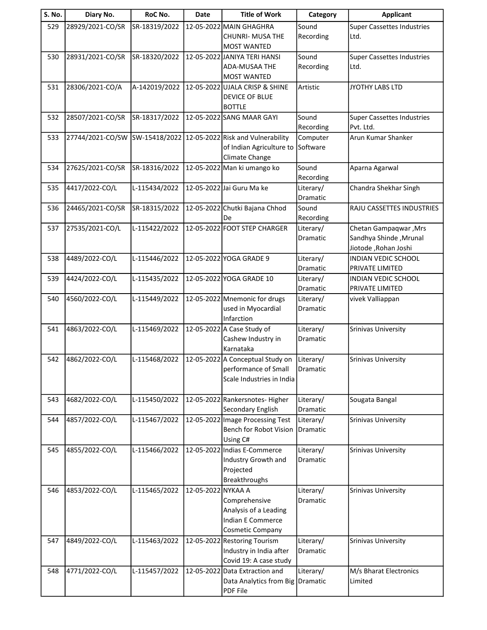| S. No. | Diary No.        | RoC No.       | <b>Date</b>        | <b>Title of Work</b>                            | Category               | <b>Applicant</b>                  |
|--------|------------------|---------------|--------------------|-------------------------------------------------|------------------------|-----------------------------------|
| 529    | 28929/2021-CO/SR | SR-18319/2022 |                    | 12-05-2022 MAIN GHAGHRA                         | Sound                  | <b>Super Cassettes Industries</b> |
|        |                  |               |                    | <b>CHUNRI- MUSA THE</b>                         | Recording              | Ltd.                              |
|        |                  |               |                    | <b>MOST WANTED</b>                              |                        |                                   |
| 530    | 28931/2021-CO/SR | SR-18320/2022 |                    | 12-05-2022 JANIYA TERI HANSI                    | Sound                  | <b>Super Cassettes Industries</b> |
|        |                  |               |                    | ADA-MUSAA THE                                   | Recording              | Ltd.                              |
|        |                  |               |                    | <b>MOST WANTED</b>                              |                        |                                   |
| 531    | 28306/2021-CO/A  | A-142019/2022 |                    | 12-05-2022 UJALA CRISP & SHINE                  | Artistic               | JYOTHY LABS LTD                   |
|        |                  |               |                    | <b>DEVICE OF BLUE</b>                           |                        |                                   |
|        |                  |               |                    | <b>BOTTLE</b>                                   |                        |                                   |
| 532    | 28507/2021-CO/SR | SR-18317/2022 |                    | 12-05-2022 SANG MAAR GAYI                       | Sound                  | <b>Super Cassettes Industries</b> |
|        |                  |               |                    |                                                 | Recording              | Pvt. Ltd.                         |
| 533    | 27744/2021-CO/SW |               |                    | SW-15418/2022 12-05-2022 Risk and Vulnerability | Computer               | Arun Kumar Shanker                |
|        |                  |               |                    | of Indian Agriculture to                        | Software               |                                   |
|        |                  |               |                    | Climate Change                                  |                        |                                   |
| 534    | 27625/2021-CO/SR | SR-18316/2022 |                    | 12-05-2022 Man ki umango ko                     | Sound                  | Aparna Agarwal                    |
| 535    | 4417/2022-CO/L   |               |                    | 12-05-2022 Jai Guru Ma ke                       | Recording<br>Literary/ | Chandra Shekhar Singh             |
|        |                  | L-115434/2022 |                    |                                                 | Dramatic               |                                   |
| 536    | 24465/2021-CO/SR | SR-18315/2022 |                    | 12-05-2022 Chutki Bajana Chhod                  | Sound                  | RAJU CASSETTES INDUSTRIES         |
|        |                  |               |                    | De                                              | Recording              |                                   |
| 537    | 27535/2021-CO/L  | L-115422/2022 |                    | 12-05-2022 FOOT STEP CHARGER                    | Literary/              | Chetan Gampaqwar, Mrs             |
|        |                  |               |                    |                                                 | Dramatic               | Sandhya Shinde, Mrunal            |
|        |                  |               |                    |                                                 |                        | Jiotode, Rohan Joshi              |
| 538    | 4489/2022-CO/L   | L-115446/2022 |                    | 12-05-2022 YOGA GRADE 9                         | Literary/              | <b>INDIAN VEDIC SCHOOL</b>        |
|        |                  |               |                    |                                                 | Dramatic               | PRIVATE LIMITED                   |
| 539    | 4424/2022-CO/L   | L-115435/2022 |                    | 12-05-2022 YOGA GRADE 10                        | Literary/              | <b>INDIAN VEDIC SCHOOL</b>        |
|        |                  |               |                    |                                                 | Dramatic               | PRIVATE LIMITED                   |
| 540    | 4560/2022-CO/L   | L-115449/2022 |                    | 12-05-2022 Mnemonic for drugs                   | Literary/              | vivek Valliappan                  |
|        |                  |               |                    | used in Myocardial                              | Dramatic               |                                   |
|        |                  |               |                    | Infarction                                      |                        |                                   |
| 541    | 4863/2022-CO/L   | L-115469/2022 |                    | 12-05-2022 A Case Study of                      | Literary/              | <b>Srinivas University</b>        |
|        |                  |               |                    | Cashew Industry in                              | <b>Dramatic</b>        |                                   |
|        |                  |               |                    | Karnataka                                       |                        |                                   |
| 542    | 4862/2022-CO/L   | L-115468/2022 |                    | 12-05-2022 A Conceptual Study on                | Literary/              | <b>Srinivas University</b>        |
|        |                  |               |                    | performance of Small                            | Dramatic               |                                   |
|        |                  |               |                    | Scale Industries in India                       |                        |                                   |
| 543    | 4682/2022-CO/L   | L-115450/2022 |                    | 12-05-2022 Rankersnotes- Higher                 | Literary/              | Sougata Bangal                    |
|        |                  |               |                    | Secondary English                               | Dramatic               |                                   |
| 544    | 4857/2022-CO/L   | L-115467/2022 |                    | 12-05-2022 Image Processing Test                | Literary/              | <b>Srinivas University</b>        |
|        |                  |               |                    | Bench for Robot Vision                          | Dramatic               |                                   |
|        |                  |               |                    | Using C#                                        |                        |                                   |
| 545    | 4855/2022-CO/L   | L-115466/2022 |                    | 12-05-2022 Indias E-Commerce                    | Literary/              | <b>Srinivas University</b>        |
|        |                  |               |                    | Industry Growth and                             | Dramatic               |                                   |
|        |                  |               |                    | Projected                                       |                        |                                   |
|        |                  |               |                    | <b>Breakthroughs</b>                            |                        |                                   |
| 546    | 4853/2022-CO/L   | L-115465/2022 | 12-05-2022 NYKAA A |                                                 | Literary/              | Srinivas University               |
|        |                  |               |                    | Comprehensive                                   | Dramatic               |                                   |
|        |                  |               |                    | Analysis of a Leading                           |                        |                                   |
|        |                  |               |                    | Indian E Commerce                               |                        |                                   |
|        |                  |               |                    | Cosmetic Company                                |                        |                                   |
| 547    | 4849/2022-CO/L   | L-115463/2022 |                    | 12-05-2022 Restoring Tourism                    | Literary/              | <b>Srinivas University</b>        |
|        |                  |               |                    | Industry in India after                         | Dramatic               |                                   |
|        |                  |               |                    | Covid 19: A case study                          |                        |                                   |
| 548    | 4771/2022-CO/L   | L-115457/2022 |                    | 12-05-2022 Data Extraction and                  | Literary/              | M/s Bharat Electronics            |
|        |                  |               |                    | Data Analytics from Big Dramatic<br>PDF File    |                        | Limited                           |
|        |                  |               |                    |                                                 |                        |                                   |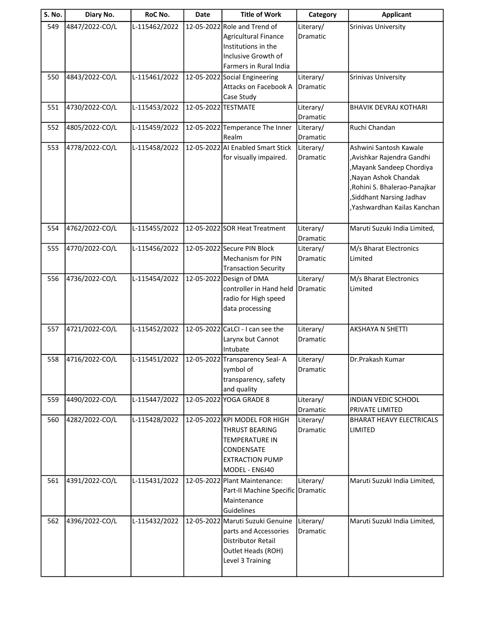| <b>S. No.</b> | Diary No.      | RoC No.       | Date                | <b>Title of Work</b>                                                                                                                      | Category              | <b>Applicant</b>                                                                                                                                                                                    |
|---------------|----------------|---------------|---------------------|-------------------------------------------------------------------------------------------------------------------------------------------|-----------------------|-----------------------------------------------------------------------------------------------------------------------------------------------------------------------------------------------------|
| 549           | 4847/2022-CO/L | L-115462/2022 |                     | 12-05-2022 Role and Trend of<br><b>Agricultural Finance</b><br>Institutions in the<br>Inclusive Growth of<br>Farmers in Rural India       | Literary/<br>Dramatic | Srinivas University                                                                                                                                                                                 |
| 550           | 4843/2022-CO/L | L-115461/2022 |                     | 12-05-2022 Social Engineering<br>Attacks on Facebook A<br>Case Study                                                                      | Literary/<br>Dramatic | <b>Srinivas University</b>                                                                                                                                                                          |
| 551           | 4730/2022-CO/L | L-115453/2022 | 12-05-2022 TESTMATE |                                                                                                                                           | Literary/<br>Dramatic | <b>BHAVIK DEVRAJ KOTHARI</b>                                                                                                                                                                        |
| 552           | 4805/2022-CO/L | L-115459/2022 |                     | 12-05-2022 Temperance The Inner<br>Realm                                                                                                  | Literary/<br>Dramatic | Ruchi Chandan                                                                                                                                                                                       |
| 553           | 4778/2022-CO/L | L-115458/2022 |                     | 12-05-2022 AI Enabled Smart Stick<br>for visually impaired.                                                                               | Literary/<br>Dramatic | Ashwini Santosh Kawale<br>, Avishkar Rajendra Gandhi<br>Mayank Sandeep Chordiya<br>Nayan Ashok Chandak<br>, Rohini S. Bhalerao-Panajkar<br>Siddhant Narsing Jadhav,<br>, Yashwardhan Kailas Kanchan |
| 554           | 4762/2022-CO/L | L-115455/2022 |                     | 12-05-2022 SOR Heat Treatment                                                                                                             | Literary/<br>Dramatic | Maruti Suzuki India Limited,                                                                                                                                                                        |
| 555           | 4770/2022-CO/L | L-115456/2022 |                     | 12-05-2022 Secure PIN Block<br>Mechanism for PIN<br><b>Transaction Security</b>                                                           | Literary/<br>Dramatic | M/s Bharat Electronics<br>Limited                                                                                                                                                                   |
| 556           | 4736/2022-CO/L | L-115454/2022 |                     | 12-05-2022 Design of DMA<br>controller in Hand held<br>radio for High speed<br>data processing                                            | Literary/<br>Dramatic | M/s Bharat Electronics<br>Limited                                                                                                                                                                   |
| 557           | 4721/2022-CO/L | L-115452/2022 |                     | 12-05-2022 CaLCI - I can see the<br>Larynx but Cannot<br>Intubate                                                                         | Literary/<br>Dramatic | AKSHAYA N SHETTI                                                                                                                                                                                    |
| 558           | 4716/2022-CO/L | L-115451/2022 |                     | 12-05-2022 Transparency Seal-A<br>symbol of<br>transparency, safety<br>and quality                                                        | Literary/<br>Dramatic | Dr.Prakash Kumar                                                                                                                                                                                    |
| 559           | 4490/2022-CO/L | L-115447/2022 |                     | 12-05-2022 YOGA GRADE 8                                                                                                                   | Literary/<br>Dramatic | <b>INDIAN VEDIC SCHOOL</b><br>PRIVATE LIMITED                                                                                                                                                       |
| 560           | 4282/2022-CO/L | L-115428/2022 |                     | 12-05-2022 KPI MODEL FOR HIGH<br><b>THRUST BEARING</b><br><b>TEMPERATURE IN</b><br>CONDENSATE<br><b>EXTRACTION PUMP</b><br>MODEL - EN6J40 | Literary/<br>Dramatic | <b>BHARAT HEAVY ELECTRICALS</b><br>LIMITED                                                                                                                                                          |
| 561           | 4391/2022-CO/L | L-115431/2022 |                     | 12-05-2022 Plant Maintenance:<br>Part-II Machine Specific Dramatic<br>Maintenance<br>Guidelines                                           | Literary/             | Maruti Suzukl India Limited,                                                                                                                                                                        |
| 562           | 4396/2022-CO/L | L-115432/2022 |                     | 12-05-2022 Maruti Suzuki Genuine<br>parts and Accessories<br><b>Distributor Retail</b><br>Outlet Heads (ROH)<br>Level 3 Training          | Literary/<br>Dramatic | Maruti Suzukl India Limited,                                                                                                                                                                        |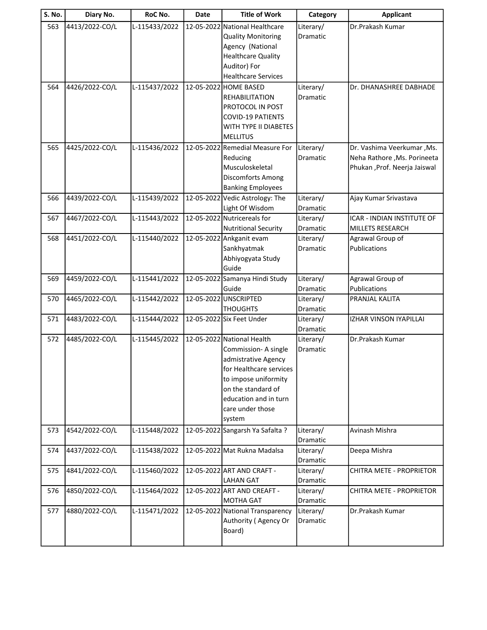| <b>S. No.</b> | Diary No.      | RoC No.       | Date       | <b>Title of Work</b>                                        | Category        | <b>Applicant</b>                |
|---------------|----------------|---------------|------------|-------------------------------------------------------------|-----------------|---------------------------------|
| 563           | 4413/2022-CO/L | L-115433/2022 | 12-05-2022 | National Healthcare                                         | Literary/       | Dr.Prakash Kumar                |
|               |                |               |            | <b>Quality Monitoring</b>                                   | Dramatic        |                                 |
|               |                |               |            | Agency (National                                            |                 |                                 |
|               |                |               |            | <b>Healthcare Quality</b>                                   |                 |                                 |
|               |                |               |            | Auditor) For                                                |                 |                                 |
|               |                |               |            | <b>Healthcare Services</b>                                  |                 |                                 |
| 564           | 4426/2022-CO/L | L-115437/2022 |            | 12-05-2022 HOME BASED                                       | Literary/       | Dr. DHANASHREE DABHADE          |
|               |                |               |            | <b>REHABILITATION</b>                                       | Dramatic        |                                 |
|               |                |               |            | PROTOCOL IN POST                                            |                 |                                 |
|               |                |               |            | <b>COVID-19 PATIENTS</b>                                    |                 |                                 |
|               |                |               |            | WITH TYPE II DIABETES                                       |                 |                                 |
|               |                |               |            | <b>MELLITUS</b>                                             |                 |                                 |
| 565           | 4425/2022-CO/L | L-115436/2022 |            | 12-05-2022 Remedial Measure For                             | Literary/       | Dr. Vashima Veerkumar, Ms.      |
|               |                |               |            | Reducing                                                    | Dramatic        | Neha Rathore , Ms. Porineeta    |
|               |                |               |            | Musculoskeletal                                             |                 | Phukan , Prof. Neerja Jaiswal   |
|               |                |               |            | Discomforts Among                                           |                 |                                 |
| 566           | 4439/2022-CO/L | L-115439/2022 |            | <b>Banking Employees</b><br>12-05-2022 Vedic Astrology: The | Literary/       |                                 |
|               |                |               |            | Light Of Wisdom                                             | Dramatic        | Ajay Kumar Srivastava           |
| 567           | 4467/2022-CO/L | L-115443/2022 |            | 12-05-2022 Nutricereals for                                 | Literary/       | ICAR - INDIAN INSTITUTE OF      |
|               |                |               |            | <b>Nutritional Security</b>                                 | <b>Dramatic</b> | MILLETS RESEARCH                |
| 568           | 4451/2022-CO/L | L-115440/2022 |            | 12-05-2022 Ankganit evam                                    | Literary/       | Agrawal Group of                |
|               |                |               |            | Sankhyatmak                                                 | Dramatic        | Publications                    |
|               |                |               |            | Abhiyogyata Study                                           |                 |                                 |
|               |                |               |            | Guide                                                       |                 |                                 |
| 569           | 4459/2022-CO/L | L-115441/2022 |            | 12-05-2022 Samanya Hindi Study                              | Literary/       | Agrawal Group of                |
|               |                |               |            | Guide                                                       | Dramatic        | Publications                    |
| 570           | 4465/2022-CO/L | L-115442/2022 |            | 12-05-2022 UNSCRIPTED                                       | Literary/       | PRANJAL KALITA                  |
|               |                |               |            | <b>THOUGHTS</b>                                             | Dramatic        |                                 |
| 571           | 4483/2022-CO/L | L-115444/2022 |            | 12-05-2022 Six Feet Under                                   | Literary/       | IZHAR VINSON IYAPILLAI          |
|               |                |               |            |                                                             | Dramatic        |                                 |
| 572           | 4485/2022-CO/L | L-115445/2022 |            | 12-05-2022 National Health                                  | Literary/       | Dr.Prakash Kumar                |
|               |                |               |            | Commission- A single                                        | <b>Dramatic</b> |                                 |
|               |                |               |            | admistrative Agency                                         |                 |                                 |
|               |                |               |            | for Healthcare services                                     |                 |                                 |
|               |                |               |            | to impose uniformity<br>on the standard of                  |                 |                                 |
|               |                |               |            | education and in turn                                       |                 |                                 |
|               |                |               |            | care under those                                            |                 |                                 |
|               |                |               |            | system                                                      |                 |                                 |
| 573           | 4542/2022-CO/L | L-115448/2022 |            | 12-05-2022 Sangarsh Ya Safalta ?                            | Literary/       | Avinash Mishra                  |
|               |                |               |            |                                                             | Dramatic        |                                 |
| 574           | 4437/2022-CO/L | L-115438/2022 |            | 12-05-2022 Mat Rukna Madalsa                                | Literary/       | Deepa Mishra                    |
|               |                |               |            |                                                             | Dramatic        |                                 |
| 575           | 4841/2022-CO/L | L-115460/2022 |            | 12-05-2022 ART AND CRAFT -                                  | Literary/       | <b>CHITRA METE - PROPRIETOR</b> |
|               |                |               |            | <b>LAHAN GAT</b>                                            | Dramatic        |                                 |
| 576           | 4850/2022-CO/L | L-115464/2022 |            | 12-05-2022 ART AND CREAFT -                                 | Literary/       | <b>CHITRA METE - PROPRIETOR</b> |
|               |                |               |            | <b>MOTHA GAT</b>                                            | Dramatic        |                                 |
| 577           | 4880/2022-CO/L | L-115471/2022 |            | 12-05-2022 National Transparency                            | Literary/       | Dr.Prakash Kumar                |
|               |                |               |            | Authority (Agency Or                                        | Dramatic        |                                 |
|               |                |               |            | Board)                                                      |                 |                                 |
|               |                |               |            |                                                             |                 |                                 |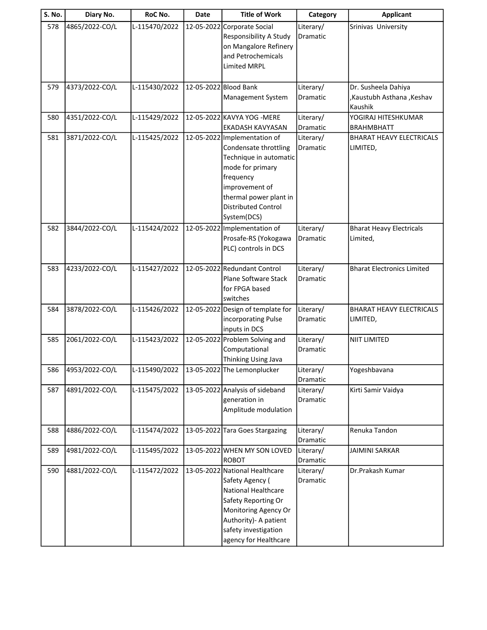| <b>S. No.</b> | Diary No.      | RoC No.       | Date       | <b>Title of Work</b>                         | Category                     | <b>Applicant</b>                     |
|---------------|----------------|---------------|------------|----------------------------------------------|------------------------------|--------------------------------------|
| 578           | 4865/2022-CO/L | L-115470/2022 | 12-05-2022 | Corporate Social                             | Literary/                    | Srinivas University                  |
|               |                |               |            | Responsibility A Study                       | Dramatic                     |                                      |
|               |                |               |            | on Mangalore Refinery                        |                              |                                      |
|               |                |               |            | and Petrochemicals                           |                              |                                      |
|               |                |               |            | Limited MRPL                                 |                              |                                      |
|               |                |               |            |                                              |                              |                                      |
| 579           | 4373/2022-CO/L | L-115430/2022 |            | 12-05-2022 Blood Bank                        | Literary/<br><b>Dramatic</b> | Dr. Susheela Dahiya                  |
|               |                |               |            | Management System                            |                              | ,Kaustubh Asthana, Keshav<br>Kaushik |
| 580           | 4351/2022-CO/L | L-115429/2022 |            | 12-05-2022 KAVYA YOG - MERE                  | Literary/                    | YOGIRAJ HITESHKUMAR                  |
|               |                |               |            | <b>EKADASH KAVYASAN</b>                      | Dramatic                     | <b>BRAHMBHATT</b>                    |
| 581           | 3871/2022-CO/L | L-115425/2022 |            | 12-05-2022 Implementation of                 | Literary/                    | <b>BHARAT HEAVY ELECTRICALS</b>      |
|               |                |               |            | Condensate throttling                        | Dramatic                     | LIMITED,                             |
|               |                |               |            | Technique in automatic                       |                              |                                      |
|               |                |               |            | mode for primary                             |                              |                                      |
|               |                |               |            | frequency                                    |                              |                                      |
|               |                |               |            | improvement of                               |                              |                                      |
|               |                |               |            | thermal power plant in                       |                              |                                      |
|               |                |               |            | <b>Distributed Control</b>                   |                              |                                      |
|               |                |               |            | System(DCS)                                  |                              |                                      |
| 582           | 3844/2022-CO/L | L-115424/2022 |            | 12-05-2022 Implementation of                 | Literary/                    | <b>Bharat Heavy Electricals</b>      |
|               |                |               |            | Prosafe-RS (Yokogawa                         | Dramatic                     | Limited,                             |
|               |                |               |            | PLC) controls in DCS                         |                              |                                      |
|               |                |               |            |                                              |                              |                                      |
| 583           | 4233/2022-CO/L | L-115427/2022 |            | 12-05-2022 Redundant Control                 | Literary/                    | <b>Bharat Electronics Limited</b>    |
|               |                |               |            | Plane Software Stack                         | Dramatic                     |                                      |
|               |                |               |            | for FPGA based                               |                              |                                      |
|               |                |               |            | switches                                     |                              |                                      |
| 584           | 3878/2022-CO/L | L-115426/2022 |            | 12-05-2022 Design of template for            | Literary/                    | <b>BHARAT HEAVY ELECTRICALS</b>      |
|               |                |               |            | incorporating Pulse<br>inputs in DCS         | Dramatic                     | LIMITED,                             |
| 585           | 2061/2022-CO/L | L-115423/2022 |            | 12-05-2022 Problem Solving and               | Literary/                    | <b>NIIT LIMITED</b>                  |
|               |                |               |            | Computational                                | Dramatic                     |                                      |
|               |                |               |            | Thinking Using Java                          |                              |                                      |
| 586           | 4953/2022-CO/L | L-115490/2022 |            | 13-05-2022 The Lemonplucker                  | Literary/                    | Yogeshbavana                         |
|               |                |               |            |                                              | Dramatic                     |                                      |
| 587           | 4891/2022-CO/L | L-115475/2022 |            | 13-05-2022 Analysis of sideband              | Literary/                    | Kirti Samir Vaidya                   |
|               |                |               |            | generation in                                | Dramatic                     |                                      |
|               |                |               |            | Amplitude modulation                         |                              |                                      |
|               |                |               |            |                                              |                              |                                      |
| 588           | 4886/2022-CO/L | L-115474/2022 |            | 13-05-2022 Tara Goes Stargazing              | Literary/                    | Renuka Tandon                        |
|               |                |               |            |                                              | Dramatic                     |                                      |
| 589           | 4981/2022-CO/L | L-115495/2022 |            | 13-05-2022 WHEN MY SON LOVED<br><b>ROBOT</b> | Literary/                    | <b>JAIMINI SARKAR</b>                |
| 590           | 4881/2022-CO/L | L-115472/2022 |            | 13-05-2022 National Healthcare               | Dramatic<br>Literary/        |                                      |
|               |                |               |            | Safety Agency (                              | Dramatic                     | Dr.Prakash Kumar                     |
|               |                |               |            | National Healthcare                          |                              |                                      |
|               |                |               |            | Safety Reporting Or                          |                              |                                      |
|               |                |               |            | Monitoring Agency Or                         |                              |                                      |
|               |                |               |            | Authority)- A patient                        |                              |                                      |
|               |                |               |            | safety investigation                         |                              |                                      |
|               |                |               |            | agency for Healthcare                        |                              |                                      |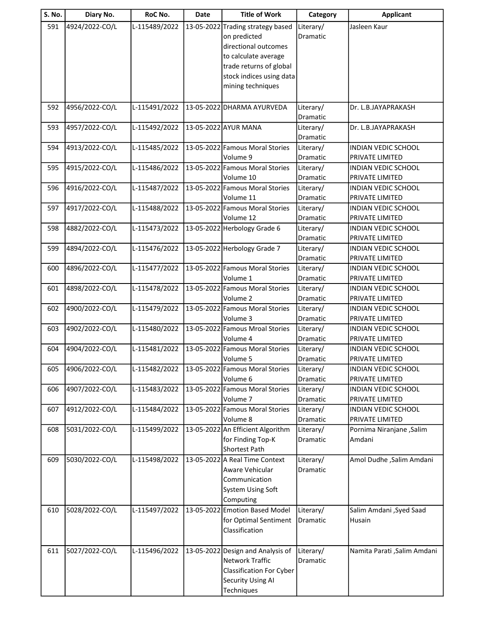| <b>S. No.</b> | Diary No.      | RoC No.       | <b>Date</b> | <b>Title of Work</b>              | Category        | <b>Applicant</b>             |
|---------------|----------------|---------------|-------------|-----------------------------------|-----------------|------------------------------|
| 591           | 4924/2022-CO/L | L-115489/2022 |             | 13-05-2022 Trading strategy based | Literary/       | Jasleen Kaur                 |
|               |                |               |             | on predicted                      | <b>Dramatic</b> |                              |
|               |                |               |             | directional outcomes              |                 |                              |
|               |                |               |             | to calculate average              |                 |                              |
|               |                |               |             | trade returns of global           |                 |                              |
|               |                |               |             | stock indices using data          |                 |                              |
|               |                |               |             | mining techniques                 |                 |                              |
|               |                |               |             |                                   |                 |                              |
| 592           | 4956/2022-CO/L | L-115491/2022 |             | 13-05-2022 DHARMA AYURVEDA        | Literary/       | Dr. L.B.JAYAPRAKASH          |
|               |                |               |             |                                   | Dramatic        |                              |
| 593           | 4957/2022-CO/L | L-115492/2022 |             | 13-05-2022 AYUR MANA              | Literary/       | Dr. L.B.JAYAPRAKASH          |
|               |                |               |             |                                   | Dramatic        |                              |
| 594           | 4913/2022-CO/L | L-115485/2022 |             | 13-05-2022 Famous Moral Stories   | Literary/       | INDIAN VEDIC SCHOOL          |
|               |                |               |             | Volume 9                          | Dramatic        | PRIVATE LIMITED              |
| 595           | 4915/2022-CO/L | L-115486/2022 |             | 13-05-2022 Famous Moral Stories   | Literary/       | <b>INDIAN VEDIC SCHOOL</b>   |
|               |                |               |             | Volume 10                         | <b>Dramatic</b> | PRIVATE LIMITED              |
| 596           | 4916/2022-CO/L | L-115487/2022 |             | 13-05-2022 Famous Moral Stories   | Literary/       | <b>INDIAN VEDIC SCHOOL</b>   |
|               |                |               |             | Volume 11                         | Dramatic        | PRIVATE LIMITED              |
| 597           | 4917/2022-CO/L | L-115488/2022 |             | 13-05-2022 Famous Moral Stories   | Literary/       | INDIAN VEDIC SCHOOL          |
|               |                |               |             | Volume 12                         | Dramatic        | PRIVATE LIMITED              |
| 598           | 4882/2022-CO/L | L-115473/2022 |             | 13-05-2022 Herbology Grade 6      | Literary/       | <b>INDIAN VEDIC SCHOOL</b>   |
|               |                |               |             |                                   | Dramatic        | PRIVATE LIMITED              |
| 599           | 4894/2022-CO/L | L-115476/2022 |             | 13-05-2022 Herbology Grade 7      | Literary/       | INDIAN VEDIC SCHOOL          |
|               |                |               |             |                                   | Dramatic        | PRIVATE LIMITED              |
| 600           | 4896/2022-CO/L | L-115477/2022 |             | 13-05-2022 Famous Moral Stories   | Literary/       | INDIAN VEDIC SCHOOL          |
|               |                |               |             | Volume 1                          | Dramatic        | PRIVATE LIMITED              |
| 601           | 4898/2022-CO/L | L-115478/2022 |             | 13-05-2022 Famous Moral Stories   | Literary/       | INDIAN VEDIC SCHOOL          |
|               |                |               |             | Volume 2                          | Dramatic        | PRIVATE LIMITED              |
| 602           | 4900/2022-CO/L | L-115479/2022 |             | 13-05-2022 Famous Moral Stories   | Literary/       | INDIAN VEDIC SCHOOL          |
|               |                |               |             | Volume 3                          | Dramatic        | PRIVATE LIMITED              |
| 603           | 4902/2022-CO/L | L-115480/2022 |             | 13-05-2022 Famous Mroal Stories   | Literary/       | <b>INDIAN VEDIC SCHOOL</b>   |
|               |                |               |             | Volume 4                          | Dramatic        | PRIVATE LIMITED              |
| 604           | 4904/2022-CO/L | L-115481/2022 |             | 13-05-2022 Famous Moral Stories   | Literary/       | INDIAN VEDIC SCHOOL          |
|               |                |               |             | Volume 5                          | Dramatic        | PRIVATE LIMITED              |
| 605           | 4906/2022-CO/L | L-115482/2022 |             | 13-05-2022 Famous Moral Stories   | Literary/       | INDIAN VEDIC SCHOOL          |
|               |                |               |             | Volume 6                          | Dramatic        | PRIVATE LIMITED              |
| 606           | 4907/2022-CO/L | L-115483/2022 |             | 13-05-2022 Famous Moral Stories   | Literary/       | INDIAN VEDIC SCHOOL          |
|               |                |               |             | Volume 7                          | Dramatic        | PRIVATE LIMITED              |
| 607           | 4912/2022-CO/L | L-115484/2022 |             | 13-05-2022 Famous Moral Stories   | Literary/       | INDIAN VEDIC SCHOOL          |
|               |                |               |             | Volume 8                          | Dramatic        | PRIVATE LIMITED              |
| 608           | 5031/2022-CO/L | L-115499/2022 |             | 13-05-2022 An Efficient Algorithm | Literary/       | Pornima Niranjane , Salim    |
|               |                |               |             | for Finding Top-K                 | Dramatic        | Amdani                       |
|               |                |               |             | <b>Shortest Path</b>              |                 |                              |
| 609           | 5030/2022-CO/L | L-115498/2022 |             | 13-05-2022 A Real Time Context    | Literary/       | Amol Dudhe , Salim Amdani    |
|               |                |               |             | Aware Vehicular                   | Dramatic        |                              |
|               |                |               |             | Communication                     |                 |                              |
|               |                |               |             | <b>System Using Soft</b>          |                 |                              |
|               |                |               |             | Computing                         |                 |                              |
| 610           | 5028/2022-CO/L | L-115497/2022 |             | 13-05-2022 Emotion Based Model    | Literary/       | Salim Amdani , Syed Saad     |
|               |                |               |             | for Optimal Sentiment             | Dramatic        | Husain                       |
|               |                |               |             | Classification                    |                 |                              |
|               |                |               |             |                                   |                 |                              |
| 611           | 5027/2022-CO/L | L-115496/2022 | 13-05-2022  | Design and Analysis of            | Literary/       | Namita Parati , Salim Amdani |
|               |                |               |             | Network Traffic                   | Dramatic        |                              |
|               |                |               |             | <b>Classification For Cyber</b>   |                 |                              |
|               |                |               |             | <b>Security Using AI</b>          |                 |                              |
|               |                |               |             | Techniques                        |                 |                              |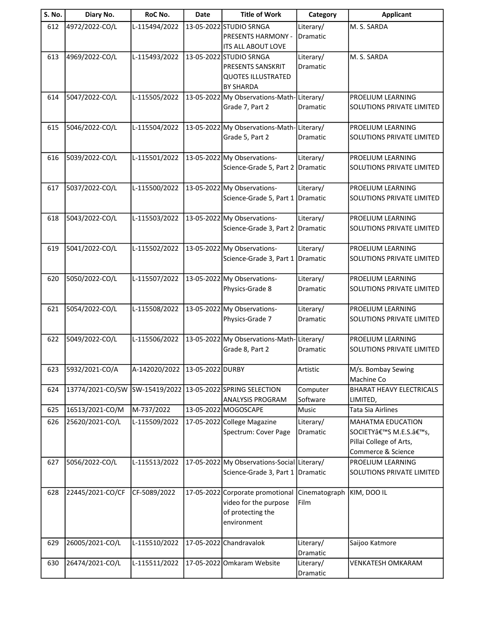| <b>S. No.</b> | Diary No.        | RoC No.                        | <b>Date</b> | <b>Title of Work</b>                                      | Category              | <b>Applicant</b>                         |
|---------------|------------------|--------------------------------|-------------|-----------------------------------------------------------|-----------------------|------------------------------------------|
| 612           | 4972/2022-CO/L   | L-115494/2022                  |             | 13-05-2022 STUDIO SRNGA                                   | Literary/             | M. S. SARDA                              |
|               |                  |                                |             | <b>PRESENTS HARMONY -</b>                                 | Dramatic              |                                          |
|               |                  |                                |             | ITS ALL ABOUT LOVE                                        |                       | M. S. SARDA                              |
| 613           | 4969/2022-CO/L   | L-115493/2022                  |             | 13-05-2022 STUDIO SRNGA<br>PRESENTS SANSKRIT              | Literary/<br>Dramatic |                                          |
|               |                  |                                |             | <b>QUOTES ILLUSTRATED</b>                                 |                       |                                          |
|               |                  |                                |             | <b>BY SHARDA</b>                                          |                       |                                          |
| 614           | 5047/2022-CO/L   | L-115505/2022                  | 13-05-2022  | My Observations-Math-                                     | Literary/             | PROELIUM LEARNING                        |
|               |                  |                                |             | Grade 7, Part 2                                           | Dramatic              | SOLUTIONS PRIVATE LIMITED                |
|               |                  |                                |             |                                                           |                       |                                          |
| 615           | 5046/2022-CO/L   | L-115504/2022                  |             | 13-05-2022 My Observations-Math-Literary/                 |                       | PROELIUM LEARNING                        |
|               |                  |                                |             | Grade 5, Part 2                                           | Dramatic              | SOLUTIONS PRIVATE LIMITED                |
| 616           | 5039/2022-CO/L   | L-115501/2022                  |             | 13-05-2022 My Observations-                               | Literary/             | PROELIUM LEARNING                        |
|               |                  |                                |             | Science-Grade 5, Part 2                                   | Dramatic              | <b>SOLUTIONS PRIVATE LIMITED</b>         |
|               |                  |                                |             |                                                           |                       |                                          |
| 617           | 5037/2022-CO/L   | L-115500/2022                  |             | 13-05-2022 My Observations-                               | Literary/             | PROELIUM LEARNING                        |
|               |                  |                                |             | Science-Grade 5, Part 1                                   | Dramatic              | <b>SOLUTIONS PRIVATE LIMITED</b>         |
|               |                  |                                |             |                                                           |                       |                                          |
| 618           | 5043/2022-CO/L   | L-115503/2022                  |             | 13-05-2022 My Observations-                               | Literary/             | PROELIUM LEARNING                        |
|               |                  |                                |             | Science-Grade 3, Part 2                                   | Dramatic              | <b>SOLUTIONS PRIVATE LIMITED</b>         |
| 619           | 5041/2022-CO/L   | L-115502/2022                  |             | 13-05-2022 My Observations-                               | Literary/             | PROELIUM LEARNING                        |
|               |                  |                                |             | Science-Grade 3, Part 1                                   | Dramatic              | SOLUTIONS PRIVATE LIMITED                |
|               |                  |                                |             |                                                           |                       |                                          |
| 620           | 5050/2022-CO/L   | L-115507/2022                  |             | 13-05-2022 My Observations-                               | Literary/             | PROELIUM LEARNING                        |
|               |                  |                                |             | Physics-Grade 8                                           | Dramatic              | SOLUTIONS PRIVATE LIMITED                |
|               |                  |                                |             |                                                           |                       |                                          |
| 621           | 5054/2022-CO/L   | L-115508/2022                  |             | 13-05-2022 My Observations-                               | Literary/             | PROELIUM LEARNING                        |
|               |                  |                                |             | Physics-Grade 7                                           | Dramatic              | SOLUTIONS PRIVATE LIMITED                |
| 622           | 5049/2022-CO/L   | L-115506/2022                  |             | 13-05-2022 My Observations-Math-Literary/                 |                       | PROELIUM LEARNING                        |
|               |                  |                                |             | Grade 8, Part 2                                           | Dramatic              | SOLUTIONS PRIVATE LIMITED                |
|               |                  |                                |             |                                                           |                       |                                          |
| 623           | 5932/2021-CO/A   | A-142020/2022 13-05-2022 DURBY |             |                                                           | Artistic              | M/s. Bombay Sewing                       |
|               |                  |                                |             |                                                           |                       | Machine Co                               |
| 624           | 13774/2021-CO/SW |                                |             | SW-15419/2022 13-05-2022 SPRING SELECTION                 | Computer              | <b>BHARAT HEAVY ELECTRICALS</b>          |
| 625           | 16513/2021-CO/M  | M-737/2022                     |             | ANALYSIS PROGRAM<br>13-05-2022 MOGOSCAPE                  | Software<br>Music     | LIMITED,<br>Tata Sia Airlines            |
| 626           | 25620/2021-CO/L  | L-115509/2022                  |             | 17-05-2022 College Magazine                               | Literary/             |                                          |
|               |                  |                                |             | Spectrum: Cover Page                                      | Dramatic              | MAHATMA EDUCATION<br>SOCIETY'S M.E.S.'s, |
|               |                  |                                |             |                                                           |                       | Pillai College of Arts,                  |
|               |                  |                                |             |                                                           |                       | Commerce & Science                       |
| 627           | 5056/2022-CO/L   | L-115513/2022                  |             | 17-05-2022 My Observations-Social Literary/               |                       | PROELIUM LEARNING                        |
|               |                  |                                |             | Science-Grade 3, Part 1   Dramatic                        |                       | SOLUTIONS PRIVATE LIMITED                |
|               |                  |                                |             |                                                           |                       |                                          |
| 628           | 22445/2021-CO/CF | CF-5089/2022                   |             | 17-05-2022 Corporate promotional<br>video for the purpose | Cinematograph<br>Film | KIM, DOO IL                              |
|               |                  |                                |             | of protecting the                                         |                       |                                          |
|               |                  |                                |             | environment                                               |                       |                                          |
|               |                  |                                |             |                                                           |                       |                                          |
| 629           | 26005/2021-CO/L  | L-115510/2022                  |             | 17-05-2022 Chandravalok                                   | Literary/             | Saijoo Katmore                           |
|               |                  |                                |             |                                                           | Dramatic              |                                          |
| 630           | 26474/2021-CO/L  | L-115511/2022                  |             | 17-05-2022 Omkaram Website                                | Literary/             | <b>VENKATESH OMKARAM</b>                 |
|               |                  |                                |             |                                                           | Dramatic              |                                          |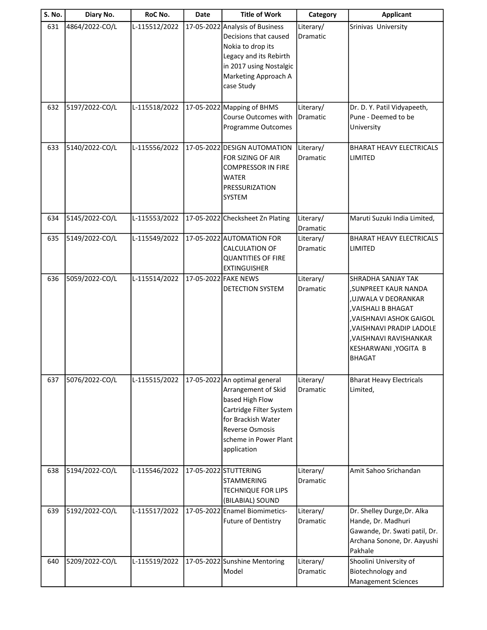| S. No. | Diary No.      | RoC No.       | Date | <b>Title of Work</b>                                                                                                                                                                       | Category              | <b>Applicant</b>                                                                                                                                                                                                              |
|--------|----------------|---------------|------|--------------------------------------------------------------------------------------------------------------------------------------------------------------------------------------------|-----------------------|-------------------------------------------------------------------------------------------------------------------------------------------------------------------------------------------------------------------------------|
| 631    | 4864/2022-CO/L | L-115512/2022 |      | 17-05-2022 Analysis of Business<br>Decisions that caused<br>Nokia to drop its<br>Legacy and its Rebirth<br>in 2017 using Nostalgic<br>Marketing Approach A<br>case Study                   | Literary/<br>Dramatic | Srinivas University                                                                                                                                                                                                           |
| 632    | 5197/2022-CO/L | L-115518/2022 |      | 17-05-2022 Mapping of BHMS<br>Course Outcomes with<br>Programme Outcomes                                                                                                                   | Literary/<br>Dramatic | Dr. D. Y. Patil Vidyapeeth,<br>Pune - Deemed to be<br>University                                                                                                                                                              |
| 633    | 5140/2022-CO/L | L-115556/2022 |      | 17-05-2022 DESIGN AUTOMATION<br>FOR SIZING OF AIR<br><b>COMPRESSOR IN FIRE</b><br>WATER<br>PRESSURIZATION<br><b>SYSTEM</b>                                                                 | Literary/<br>Dramatic | <b>BHARAT HEAVY ELECTRICALS</b><br>LIMITED                                                                                                                                                                                    |
| 634    | 5145/2022-CO/L | L-115553/2022 |      | 17-05-2022 Checksheet Zn Plating                                                                                                                                                           | Literary/<br>Dramatic | Maruti Suzuki India Limited,                                                                                                                                                                                                  |
| 635    | 5149/2022-CO/L | L-115549/2022 |      | 17-05-2022 AUTOMATION FOR<br><b>CALCULATION OF</b><br><b>QUANTITIES OF FIRE</b><br><b>EXTINGUISHER</b>                                                                                     | Literary/<br>Dramatic | <b>BHARAT HEAVY ELECTRICALS</b><br>LIMITED                                                                                                                                                                                    |
| 636    | 5059/2022-CO/L | L-115514/2022 |      | 17-05-2022 FAKE NEWS<br><b>DETECTION SYSTEM</b>                                                                                                                                            | Literary/<br>Dramatic | <b>SHRADHA SANJAY TAK</b><br>, SUNPREET KAUR NANDA<br>,UJWALA V DEORANKAR<br>, VAISHALI B BHAGAT<br>, VAISHNAVI ASHOK GAIGOL<br>, VAISHNAVI PRADIP LADOLE<br>, VAISHNAVI RAVISHANKAR<br>KESHARWANI, YOGITA B<br><b>BHAGAT</b> |
| 637    | 5076/2022-CO/L | L-115515/2022 |      | 17-05-2022 An optimal general<br>Arrangement of Skid<br>based High Flow<br>Cartridge Filter System<br>for Brackish Water<br><b>Reverse Osmosis</b><br>scheme in Power Plant<br>application | Literary/<br>Dramatic | <b>Bharat Heavy Electricals</b><br>Limited,                                                                                                                                                                                   |
| 638    | 5194/2022-CO/L | L-115546/2022 |      | 17-05-2022 STUTTERING<br><b>STAMMERING</b><br><b>TECHNIQUE FOR LIPS</b><br>(BILABIAL) SOUND                                                                                                | Literary/<br>Dramatic | Amit Sahoo Srichandan                                                                                                                                                                                                         |
| 639    | 5192/2022-CO/L | L-115517/2022 |      | 17-05-2022 Enamel Biomimetics-<br><b>Future of Dentistry</b>                                                                                                                               | Literary/<br>Dramatic | Dr. Shelley Durge, Dr. Alka<br>Hande, Dr. Madhuri<br>Gawande, Dr. Swati patil, Dr.<br>Archana Sonone, Dr. Aayushi<br>Pakhale                                                                                                  |
| 640    | 5209/2022-CO/L | L-115519/2022 |      | 17-05-2022 Sunshine Mentoring<br>Model                                                                                                                                                     | Literary/<br>Dramatic | Shoolini University of<br>Biotechnology and<br><b>Management Sciences</b>                                                                                                                                                     |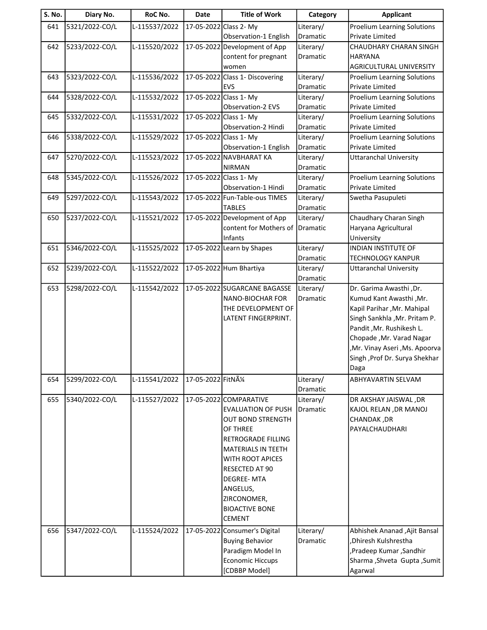| <b>S. No.</b> | Diary No.      | RoC No.       | <b>Date</b>         | <b>Title of Work</b>                        | Category              | <b>Applicant</b>                                                |
|---------------|----------------|---------------|---------------------|---------------------------------------------|-----------------------|-----------------------------------------------------------------|
| 641           | 5321/2022-CO/L | L-115537/2022 |                     | 17-05-2022 Class 2- My                      | Literary/             | <b>Proelium Learning Solutions</b>                              |
|               |                |               |                     | Observation-1 English                       | Dramatic              | Private Limited                                                 |
| 642           | 5233/2022-CO/L | L-115520/2022 |                     | 17-05-2022 Development of App               | Literary/             | CHAUDHARY CHARAN SINGH                                          |
|               |                |               |                     | content for pregnant                        | Dramatic              | <b>HARYANA</b>                                                  |
|               |                |               |                     | women                                       |                       | AGRICULTURAL UNIVERSITY                                         |
| 643           | 5323/2022-CO/L | L-115536/2022 |                     | 17-05-2022 Class 1- Discovering             | Literary/             | <b>Proelium Learning Solutions</b>                              |
|               |                |               |                     | <b>EVS</b>                                  | Dramatic              | <b>Private Limited</b>                                          |
| 644           | 5328/2022-CO/L | L-115532/2022 |                     | 17-05-2022 Class 1- My<br>Observation-2 EVS | Literary/<br>Dramatic | <b>Proelium Learning Solutions</b><br><b>Private Limited</b>    |
| 645           | 5332/2022-CO/L | L-115531/2022 |                     | 17-05-2022 Class 1- My                      | Literary/             | <b>Proelium Learning Solutions</b>                              |
|               |                |               |                     | Observation-2 Hindi                         | Dramatic              | <b>Private Limited</b>                                          |
| 646           | 5338/2022-CO/L | L-115529/2022 |                     | 17-05-2022 Class 1- My                      | Literary/             | <b>Proelium Learning Solutions</b>                              |
|               |                |               |                     | Observation-1 English                       | Dramatic              | Private Limited                                                 |
| 647           | 5270/2022-CO/L | L-115523/2022 |                     | 17-05-2022 NAVBHARAT KA                     | Literary/             | <b>Uttaranchal University</b>                                   |
|               |                |               |                     | NIRMAN                                      | Dramatic              |                                                                 |
| 648           | 5345/2022-CO/L | L-115526/2022 |                     | 17-05-2022 Class 1- My                      | Literary/             | <b>Proelium Learning Solutions</b>                              |
|               |                |               |                     | Observation-1 Hindi                         | Dramatic              | Private Limited                                                 |
| 649           | 5297/2022-CO/L | L-115543/2022 |                     | 17-05-2022 Fun-Table-ous TIMES              | Literary/             | Swetha Pasupuleti                                               |
|               |                |               |                     | <b>TABLES</b>                               | Dramatic              |                                                                 |
| 650           | 5237/2022-CO/L | L-115521/2022 |                     | 17-05-2022 Development of App               | Literary/             | Chaudhary Charan Singh                                          |
|               |                |               |                     | content for Mothers of<br>Infants           | Dramatic              | Haryana Agricultural<br>University                              |
| 651           | 5346/2022-CO/L | L-115525/2022 |                     | 17-05-2022 Learn by Shapes                  | Literary/             | INDIAN INSTITUTE OF                                             |
|               |                |               |                     |                                             | Dramatic              | <b>TECHNOLOGY KANPUR</b>                                        |
| 652           | 5239/2022-CO/L | L-115522/2022 |                     | 17-05-2022 Hum Bhartiya                     | Literary/             | <b>Uttaranchal University</b>                                   |
|               |                |               |                     |                                             | Dramatic              |                                                                 |
| 653           | 5298/2022-CO/L | L-115542/2022 |                     | 17-05-2022 SUGARCANE BAGASSE                | Literary/             | Dr. Garima Awasthi, Dr.                                         |
|               |                |               |                     | NANO-BIOCHAR FOR                            | Dramatic              | Kumud Kant Awasthi, Mr.                                         |
|               |                |               |                     | THE DEVELOPMENT OF                          |                       | Kapil Parihar, Mr. Mahipal                                      |
|               |                |               |                     | LATENT FINGERPRINT.                         |                       | Singh Sankhla , Mr. Pritam P.                                   |
|               |                |               |                     |                                             |                       | Pandit, Mr. Rushikesh L.                                        |
|               |                |               |                     |                                             |                       | Chopade, Mr. Varad Nagar                                        |
|               |                |               |                     |                                             |                       | ,Mr. Vinay Aseri ,Ms. Apoorva<br>Singh , Prof Dr. Surya Shekhar |
|               |                |               |                     |                                             |                       | Daga                                                            |
| 654           | 5299/2022-CO/L | L-115541/2022 | 17-05-2022 FitNA1/4 |                                             | Literary/             | ABHYAVARTIN SELVAM                                              |
|               |                |               |                     |                                             | Dramatic              |                                                                 |
| 655           | 5340/2022-CO/L | L-115527/2022 |                     | 17-05-2022 COMPARATIVE                      | Literary/             | DR AKSHAY JAISWAL, DR                                           |
|               |                |               |                     | <b>EVALUATION OF PUSH</b>                   | Dramatic              | KAJOL RELAN , DR MANOJ                                          |
|               |                |               |                     | <b>OUT BOND STRENGTH</b>                    |                       | CHANDAK, DR                                                     |
|               |                |               |                     | OF THREE                                    |                       | PAYALCHAUDHARI                                                  |
|               |                |               |                     | RETROGRADE FILLING                          |                       |                                                                 |
|               |                |               |                     | MATERIALS IN TEETH                          |                       |                                                                 |
|               |                |               |                     | WITH ROOT APICES                            |                       |                                                                 |
|               |                |               |                     | RESECTED AT 90                              |                       |                                                                 |
|               |                |               |                     | <b>DEGREE-MTA</b>                           |                       |                                                                 |
|               |                |               |                     | ANGELUS,<br>ZIRCONOMER,                     |                       |                                                                 |
|               |                |               |                     | <b>BIOACTIVE BONE</b>                       |                       |                                                                 |
|               |                |               |                     | <b>CEMENT</b>                               |                       |                                                                 |
| 656           | 5347/2022-CO/L | L-115524/2022 |                     | 17-05-2022 Consumer's Digital               | Literary/             | Abhishek Ananad , Ajit Bansal                                   |
|               |                |               |                     | <b>Buying Behavior</b>                      | Dramatic              | Dhiresh Kulshrestha                                             |
|               |                |               |                     | Paradigm Model In                           |                       | ,Pradeep Kumar, Sandhir                                         |
|               |                |               |                     | <b>Economic Hiccups</b>                     |                       | Sharma , Shveta Gupta , Sumit                                   |
|               |                |               |                     | [CDBBP Model]                               |                       | Agarwal                                                         |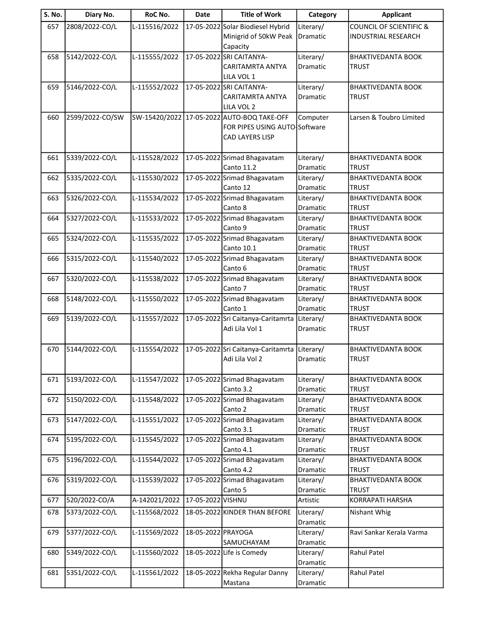| S. No. | Diary No.       | RoC No.       | <b>Date</b>        | <b>Title of Work</b>                       | Category              | <b>Applicant</b>                          |
|--------|-----------------|---------------|--------------------|--------------------------------------------|-----------------------|-------------------------------------------|
| 657    | 2808/2022-CO/L  | L-115516/2022 |                    | 17-05-2022 Solar Biodiesel Hybrid          | Literary/             | <b>COUNCIL OF SCIENTIFIC &amp;</b>        |
|        |                 |               |                    | Minigrid of 50kW Peak                      | Dramatic              | <b>INDUSTRIAL RESEARCH</b>                |
|        |                 |               |                    | Capacity                                   |                       |                                           |
| 658    | 5142/2022-CO/L  | L-115555/2022 |                    | 17-05-2022 SRI CAITANYA-                   | Literary/             | <b>BHAKTIVEDANTA BOOK</b>                 |
|        |                 |               |                    | <b>CARITAMRTA ANTYA</b>                    | Dramatic              | <b>TRUST</b>                              |
|        |                 |               |                    | LILA VOL 1                                 |                       |                                           |
| 659    | 5146/2022-CO/L  | L-115552/2022 |                    | 17-05-2022 SRI CAITANYA-                   | Literary/             | <b>BHAKTIVEDANTA BOOK</b>                 |
|        |                 |               |                    | CARITAMRTA ANTYA                           | Dramatic              | <b>TRUST</b>                              |
|        |                 |               |                    | LILA VOL 2                                 |                       |                                           |
| 660    | 2599/2022-CO/SW |               |                    | SW-15420/2022 17-05-2022 AUTO-BOQ TAKE-OFF | Computer              | Larsen & Toubro Limited                   |
|        |                 |               |                    | FOR PIPES USING AUTO Software              |                       |                                           |
|        |                 |               |                    | CAD LAYERS LISP                            |                       |                                           |
|        |                 |               |                    |                                            |                       |                                           |
| 661    | 5339/2022-CO/L  | L-115528/2022 |                    | 17-05-2022 Srimad Bhagavatam               | Literary/             | <b>BHAKTIVEDANTA BOOK</b>                 |
|        |                 |               |                    | Canto 11.2                                 | Dramatic              | <b>TRUST</b>                              |
| 662    | 5335/2022-CO/L  | L-115530/2022 |                    | 17-05-2022 Srimad Bhagavatam               | Literary/             | <b>BHAKTIVEDANTA BOOK</b>                 |
|        |                 |               |                    | Canto 12                                   | Dramatic              | <b>TRUST</b>                              |
| 663    | 5326/2022-CO/L  | L-115534/2022 |                    | 17-05-2022 Srimad Bhagavatam               | Literary/             | <b>BHAKTIVEDANTA BOOK</b>                 |
|        |                 |               |                    | Canto 8                                    | Dramatic              | <b>TRUST</b>                              |
| 664    | 5327/2022-CO/L  | L-115533/2022 |                    | 17-05-2022 Srimad Bhagavatam               | Literary/             | <b>BHAKTIVEDANTA BOOK</b>                 |
|        |                 |               |                    | Canto 9                                    | Dramatic              | <b>TRUST</b>                              |
| 665    | 5324/2022-CO/L  | L-115535/2022 |                    | 17-05-2022 Srimad Bhagavatam               | Literary/             | <b>BHAKTIVEDANTA BOOK</b>                 |
|        |                 |               |                    | Canto 10.1                                 | Dramatic              | <b>TRUST</b>                              |
| 666    | 5315/2022-CO/L  | L-115540/2022 |                    | 17-05-2022 Srimad Bhagavatam               | Literary/             | <b>BHAKTIVEDANTA BOOK</b>                 |
|        |                 |               |                    | Canto 6                                    | Dramatic              | <b>TRUST</b>                              |
| 667    | 5320/2022-CO/L  | L-115538/2022 |                    | 17-05-2022 Srimad Bhagavatam               | Literary/             | <b>BHAKTIVEDANTA BOOK</b>                 |
|        |                 |               |                    | Canto 7                                    | Dramatic              | <b>TRUST</b>                              |
| 668    | 5148/2022-CO/L  | L-115550/2022 |                    | 17-05-2022 Srimad Bhagavatam               | Literary/             | <b>BHAKTIVEDANTA BOOK</b>                 |
|        |                 |               |                    | Canto 1                                    | Dramatic              | <b>TRUST</b>                              |
| 669    | 5139/2022-CO/L  | L-115557/2022 |                    | 17-05-2022 Sri Caitanya-Caritamrta         | Literary/             | <b>BHAKTIVEDANTA BOOK</b>                 |
|        |                 |               |                    | Adi Lila Vol 1                             | Dramatic              | <b>TRUST</b>                              |
|        |                 |               |                    |                                            |                       |                                           |
| 670    | 5144/2022-CO/L  | L-115554/2022 |                    | 17-05-2022 Sri Caitanya-Caritamrta         | Literary/             | <b>BHAKTIVEDANTA BOOK</b>                 |
|        |                 |               |                    | Adi Lila Vol 2                             | Dramatic              | <b>TRUST</b>                              |
|        | 5193/2022-CO/L  |               |                    |                                            |                       |                                           |
| 671    |                 | L-115547/2022 |                    | 17-05-2022 Srimad Bhagavatam<br>Canto 3.2  | Literary/             | <b>BHAKTIVEDANTA BOOK</b><br><b>TRUST</b> |
|        |                 |               |                    |                                            | Dramatic              | <b>BHAKTIVEDANTA BOOK</b>                 |
| 672    | 5150/2022-CO/L  | L-115548/2022 |                    | 17-05-2022 Srimad Bhagavatam<br>Canto 2    | Literary/             |                                           |
|        | 5147/2022-CO/L  | L-115551/2022 |                    | 17-05-2022 Srimad Bhagavatam               | Dramatic              | <b>TRUST</b><br><b>BHAKTIVEDANTA BOOK</b> |
| 673    |                 |               |                    | Canto 3.1                                  | Literary/<br>Dramatic | <b>TRUST</b>                              |
| 674    | 5195/2022-CO/L  | L-115545/2022 |                    | 17-05-2022 Srimad Bhagavatam               | Literary/             | <b>BHAKTIVEDANTA BOOK</b>                 |
|        |                 |               |                    | Canto 4.1                                  | Dramatic              | TRUST                                     |
| 675    | 5196/2022-CO/L  | L-115544/2022 |                    | 17-05-2022 Srimad Bhagavatam               | Literary/             | <b>BHAKTIVEDANTA BOOK</b>                 |
|        |                 |               |                    | Canto 4.2                                  | Dramatic              | <b>TRUST</b>                              |
| 676    | 5319/2022-CO/L  | L-115539/2022 |                    | 17-05-2022 Srimad Bhagavatam               | Literary/             | <b>BHAKTIVEDANTA BOOK</b>                 |
|        |                 |               |                    | Canto 5                                    | Dramatic              | <b>TRUST</b>                              |
| 677    | 520/2022-CO/A   | A-142021/2022 | 17-05-2022 VISHNU  |                                            | Artistic              | KORRAPATI HARSHA                          |
| 678    | 5373/2022-CO/L  | L-115568/2022 |                    | 18-05-2022 KINDER THAN BEFORE              | Literary/             | Nishant Whig                              |
|        |                 |               |                    |                                            | Dramatic              |                                           |
| 679    | 5377/2022-CO/L  | L-115569/2022 | 18-05-2022 PRAYOGA |                                            | Literary/             | Ravi Sankar Kerala Varma                  |
|        |                 |               |                    | SAMUCHAYAM                                 | Dramatic              |                                           |
| 680    | 5349/2022-CO/L  | L-115560/2022 |                    | 18-05-2022 Life is Comedy                  | Literary/             | Rahul Patel                               |
|        |                 |               |                    |                                            | Dramatic              |                                           |
| 681    | 5351/2022-CO/L  | L-115561/2022 |                    | 18-05-2022 Rekha Regular Danny             | Literary/             | Rahul Patel                               |
|        |                 |               |                    | Mastana                                    | Dramatic              |                                           |
|        |                 |               |                    |                                            |                       |                                           |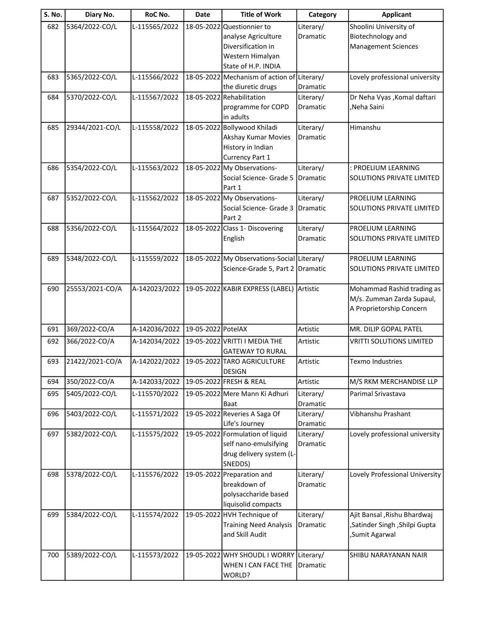| <b>S. No.</b> | Diary No.       | RoC No.       | Date               | <b>Title of Work</b>                                   | Category              | <b>Applicant</b>                               |
|---------------|-----------------|---------------|--------------------|--------------------------------------------------------|-----------------------|------------------------------------------------|
| 682           | 5364/2022-CO/L  | L-115565/2022 | 18-05-2022         | Questionnier to                                        | Literary/             | Shoolini University of                         |
|               |                 |               |                    | analyse Agriculture                                    | Dramatic              | Biotechnology and                              |
|               |                 |               |                    | Diversification in                                     |                       | <b>Management Sciences</b>                     |
|               |                 |               |                    | Western Himalyan                                       |                       |                                                |
|               |                 |               |                    | State of H.P. INDIA                                    |                       |                                                |
| 683           | 5365/2022-CO/L  | L-115566/2022 |                    | 18-05-2022 Mechanism of action of Literary/            |                       | Lovely professional university                 |
|               |                 |               |                    | the diuretic drugs                                     | Dramatic              |                                                |
| 684           | 5370/2022-CO/L  | L-115567/2022 |                    | 18-05-2022 Rehabilitation<br>programme for COPD        | Literary/<br>Dramatic | Dr Neha Vyas , Komal daftari<br>,Neha Saini    |
|               |                 |               |                    | lin adults                                             |                       |                                                |
| 685           | 29344/2021-CO/L | L-115558/2022 |                    | 18-05-2022 Bollywood Khiladi                           | Literary/             | Himanshu                                       |
|               |                 |               |                    | Akshay Kumar Movies                                    | Dramatic              |                                                |
|               |                 |               |                    | History in Indian                                      |                       |                                                |
|               |                 |               |                    | Currency Part 1                                        |                       |                                                |
| 686           | 5354/2022-CO/L  | L-115563/2022 | 18-05-2022         | My Observations-                                       | Literary/             | : PROELIUM LEARNING                            |
|               |                 |               |                    | Social Science- Grade 5                                | Dramatic              | SOLUTIONS PRIVATE LIMITED                      |
|               |                 |               |                    | Part 1                                                 |                       |                                                |
| 687           | 5352/2022-CO/L  | L-115562/2022 |                    | 18-05-2022 My Observations-                            | Literary/             | PROELIUM LEARNING                              |
|               |                 |               |                    | Social Science- Grade 3                                | <b>Dramatic</b>       | SOLUTIONS PRIVATE LIMITED                      |
|               |                 |               |                    | Part 2                                                 |                       |                                                |
| 688           | 5356/2022-CO/L  | L-115564/2022 |                    | 18-05-2022 Class 1- Discovering<br>English             | Literary/<br>Dramatic | PROELIUM LEARNING<br>SOLUTIONS PRIVATE LIMITED |
|               |                 |               |                    |                                                        |                       |                                                |
| 689           | 5348/2022-CO/L  | L-115559/2022 |                    | 18-05-2022 My Observations-Social Literary/            |                       | PROELIUM LEARNING                              |
|               |                 |               |                    | Science-Grade 5, Part 2 Dramatic                       |                       | SOLUTIONS PRIVATE LIMITED                      |
|               |                 |               |                    |                                                        |                       |                                                |
| 690           | 25553/2021-CO/A | A-142023/2022 |                    | 19-05-2022 KABIR EXPRESS (LABEL) Artistic              |                       | Mohammad Rashid trading as                     |
|               |                 |               |                    |                                                        |                       | M/s. Zumman Zarda Supaul,                      |
|               |                 |               |                    |                                                        |                       | A Proprietorship Concern                       |
|               |                 |               |                    |                                                        |                       |                                                |
| 691           | 369/2022-CO/A   | A-142036/2022 | 19-05-2022 PotelAX |                                                        | Artistic              | MR. DILIP GOPAL PATEL                          |
| 692           | 366/2022-CO/A   | A-142034/2022 |                    | 19-05-2022 VRITTI I MEDIA THE                          | Artistic              | <b>VRITTI SOLUTIONS LIMITED</b>                |
| 693           | 21422/2021-CO/A | A-142022/2022 |                    | <b>GATEWAY TO RURAL</b><br>19-05-2022 TARO AGRICULTURE | Artistic              | <b>Texmo Industries</b>                        |
|               |                 |               |                    | <b>DESIGN</b>                                          |                       |                                                |
| 694           | 350/2022-CO/A   | A-142033/2022 |                    | 19-05-2022 FRESH & REAL                                | Artistic              | M/S RKM MERCHANDISE LLP                        |
| 695           | 5405/2022-CO/L  | L-115570/2022 |                    | 19-05-2022 Mere Mann Ki Adhuri                         | Literary/             | Parimal Srivastava                             |
|               |                 |               |                    | Baat                                                   | Dramatic              |                                                |
| 696           | 5403/2022-CO/L  | L-115571/2022 |                    | 19-05-2022 Reveries A Saga Of                          | Literary/             | Vibhanshu Prashant                             |
|               |                 |               |                    | Life's Journey                                         | Dramatic              |                                                |
| 697           | 5382/2022-CO/L  | L-115575/2022 |                    | 19-05-2022 Formulation of liquid                       | Literary/             | Lovely professional university                 |
|               |                 |               |                    | self nano-emulsifying                                  | Dramatic              |                                                |
|               |                 |               |                    | drug delivery system (L-                               |                       |                                                |
|               |                 |               |                    | SNEDDS)                                                |                       |                                                |
| 698           | 5378/2022-CO/L  | L-115576/2022 | 19-05-2022         | Preparation and<br>breakdown of                        | Literary/             | Lovely Professional University                 |
|               |                 |               |                    | polysaccharide based                                   | Dramatic              |                                                |
|               |                 |               |                    | liquisolid compacts                                    |                       |                                                |
| 699           | 5384/2022-CO/L  | L-115574/2022 |                    | 19-05-2022 HVH Technique of                            | Literary/             | Ajit Bansal , Rishu Bhardwaj                   |
|               |                 |               |                    | <b>Training Need Analysis</b>                          | Dramatic              | ,Satinder Singh, Shilpi Gupta                  |
|               |                 |               |                    | and Skill Audit                                        |                       | ,Sumit Agarwal                                 |
|               |                 |               |                    |                                                        |                       |                                                |
| 700           | 5389/2022-CO/L  | L-115573/2022 |                    | 19-05-2022 WHY SHOUDL I WORRY                          | Literary/             | SHIBU NARAYANAN NAIR                           |
|               |                 |               |                    | WHEN I CAN FACE THE                                    | Dramatic              |                                                |
|               |                 |               |                    | WORLD?                                                 |                       |                                                |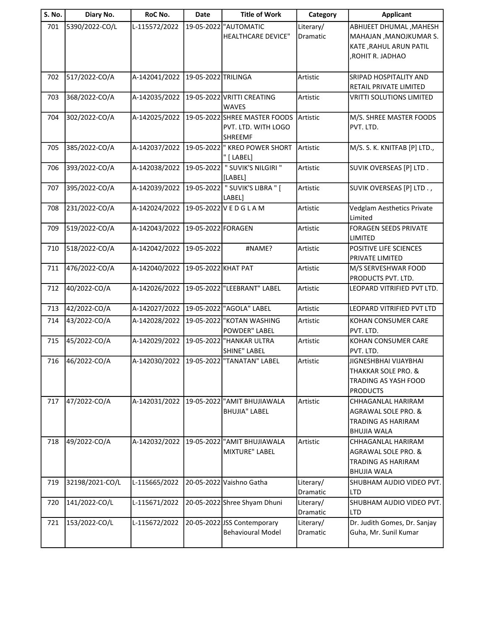| <b>S. No.</b> | Diary No.       | RoC No.       | <b>Date</b>         | <b>Title of Work</b>                                                   | Category              | <b>Applicant</b>                                                                               |
|---------------|-----------------|---------------|---------------------|------------------------------------------------------------------------|-----------------------|------------------------------------------------------------------------------------------------|
| 701           | 5390/2022-CO/L  | L-115572/2022 | 19-05-2022          | "AUTOMATIC<br><b>HEALTHCARE DEVICE"</b>                                | Literary/<br>Dramatic | ABHIJEET DHUMAL, MAHESH<br>MAHAJAN, MANOJKUMAR S.<br>KATE, RAHUL ARUN PATIL<br>ROHIT R. JADHAO |
| 702           | 517/2022-CO/A   | A-142041/2022 | 19-05-2022 TRILINGA |                                                                        | Artistic              | <b>SRIPAD HOSPITALITY AND</b><br>RETAIL PRIVATE LIMITED                                        |
| 703           | 368/2022-CO/A   | A-142035/2022 |                     | 19-05-2022 VRITTI CREATING<br><b>WAVES</b>                             | Artistic              | <b>VRITTI SOLUTIONS LIMITED</b>                                                                |
| 704           | 302/2022-CO/A   | A-142025/2022 |                     | 19-05-2022 SHREE MASTER FOODS<br>PVT. LTD. WITH LOGO<br><b>SHREEMF</b> | Artistic              | M/S. SHREE MASTER FOODS<br>PVT. LTD.                                                           |
| 705           | 385/2022-CO/A   | A-142037/2022 |                     | 19-05-2022  " KREO POWER SHORT<br>" [ LABEL]                           | Artistic              | M/S. S. K. KNITFAB [P] LTD.,                                                                   |
| 706           | 393/2022-CO/A   | A-142038/2022 |                     | 19-05-2022 " SUVIK'S NILGIRI "<br>[LABEL]                              | Artistic              | SUVIK OVERSEAS [P] LTD.                                                                        |
| 707           | 395/2022-CO/A   | A-142039/2022 | 19-05-2022          | " SUVIK'S LIBRA " [<br>LABEL]                                          | Artistic              | SUVIK OVERSEAS [P] LTD.,                                                                       |
| 708           | 231/2022-CO/A   | A-142024/2022 |                     | 19-05-2022 V E D G L A M                                               | Artistic              | Vedglam Aesthetics Private<br>Limited                                                          |
| 709           | 519/2022-CO/A   | A-142043/2022 | 19-05-2022 FORAGEN  |                                                                        | Artistic              | <b>FORAGEN SEEDS PRIVATE</b><br><b>LIMITED</b>                                                 |
| 710           | 518/2022-CO/A   | A-142042/2022 | 19-05-2022          | #NAME?                                                                 | Artistic              | POSITIVE LIFE SCIENCES<br>PRIVATE LIMITED                                                      |
| 711           | 476/2022-CO/A   | A-142040/2022 | 19-05-2022 KHAT PAT |                                                                        | Artistic              | M/S SERVESHWAR FOOD<br>PRODUCTS PVT. LTD.                                                      |
| 712           | 40/2022-CO/A    | A-142026/2022 |                     | 19-05-2022 "LEEBRANT" LABEL                                            | Artistic              | LEOPARD VITRIFIED PVT LTD.                                                                     |
| 713           | 42/2022-CO/A    | A-142027/2022 |                     | 19-05-2022 "AGOLA" LABEL                                               | Artistic              | LEOPARD VITRIFIED PVT LTD                                                                      |
| 714           | 43/2022-CO/A    | A-142028/2022 |                     | 19-05-2022 "KOTAN WASHING<br>POWDER" LABEL                             | Artistic              | KOHAN CONSUMER CARE<br>PVT. LTD.                                                               |
| 715           | 45/2022-CO/A    | A-142029/2022 |                     | 19-05-2022 HANKAR ULTRA<br>SHINE" LABEL                                | Artistic              | KOHAN CONSUMER CARE<br>PVT. LTD.                                                               |
| 716           | 46/2022-CO/A    | A-142030/2022 |                     | 19-05-2022 TANATAN" LABEL                                              | Artistic              | JIGNESHBHAI VIJAYBHAI<br>THAKKAR SOLE PRO. &<br>TRADING AS YASH FOOD<br><b>PRODUCTS</b>        |
| 717           | 47/2022-CO/A    | A-142031/2022 |                     | 19-05-2022 "AMIT BHUJIAWALA<br><b>BHUJIA" LABEL</b>                    | Artistic              | CHHAGANLAL HARIRAM<br>AGRAWAL SOLE PRO. &<br><b>TRADING AS HARIRAM</b><br><b>BHUJIA WALA</b>   |
| 718           | 49/2022-CO/A    | A-142032/2022 |                     | 19-05-2022 <sup>"</sup> AMIT BHUJIAWALA<br><b>MIXTURE" LABEL</b>       | Artistic              | CHHAGANLAL HARIRAM<br>AGRAWAL SOLE PRO. &<br><b>TRADING AS HARIRAM</b><br><b>BHUJIA WALA</b>   |
| 719           | 32198/2021-CO/L | L-115665/2022 |                     | 20-05-2022 Vaishno Gatha                                               | Literary/<br>Dramatic | SHUBHAM AUDIO VIDEO PVT.<br>LTD                                                                |
| 720           | 141/2022-CO/L   | L-115671/2022 |                     | 20-05-2022 Shree Shyam Dhuni                                           | Literary/<br>Dramatic | SHUBHAM AUDIO VIDEO PVT.<br><b>LTD</b>                                                         |
| 721           | 153/2022-CO/L   | L-115672/2022 |                     | 20-05-2022 JSS Contemporary<br><b>Behavioural Model</b>                | Literary/<br>Dramatic | Dr. Judith Gomes, Dr. Sanjay<br>Guha, Mr. Sunil Kumar                                          |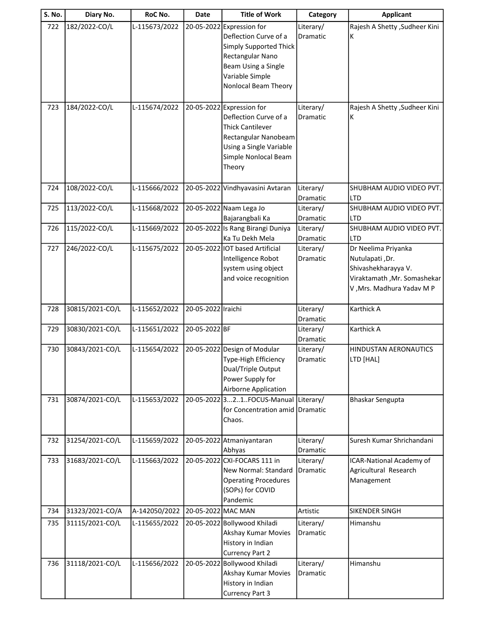| S. No. | Diary No.       | RoC No.       | Date               | <b>Title of Work</b>                                                                                                                                               | Category                     | <b>Applicant</b>                                                                                                          |
|--------|-----------------|---------------|--------------------|--------------------------------------------------------------------------------------------------------------------------------------------------------------------|------------------------------|---------------------------------------------------------------------------------------------------------------------------|
| 722    | 182/2022-CO/L   | L-115673/2022 |                    | 20-05-2022 Expression for<br>Deflection Curve of a<br>Simply Supported Thick<br>Rectangular Nano<br>Beam Using a Single<br>Variable Simple<br>Nonlocal Beam Theory | Literary/<br>Dramatic        | Rajesh A Shetty , Sudheer Kini<br>К                                                                                       |
| 723    | 184/2022-CO/L   | L-115674/2022 |                    | 20-05-2022 Expression for<br>Deflection Curve of a<br><b>Thick Cantilever</b><br>Rectangular Nanobeam<br>Using a Single Variable<br>Simple Nonlocal Beam<br>Theory | Literary/<br>Dramatic        | Rajesh A Shetty , Sudheer Kini<br>К                                                                                       |
| 724    | 108/2022-CO/L   | L-115666/2022 |                    | 20-05-2022 Vindhyavasini Avtaran                                                                                                                                   | Literary/<br><b>Dramatic</b> | SHUBHAM AUDIO VIDEO PVT.<br>LTD                                                                                           |
| 725    | 113/2022-CO/L   | L-115668/2022 |                    | 20-05-2022 Naam Lega Jo<br>Bajarangbali Ka                                                                                                                         | Literary/<br>Dramatic        | SHUBHAM AUDIO VIDEO PVT.<br>LTD                                                                                           |
| 726    | 115/2022-CO/L   | L-115669/2022 |                    | 20-05-2022 Is Rang Birangi Duniya<br>Ka Tu Dekh Mela                                                                                                               | Literary/<br>Dramatic        | SHUBHAM AUDIO VIDEO PVT.<br><b>LTD</b>                                                                                    |
| 727    | 246/2022-CO/L   | L-115675/2022 |                    | 20-05-2022 IOT based Artificial<br>Intelligence Robot<br>system using object<br>and voice recognition                                                              | Literary/<br>Dramatic        | Dr Neelima Priyanka<br>Nutulapati, Dr.<br>Shivashekharayya V.<br>Viraktamath, Mr. Somashekar<br>V, Mrs. Madhura Yadav M P |
| 728    | 30815/2021-CO/L | L-115652/2022 | 20-05-2022 Iraichi |                                                                                                                                                                    | Literary/<br>Dramatic        | Karthick A                                                                                                                |
| 729    | 30830/2021-CO/L | L-115651/2022 | 20-05-2022 BF      |                                                                                                                                                                    | Literary/<br>Dramatic        | Karthick A                                                                                                                |
| 730    | 30843/2021-CO/L | L-115654/2022 |                    | 20-05-2022 Design of Modular<br>Type-High Efficiency<br>Dual/Triple Output<br>Power Supply for<br>Airborne Application                                             | Literary/<br><b>Dramatic</b> | HINDUSTAN AERONAUTICS<br>LTD [HAL]                                                                                        |
| 731    | 30874/2021-CO/L | L-115653/2022 |                    | 20-05-2022 321. FOCUS-Manual<br>for Concentration amid Dramatic<br>Chaos.                                                                                          | Literary/                    | <b>Bhaskar Sengupta</b>                                                                                                   |
| 732    | 31254/2021-CO/L | L-115659/2022 |                    | 20-05-2022 Atmaniyantaran<br>Abhyas                                                                                                                                | Literary/<br>Dramatic        | Suresh Kumar Shrichandani                                                                                                 |
| 733    | 31683/2021-CO/L | L-115663/2022 |                    | 20-05-2022 CXI-FOCARS 111 in<br>New Normal: Standard<br><b>Operating Procedures</b><br>(SOPs) for COVID<br>Pandemic                                                | Literary/<br>Dramatic        | ICAR-National Academy of<br>Agricultural Research<br>Management                                                           |
| 734    | 31323/2021-CO/A | A-142050/2022 | 20-05-2022 MAC MAN |                                                                                                                                                                    | Artistic                     | SIKENDER SINGH                                                                                                            |
| 735    | 31115/2021-CO/L | L-115655/2022 |                    | 20-05-2022 Bollywood Khiladi<br>Akshay Kumar Movies<br>History in Indian<br><b>Currency Part 2</b>                                                                 | Literary/<br>Dramatic        | Himanshu                                                                                                                  |
| 736    | 31118/2021-CO/L | L-115656/2022 |                    | 20-05-2022 Bollywood Khiladi<br>Akshay Kumar Movies<br>History in Indian<br><b>Currency Part 3</b>                                                                 | Literary/<br>Dramatic        | Himanshu                                                                                                                  |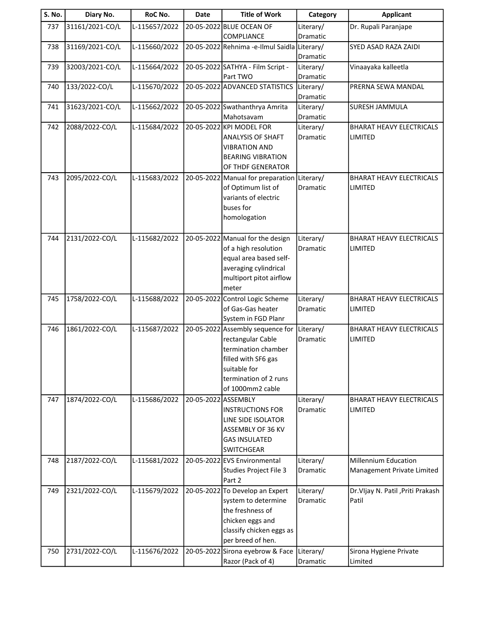| <b>S. No.</b> | Diary No.       | RoC No.       | Date                | <b>Title of Work</b>                         | Category              | <b>Applicant</b>                  |
|---------------|-----------------|---------------|---------------------|----------------------------------------------|-----------------------|-----------------------------------|
| 737           | 31161/2021-CO/L | L-115657/2022 |                     | 20-05-2022 BLUE OCEAN OF                     | Literary/             | Dr. Rupali Paranjape              |
|               |                 |               |                     | COMPLIANCE                                   | Dramatic              |                                   |
| 738           | 31169/2021-CO/L | L-115660/2022 |                     | 20-05-2022 Rehnima -e-Ilmul Saidla Literary/ |                       | SYED ASAD RAZA ZAIDI              |
|               |                 |               |                     |                                              | Dramatic              |                                   |
| 739           | 32003/2021-CO/L | L-115664/2022 |                     | 20-05-2022 SATHYA - Film Script -            | Literary/             | Vinaayaka kalleetla               |
|               |                 |               |                     | Part TWO                                     | Dramatic              |                                   |
| 740           | 133/2022-CO/L   | L-115670/2022 |                     | 20-05-2022 ADVANCED STATISTICS               | Literary/<br>Dramatic | PRERNA SEWA MANDAL                |
| 741           | 31623/2021-CO/L | L-115662/2022 |                     | 20-05-2022 Swathanthrya Amrita               | Literary/             | <b>SURESH JAMMULA</b>             |
|               |                 |               |                     | Mahotsavam                                   | Dramatic              |                                   |
| 742           | 2088/2022-CO/L  | L-115684/2022 |                     | 20-05-2022 KPI MODEL FOR                     | Literary/             | <b>BHARAT HEAVY ELECTRICALS</b>   |
|               |                 |               |                     | <b>ANALYSIS OF SHAFT</b>                     | Dramatic              | <b>LIMITED</b>                    |
|               |                 |               |                     | <b>VIBRATION AND</b>                         |                       |                                   |
|               |                 |               |                     | <b>BEARING VIBRATION</b>                     |                       |                                   |
|               |                 |               |                     | OF THDF GENERATOR                            |                       |                                   |
| 743           | 2095/2022-CO/L  | L-115683/2022 |                     | 20-05-2022 Manual for preparation            | Literary/             | <b>BHARAT HEAVY ELECTRICALS</b>   |
|               |                 |               |                     | of Optimum list of                           | Dramatic              | LIMITED                           |
|               |                 |               |                     | variants of electric                         |                       |                                   |
|               |                 |               |                     | buses for                                    |                       |                                   |
|               |                 |               |                     | homologation                                 |                       |                                   |
|               |                 |               |                     |                                              |                       |                                   |
| 744           | 2131/2022-CO/L  | L-115682/2022 |                     | 20-05-2022 Manual for the design             | Literary/             | <b>BHARAT HEAVY ELECTRICALS</b>   |
|               |                 |               |                     | of a high resolution                         | Dramatic              | LIMITED                           |
|               |                 |               |                     | equal area based self-                       |                       |                                   |
|               |                 |               |                     | averaging cylindrical                        |                       |                                   |
|               |                 |               |                     | multiport pitot airflow<br>meter             |                       |                                   |
| 745           | 1758/2022-CO/L  | L-115688/2022 |                     | 20-05-2022 Control Logic Scheme              | Literary/             | <b>BHARAT HEAVY ELECTRICALS</b>   |
|               |                 |               |                     | of Gas-Gas heater                            | Dramatic              | LIMITED                           |
|               |                 |               |                     | System in FGD Planr                          |                       |                                   |
| 746           | 1861/2022-CO/L  | L-115687/2022 |                     | 20-05-2022 Assembly sequence for             | Literary/             | <b>BHARAT HEAVY ELECTRICALS</b>   |
|               |                 |               |                     | rectangular Cable                            | Dramatic              | LIMITED                           |
|               |                 |               |                     | termination chamber                          |                       |                                   |
|               |                 |               |                     | filled with SF6 gas                          |                       |                                   |
|               |                 |               |                     | suitable for                                 |                       |                                   |
|               |                 |               |                     | termination of 2 runs                        |                       |                                   |
|               |                 |               |                     | of 1000mm2 cable                             |                       |                                   |
| 747           | 1874/2022-CO/L  | L-115686/2022 | 20-05-2022 ASSEMBLY |                                              | Literary/             | <b>BHARAT HEAVY ELECTRICALS</b>   |
|               |                 |               |                     | <b>INSTRUCTIONS FOR</b>                      | Dramatic              | LIMITED                           |
|               |                 |               |                     | LINE SIDE ISOLATOR                           |                       |                                   |
|               |                 |               |                     | ASSEMBLY OF 36 KV<br><b>GAS INSULATED</b>    |                       |                                   |
|               |                 |               |                     | <b>SWITCHGEAR</b>                            |                       |                                   |
| 748           | 2187/2022-CO/L  | L-115681/2022 |                     | 20-05-2022 EVS Environmental                 | Literary/             | <b>Millennium Education</b>       |
|               |                 |               |                     | Studies Project File 3                       | Dramatic              | Management Private Limited        |
|               |                 |               |                     | Part 2                                       |                       |                                   |
| 749           | 2321/2022-CO/L  | L-115679/2022 |                     | 20-05-2022 To Develop an Expert              | Literary/             | Dr.VIjay N. Patil , Priti Prakash |
|               |                 |               |                     | system to determine                          | Dramatic              | Patil                             |
|               |                 |               |                     | the freshness of                             |                       |                                   |
|               |                 |               |                     | chicken eggs and                             |                       |                                   |
|               |                 |               |                     | classify chicken eggs as                     |                       |                                   |
|               |                 |               |                     | per breed of hen.                            |                       |                                   |
| 750           | 2731/2022-CO/L  | L-115676/2022 |                     | 20-05-2022 Sirona eyebrow & Face             | Literary/             | Sirona Hygiene Private            |
|               |                 |               |                     | Razor (Pack of 4)                            | Dramatic              | Limited                           |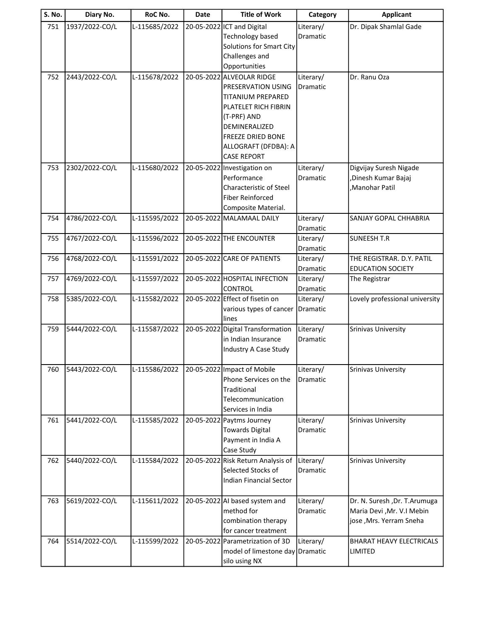| <b>S. No.</b> | Diary No.      | RoC No.       | <b>Date</b> | <b>Title of Work</b>               | Category  | <b>Applicant</b>               |
|---------------|----------------|---------------|-------------|------------------------------------|-----------|--------------------------------|
| 751           | 1937/2022-CO/L | L-115685/2022 |             | 20-05-2022 ICT and Digital         | Literary/ | Dr. Dipak Shamlal Gade         |
|               |                |               |             | Technology based                   | Dramatic  |                                |
|               |                |               |             | Solutions for Smart City           |           |                                |
|               |                |               |             | Challenges and                     |           |                                |
|               |                |               |             | Opportunities                      |           |                                |
| 752           | 2443/2022-CO/L | L-115678/2022 |             | 20-05-2022 ALVEOLAR RIDGE          | Literary/ | Dr. Ranu Oza                   |
|               |                |               |             | PRESERVATION USING                 | Dramatic  |                                |
|               |                |               |             | TITANIUM PREPARED                  |           |                                |
|               |                |               |             | PLATELET RICH FIBRIN               |           |                                |
|               |                |               |             | (T-PRF) AND                        |           |                                |
|               |                |               |             | DEMINERALIZED                      |           |                                |
|               |                |               |             | <b>FREEZE DRIED BONE</b>           |           |                                |
|               |                |               |             | ALLOGRAFT (DFDBA): A               |           |                                |
|               |                |               |             | <b>CASE REPORT</b>                 |           |                                |
| 753           | 2302/2022-CO/L | L-115680/2022 |             | 20-05-2022 Investigation on        | Literary/ | Digvijay Suresh Nigade         |
|               |                |               |             | Performance                        | Dramatic  | ,Dinesh Kumar Bajaj            |
|               |                |               |             | <b>Characteristic of Steel</b>     |           | Manohar Patil                  |
|               |                |               |             | <b>Fiber Reinforced</b>            |           |                                |
|               |                |               |             | Composite Material.                |           |                                |
| 754           | 4786/2022-CO/L | L-115595/2022 |             | 20-05-2022 MALAMAAL DAILY          | Literary/ | SANJAY GOPAL CHHABRIA          |
|               |                |               |             |                                    | Dramatic  |                                |
| 755           | 4767/2022-CO/L | L-115596/2022 |             | 20-05-2022 THE ENCOUNTER           | Literary/ | <b>SUNEESH T.R</b>             |
|               |                |               |             |                                    | Dramatic  |                                |
| 756           | 4768/2022-CO/L | L-115591/2022 |             | 20-05-2022 CARE OF PATIENTS        | Literary/ | THE REGISTRAR. D.Y. PATIL      |
|               |                |               |             |                                    | Dramatic  | <b>EDUCATION SOCIETY</b>       |
| 757           | 4769/2022-CO/L | L-115597/2022 |             | 20-05-2022 HOSPITAL INFECTION      | Literary/ | The Registrar                  |
|               |                |               |             | <b>CONTROL</b>                     | Dramatic  |                                |
| 758           | 5385/2022-CO/L | L-115582/2022 |             | 20-05-2022 Effect of fisetin on    | Literary/ | Lovely professional university |
|               |                |               |             | various types of cancer<br>lines   | Dramatic  |                                |
| 759           | 5444/2022-CO/L | L-115587/2022 |             | 20-05-2022 Digital Transformation  | Literary/ | <b>Srinivas University</b>     |
|               |                |               |             | in Indian Insurance                | Dramatic  |                                |
|               |                |               |             | Industry A Case Study              |           |                                |
|               |                |               |             |                                    |           |                                |
| 760           | 5443/2022-CO/L | L-115586/2022 |             | 20-05-2022 Impact of Mobile        | Literary/ | <b>Srinivas University</b>     |
|               |                |               |             | Phone Services on the              | Dramatic  |                                |
|               |                |               |             | Traditional                        |           |                                |
|               |                |               |             | Telecommunication                  |           |                                |
|               |                |               |             | Services in India                  |           |                                |
| 761           | 5441/2022-CO/L | L-115585/2022 |             | 20-05-2022 Paytms Journey          | Literary/ | <b>Srinivas University</b>     |
|               |                |               |             | <b>Towards Digital</b>             | Dramatic  |                                |
|               |                |               |             | Payment in India A                 |           |                                |
|               |                |               |             | Case Study                         |           |                                |
| 762           | 5440/2022-CO/L | L-115584/2022 |             | 20-05-2022 Risk Return Analysis of | Literary/ | <b>Srinivas University</b>     |
|               |                |               |             | Selected Stocks of                 | Dramatic  |                                |
|               |                |               |             | <b>Indian Financial Sector</b>     |           |                                |
|               |                |               |             |                                    |           |                                |
| 763           | 5619/2022-CO/L | L-115611/2022 |             | 20-05-2022 AI based system and     | Literary/ | Dr. N. Suresh , Dr. T. Arumuga |
|               |                |               |             | method for                         | Dramatic  | Maria Devi , Mr. V.I Mebin     |
|               |                |               |             | combination therapy                |           | jose, Mrs. Yerram Sneha        |
|               |                |               |             | for cancer treatment               |           |                                |
| 764           | 5514/2022-CO/L | L-115599/2022 |             | 20-05-2022 Parametrization of 3D   | Literary/ | BHARAT HEAVY ELECTRICALS       |
|               |                |               |             | model of limestone day Dramatic    |           | LIMITED                        |
|               |                |               |             | silo using NX                      |           |                                |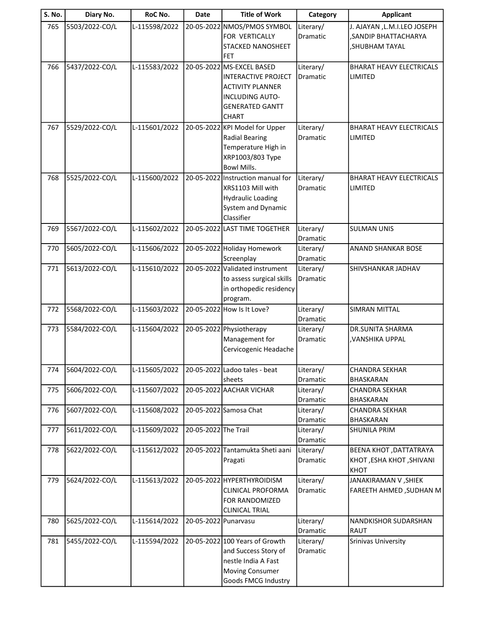| S. No. | Diary No.      | RoC No.       | <b>Date</b>          | <b>Title of Work</b>              | Category  | <b>Applicant</b>                |
|--------|----------------|---------------|----------------------|-----------------------------------|-----------|---------------------------------|
| 765    | 5503/2022-CO/L | L-115598/2022 |                      | 20-05-2022 NMOS/PMOS SYMBOL       | Literary/ | J. AJAYAN , L.M.I.LEO JOSEPH    |
|        |                |               |                      | FOR VERTICALLY                    | Dramatic  | , SANDIP BHATTACHARYA           |
|        |                |               |                      | <b>STACKED NANOSHEET</b>          |           | , SHUBHAM TAYAL                 |
|        |                |               |                      | FET                               |           |                                 |
| 766    | 5437/2022-CO/L | L-115583/2022 |                      | 20-05-2022 MS-EXCEL BASED         | Literary/ | <b>BHARAT HEAVY ELECTRICALS</b> |
|        |                |               |                      | INTERACTIVE PROJECT               | Dramatic  | <b>LIMITED</b>                  |
|        |                |               |                      | <b>ACTIVITY PLANNER</b>           |           |                                 |
|        |                |               |                      | <b>INCLUDING AUTO-</b>            |           |                                 |
|        |                |               |                      | <b>GENERATED GANTT</b>            |           |                                 |
|        |                |               |                      | <b>CHART</b>                      |           |                                 |
| 767    | 5529/2022-CO/L | L-115601/2022 |                      | 20-05-2022 KPI Model for Upper    | Literary/ | <b>BHARAT HEAVY ELECTRICALS</b> |
|        |                |               |                      | <b>Radial Bearing</b>             | Dramatic  | LIMITED                         |
|        |                |               |                      | Temperature High in               |           |                                 |
|        |                |               |                      | XRP1003/803 Type                  |           |                                 |
|        |                |               |                      | <b>Bowl Mills.</b>                |           |                                 |
| 768    | 5525/2022-CO/L | L-115600/2022 |                      | 20-05-2022 Instruction manual for | Literary/ | <b>BHARAT HEAVY ELECTRICALS</b> |
|        |                |               |                      | XRS1103 Mill with                 | Dramatic  | <b>LIMITED</b>                  |
|        |                |               |                      | <b>Hydraulic Loading</b>          |           |                                 |
|        |                |               |                      | System and Dynamic                |           |                                 |
|        |                |               |                      | Classifier                        |           |                                 |
| 769    | 5567/2022-CO/L | L-115602/2022 |                      | 20-05-2022 LAST TIME TOGETHER     | Literary/ | <b>SULMAN UNIS</b>              |
|        |                |               |                      |                                   | Dramatic  |                                 |
| 770    | 5605/2022-CO/L | L-115606/2022 |                      | 20-05-2022 Holiday Homework       | Literary/ | ANAND SHANKAR BOSE              |
|        |                |               |                      | Screenplay                        | Dramatic  |                                 |
| 771    | 5613/2022-CO/L | L-115610/2022 |                      | 20-05-2022 Validated instrument   | Literary/ | SHIVSHANKAR JADHAV              |
|        |                |               |                      | to assess surgical skills         | Dramatic  |                                 |
|        |                |               |                      | in orthopedic residency           |           |                                 |
|        |                |               |                      | program.                          |           |                                 |
| 772    | 5568/2022-CO/L | L-115603/2022 |                      | 20-05-2022 How Is It Love?        | Literary/ | <b>SIMRAN MITTAL</b>            |
|        |                |               |                      |                                   | Dramatic  |                                 |
| 773    | 5584/2022-CO/L | L-115604/2022 |                      | 20-05-2022 Physiotherapy          | Literary/ | DR.SUNITA SHARMA                |
|        |                |               |                      | Management for                    | Dramatic  | , VANSHIKA UPPAL                |
|        |                |               |                      | Cervicogenic Headache             |           |                                 |
|        | 5604/2022-CO/L | L-115605/2022 |                      | 20-05-2022 Ladoo tales - beat     | Literary/ | <b>CHANDRA SEKHAR</b>           |
| 774    |                |               |                      | sheets                            | Dramatic  | <b>BHASKARAN</b>                |
| 775    | 5606/2022-CO/L | L-115607/2022 |                      | 20-05-2022 AACHAR VICHAR          | Literary/ | <b>CHANDRA SEKHAR</b>           |
|        |                |               |                      |                                   | Dramatic  | BHASKARAN                       |
| 776    | 5607/2022-CO/L | L-115608/2022 |                      | 20-05-2022 Samosa Chat            | Literary/ | <b>CHANDRA SEKHAR</b>           |
|        |                |               |                      |                                   | Dramatic  | BHASKARAN                       |
| 777    | 5611/2022-CO/L | L-115609/2022 | 20-05-2022 The Trail |                                   | Literary/ | SHUNILA PRIM                    |
|        |                |               |                      |                                   | Dramatic  |                                 |
| 778    | 5622/2022-CO/L | L-115612/2022 |                      | 20-05-2022 Tantamukta Sheti aani  | Literary/ | BEENA KHOT , DATTATRAYA         |
|        |                |               |                      | Pragati                           | Dramatic  | KHOT, ESHA KHOT, SHIVANI        |
|        |                |               |                      |                                   |           | <b>KHOT</b>                     |
| 779    | 5624/2022-CO/L | L-115613/2022 |                      | 20-05-2022 HYPERTHYROIDISM        | Literary/ | JANAKIRAMAN V, SHIEK            |
|        |                |               |                      | <b>CLINICAL PROFORMA</b>          | Dramatic  | <b>FAREETH AHMED, SUDHAN M</b>  |
|        |                |               |                      | FOR RANDOMIZED                    |           |                                 |
|        |                |               |                      | <b>CLINICAL TRIAL</b>             |           |                                 |
| 780    | 5625/2022-CO/L | L-115614/2022 | 20-05-2022 Punarvasu |                                   | Literary/ | <b>NANDKISHOR SUDARSHAN</b>     |
|        |                |               |                      |                                   | Dramatic  | RAUT                            |
| 781    | 5455/2022-CO/L | L-115594/2022 |                      | 20-05-2022 100 Years of Growth    | Literary/ | Srinivas University             |
|        |                |               |                      | and Success Story of              | Dramatic  |                                 |
|        |                |               |                      | nestle India A Fast               |           |                                 |
|        |                |               |                      | <b>Moving Consumer</b>            |           |                                 |
|        |                |               |                      | Goods FMCG Industry               |           |                                 |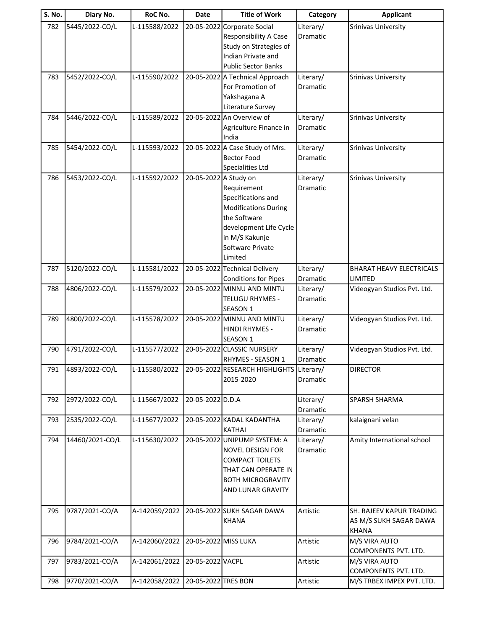| S. No. | Diary No.       | RoC No.       | Date                  | <b>Title of Work</b>                                                                                                                                        | Category                     | <b>Applicant</b>                                                   |
|--------|-----------------|---------------|-----------------------|-------------------------------------------------------------------------------------------------------------------------------------------------------------|------------------------------|--------------------------------------------------------------------|
| 782    | 5445/2022-CO/L  | L-115588/2022 | 20-05-2022            | Corporate Social<br>Responsibility A Case<br>Study on Strategies of<br>Indian Private and<br><b>Public Sector Banks</b>                                     | Literary/<br>Dramatic        | <b>Srinivas University</b>                                         |
| 783    | 5452/2022-CO/L  | L-115590/2022 |                       | 20-05-2022 A Technical Approach<br>For Promotion of<br>Yakshagana A<br>Literature Survey                                                                    | Literary/<br><b>Dramatic</b> | <b>Srinivas University</b>                                         |
| 784    | 5446/2022-CO/L  | L-115589/2022 |                       | 20-05-2022 An Overview of<br>Agriculture Finance in<br>India                                                                                                | Literary/<br>Dramatic        | Srinivas University                                                |
| 785    | 5454/2022-CO/L  | L-115593/2022 |                       | 20-05-2022 A Case Study of Mrs.<br><b>Bector Food</b><br><b>Specialities Ltd</b>                                                                            | Literary/<br>Dramatic        | <b>Srinivas University</b>                                         |
| 786    | 5453/2022-CO/L  | L-115592/2022 | 20-05-2022 A Study on | Requirement<br>Specifications and<br><b>Modifications During</b><br>the Software<br>development Life Cycle<br>in M/S Kakunje<br>Software Private<br>Limited | Literary/<br>Dramatic        | <b>Srinivas University</b>                                         |
| 787    | 5120/2022-CO/L  | L-115581/2022 |                       | 20-05-2022 Technical Delivery<br><b>Conditions for Pipes</b>                                                                                                | Literary/<br>Dramatic        | <b>BHARAT HEAVY ELECTRICALS</b><br>LIMITED                         |
| 788    | 4806/2022-CO/L  | L-115579/2022 |                       | 20-05-2022 MINNU AND MINTU<br><b>TELUGU RHYMES -</b><br>SEASON 1                                                                                            | Literary/<br>Dramatic        | Videogyan Studios Pvt. Ltd.                                        |
| 789    | 4800/2022-CO/L  | L-115578/2022 |                       | 20-05-2022 MINNU AND MINTU<br>HINDI RHYMES -<br>SEASON 1                                                                                                    | Literary/<br>Dramatic        | Videogyan Studios Pvt. Ltd.                                        |
| 790    | 4791/2022-CO/L  | L-115577/2022 |                       | 20-05-2022 CLASSIC NURSERY<br>RHYMES - SEASON 1                                                                                                             | Literary/<br><b>Dramatic</b> | Videogyan Studios Pvt. Ltd.                                        |
| 791    | 4893/2022-CO/L  | L-115580/2022 |                       | 20-05-2022 RESEARCH HIGHLIGHTS Literary/<br>2015-2020                                                                                                       | Dramatic                     | <b>DIRECTOR</b>                                                    |
| 792    | 2972/2022-CO/L  | L-115667/2022 | 20-05-2022 D.D.A      |                                                                                                                                                             | Literary/<br>Dramatic        | SPARSH SHARMA                                                      |
| 793    | 2535/2022-CO/L  | L-115677/2022 |                       | 20-05-2022 KADAL KADANTHA<br><b>KATHAI</b>                                                                                                                  | Literary/<br>Dramatic        | kalaignani velan                                                   |
| 794    | 14460/2021-CO/L | L-115630/2022 |                       | 20-05-2022 UNIPUMP SYSTEM: A<br><b>NOVEL DESIGN FOR</b><br><b>COMPACT TOILETS</b><br>THAT CAN OPERATE IN<br><b>BOTH MICROGRAVITY</b><br>AND LUNAR GRAVITY   | Literary/<br>Dramatic        | Amity International school                                         |
| 795    | 9787/2021-CO/A  | A-142059/2022 |                       | 20-05-2022 SUKH SAGAR DAWA<br><b>KHANA</b>                                                                                                                  | Artistic                     | SH. RAJEEV KAPUR TRADING<br>AS M/S SUKH SAGAR DAWA<br><b>KHANA</b> |
| 796    | 9784/2021-CO/A  | A-142060/2022 | 20-05-2022 MISS LUKA  |                                                                                                                                                             | Artistic                     | M/S VIRA AUTO<br>COMPONENTS PVT. LTD.                              |
| 797    | 9783/2021-CO/A  | A-142061/2022 | 20-05-2022 VACPL      |                                                                                                                                                             | Artistic                     | M/S VIRA AUTO<br>COMPONENTS PVT. LTD.                              |
| 798    | 9770/2021-CO/A  | A-142058/2022 | 20-05-2022 TRES BON   |                                                                                                                                                             | Artistic                     | M/S TRBEX IMPEX PVT. LTD.                                          |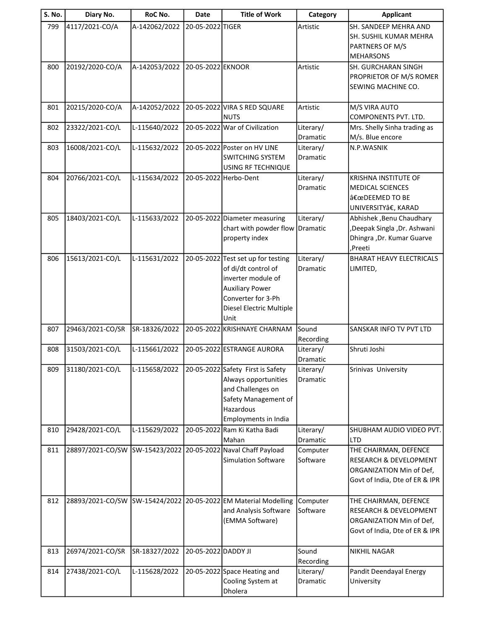| <b>S. No.</b> | Diary No.        | RoC No.       | <b>Date</b>         | <b>Title of Work</b>                                                                                                                                                | Category              | <b>Applicant</b>                                                                                                         |
|---------------|------------------|---------------|---------------------|---------------------------------------------------------------------------------------------------------------------------------------------------------------------|-----------------------|--------------------------------------------------------------------------------------------------------------------------|
| 799           | 4117/2021-CO/A   | A-142062/2022 | 20-05-2022 TIGER    |                                                                                                                                                                     | Artistic              | SH. SANDEEP MEHRA AND<br>SH. SUSHIL KUMAR MEHRA<br>PARTNERS OF M/S<br><b>MEHARSONS</b>                                   |
| 800           | 20192/2020-CO/A  | A-142053/2022 | 20-05-2022 EKNOOR   |                                                                                                                                                                     | Artistic              | <b>SH. GURCHARAN SINGH</b><br>PROPRIETOR OF M/S ROMER<br>SEWING MACHINE CO.                                              |
| 801           | 20215/2020-CO/A  | A-142052/2022 |                     | 20-05-2022 VIRA S RED SQUARE<br><b>NUTS</b>                                                                                                                         | Artistic              | M/S VIRA AUTO<br>COMPONENTS PVT. LTD.                                                                                    |
| 802           | 23322/2021-CO/L  | L-115640/2022 |                     | 20-05-2022 War of Civilization                                                                                                                                      | Literary/<br>Dramatic | Mrs. Shelly Sinha trading as<br>M/s. Blue encore                                                                         |
| 803           | 16008/2021-CO/L  | L-115632/2022 |                     | 20-05-2022 Poster on HV LINE<br><b>SWITCHING SYSTEM</b><br>USING RF TECHNIQUE                                                                                       | Literary/<br>Dramatic | N.P.WASNIK                                                                                                               |
| 804           | 20766/2021-CO/L  | L-115634/2022 |                     | 20-05-2022 Herbo-Dent                                                                                                                                               | Literary/<br>Dramatic | <b>KRISHNA INSTITUTE OF</b><br><b>MEDICAL SCIENCES</b><br>"DEEMED TO BE<br>UNIVERSITYâ€, KARAD                           |
| 805           | 18403/2021-CO/L  | L-115633/2022 |                     | 20-05-2022 Diameter measuring<br>chart with powder flow<br>property index                                                                                           | Literary/<br>Dramatic | Abhishek , Benu Chaudhary<br>,Deepak Singla ,Dr. Ashwani<br>Dhingra , Dr. Kumar Guarve<br>,Preeti                        |
| 806           | 15613/2021-CO/L  | L-115631/2022 |                     | 20-05-2022 Test set up for testing<br>of di/dt control of<br>inverter module of<br><b>Auxiliary Power</b><br>Converter for 3-Ph<br>Diesel Electric Multiple<br>Unit | Literary/<br>Dramatic | <b>BHARAT HEAVY ELECTRICALS</b><br>LIMITED,                                                                              |
| 807           | 29463/2021-CO/SR | SR-18326/2022 |                     | 20-05-2022 KRISHNAYE CHARNAM                                                                                                                                        | Sound<br>Recording    | SANSKAR INFO TV PVT LTD                                                                                                  |
| 808           | 31503/2021-CO/L  | L-115661/2022 |                     | 20-05-2022 ESTRANGE AURORA                                                                                                                                          | Literary/<br>Dramatic | Shruti Joshi                                                                                                             |
| 809           | 31180/2021-CO/L  | L-115658/2022 |                     | 20-05-2022 Safety First is Safety<br>Always opportunities<br>and Challenges on<br>Safety Management of<br>Hazardous<br>Employments in India                         | Literary/<br>Dramatic | Srinivas University                                                                                                      |
| 810           | 29428/2021-CO/L  | L-115629/2022 |                     | 20-05-2022 Ram Ki Katha Badi<br>Mahan                                                                                                                               | Literary/<br>Dramatic | SHUBHAM AUDIO VIDEO PVT.<br>LTD                                                                                          |
| 811           | 28897/2021-CO/SW |               |                     | SW-15423/2022 20-05-2022 Naval Chaff Payload<br><b>Simulation Software</b>                                                                                          | Computer<br>Software  | THE CHAIRMAN, DEFENCE<br><b>RESEARCH &amp; DEVELOPMENT</b><br>ORGANIZATION Min of Def,<br>Govt of India, Dte of ER & IPR |
| 812           |                  |               |                     | 28893/2021-CO/SW SW-15424/2022 20-05-2022 EM Material Modelling<br>and Analysis Software<br>(EMMA Software)                                                         | Computer<br>Software  | THE CHAIRMAN, DEFENCE<br>RESEARCH & DEVELOPMENT<br>ORGANIZATION Min of Def,<br>Govt of India, Dte of ER & IPR            |
| 813           | 26974/2021-CO/SR | SR-18327/2022 | 20-05-2022 DADDY JI |                                                                                                                                                                     | Sound<br>Recording    | <b>NIKHIL NAGAR</b>                                                                                                      |
| 814           | 27438/2021-CO/L  | L-115628/2022 |                     | 20-05-2022 Space Heating and<br>Cooling System at<br>Dholera                                                                                                        | Literary/<br>Dramatic | Pandit Deendayal Energy<br>University                                                                                    |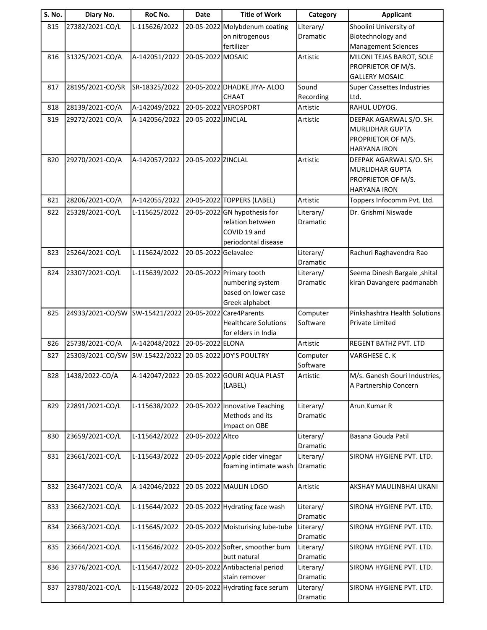| S. No. | Diary No.                      | RoC No.                                | Date                 | <b>Title of Work</b>                                    | Category              | <b>Applicant</b>                                          |
|--------|--------------------------------|----------------------------------------|----------------------|---------------------------------------------------------|-----------------------|-----------------------------------------------------------|
| 815    | 27382/2021-CO/L                | L-115626/2022                          |                      | 20-05-2022 Molybdenum coating                           | Literary/             | Shoolini University of                                    |
|        |                                |                                        |                      | on nitrogenous                                          | Dramatic              | Biotechnology and                                         |
|        |                                |                                        |                      | fertilizer                                              |                       | <b>Management Sciences</b>                                |
| 816    | 31325/2021-CO/A                | A-142051/2022                          | 20-05-2022 MOSAIC    |                                                         | Artistic              | MILONI TEJAS BAROT, SOLE                                  |
|        |                                |                                        |                      |                                                         |                       | PROPRIETOR OF M/S.                                        |
|        |                                |                                        |                      |                                                         |                       | <b>GALLERY MOSAIC</b>                                     |
| 817    | 28195/2021-CO/SR               | SR-18325/2022                          |                      | 20-05-2022 DHADKE JIYA- ALOO                            | Sound                 | <b>Super Cassettes Industries</b>                         |
|        |                                |                                        |                      | CHAAT                                                   | Recording             | Ltd.<br>RAHUL UDYOG.                                      |
| 818    | 28139/2021-CO/A                | A-142049/2022                          |                      | 20-05-2022 VEROSPORT                                    | Artistic              |                                                           |
| 819    | 29272/2021-CO/A                | A-142056/2022                          | 20-05-2022 JINCLAL   |                                                         | Artistic              | DEEPAK AGARWAL S/O. SH.                                   |
|        |                                |                                        |                      |                                                         |                       | <b>MURLIDHAR GUPTA</b><br>PROPRIETOR OF M/S.              |
|        |                                |                                        |                      |                                                         |                       | <b>HARYANA IRON</b>                                       |
| 820    | 29270/2021-CO/A                | A-142057/2022                          | 20-05-2022 ZINCLAL   |                                                         | Artistic              | DEEPAK AGARWAL S/O. SH.                                   |
|        |                                |                                        |                      |                                                         |                       | <b>MURLIDHAR GUPTA</b>                                    |
|        |                                |                                        |                      |                                                         |                       | PROPRIETOR OF M/S.                                        |
|        |                                |                                        |                      |                                                         |                       | <b>HARYANA IRON</b>                                       |
| 821    | 28206/2021-CO/A                | A-142055/2022                          |                      | 20-05-2022 TOPPERS (LABEL)                              | Artistic              | Toppers Infocomm Pvt. Ltd.                                |
| 822    | 25328/2021-CO/L                | L-115625/2022                          |                      | 20-05-2022 GN hypothesis for                            | Literary/             | Dr. Grishmi Niswade                                       |
|        |                                |                                        |                      | relation between                                        | Dramatic              |                                                           |
|        |                                |                                        |                      | COVID 19 and                                            |                       |                                                           |
|        |                                |                                        |                      | periodontal disease                                     |                       |                                                           |
| 823    | 25264/2021-CO/L                | L-115624/2022                          | 20-05-2022 Gelavalee |                                                         | Literary/             | Rachuri Raghavendra Rao                                   |
|        |                                |                                        |                      |                                                         | Dramatic              |                                                           |
| 824    | 23307/2021-CO/L                | L-115639/2022                          |                      | 20-05-2022 Primary tooth<br>numbering system            | Literary/<br>Dramatic | Seema Dinesh Bargale, shital<br>kiran Davangere padmanabh |
|        |                                |                                        |                      | based on lower case                                     |                       |                                                           |
|        |                                |                                        |                      | Greek alphabet                                          |                       |                                                           |
| 825    | 24933/2021-CO/SW SW-15421/2022 |                                        |                      | 20-05-2022 Care4 Parents                                | Computer              | Pinkshashtra Health Solutions                             |
|        |                                |                                        |                      | <b>Healthcare Solutions</b>                             | Software              | <b>Private Limited</b>                                    |
|        |                                |                                        |                      | lfor elders in India                                    |                       |                                                           |
| 826    | 25738/2021-CO/A                | A-142048/2022                          | 20-05-2022 ELONA     |                                                         | Artistic              | <b>REGENT BATHZ PVT. LTD</b>                              |
| 827    | 25303/2021-CO/SW               | SW-15422/2022 20-05-2022 JOY'S POULTRY |                      |                                                         | Computer              | VARGHESE C. K                                             |
|        |                                |                                        |                      |                                                         | Software              |                                                           |
| 828    | 1438/2022-CO/A                 | A-142047/2022                          |                      | 20-05-2022 GOURI AQUA PLAST<br>(LABEL)                  | Artistic              | M/s. Ganesh Gouri Industries,<br>A Partnership Concern    |
|        |                                |                                        |                      |                                                         |                       |                                                           |
| 829    | 22891/2021-CO/L                | L-115638/2022                          |                      | 20-05-2022 Innovative Teaching                          | Literary/             | Arun Kumar R                                              |
|        |                                |                                        |                      | Methods and its                                         | Dramatic              |                                                           |
|        |                                |                                        |                      | Impact on OBE                                           |                       |                                                           |
| 830    | 23659/2021-CO/L                | L-115642/2022                          | 20-05-2022 Altco     |                                                         | Literary/             | Basana Gouda Patil                                        |
|        |                                |                                        |                      |                                                         | Dramatic              |                                                           |
| 831    | 23661/2021-CO/L                | L-115643/2022                          |                      | 20-05-2022 Apple cider vinegar<br>foaming intimate wash | Literary/             | SIRONA HYGIENE PVT. LTD.                                  |
|        |                                |                                        |                      |                                                         | Dramatic              |                                                           |
| 832    | 23647/2021-CO/A                | A-142046/2022                          |                      | 20-05-2022 MAULIN LOGO                                  | Artistic              | AKSHAY MAULINBHAI UKANI                                   |
|        |                                |                                        |                      |                                                         |                       |                                                           |
| 833    | 23662/2021-CO/L                | L-115644/2022                          |                      | 20-05-2022 Hydrating face wash                          | Literary/             | SIRONA HYGIENE PVT. LTD.                                  |
|        |                                |                                        |                      |                                                         | Dramatic              |                                                           |
| 834    | 23663/2021-CO/L                | L-115645/2022                          |                      | 20-05-2022 Moisturising lube-tube                       | Literary/             | SIRONA HYGIENE PVT. LTD.                                  |
|        |                                |                                        |                      |                                                         | Dramatic              |                                                           |
| 835    | 23664/2021-CO/L                | L-115646/2022                          |                      | 20-05-2022 Softer, smoother bum<br>butt natural         | Literary/<br>Dramatic | SIRONA HYGIENE PVT. LTD.                                  |
| 836    | 23776/2021-CO/L                | L-115647/2022                          |                      | 20-05-2022 Antibacterial period                         | Literary/             | SIRONA HYGIENE PVT. LTD.                                  |
|        |                                |                                        |                      | stain remover                                           | Dramatic              |                                                           |
| 837    | 23780/2021-CO/L                | L-115648/2022                          |                      | 20-05-2022 Hydrating face serum                         | Literary/             | SIRONA HYGIENE PVT. LTD.                                  |
|        |                                |                                        |                      |                                                         | Dramatic              |                                                           |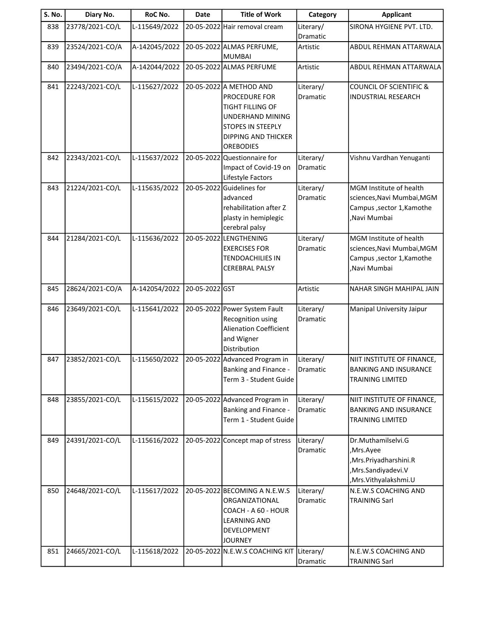| S. No. | Diary No.       | RoC No.       | Date           | <b>Title of Work</b>                                                                                                                                           | Category              | <b>Applicant</b>                                                                                             |
|--------|-----------------|---------------|----------------|----------------------------------------------------------------------------------------------------------------------------------------------------------------|-----------------------|--------------------------------------------------------------------------------------------------------------|
| 838    | 23778/2021-CO/L | L-115649/2022 |                | 20-05-2022 Hair removal cream                                                                                                                                  | Literary/<br>Dramatic | SIRONA HYGIENE PVT. LTD.                                                                                     |
| 839    | 23524/2021-CO/A | A-142045/2022 |                | 20-05-2022 ALMAS PERFUME,<br><b>MUMBAI</b>                                                                                                                     | Artistic              | ABDUL REHMAN ATTARWALA                                                                                       |
| 840    | 23494/2021-CO/A | A-142044/2022 |                | 20-05-2022 ALMAS PERFUME                                                                                                                                       | Artistic              | ABDUL REHMAN ATTARWALA                                                                                       |
| 841    | 22243/2021-CO/L | L-115627/2022 |                | 20-05-2022 A METHOD AND<br>PROCEDURE FOR<br><b>TIGHT FILLING OF</b><br>UNDERHAND MINING<br><b>STOPES IN STEEPLY</b><br>DIPPING AND THICKER<br><b>OREBODIES</b> | Literary/<br>Dramatic | <b>COUNCIL OF SCIENTIFIC &amp;</b><br><b>INDUSTRIAL RESEARCH</b>                                             |
| 842    | 22343/2021-CO/L | L-115637/2022 |                | 20-05-2022 Questionnaire for<br>Impact of Covid-19 on<br>Lifestyle Factors                                                                                     | Literary/<br>Dramatic | Vishnu Vardhan Yenuganti                                                                                     |
| 843    | 21224/2021-CO/L | L-115635/2022 | 20-05-2022     | Guidelines for<br>advanced<br>rehabilitation after Z<br>plasty in hemiplegic<br>cerebral palsy                                                                 | Literary/<br>Dramatic | MGM Institute of health<br>sciences, Navi Mumbai, MGM<br>Campus , sector 1, Kamothe<br>,Navi Mumbai          |
| 844    | 21284/2021-CO/L | L-115636/2022 |                | 20-05-2022 LENGTHENING<br><b>EXERCISES FOR</b><br><b>TENDOACHILIES IN</b><br>CEREBRAL PALSY                                                                    | Literary/<br>Dramatic | MGM Institute of health<br>sciences, Navi Mumbai, MGM<br>Campus, sector 1, Kamothe<br>Navi Mumbai,           |
| 845    | 28624/2021-CO/A | A-142054/2022 | 20-05-2022 GST |                                                                                                                                                                | Artistic              | NAHAR SINGH MAHIPAL JAIN                                                                                     |
| 846    | 23649/2021-CO/L | L-115641/2022 |                | 20-05-2022 Power System Fault<br>Recognition using<br>Alienation Coefficient<br>and Wigner<br>Distribution                                                     | Literary/<br>Dramatic | Manipal University Jaipur                                                                                    |
| 847    | 23852/2021-CO/L | L-115650/2022 |                | 20-05-2022 Advanced Program in<br>Banking and Finance -<br>Term 3 - Student Guide                                                                              | Literary/<br>Dramatic | NIIT INSTITUTE OF FINANCE,<br><b>BANKING AND INSURANCE</b><br><b>TRAINING LIMITED</b>                        |
| 848    | 23855/2021-CO/L | L-115615/2022 |                | 20-05-2022 Advanced Program in<br>Banking and Finance -<br>Term 1 - Student Guide                                                                              | Literary/<br>Dramatic | NIIT INSTITUTE OF FINANCE,<br><b>BANKING AND INSURANCE</b><br><b>TRAINING LIMITED</b>                        |
| 849    | 24391/2021-CO/L | L-115616/2022 |                | 20-05-2022 Concept map of stress                                                                                                                               | Literary/<br>Dramatic | Dr.Muthamilselvi.G<br>,Mrs.Ayee<br>, Mrs. Priyadharshini. R<br>,Mrs.Sandiyadevi.V<br>, Mrs. Vithyalakshmi. U |
| 850    | 24648/2021-CO/L | L-115617/2022 |                | 20-05-2022 BECOMING A N.E.W.S<br>ORGANIZATIONAL<br>COACH - A 60 - HOUR<br><b>LEARNING AND</b><br>DEVELOPMENT<br><b>JOURNEY</b>                                 | Literary/<br>Dramatic | N.E.W.S COACHING AND<br><b>TRAINING Sarl</b>                                                                 |
| 851    | 24665/2021-CO/L | L-115618/2022 |                | 20-05-2022 N.E.W.S COACHING KIT                                                                                                                                | Literary/<br>Dramatic | N.E.W.S COACHING AND<br><b>TRAINING Sarl</b>                                                                 |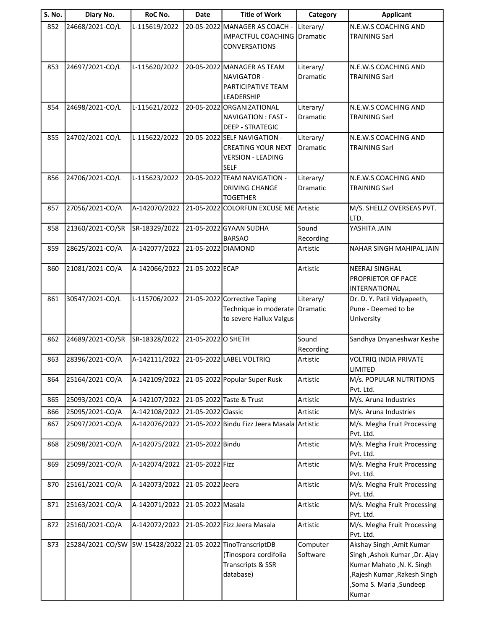| <b>S. No.</b> | Diary No.        | RoC No.       | <b>Date</b>        | <b>Title of Work</b>                                                                                 | Category              | <b>Applicant</b>                                                                                                                                             |
|---------------|------------------|---------------|--------------------|------------------------------------------------------------------------------------------------------|-----------------------|--------------------------------------------------------------------------------------------------------------------------------------------------------------|
| 852           | 24668/2021-CO/L  | L-115619/2022 |                    | 20-05-2022 MANAGER AS COACH -<br><b>IMPACTFUL COACHING</b><br><b>CONVERSATIONS</b>                   | Literary/<br>Dramatic | N.E.W.S COACHING AND<br><b>TRAINING Sarl</b>                                                                                                                 |
| 853           | 24697/2021-CO/L  | L-115620/2022 |                    | 20-05-2022 MANAGER AS TEAM<br>NAVIGATOR -<br>PARTICIPATIVE TEAM<br>LEADERSHIP                        | Literary/<br>Dramatic | N.E.W.S COACHING AND<br><b>TRAINING Sarl</b>                                                                                                                 |
| 854           | 24698/2021-CO/L  | L-115621/2022 |                    | 20-05-2022 ORGANIZATIONAL<br>NAVIGATION: FAST -<br><b>DEEP - STRATEGIC</b>                           | Literary/<br>Dramatic | N.E.W.S COACHING AND<br><b>TRAINING Sarl</b>                                                                                                                 |
| 855           | 24702/2021-CO/L  | L-115622/2022 |                    | 20-05-2022 SELF NAVIGATION -<br><b>CREATING YOUR NEXT</b><br><b>VERSION - LEADING</b><br><b>SELF</b> | Literary/<br>Dramatic | N.E.W.S COACHING AND<br><b>TRAINING Sarl</b>                                                                                                                 |
| 856           | 24706/2021-CO/L  | L-115623/2022 |                    | 20-05-2022 TEAM NAVIGATION -<br><b>DRIVING CHANGE</b><br><b>TOGETHER</b>                             | Literary/<br>Dramatic | N.E.W.S COACHING AND<br><b>TRAINING Sarl</b>                                                                                                                 |
| 857           | 27056/2021-CO/A  | A-142070/2022 |                    | 21-05-2022 COLORFUN EXCUSE ME Artistic                                                               |                       | M/S. SHELLZ OVERSEAS PVT.<br>LTD.                                                                                                                            |
| 858           | 21360/2021-CO/SR | SR-18329/2022 |                    | 21-05-2022 GYAAN SUDHA<br><b>BARSAO</b>                                                              | Sound<br>Recording    | YASHITA JAIN                                                                                                                                                 |
| 859           | 28625/2021-CO/A  | A-142077/2022 | 21-05-2022 DIAMOND |                                                                                                      | Artistic              | NAHAR SINGH MAHIPAL JAIN                                                                                                                                     |
| 860           | 21081/2021-CO/A  | A-142066/2022 | 21-05-2022 ECAP    |                                                                                                      | Artistic              | <b>NEERAJ SINGHAL</b><br>PROPRIETOR OF PACE<br>INTERNATIONAL                                                                                                 |
| 861           | 30547/2021-CO/L  | L-115706/2022 |                    | 21-05-2022 Corrective Taping<br>Technique in moderate<br>to severe Hallux Valgus                     | Literary/<br>Dramatic | Dr. D. Y. Patil Vidyapeeth,<br>Pune - Deemed to be<br>University                                                                                             |
| 862           | 24689/2021-CO/SR | SR-18328/2022 | 21-05-2022 O SHETH |                                                                                                      | Sound<br>Recording    | Sandhya Dnyaneshwar Keshe                                                                                                                                    |
| 863           | 28396/2021-CO/A  | A-142111/2022 |                    | 21-05-2022 LABEL VOLTRIQ                                                                             | Artistic              | VOLTRIQ INDIA PRIVATE<br><b>LIMITED</b>                                                                                                                      |
| 864           | 25164/2021-CO/A  | A-142109/2022 |                    | 21-05-2022 Popular Super Rusk                                                                        | Artistic              | M/s. POPULAR NUTRITIONS<br>Pvt. Ltd.                                                                                                                         |
| 865           | 25093/2021-CO/A  | A-142107/2022 |                    | 21-05-2022 Taste & Trust                                                                             | Artistic              | M/s. Aruna Industries                                                                                                                                        |
| 866           | 25095/2021-CO/A  | A-142108/2022 | 21-05-2022 Classic |                                                                                                      | Artistic              | M/s. Aruna Industries                                                                                                                                        |
| 867           | 25097/2021-CO/A  | A-142076/2022 |                    | 21-05-2022 Bindu Fizz Jeera Masala Artistic                                                          |                       | M/s. Megha Fruit Processing<br>Pvt. Ltd.                                                                                                                     |
| 868           | 25098/2021-CO/A  | A-142075/2022 | 21-05-2022 Bindu   |                                                                                                      | Artistic              | M/s. Megha Fruit Processing<br>Pvt. Ltd.                                                                                                                     |
| 869           | 25099/2021-CO/A  | A-142074/2022 | 21-05-2022 Fizz    |                                                                                                      | Artistic              | M/s. Megha Fruit Processing<br>Pvt. Ltd.                                                                                                                     |
| 870           | 25161/2021-CO/A  | A-142073/2022 | 21-05-2022 Jeera   |                                                                                                      | Artistic              | M/s. Megha Fruit Processing<br>Pvt. Ltd.                                                                                                                     |
| 871           | 25163/2021-CO/A  | A-142071/2022 | 21-05-2022 Masala  |                                                                                                      | Artistic              | M/s. Megha Fruit Processing<br>Pvt. Ltd.                                                                                                                     |
| 872           | 25160/2021-CO/A  | A-142072/2022 |                    | 21-05-2022 Fizz Jeera Masala                                                                         | Artistic              | M/s. Megha Fruit Processing<br>Pvt. Ltd.                                                                                                                     |
| 873           | 25284/2021-CO/SW |               |                    | SW-15428/2022 21-05-2022 TinoTranscriptDB<br>(Tinospora cordifolia<br>Transcripts & SSR<br>database) | Computer<br>Software  | Akshay Singh, Amit Kumar<br>Singh , Ashok Kumar , Dr. Ajay<br>Kumar Mahato , N. K. Singh<br>,Rajesh Kumar, Rakesh Singh<br>, Soma S. Marla, Sundeep<br>Kumar |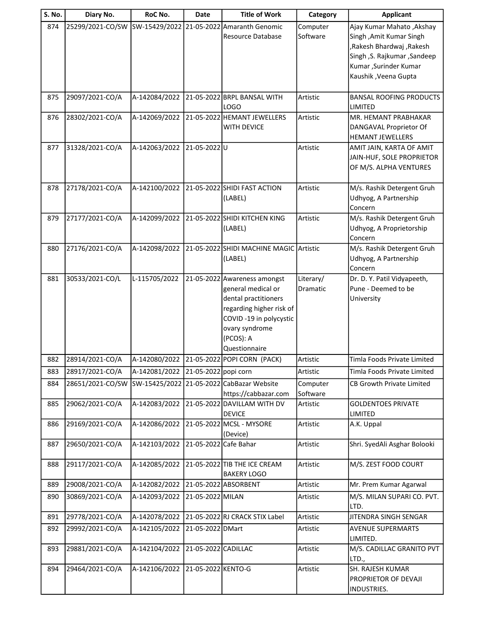| S. No. | Diary No.        | RoC No.       | <b>Date</b>           | <b>Title of Work</b>                                                                                                                                                              | Category              | <b>Applicant</b>                                                                                                                                                     |
|--------|------------------|---------------|-----------------------|-----------------------------------------------------------------------------------------------------------------------------------------------------------------------------------|-----------------------|----------------------------------------------------------------------------------------------------------------------------------------------------------------------|
| 874    | 25299/2021-CO/SW | SW-15429/2022 |                       | 21-05-2022 Amaranth Genomic<br>Resource Database                                                                                                                                  | Computer<br>Software  | Ajay Kumar Mahato, Akshay<br>Singh , Amit Kumar Singh<br>,Rakesh Bhardwaj, Rakesh<br>Singh , S. Rajkumar , Sandeep<br>Kumar, Surinder Kumar<br>Kaushik , Veena Gupta |
| 875    | 29097/2021-CO/A  | A-142084/2022 |                       | 21-05-2022 BRPL BANSAL WITH<br>LOGO                                                                                                                                               | Artistic              | <b>BANSAL ROOFING PRODUCTS</b><br>LIMITED                                                                                                                            |
| 876    | 28302/2021-CO/A  | A-142069/2022 |                       | 21-05-2022 HEMANT JEWELLERS<br><b>WITH DEVICE</b>                                                                                                                                 | Artistic              | MR. HEMANT PRABHAKAR<br>DANGAVAL Proprietor Of<br>HEMANT JEWELLERS                                                                                                   |
| 877    | 31328/2021-CO/A  | A-142063/2022 | 21-05-2022U           |                                                                                                                                                                                   | Artistic              | AMIT JAIN, KARTA OF AMIT<br>JAIN-HUF, SOLE PROPRIETOR<br>OF M/S. ALPHA VENTURES                                                                                      |
| 878    | 27178/2021-CO/A  | A-142100/2022 |                       | 21-05-2022 SHIDI FAST ACTION<br>(LABEL)                                                                                                                                           | Artistic              | M/s. Rashik Detergent Gruh<br>Udhyog, A Partnership<br>Concern                                                                                                       |
| 879    | 27177/2021-CO/A  | A-142099/2022 |                       | 21-05-2022 SHIDI KITCHEN KING<br>(LABEL)                                                                                                                                          | Artistic              | M/s. Rashik Detergent Gruh<br>Udhyog, A Proprietorship<br>Concern                                                                                                    |
| 880    | 27176/2021-CO/A  | A-142098/2022 |                       | 21-05-2022 SHIDI MACHINE MAGIC Artistic<br>(LABEL)                                                                                                                                |                       | M/s. Rashik Detergent Gruh<br>Udhyog, A Partnership<br>Concern                                                                                                       |
| 881    | 30533/2021-CO/L  | L-115705/2022 |                       | 21-05-2022 Awareness amongst<br>general medical or<br>dental practitioners<br>regarding higher risk of<br>COVID -19 in polycystic<br>ovary syndrome<br>(PCOS): A<br>Questionnaire | Literary/<br>Dramatic | Dr. D. Y. Patil Vidyapeeth,<br>Pune - Deemed to be<br>University                                                                                                     |
| 882    | 28914/2021-CO/A  | A-142080/2022 |                       | 21-05-2022 POPI CORN (PACK)                                                                                                                                                       | Artistic              | Timla Foods Private Limited                                                                                                                                          |
| 883    | 28917/2021-CO/A  | A-142081/2022 | 21-05-2022 popi corn  |                                                                                                                                                                                   | Artistic              | Timla Foods Private Limited                                                                                                                                          |
| 884    | 28651/2021-CO/SW | SW-15425/2022 |                       | 21-05-2022 CabBazar Website<br>https://cabbazar.com                                                                                                                               | Computer<br>Software  | CB Growth Private Limited                                                                                                                                            |
| 885    | 29062/2021-CO/A  | A-142083/2022 |                       | 21-05-2022 DAVILLAM WITH DV<br><b>DEVICE</b>                                                                                                                                      | Artistic              | <b>GOLDENTOES PRIVATE</b><br>LIMITED                                                                                                                                 |
| 886    | 29169/2021-CO/A  | A-142086/2022 |                       | 21-05-2022 MCSL - MYSORE<br>(Device)                                                                                                                                              | Artistic              | A.K. Uppal                                                                                                                                                           |
| 887    | 29650/2021-CO/A  | A-142103/2022 | 21-05-2022 Cafe Bahar |                                                                                                                                                                                   | Artistic              | Shri. SyedAli Asghar Bolooki                                                                                                                                         |
| 888    | 29117/2021-CO/A  | A-142085/2022 |                       | 21-05-2022 TIB THE ICE CREAM<br><b>BAKERY LOGO</b>                                                                                                                                | Artistic              | M/S. ZEST FOOD COURT                                                                                                                                                 |
| 889    | 29008/2021-CO/A  | A-142082/2022 |                       | 21-05-2022 ABSORBENT                                                                                                                                                              | Artistic              | Mr. Prem Kumar Agarwal                                                                                                                                               |
| 890    | 30869/2021-CO/A  | A-142093/2022 | 21-05-2022 MILAN      |                                                                                                                                                                                   | Artistic              | M/S. MILAN SUPARI CO. PVT.<br>LTD.                                                                                                                                   |
| 891    | 29778/2021-CO/A  | A-142078/2022 |                       | 21-05-2022 RJ CRACK STIX Label                                                                                                                                                    | Artistic              | JITENDRA SINGH SENGAR                                                                                                                                                |
| 892    | 29992/2021-CO/A  | A-142105/2022 | 21-05-2022 DMart      |                                                                                                                                                                                   | Artistic              | <b>AVENUE SUPERMARTS</b><br>LIMITED.                                                                                                                                 |
| 893    | 29881/2021-CO/A  | A-142104/2022 | 21-05-2022 CADILLAC   |                                                                                                                                                                                   | Artistic              | M/S. CADILLAC GRANITO PVT<br>LTD.,                                                                                                                                   |
| 894    | 29464/2021-CO/A  | A-142106/2022 | 21-05-2022 KENTO-G    |                                                                                                                                                                                   | Artistic              | SH. RAJESH KUMAR<br>PROPRIETOR OF DEVAJI<br>INDUSTRIES.                                                                                                              |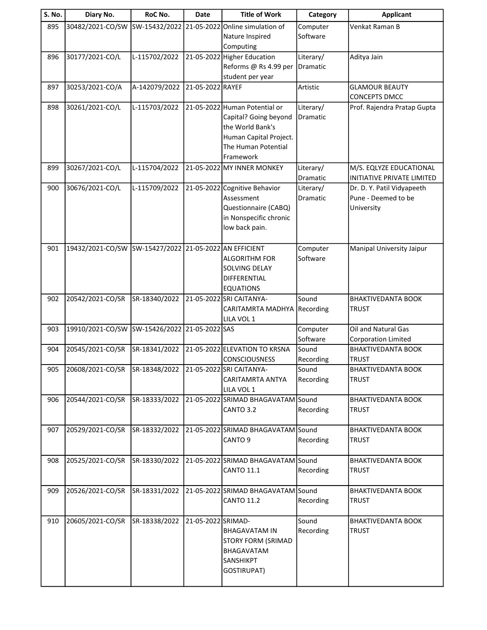| SW-15432/2022<br>895<br>30482/2021-CO/SW<br>21-05-2022 Online simulation of<br>Venkat Raman B<br>Computer<br>Software<br>Nature Inspired<br>Computing<br>21-05-2022 Higher Education<br>Aditya Jain<br>896<br>30177/2021-CO/L<br>L-115702/2022<br>Literary/<br>Reforms @ Rs 4.99 per<br>Dramatic<br>student per year<br>30253/2021-CO/A<br>A-142079/2022<br>21-05-2022 RAYEF<br><b>GLAMOUR BEAUTY</b><br>897<br>Artistic<br>CONCEPTS DMCC<br>21-05-2022 Human Potential or<br>898<br>30261/2021-CO/L<br>L-115703/2022<br>Literary/<br>Prof. Rajendra Pratap Gupta<br>Capital? Going beyond<br>Dramatic<br>the World Bank's<br>Human Capital Project.<br>The Human Potential<br>Framework<br>30267/2021-CO/L<br>L-115704/2022<br>21-05-2022 MY INNER MONKEY<br>899<br>Literary/<br>M/S. EQLYZE EDUCATIONAL<br>Dramatic<br>L-115709/2022<br>900<br>30676/2021-CO/L<br>21-05-2022 Cognitive Behavior<br>Literary/<br>Dr. D. Y. Patil Vidyapeeth<br>Pune - Deemed to be<br>Assessment<br>Dramatic<br>Questionnaire (CABQ)<br>University<br>in Nonspecific chronic<br>low back pain. | S. No. | Diary No. | RoC No. | Date | <b>Title of Work</b> | Category | <b>Applicant</b>                  |
|---------------------------------------------------------------------------------------------------------------------------------------------------------------------------------------------------------------------------------------------------------------------------------------------------------------------------------------------------------------------------------------------------------------------------------------------------------------------------------------------------------------------------------------------------------------------------------------------------------------------------------------------------------------------------------------------------------------------------------------------------------------------------------------------------------------------------------------------------------------------------------------------------------------------------------------------------------------------------------------------------------------------------------------------------------------------------------|--------|-----------|---------|------|----------------------|----------|-----------------------------------|
|                                                                                                                                                                                                                                                                                                                                                                                                                                                                                                                                                                                                                                                                                                                                                                                                                                                                                                                                                                                                                                                                                 |        |           |         |      |                      |          |                                   |
|                                                                                                                                                                                                                                                                                                                                                                                                                                                                                                                                                                                                                                                                                                                                                                                                                                                                                                                                                                                                                                                                                 |        |           |         |      |                      |          |                                   |
|                                                                                                                                                                                                                                                                                                                                                                                                                                                                                                                                                                                                                                                                                                                                                                                                                                                                                                                                                                                                                                                                                 |        |           |         |      |                      |          |                                   |
|                                                                                                                                                                                                                                                                                                                                                                                                                                                                                                                                                                                                                                                                                                                                                                                                                                                                                                                                                                                                                                                                                 |        |           |         |      |                      |          |                                   |
|                                                                                                                                                                                                                                                                                                                                                                                                                                                                                                                                                                                                                                                                                                                                                                                                                                                                                                                                                                                                                                                                                 |        |           |         |      |                      |          |                                   |
|                                                                                                                                                                                                                                                                                                                                                                                                                                                                                                                                                                                                                                                                                                                                                                                                                                                                                                                                                                                                                                                                                 |        |           |         |      |                      |          |                                   |
|                                                                                                                                                                                                                                                                                                                                                                                                                                                                                                                                                                                                                                                                                                                                                                                                                                                                                                                                                                                                                                                                                 |        |           |         |      |                      |          |                                   |
|                                                                                                                                                                                                                                                                                                                                                                                                                                                                                                                                                                                                                                                                                                                                                                                                                                                                                                                                                                                                                                                                                 |        |           |         |      |                      |          |                                   |
|                                                                                                                                                                                                                                                                                                                                                                                                                                                                                                                                                                                                                                                                                                                                                                                                                                                                                                                                                                                                                                                                                 |        |           |         |      |                      |          |                                   |
|                                                                                                                                                                                                                                                                                                                                                                                                                                                                                                                                                                                                                                                                                                                                                                                                                                                                                                                                                                                                                                                                                 |        |           |         |      |                      |          |                                   |
|                                                                                                                                                                                                                                                                                                                                                                                                                                                                                                                                                                                                                                                                                                                                                                                                                                                                                                                                                                                                                                                                                 |        |           |         |      |                      |          |                                   |
|                                                                                                                                                                                                                                                                                                                                                                                                                                                                                                                                                                                                                                                                                                                                                                                                                                                                                                                                                                                                                                                                                 |        |           |         |      |                      |          |                                   |
|                                                                                                                                                                                                                                                                                                                                                                                                                                                                                                                                                                                                                                                                                                                                                                                                                                                                                                                                                                                                                                                                                 |        |           |         |      |                      |          | <b>INITIATIVE PRIVATE LIMITED</b> |
|                                                                                                                                                                                                                                                                                                                                                                                                                                                                                                                                                                                                                                                                                                                                                                                                                                                                                                                                                                                                                                                                                 |        |           |         |      |                      |          |                                   |
|                                                                                                                                                                                                                                                                                                                                                                                                                                                                                                                                                                                                                                                                                                                                                                                                                                                                                                                                                                                                                                                                                 |        |           |         |      |                      |          |                                   |
|                                                                                                                                                                                                                                                                                                                                                                                                                                                                                                                                                                                                                                                                                                                                                                                                                                                                                                                                                                                                                                                                                 |        |           |         |      |                      |          |                                   |
|                                                                                                                                                                                                                                                                                                                                                                                                                                                                                                                                                                                                                                                                                                                                                                                                                                                                                                                                                                                                                                                                                 |        |           |         |      |                      |          |                                   |
|                                                                                                                                                                                                                                                                                                                                                                                                                                                                                                                                                                                                                                                                                                                                                                                                                                                                                                                                                                                                                                                                                 |        |           |         |      |                      |          |                                   |
| 19432/2021-CO/SW SW-15427/2022 21-05-2022 AN EFFICIENT<br>901<br>Computer<br>Manipal University Jaipur                                                                                                                                                                                                                                                                                                                                                                                                                                                                                                                                                                                                                                                                                                                                                                                                                                                                                                                                                                          |        |           |         |      |                      |          |                                   |
| Software<br><b>ALGORITHM FOR</b>                                                                                                                                                                                                                                                                                                                                                                                                                                                                                                                                                                                                                                                                                                                                                                                                                                                                                                                                                                                                                                                |        |           |         |      |                      |          |                                   |
| SOLVING DELAY<br>DIFFERENTIAL                                                                                                                                                                                                                                                                                                                                                                                                                                                                                                                                                                                                                                                                                                                                                                                                                                                                                                                                                                                                                                                   |        |           |         |      |                      |          |                                   |
| <b>EQUATIONS</b>                                                                                                                                                                                                                                                                                                                                                                                                                                                                                                                                                                                                                                                                                                                                                                                                                                                                                                                                                                                                                                                                |        |           |         |      |                      |          |                                   |
| 21-05-2022 SRI CAITANYA-<br>Sound<br>902<br>20542/2021-CO/SR<br>SR-18340/2022<br><b>BHAKTIVEDANTA BOOK</b>                                                                                                                                                                                                                                                                                                                                                                                                                                                                                                                                                                                                                                                                                                                                                                                                                                                                                                                                                                      |        |           |         |      |                      |          |                                   |
| CARITAMRTA MADHYA Recording<br><b>TRUST</b>                                                                                                                                                                                                                                                                                                                                                                                                                                                                                                                                                                                                                                                                                                                                                                                                                                                                                                                                                                                                                                     |        |           |         |      |                      |          |                                   |
| LILA VOL 1                                                                                                                                                                                                                                                                                                                                                                                                                                                                                                                                                                                                                                                                                                                                                                                                                                                                                                                                                                                                                                                                      |        |           |         |      |                      |          |                                   |
| SW-15426/2022 21-05-2022 SAS<br>19910/2021-CO/SW<br>Oil and Natural Gas<br>903<br>Computer<br>Software                                                                                                                                                                                                                                                                                                                                                                                                                                                                                                                                                                                                                                                                                                                                                                                                                                                                                                                                                                          |        |           |         |      |                      |          |                                   |
| <b>Corporation Limited</b><br>21-05-2022 ELEVATION TO KRSNA<br>20545/2021-CO/SR<br>SR-18341/2022<br>Sound<br>904<br><b>BHAKTIVEDANTA BOOK</b>                                                                                                                                                                                                                                                                                                                                                                                                                                                                                                                                                                                                                                                                                                                                                                                                                                                                                                                                   |        |           |         |      |                      |          |                                   |
| <b>CONSCIOUSNESS</b><br>Recording<br><b>TRUST</b>                                                                                                                                                                                                                                                                                                                                                                                                                                                                                                                                                                                                                                                                                                                                                                                                                                                                                                                                                                                                                               |        |           |         |      |                      |          |                                   |
| 905<br>20608/2021-CO/SR<br>SR-18348/2022<br>21-05-2022 SRI CAITANYA-<br>Sound<br><b>BHAKTIVEDANTA BOOK</b>                                                                                                                                                                                                                                                                                                                                                                                                                                                                                                                                                                                                                                                                                                                                                                                                                                                                                                                                                                      |        |           |         |      |                      |          |                                   |
| Recording<br><b>CARITAMRTA ANTYA</b><br><b>TRUST</b>                                                                                                                                                                                                                                                                                                                                                                                                                                                                                                                                                                                                                                                                                                                                                                                                                                                                                                                                                                                                                            |        |           |         |      |                      |          |                                   |
| LILA VOL 1<br>20544/2021-CO/SR<br><b>BHAKTIVEDANTA BOOK</b>                                                                                                                                                                                                                                                                                                                                                                                                                                                                                                                                                                                                                                                                                                                                                                                                                                                                                                                                                                                                                     |        |           |         |      |                      |          |                                   |
| SR-18333/2022<br>21-05-2022 SRIMAD BHAGAVATAM Sound<br>906<br>CANTO 3.2<br>Recording<br><b>TRUST</b>                                                                                                                                                                                                                                                                                                                                                                                                                                                                                                                                                                                                                                                                                                                                                                                                                                                                                                                                                                            |        |           |         |      |                      |          |                                   |
|                                                                                                                                                                                                                                                                                                                                                                                                                                                                                                                                                                                                                                                                                                                                                                                                                                                                                                                                                                                                                                                                                 |        |           |         |      |                      |          |                                   |
| 21-05-2022 SRIMAD BHAGAVATAM Sound<br>20529/2021-CO/SR<br>SR-18332/2022<br>907<br><b>BHAKTIVEDANTA BOOK</b>                                                                                                                                                                                                                                                                                                                                                                                                                                                                                                                                                                                                                                                                                                                                                                                                                                                                                                                                                                     |        |           |         |      |                      |          |                                   |
| CANTO <sub>9</sub><br>Recording<br><b>TRUST</b>                                                                                                                                                                                                                                                                                                                                                                                                                                                                                                                                                                                                                                                                                                                                                                                                                                                                                                                                                                                                                                 |        |           |         |      |                      |          |                                   |
| 20525/2021-CO/SR<br>SR-18330/2022<br>21-05-2022 SRIMAD BHAGAVATAM Sound<br>908<br><b>BHAKTIVEDANTA BOOK</b>                                                                                                                                                                                                                                                                                                                                                                                                                                                                                                                                                                                                                                                                                                                                                                                                                                                                                                                                                                     |        |           |         |      |                      |          |                                   |
| <b>CANTO 11.1</b><br>Recording<br><b>TRUST</b>                                                                                                                                                                                                                                                                                                                                                                                                                                                                                                                                                                                                                                                                                                                                                                                                                                                                                                                                                                                                                                  |        |           |         |      |                      |          |                                   |
|                                                                                                                                                                                                                                                                                                                                                                                                                                                                                                                                                                                                                                                                                                                                                                                                                                                                                                                                                                                                                                                                                 |        |           |         |      |                      |          |                                   |
| 20526/2021-CO/SR<br>SR-18331/2022<br>21-05-2022 SRIMAD BHAGAVATAM Sound<br>909<br><b>BHAKTIVEDANTA BOOK</b>                                                                                                                                                                                                                                                                                                                                                                                                                                                                                                                                                                                                                                                                                                                                                                                                                                                                                                                                                                     |        |           |         |      |                      |          |                                   |
| <b>CANTO 11.2</b><br>Recording<br><b>TRUST</b>                                                                                                                                                                                                                                                                                                                                                                                                                                                                                                                                                                                                                                                                                                                                                                                                                                                                                                                                                                                                                                  |        |           |         |      |                      |          |                                   |
| 20605/2021-CO/SR<br>SR-18338/2022<br>21-05-2022 SRIMAD-<br>Sound<br>910<br><b>BHAKTIVEDANTA BOOK</b>                                                                                                                                                                                                                                                                                                                                                                                                                                                                                                                                                                                                                                                                                                                                                                                                                                                                                                                                                                            |        |           |         |      |                      |          |                                   |
| <b>BHAGAVATAM IN</b><br>Recording<br><b>TRUST</b>                                                                                                                                                                                                                                                                                                                                                                                                                                                                                                                                                                                                                                                                                                                                                                                                                                                                                                                                                                                                                               |        |           |         |      |                      |          |                                   |
| <b>STORY FORM (SRIMAD</b>                                                                                                                                                                                                                                                                                                                                                                                                                                                                                                                                                                                                                                                                                                                                                                                                                                                                                                                                                                                                                                                       |        |           |         |      |                      |          |                                   |
| BHAGAVATAM                                                                                                                                                                                                                                                                                                                                                                                                                                                                                                                                                                                                                                                                                                                                                                                                                                                                                                                                                                                                                                                                      |        |           |         |      |                      |          |                                   |
| SANSHIKPT                                                                                                                                                                                                                                                                                                                                                                                                                                                                                                                                                                                                                                                                                                                                                                                                                                                                                                                                                                                                                                                                       |        |           |         |      |                      |          |                                   |
| GOSTIRUPAT)                                                                                                                                                                                                                                                                                                                                                                                                                                                                                                                                                                                                                                                                                                                                                                                                                                                                                                                                                                                                                                                                     |        |           |         |      |                      |          |                                   |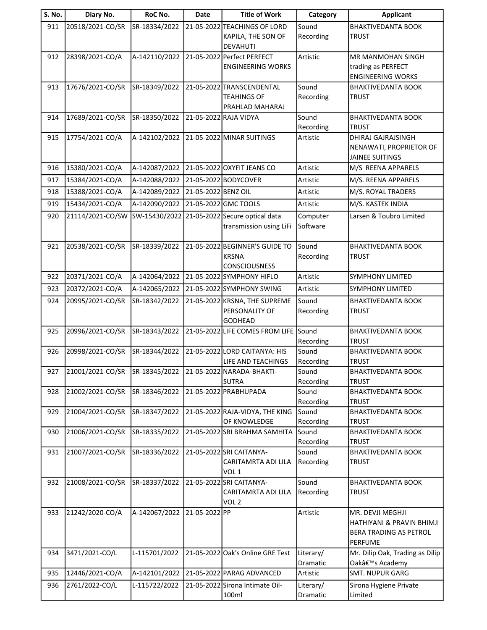| 20518/2021-CO/SR<br>Sound<br>911<br>SR-18334/2022<br>21-05-2022 TEACHINGS OF LORD<br><b>BHAKTIVEDANTA BOOK</b><br>Recording<br>KAPILA, THE SON OF<br><b>TRUST</b><br><b>DEVAHUTI</b><br>21-05-2022 Perfect PERFECT<br>Artistic<br>912<br>28398/2021-CO/A<br>A-142110/2022<br>MR MANMOHAN SINGH<br>trading as PERFECT<br><b>ENGINEERING WORKS</b><br><b>ENGINEERING WORKS</b><br>17676/2021-CO/SR<br>SR-18349/2022<br>21-05-2022 TRANSCENDENTAL<br>Sound<br>913<br><b>BHAKTIVEDANTA BOOK</b><br>Recording<br><b>TEAHINGS OF</b><br><b>TRUST</b><br>PRAHLAD MAHARAJ<br>914<br>17689/2021-CO/SR<br>SR-18350/2022<br>21-05-2022 RAJA VIDYA<br>Sound<br><b>BHAKTIVEDANTA BOOK</b><br>Recording<br><b>TRUST</b><br>A-142102/2022<br>915<br>17754/2021-CO/A<br>21-05-2022 MINAR SUITINGS<br>DHIRAJ GAJRAJSINGH<br>Artistic<br>NENAWATI, PROPRIETOR OF<br><b>JAINEE SUITINGS</b><br>15380/2021-CO/A<br>A-142087/2022<br>21-05-2022 OXYFIT JEANS CO<br>M/S REENA APPARELS<br>916<br>Artistic<br>917<br>15384/2021-CO/A<br>A-142088/2022<br>21-05-2022 BODYCOVER<br>M/S. REENA APPARELS<br>Artistic<br>15388/2021-CO/A<br>A-142089/2022<br>21-05-2022 BENZ OIL<br>M/S. ROYAL TRADERS<br>918<br>Artistic<br>21-05-2022 GMC TOOLS<br>919<br>15434/2021-CO/A<br>A-142090/2022<br>M/S. KASTEK INDIA<br>Artistic<br>21114/2021-CO/SW<br>SW-15430/2022<br>21-05-2022 Secure optical data<br>Larsen & Toubro Limited<br>920<br>Computer<br>Software<br>transmission using LiFi<br>21-05-2022 BEGINNER'S GUIDE TO<br>921<br>20538/2021-CO/SR<br>SR-18339/2022<br>Sound<br><b>BHAKTIVEDANTA BOOK</b><br><b>KRSNA</b><br>Recording<br>TRUST<br><b>CONSCIOUSNESS</b><br>A-142064/2022<br>21-05-2022 SYMPHONY HIFLO<br>20371/2021-CO/A<br>Artistic<br><b>SYMPHONY LIMITED</b><br>922<br>20372/2021-CO/A<br>A-142065/2022<br>21-05-2022 SYMPHONY SWING<br>923<br>Artistic<br><b>SYMPHONY LIMITED</b><br>924<br>20995/2021-CO/SR<br>SR-18342/2022<br>21-05-2022 KRSNA, THE SUPREME<br>Sound<br><b>BHAKTIVEDANTA BOOK</b><br>PERSONALITY OF<br>Recording<br><b>TRUST</b><br><b>GODHEAD</b><br>Sound<br>925<br>20996/2021-CO/SR<br>SR-18343/2022<br>21-05-2022 LIFE COMES FROM LIFE<br><b>BHAKTIVEDANTA BOOK</b><br>Recording<br><b>TRUST</b><br>21-05-2022 LORD CAITANYA: HIS<br>Sound<br>926<br>20998/2021-CO/SR<br>SR-18344/2022<br><b>BHAKTIVEDANTA BOOK</b><br><b>LIFE AND TEACHINGS</b><br>Recording<br><b>TRUST</b><br>21001/2021-CO/SR<br>SR-18345/2022<br>21-05-2022 NARADA-BHAKTI-<br>Sound<br>927<br><b>BHAKTIVEDANTA BOOK</b><br>Recording<br><b>SUTRA</b><br><b>TRUST</b><br>21002/2021-CO/SR<br>SR-18346/2022<br>21-05-2022 PRABHUPADA<br>Sound<br>928<br><b>BHAKTIVEDANTA BOOK</b><br>Recording<br><b>TRUST</b><br>Sound<br>929<br>21004/2021-CO/SR<br>SR-18347/2022<br>21-05-2022 RAJA-VIDYA, THE KING<br><b>BHAKTIVEDANTA BOOK</b><br>Recording<br>OF KNOWLEDGE<br><b>TRUST</b><br>21006/2021-CO/SR<br>SR-18335/2022<br>21-05-2022 SRI BRAHMA SAMHITA<br>Sound<br>930<br><b>BHAKTIVEDANTA BOOK</b><br>Recording<br><b>TRUST</b><br>21-05-2022 SRI CAITANYA-<br>21007/2021-CO/SR<br>SR-18336/2022<br>Sound<br>931<br><b>BHAKTIVEDANTA BOOK</b><br>CARITAMRTA ADI LILA<br>Recording<br><b>TRUST</b><br>VOL <sub>1</sub><br>21008/2021-CO/SR<br>SR-18337/2022<br>21-05-2022 SRI CAITANYA-<br>Sound<br>932<br><b>BHAKTIVEDANTA BOOK</b><br>Recording<br>CARITAMRTA ADI LILA<br><b>TRUST</b><br>VOL <sub>2</sub><br>21242/2020-CO/A<br>A-142067/2022<br>21-05-2022 PP<br>Artistic<br>933<br>MR. DEVJI MEGHJI<br>HATHIYANI & PRAVIN BHIMJI<br>BERA TRADING AS PETROL<br><b>PERFUME</b><br>3471/2021-CO/L<br>L-115701/2022<br>21-05-2022 Oak's Online GRE Test<br>Literary/<br>Mr. Dilip Oak, Trading as Dilip<br>934<br>Dramatic<br>Oakâ€ <sup>™</sup> s Academy<br>12446/2021-CO/A<br>A-142101/2022<br>21-05-2022 PARAG ADVANCED<br>935<br><b>SMT. NUPUR GARG</b><br>Artistic<br>936<br>2761/2022-CO/L<br>L-115722/2022<br>21-05-2022 Sirona Intimate Oil-<br>Literary/<br>Sirona Hygiene Private<br>100ml<br>Dramatic<br>Limited | S. No. | Diary No. | RoC No. | <b>Date</b> | <b>Title of Work</b> | Category | <b>Applicant</b> |
|---------------------------------------------------------------------------------------------------------------------------------------------------------------------------------------------------------------------------------------------------------------------------------------------------------------------------------------------------------------------------------------------------------------------------------------------------------------------------------------------------------------------------------------------------------------------------------------------------------------------------------------------------------------------------------------------------------------------------------------------------------------------------------------------------------------------------------------------------------------------------------------------------------------------------------------------------------------------------------------------------------------------------------------------------------------------------------------------------------------------------------------------------------------------------------------------------------------------------------------------------------------------------------------------------------------------------------------------------------------------------------------------------------------------------------------------------------------------------------------------------------------------------------------------------------------------------------------------------------------------------------------------------------------------------------------------------------------------------------------------------------------------------------------------------------------------------------------------------------------------------------------------------------------------------------------------------------------------------------------------------------------------------------------------------------------------------------------------------------------------------------------------------------------------------------------------------------------------------------------------------------------------------------------------------------------------------------------------------------------------------------------------------------------------------------------------------------------------------------------------------------------------------------------------------------------------------------------------------------------------------------------------------------------------------------------------------------------------------------------------------------------------------------------------------------------------------------------------------------------------------------------------------------------------------------------------------------------------------------------------------------------------------------------------------------------------------------------------------------------------------------------------------------------------------------------------------------------------------------------------------------------------------------------------------------------------------------------------------------------------------------------------------------------------------------------------------------------------------------------------------------------------------------------------------------------------------------------------------------------------------------------------------------------------------------------------------------------------------------------------------------------------------------------------------------------------------------------------------------------------------------------------------------------------------------------------------------------------------------------------------------------------|--------|-----------|---------|-------------|----------------------|----------|------------------|
|                                                                                                                                                                                                                                                                                                                                                                                                                                                                                                                                                                                                                                                                                                                                                                                                                                                                                                                                                                                                                                                                                                                                                                                                                                                                                                                                                                                                                                                                                                                                                                                                                                                                                                                                                                                                                                                                                                                                                                                                                                                                                                                                                                                                                                                                                                                                                                                                                                                                                                                                                                                                                                                                                                                                                                                                                                                                                                                                                                                                                                                                                                                                                                                                                                                                                                                                                                                                                                                                                                                                                                                                                                                                                                                                                                                                                                                                                                                                                                                                                     |        |           |         |             |                      |          |                  |
|                                                                                                                                                                                                                                                                                                                                                                                                                                                                                                                                                                                                                                                                                                                                                                                                                                                                                                                                                                                                                                                                                                                                                                                                                                                                                                                                                                                                                                                                                                                                                                                                                                                                                                                                                                                                                                                                                                                                                                                                                                                                                                                                                                                                                                                                                                                                                                                                                                                                                                                                                                                                                                                                                                                                                                                                                                                                                                                                                                                                                                                                                                                                                                                                                                                                                                                                                                                                                                                                                                                                                                                                                                                                                                                                                                                                                                                                                                                                                                                                                     |        |           |         |             |                      |          |                  |
|                                                                                                                                                                                                                                                                                                                                                                                                                                                                                                                                                                                                                                                                                                                                                                                                                                                                                                                                                                                                                                                                                                                                                                                                                                                                                                                                                                                                                                                                                                                                                                                                                                                                                                                                                                                                                                                                                                                                                                                                                                                                                                                                                                                                                                                                                                                                                                                                                                                                                                                                                                                                                                                                                                                                                                                                                                                                                                                                                                                                                                                                                                                                                                                                                                                                                                                                                                                                                                                                                                                                                                                                                                                                                                                                                                                                                                                                                                                                                                                                                     |        |           |         |             |                      |          |                  |
|                                                                                                                                                                                                                                                                                                                                                                                                                                                                                                                                                                                                                                                                                                                                                                                                                                                                                                                                                                                                                                                                                                                                                                                                                                                                                                                                                                                                                                                                                                                                                                                                                                                                                                                                                                                                                                                                                                                                                                                                                                                                                                                                                                                                                                                                                                                                                                                                                                                                                                                                                                                                                                                                                                                                                                                                                                                                                                                                                                                                                                                                                                                                                                                                                                                                                                                                                                                                                                                                                                                                                                                                                                                                                                                                                                                                                                                                                                                                                                                                                     |        |           |         |             |                      |          |                  |
|                                                                                                                                                                                                                                                                                                                                                                                                                                                                                                                                                                                                                                                                                                                                                                                                                                                                                                                                                                                                                                                                                                                                                                                                                                                                                                                                                                                                                                                                                                                                                                                                                                                                                                                                                                                                                                                                                                                                                                                                                                                                                                                                                                                                                                                                                                                                                                                                                                                                                                                                                                                                                                                                                                                                                                                                                                                                                                                                                                                                                                                                                                                                                                                                                                                                                                                                                                                                                                                                                                                                                                                                                                                                                                                                                                                                                                                                                                                                                                                                                     |        |           |         |             |                      |          |                  |
|                                                                                                                                                                                                                                                                                                                                                                                                                                                                                                                                                                                                                                                                                                                                                                                                                                                                                                                                                                                                                                                                                                                                                                                                                                                                                                                                                                                                                                                                                                                                                                                                                                                                                                                                                                                                                                                                                                                                                                                                                                                                                                                                                                                                                                                                                                                                                                                                                                                                                                                                                                                                                                                                                                                                                                                                                                                                                                                                                                                                                                                                                                                                                                                                                                                                                                                                                                                                                                                                                                                                                                                                                                                                                                                                                                                                                                                                                                                                                                                                                     |        |           |         |             |                      |          |                  |
|                                                                                                                                                                                                                                                                                                                                                                                                                                                                                                                                                                                                                                                                                                                                                                                                                                                                                                                                                                                                                                                                                                                                                                                                                                                                                                                                                                                                                                                                                                                                                                                                                                                                                                                                                                                                                                                                                                                                                                                                                                                                                                                                                                                                                                                                                                                                                                                                                                                                                                                                                                                                                                                                                                                                                                                                                                                                                                                                                                                                                                                                                                                                                                                                                                                                                                                                                                                                                                                                                                                                                                                                                                                                                                                                                                                                                                                                                                                                                                                                                     |        |           |         |             |                      |          |                  |
|                                                                                                                                                                                                                                                                                                                                                                                                                                                                                                                                                                                                                                                                                                                                                                                                                                                                                                                                                                                                                                                                                                                                                                                                                                                                                                                                                                                                                                                                                                                                                                                                                                                                                                                                                                                                                                                                                                                                                                                                                                                                                                                                                                                                                                                                                                                                                                                                                                                                                                                                                                                                                                                                                                                                                                                                                                                                                                                                                                                                                                                                                                                                                                                                                                                                                                                                                                                                                                                                                                                                                                                                                                                                                                                                                                                                                                                                                                                                                                                                                     |        |           |         |             |                      |          |                  |
|                                                                                                                                                                                                                                                                                                                                                                                                                                                                                                                                                                                                                                                                                                                                                                                                                                                                                                                                                                                                                                                                                                                                                                                                                                                                                                                                                                                                                                                                                                                                                                                                                                                                                                                                                                                                                                                                                                                                                                                                                                                                                                                                                                                                                                                                                                                                                                                                                                                                                                                                                                                                                                                                                                                                                                                                                                                                                                                                                                                                                                                                                                                                                                                                                                                                                                                                                                                                                                                                                                                                                                                                                                                                                                                                                                                                                                                                                                                                                                                                                     |        |           |         |             |                      |          |                  |
|                                                                                                                                                                                                                                                                                                                                                                                                                                                                                                                                                                                                                                                                                                                                                                                                                                                                                                                                                                                                                                                                                                                                                                                                                                                                                                                                                                                                                                                                                                                                                                                                                                                                                                                                                                                                                                                                                                                                                                                                                                                                                                                                                                                                                                                                                                                                                                                                                                                                                                                                                                                                                                                                                                                                                                                                                                                                                                                                                                                                                                                                                                                                                                                                                                                                                                                                                                                                                                                                                                                                                                                                                                                                                                                                                                                                                                                                                                                                                                                                                     |        |           |         |             |                      |          |                  |
|                                                                                                                                                                                                                                                                                                                                                                                                                                                                                                                                                                                                                                                                                                                                                                                                                                                                                                                                                                                                                                                                                                                                                                                                                                                                                                                                                                                                                                                                                                                                                                                                                                                                                                                                                                                                                                                                                                                                                                                                                                                                                                                                                                                                                                                                                                                                                                                                                                                                                                                                                                                                                                                                                                                                                                                                                                                                                                                                                                                                                                                                                                                                                                                                                                                                                                                                                                                                                                                                                                                                                                                                                                                                                                                                                                                                                                                                                                                                                                                                                     |        |           |         |             |                      |          |                  |
|                                                                                                                                                                                                                                                                                                                                                                                                                                                                                                                                                                                                                                                                                                                                                                                                                                                                                                                                                                                                                                                                                                                                                                                                                                                                                                                                                                                                                                                                                                                                                                                                                                                                                                                                                                                                                                                                                                                                                                                                                                                                                                                                                                                                                                                                                                                                                                                                                                                                                                                                                                                                                                                                                                                                                                                                                                                                                                                                                                                                                                                                                                                                                                                                                                                                                                                                                                                                                                                                                                                                                                                                                                                                                                                                                                                                                                                                                                                                                                                                                     |        |           |         |             |                      |          |                  |
|                                                                                                                                                                                                                                                                                                                                                                                                                                                                                                                                                                                                                                                                                                                                                                                                                                                                                                                                                                                                                                                                                                                                                                                                                                                                                                                                                                                                                                                                                                                                                                                                                                                                                                                                                                                                                                                                                                                                                                                                                                                                                                                                                                                                                                                                                                                                                                                                                                                                                                                                                                                                                                                                                                                                                                                                                                                                                                                                                                                                                                                                                                                                                                                                                                                                                                                                                                                                                                                                                                                                                                                                                                                                                                                                                                                                                                                                                                                                                                                                                     |        |           |         |             |                      |          |                  |
|                                                                                                                                                                                                                                                                                                                                                                                                                                                                                                                                                                                                                                                                                                                                                                                                                                                                                                                                                                                                                                                                                                                                                                                                                                                                                                                                                                                                                                                                                                                                                                                                                                                                                                                                                                                                                                                                                                                                                                                                                                                                                                                                                                                                                                                                                                                                                                                                                                                                                                                                                                                                                                                                                                                                                                                                                                                                                                                                                                                                                                                                                                                                                                                                                                                                                                                                                                                                                                                                                                                                                                                                                                                                                                                                                                                                                                                                                                                                                                                                                     |        |           |         |             |                      |          |                  |
|                                                                                                                                                                                                                                                                                                                                                                                                                                                                                                                                                                                                                                                                                                                                                                                                                                                                                                                                                                                                                                                                                                                                                                                                                                                                                                                                                                                                                                                                                                                                                                                                                                                                                                                                                                                                                                                                                                                                                                                                                                                                                                                                                                                                                                                                                                                                                                                                                                                                                                                                                                                                                                                                                                                                                                                                                                                                                                                                                                                                                                                                                                                                                                                                                                                                                                                                                                                                                                                                                                                                                                                                                                                                                                                                                                                                                                                                                                                                                                                                                     |        |           |         |             |                      |          |                  |
|                                                                                                                                                                                                                                                                                                                                                                                                                                                                                                                                                                                                                                                                                                                                                                                                                                                                                                                                                                                                                                                                                                                                                                                                                                                                                                                                                                                                                                                                                                                                                                                                                                                                                                                                                                                                                                                                                                                                                                                                                                                                                                                                                                                                                                                                                                                                                                                                                                                                                                                                                                                                                                                                                                                                                                                                                                                                                                                                                                                                                                                                                                                                                                                                                                                                                                                                                                                                                                                                                                                                                                                                                                                                                                                                                                                                                                                                                                                                                                                                                     |        |           |         |             |                      |          |                  |
|                                                                                                                                                                                                                                                                                                                                                                                                                                                                                                                                                                                                                                                                                                                                                                                                                                                                                                                                                                                                                                                                                                                                                                                                                                                                                                                                                                                                                                                                                                                                                                                                                                                                                                                                                                                                                                                                                                                                                                                                                                                                                                                                                                                                                                                                                                                                                                                                                                                                                                                                                                                                                                                                                                                                                                                                                                                                                                                                                                                                                                                                                                                                                                                                                                                                                                                                                                                                                                                                                                                                                                                                                                                                                                                                                                                                                                                                                                                                                                                                                     |        |           |         |             |                      |          |                  |
|                                                                                                                                                                                                                                                                                                                                                                                                                                                                                                                                                                                                                                                                                                                                                                                                                                                                                                                                                                                                                                                                                                                                                                                                                                                                                                                                                                                                                                                                                                                                                                                                                                                                                                                                                                                                                                                                                                                                                                                                                                                                                                                                                                                                                                                                                                                                                                                                                                                                                                                                                                                                                                                                                                                                                                                                                                                                                                                                                                                                                                                                                                                                                                                                                                                                                                                                                                                                                                                                                                                                                                                                                                                                                                                                                                                                                                                                                                                                                                                                                     |        |           |         |             |                      |          |                  |
|                                                                                                                                                                                                                                                                                                                                                                                                                                                                                                                                                                                                                                                                                                                                                                                                                                                                                                                                                                                                                                                                                                                                                                                                                                                                                                                                                                                                                                                                                                                                                                                                                                                                                                                                                                                                                                                                                                                                                                                                                                                                                                                                                                                                                                                                                                                                                                                                                                                                                                                                                                                                                                                                                                                                                                                                                                                                                                                                                                                                                                                                                                                                                                                                                                                                                                                                                                                                                                                                                                                                                                                                                                                                                                                                                                                                                                                                                                                                                                                                                     |        |           |         |             |                      |          |                  |
|                                                                                                                                                                                                                                                                                                                                                                                                                                                                                                                                                                                                                                                                                                                                                                                                                                                                                                                                                                                                                                                                                                                                                                                                                                                                                                                                                                                                                                                                                                                                                                                                                                                                                                                                                                                                                                                                                                                                                                                                                                                                                                                                                                                                                                                                                                                                                                                                                                                                                                                                                                                                                                                                                                                                                                                                                                                                                                                                                                                                                                                                                                                                                                                                                                                                                                                                                                                                                                                                                                                                                                                                                                                                                                                                                                                                                                                                                                                                                                                                                     |        |           |         |             |                      |          |                  |
|                                                                                                                                                                                                                                                                                                                                                                                                                                                                                                                                                                                                                                                                                                                                                                                                                                                                                                                                                                                                                                                                                                                                                                                                                                                                                                                                                                                                                                                                                                                                                                                                                                                                                                                                                                                                                                                                                                                                                                                                                                                                                                                                                                                                                                                                                                                                                                                                                                                                                                                                                                                                                                                                                                                                                                                                                                                                                                                                                                                                                                                                                                                                                                                                                                                                                                                                                                                                                                                                                                                                                                                                                                                                                                                                                                                                                                                                                                                                                                                                                     |        |           |         |             |                      |          |                  |
|                                                                                                                                                                                                                                                                                                                                                                                                                                                                                                                                                                                                                                                                                                                                                                                                                                                                                                                                                                                                                                                                                                                                                                                                                                                                                                                                                                                                                                                                                                                                                                                                                                                                                                                                                                                                                                                                                                                                                                                                                                                                                                                                                                                                                                                                                                                                                                                                                                                                                                                                                                                                                                                                                                                                                                                                                                                                                                                                                                                                                                                                                                                                                                                                                                                                                                                                                                                                                                                                                                                                                                                                                                                                                                                                                                                                                                                                                                                                                                                                                     |        |           |         |             |                      |          |                  |
|                                                                                                                                                                                                                                                                                                                                                                                                                                                                                                                                                                                                                                                                                                                                                                                                                                                                                                                                                                                                                                                                                                                                                                                                                                                                                                                                                                                                                                                                                                                                                                                                                                                                                                                                                                                                                                                                                                                                                                                                                                                                                                                                                                                                                                                                                                                                                                                                                                                                                                                                                                                                                                                                                                                                                                                                                                                                                                                                                                                                                                                                                                                                                                                                                                                                                                                                                                                                                                                                                                                                                                                                                                                                                                                                                                                                                                                                                                                                                                                                                     |        |           |         |             |                      |          |                  |
|                                                                                                                                                                                                                                                                                                                                                                                                                                                                                                                                                                                                                                                                                                                                                                                                                                                                                                                                                                                                                                                                                                                                                                                                                                                                                                                                                                                                                                                                                                                                                                                                                                                                                                                                                                                                                                                                                                                                                                                                                                                                                                                                                                                                                                                                                                                                                                                                                                                                                                                                                                                                                                                                                                                                                                                                                                                                                                                                                                                                                                                                                                                                                                                                                                                                                                                                                                                                                                                                                                                                                                                                                                                                                                                                                                                                                                                                                                                                                                                                                     |        |           |         |             |                      |          |                  |
|                                                                                                                                                                                                                                                                                                                                                                                                                                                                                                                                                                                                                                                                                                                                                                                                                                                                                                                                                                                                                                                                                                                                                                                                                                                                                                                                                                                                                                                                                                                                                                                                                                                                                                                                                                                                                                                                                                                                                                                                                                                                                                                                                                                                                                                                                                                                                                                                                                                                                                                                                                                                                                                                                                                                                                                                                                                                                                                                                                                                                                                                                                                                                                                                                                                                                                                                                                                                                                                                                                                                                                                                                                                                                                                                                                                                                                                                                                                                                                                                                     |        |           |         |             |                      |          |                  |
|                                                                                                                                                                                                                                                                                                                                                                                                                                                                                                                                                                                                                                                                                                                                                                                                                                                                                                                                                                                                                                                                                                                                                                                                                                                                                                                                                                                                                                                                                                                                                                                                                                                                                                                                                                                                                                                                                                                                                                                                                                                                                                                                                                                                                                                                                                                                                                                                                                                                                                                                                                                                                                                                                                                                                                                                                                                                                                                                                                                                                                                                                                                                                                                                                                                                                                                                                                                                                                                                                                                                                                                                                                                                                                                                                                                                                                                                                                                                                                                                                     |        |           |         |             |                      |          |                  |
|                                                                                                                                                                                                                                                                                                                                                                                                                                                                                                                                                                                                                                                                                                                                                                                                                                                                                                                                                                                                                                                                                                                                                                                                                                                                                                                                                                                                                                                                                                                                                                                                                                                                                                                                                                                                                                                                                                                                                                                                                                                                                                                                                                                                                                                                                                                                                                                                                                                                                                                                                                                                                                                                                                                                                                                                                                                                                                                                                                                                                                                                                                                                                                                                                                                                                                                                                                                                                                                                                                                                                                                                                                                                                                                                                                                                                                                                                                                                                                                                                     |        |           |         |             |                      |          |                  |
|                                                                                                                                                                                                                                                                                                                                                                                                                                                                                                                                                                                                                                                                                                                                                                                                                                                                                                                                                                                                                                                                                                                                                                                                                                                                                                                                                                                                                                                                                                                                                                                                                                                                                                                                                                                                                                                                                                                                                                                                                                                                                                                                                                                                                                                                                                                                                                                                                                                                                                                                                                                                                                                                                                                                                                                                                                                                                                                                                                                                                                                                                                                                                                                                                                                                                                                                                                                                                                                                                                                                                                                                                                                                                                                                                                                                                                                                                                                                                                                                                     |        |           |         |             |                      |          |                  |
|                                                                                                                                                                                                                                                                                                                                                                                                                                                                                                                                                                                                                                                                                                                                                                                                                                                                                                                                                                                                                                                                                                                                                                                                                                                                                                                                                                                                                                                                                                                                                                                                                                                                                                                                                                                                                                                                                                                                                                                                                                                                                                                                                                                                                                                                                                                                                                                                                                                                                                                                                                                                                                                                                                                                                                                                                                                                                                                                                                                                                                                                                                                                                                                                                                                                                                                                                                                                                                                                                                                                                                                                                                                                                                                                                                                                                                                                                                                                                                                                                     |        |           |         |             |                      |          |                  |
|                                                                                                                                                                                                                                                                                                                                                                                                                                                                                                                                                                                                                                                                                                                                                                                                                                                                                                                                                                                                                                                                                                                                                                                                                                                                                                                                                                                                                                                                                                                                                                                                                                                                                                                                                                                                                                                                                                                                                                                                                                                                                                                                                                                                                                                                                                                                                                                                                                                                                                                                                                                                                                                                                                                                                                                                                                                                                                                                                                                                                                                                                                                                                                                                                                                                                                                                                                                                                                                                                                                                                                                                                                                                                                                                                                                                                                                                                                                                                                                                                     |        |           |         |             |                      |          |                  |
|                                                                                                                                                                                                                                                                                                                                                                                                                                                                                                                                                                                                                                                                                                                                                                                                                                                                                                                                                                                                                                                                                                                                                                                                                                                                                                                                                                                                                                                                                                                                                                                                                                                                                                                                                                                                                                                                                                                                                                                                                                                                                                                                                                                                                                                                                                                                                                                                                                                                                                                                                                                                                                                                                                                                                                                                                                                                                                                                                                                                                                                                                                                                                                                                                                                                                                                                                                                                                                                                                                                                                                                                                                                                                                                                                                                                                                                                                                                                                                                                                     |        |           |         |             |                      |          |                  |
|                                                                                                                                                                                                                                                                                                                                                                                                                                                                                                                                                                                                                                                                                                                                                                                                                                                                                                                                                                                                                                                                                                                                                                                                                                                                                                                                                                                                                                                                                                                                                                                                                                                                                                                                                                                                                                                                                                                                                                                                                                                                                                                                                                                                                                                                                                                                                                                                                                                                                                                                                                                                                                                                                                                                                                                                                                                                                                                                                                                                                                                                                                                                                                                                                                                                                                                                                                                                                                                                                                                                                                                                                                                                                                                                                                                                                                                                                                                                                                                                                     |        |           |         |             |                      |          |                  |
|                                                                                                                                                                                                                                                                                                                                                                                                                                                                                                                                                                                                                                                                                                                                                                                                                                                                                                                                                                                                                                                                                                                                                                                                                                                                                                                                                                                                                                                                                                                                                                                                                                                                                                                                                                                                                                                                                                                                                                                                                                                                                                                                                                                                                                                                                                                                                                                                                                                                                                                                                                                                                                                                                                                                                                                                                                                                                                                                                                                                                                                                                                                                                                                                                                                                                                                                                                                                                                                                                                                                                                                                                                                                                                                                                                                                                                                                                                                                                                                                                     |        |           |         |             |                      |          |                  |
|                                                                                                                                                                                                                                                                                                                                                                                                                                                                                                                                                                                                                                                                                                                                                                                                                                                                                                                                                                                                                                                                                                                                                                                                                                                                                                                                                                                                                                                                                                                                                                                                                                                                                                                                                                                                                                                                                                                                                                                                                                                                                                                                                                                                                                                                                                                                                                                                                                                                                                                                                                                                                                                                                                                                                                                                                                                                                                                                                                                                                                                                                                                                                                                                                                                                                                                                                                                                                                                                                                                                                                                                                                                                                                                                                                                                                                                                                                                                                                                                                     |        |           |         |             |                      |          |                  |
|                                                                                                                                                                                                                                                                                                                                                                                                                                                                                                                                                                                                                                                                                                                                                                                                                                                                                                                                                                                                                                                                                                                                                                                                                                                                                                                                                                                                                                                                                                                                                                                                                                                                                                                                                                                                                                                                                                                                                                                                                                                                                                                                                                                                                                                                                                                                                                                                                                                                                                                                                                                                                                                                                                                                                                                                                                                                                                                                                                                                                                                                                                                                                                                                                                                                                                                                                                                                                                                                                                                                                                                                                                                                                                                                                                                                                                                                                                                                                                                                                     |        |           |         |             |                      |          |                  |
|                                                                                                                                                                                                                                                                                                                                                                                                                                                                                                                                                                                                                                                                                                                                                                                                                                                                                                                                                                                                                                                                                                                                                                                                                                                                                                                                                                                                                                                                                                                                                                                                                                                                                                                                                                                                                                                                                                                                                                                                                                                                                                                                                                                                                                                                                                                                                                                                                                                                                                                                                                                                                                                                                                                                                                                                                                                                                                                                                                                                                                                                                                                                                                                                                                                                                                                                                                                                                                                                                                                                                                                                                                                                                                                                                                                                                                                                                                                                                                                                                     |        |           |         |             |                      |          |                  |
|                                                                                                                                                                                                                                                                                                                                                                                                                                                                                                                                                                                                                                                                                                                                                                                                                                                                                                                                                                                                                                                                                                                                                                                                                                                                                                                                                                                                                                                                                                                                                                                                                                                                                                                                                                                                                                                                                                                                                                                                                                                                                                                                                                                                                                                                                                                                                                                                                                                                                                                                                                                                                                                                                                                                                                                                                                                                                                                                                                                                                                                                                                                                                                                                                                                                                                                                                                                                                                                                                                                                                                                                                                                                                                                                                                                                                                                                                                                                                                                                                     |        |           |         |             |                      |          |                  |
|                                                                                                                                                                                                                                                                                                                                                                                                                                                                                                                                                                                                                                                                                                                                                                                                                                                                                                                                                                                                                                                                                                                                                                                                                                                                                                                                                                                                                                                                                                                                                                                                                                                                                                                                                                                                                                                                                                                                                                                                                                                                                                                                                                                                                                                                                                                                                                                                                                                                                                                                                                                                                                                                                                                                                                                                                                                                                                                                                                                                                                                                                                                                                                                                                                                                                                                                                                                                                                                                                                                                                                                                                                                                                                                                                                                                                                                                                                                                                                                                                     |        |           |         |             |                      |          |                  |
|                                                                                                                                                                                                                                                                                                                                                                                                                                                                                                                                                                                                                                                                                                                                                                                                                                                                                                                                                                                                                                                                                                                                                                                                                                                                                                                                                                                                                                                                                                                                                                                                                                                                                                                                                                                                                                                                                                                                                                                                                                                                                                                                                                                                                                                                                                                                                                                                                                                                                                                                                                                                                                                                                                                                                                                                                                                                                                                                                                                                                                                                                                                                                                                                                                                                                                                                                                                                                                                                                                                                                                                                                                                                                                                                                                                                                                                                                                                                                                                                                     |        |           |         |             |                      |          |                  |
|                                                                                                                                                                                                                                                                                                                                                                                                                                                                                                                                                                                                                                                                                                                                                                                                                                                                                                                                                                                                                                                                                                                                                                                                                                                                                                                                                                                                                                                                                                                                                                                                                                                                                                                                                                                                                                                                                                                                                                                                                                                                                                                                                                                                                                                                                                                                                                                                                                                                                                                                                                                                                                                                                                                                                                                                                                                                                                                                                                                                                                                                                                                                                                                                                                                                                                                                                                                                                                                                                                                                                                                                                                                                                                                                                                                                                                                                                                                                                                                                                     |        |           |         |             |                      |          |                  |
|                                                                                                                                                                                                                                                                                                                                                                                                                                                                                                                                                                                                                                                                                                                                                                                                                                                                                                                                                                                                                                                                                                                                                                                                                                                                                                                                                                                                                                                                                                                                                                                                                                                                                                                                                                                                                                                                                                                                                                                                                                                                                                                                                                                                                                                                                                                                                                                                                                                                                                                                                                                                                                                                                                                                                                                                                                                                                                                                                                                                                                                                                                                                                                                                                                                                                                                                                                                                                                                                                                                                                                                                                                                                                                                                                                                                                                                                                                                                                                                                                     |        |           |         |             |                      |          |                  |
|                                                                                                                                                                                                                                                                                                                                                                                                                                                                                                                                                                                                                                                                                                                                                                                                                                                                                                                                                                                                                                                                                                                                                                                                                                                                                                                                                                                                                                                                                                                                                                                                                                                                                                                                                                                                                                                                                                                                                                                                                                                                                                                                                                                                                                                                                                                                                                                                                                                                                                                                                                                                                                                                                                                                                                                                                                                                                                                                                                                                                                                                                                                                                                                                                                                                                                                                                                                                                                                                                                                                                                                                                                                                                                                                                                                                                                                                                                                                                                                                                     |        |           |         |             |                      |          |                  |
|                                                                                                                                                                                                                                                                                                                                                                                                                                                                                                                                                                                                                                                                                                                                                                                                                                                                                                                                                                                                                                                                                                                                                                                                                                                                                                                                                                                                                                                                                                                                                                                                                                                                                                                                                                                                                                                                                                                                                                                                                                                                                                                                                                                                                                                                                                                                                                                                                                                                                                                                                                                                                                                                                                                                                                                                                                                                                                                                                                                                                                                                                                                                                                                                                                                                                                                                                                                                                                                                                                                                                                                                                                                                                                                                                                                                                                                                                                                                                                                                                     |        |           |         |             |                      |          |                  |
|                                                                                                                                                                                                                                                                                                                                                                                                                                                                                                                                                                                                                                                                                                                                                                                                                                                                                                                                                                                                                                                                                                                                                                                                                                                                                                                                                                                                                                                                                                                                                                                                                                                                                                                                                                                                                                                                                                                                                                                                                                                                                                                                                                                                                                                                                                                                                                                                                                                                                                                                                                                                                                                                                                                                                                                                                                                                                                                                                                                                                                                                                                                                                                                                                                                                                                                                                                                                                                                                                                                                                                                                                                                                                                                                                                                                                                                                                                                                                                                                                     |        |           |         |             |                      |          |                  |
|                                                                                                                                                                                                                                                                                                                                                                                                                                                                                                                                                                                                                                                                                                                                                                                                                                                                                                                                                                                                                                                                                                                                                                                                                                                                                                                                                                                                                                                                                                                                                                                                                                                                                                                                                                                                                                                                                                                                                                                                                                                                                                                                                                                                                                                                                                                                                                                                                                                                                                                                                                                                                                                                                                                                                                                                                                                                                                                                                                                                                                                                                                                                                                                                                                                                                                                                                                                                                                                                                                                                                                                                                                                                                                                                                                                                                                                                                                                                                                                                                     |        |           |         |             |                      |          |                  |
|                                                                                                                                                                                                                                                                                                                                                                                                                                                                                                                                                                                                                                                                                                                                                                                                                                                                                                                                                                                                                                                                                                                                                                                                                                                                                                                                                                                                                                                                                                                                                                                                                                                                                                                                                                                                                                                                                                                                                                                                                                                                                                                                                                                                                                                                                                                                                                                                                                                                                                                                                                                                                                                                                                                                                                                                                                                                                                                                                                                                                                                                                                                                                                                                                                                                                                                                                                                                                                                                                                                                                                                                                                                                                                                                                                                                                                                                                                                                                                                                                     |        |           |         |             |                      |          |                  |
|                                                                                                                                                                                                                                                                                                                                                                                                                                                                                                                                                                                                                                                                                                                                                                                                                                                                                                                                                                                                                                                                                                                                                                                                                                                                                                                                                                                                                                                                                                                                                                                                                                                                                                                                                                                                                                                                                                                                                                                                                                                                                                                                                                                                                                                                                                                                                                                                                                                                                                                                                                                                                                                                                                                                                                                                                                                                                                                                                                                                                                                                                                                                                                                                                                                                                                                                                                                                                                                                                                                                                                                                                                                                                                                                                                                                                                                                                                                                                                                                                     |        |           |         |             |                      |          |                  |
|                                                                                                                                                                                                                                                                                                                                                                                                                                                                                                                                                                                                                                                                                                                                                                                                                                                                                                                                                                                                                                                                                                                                                                                                                                                                                                                                                                                                                                                                                                                                                                                                                                                                                                                                                                                                                                                                                                                                                                                                                                                                                                                                                                                                                                                                                                                                                                                                                                                                                                                                                                                                                                                                                                                                                                                                                                                                                                                                                                                                                                                                                                                                                                                                                                                                                                                                                                                                                                                                                                                                                                                                                                                                                                                                                                                                                                                                                                                                                                                                                     |        |           |         |             |                      |          |                  |
|                                                                                                                                                                                                                                                                                                                                                                                                                                                                                                                                                                                                                                                                                                                                                                                                                                                                                                                                                                                                                                                                                                                                                                                                                                                                                                                                                                                                                                                                                                                                                                                                                                                                                                                                                                                                                                                                                                                                                                                                                                                                                                                                                                                                                                                                                                                                                                                                                                                                                                                                                                                                                                                                                                                                                                                                                                                                                                                                                                                                                                                                                                                                                                                                                                                                                                                                                                                                                                                                                                                                                                                                                                                                                                                                                                                                                                                                                                                                                                                                                     |        |           |         |             |                      |          |                  |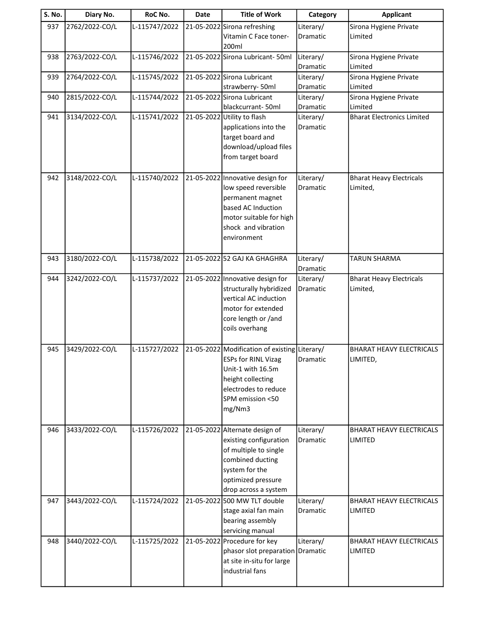| <b>S. No.</b> | Diary No.      | RoC No.       | Date | <b>Title of Work</b>                           | Category              | <b>Applicant</b>                  |
|---------------|----------------|---------------|------|------------------------------------------------|-----------------------|-----------------------------------|
| 937           | 2762/2022-CO/L | L-115747/2022 |      | 21-05-2022 Sirona refreshing                   | Literary/             | Sirona Hygiene Private            |
|               |                |               |      | Vitamin C Face toner-                          | Dramatic              | Limited                           |
|               |                |               |      | 200ml                                          |                       |                                   |
| 938           | 2763/2022-CO/L | L-115746/2022 |      | 21-05-2022 Sirona Lubricant- 50ml              | Literary/             | Sirona Hygiene Private            |
|               |                |               |      |                                                | Dramatic              | Limited                           |
| 939           | 2764/2022-CO/L | L-115745/2022 |      | 21-05-2022 Sirona Lubricant                    | Literary/             | Sirona Hygiene Private            |
| 940           | 2815/2022-CO/L | L-115744/2022 |      | strawberry-50ml<br>21-05-2022 Sirona Lubricant | Dramatic<br>Literary/ | Limited<br>Sirona Hygiene Private |
|               |                |               |      | blackcurrant-50ml                              | Dramatic              | Limited                           |
| 941           | 3134/2022-CO/L | L-115741/2022 |      | 21-05-2022 Utility to flash                    | Literary/             | <b>Bharat Electronics Limited</b> |
|               |                |               |      | applications into the                          | Dramatic              |                                   |
|               |                |               |      | target board and                               |                       |                                   |
|               |                |               |      | download/upload files                          |                       |                                   |
|               |                |               |      | from target board                              |                       |                                   |
|               |                |               |      |                                                |                       |                                   |
| 942           | 3148/2022-CO/L | L-115740/2022 |      | 21-05-2022 Innovative design for               | Literary/             | <b>Bharat Heavy Electricals</b>   |
|               |                |               |      | low speed reversible                           | Dramatic              | Limited,                          |
|               |                |               |      | permanent magnet<br>based AC Induction         |                       |                                   |
|               |                |               |      | motor suitable for high                        |                       |                                   |
|               |                |               |      | shock and vibration                            |                       |                                   |
|               |                |               |      | environment                                    |                       |                                   |
|               |                |               |      |                                                |                       |                                   |
| 943           | 3180/2022-CO/L | L-115738/2022 |      | 21-05-2022 52 GAJ KA GHAGHRA                   | Literary/             | <b>TARUN SHARMA</b>               |
|               |                |               |      |                                                | Dramatic              |                                   |
| 944           | 3242/2022-CO/L | L-115737/2022 |      | 21-05-2022 Innovative design for               | Literary/             | <b>Bharat Heavy Electricals</b>   |
|               |                |               |      | structurally hybridized                        | Dramatic              | Limited,                          |
|               |                |               |      | vertical AC induction<br>motor for extended    |                       |                                   |
|               |                |               |      | core length or /and                            |                       |                                   |
|               |                |               |      | coils overhang                                 |                       |                                   |
|               |                |               |      |                                                |                       |                                   |
| 945           | 3429/2022-CO/L | L-115727/2022 |      | 21-05-2022 Modification of existing Literary/  |                       | <b>BHARAT HEAVY ELECTRICALS</b>   |
|               |                |               |      | <b>ESPs for RINL Vizag</b>                     | Dramatic              | LIMITED,                          |
|               |                |               |      | Unit-1 with 16.5m                              |                       |                                   |
|               |                |               |      | height collecting                              |                       |                                   |
|               |                |               |      | electrodes to reduce<br>SPM emission <50       |                       |                                   |
|               |                |               |      | mg/Nm3                                         |                       |                                   |
|               |                |               |      |                                                |                       |                                   |
| 946           | 3433/2022-CO/L | L-115726/2022 |      | 21-05-2022 Alternate design of                 | Literary/             | BHARAT HEAVY ELECTRICALS          |
|               |                |               |      | existing configuration                         | Dramatic              | <b>LIMITED</b>                    |
|               |                |               |      | of multiple to single                          |                       |                                   |
|               |                |               |      | combined ducting                               |                       |                                   |
|               |                |               |      | system for the                                 |                       |                                   |
|               |                |               |      | optimized pressure                             |                       |                                   |
|               |                |               |      | drop across a system                           |                       |                                   |
| 947           | 3443/2022-CO/L | L-115724/2022 |      | 21-05-2022 500 MW TLT double                   | Literary/             | <b>BHARAT HEAVY ELECTRICALS</b>   |
|               |                |               |      | stage axial fan main<br>bearing assembly       | Dramatic              | <b>LIMITED</b>                    |
|               |                |               |      | servicing manual                               |                       |                                   |
| 948           | 3440/2022-CO/L | L-115725/2022 |      | 21-05-2022 Procedure for key                   | Literary/             | <b>BHARAT HEAVY ELECTRICALS</b>   |
|               |                |               |      | phasor slot preparation Dramatic               |                       | <b>LIMITED</b>                    |
|               |                |               |      | at site in-situ for large                      |                       |                                   |
|               |                |               |      | industrial fans                                |                       |                                   |
|               |                |               |      |                                                |                       |                                   |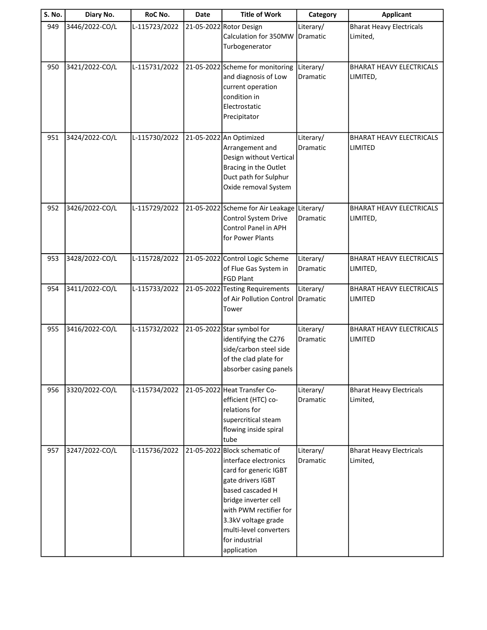| <b>S. No.</b> | Diary No.      | RoC No.       | <b>Date</b> | <b>Title of Work</b>                                                                                                                                                                                                                                         | Category                     | <b>Applicant</b>                            |
|---------------|----------------|---------------|-------------|--------------------------------------------------------------------------------------------------------------------------------------------------------------------------------------------------------------------------------------------------------------|------------------------------|---------------------------------------------|
| 949           | 3446/2022-CO/L | L-115723/2022 |             | 21-05-2022 Rotor Design<br>Calculation for 350MW<br>Turbogenerator                                                                                                                                                                                           | Literary/<br>Dramatic        | <b>Bharat Heavy Electricals</b><br>Limited, |
| 950           | 3421/2022-CO/L | L-115731/2022 |             | 21-05-2022 Scheme for monitoring<br>and diagnosis of Low<br>current operation<br>condition in<br>Electrostatic<br>Precipitator                                                                                                                               | Literary/<br>Dramatic        | <b>BHARAT HEAVY ELECTRICALS</b><br>LIMITED, |
| 951           | 3424/2022-CO/L | L-115730/2022 |             | 21-05-2022 An Optimized<br>Arrangement and<br>Design without Vertical<br>Bracing in the Outlet<br>Duct path for Sulphur<br>Oxide removal System                                                                                                              | Literary/<br>Dramatic        | <b>BHARAT HEAVY ELECTRICALS</b><br>LIMITED  |
| 952           | 3426/2022-CO/L | L-115729/2022 |             | 21-05-2022 Scheme for Air Leakage Literary/<br>Control System Drive<br><b>Control Panel in APH</b><br>for Power Plants                                                                                                                                       | <b>Dramatic</b>              | <b>BHARAT HEAVY ELECTRICALS</b><br>LIMITED, |
| 953           | 3428/2022-CO/L | L-115728/2022 |             | 21-05-2022 Control Logic Scheme<br>of Flue Gas System in<br><b>FGD Plant</b>                                                                                                                                                                                 | Literary/<br>Dramatic        | <b>BHARAT HEAVY ELECTRICALS</b><br>LIMITED, |
| 954           | 3411/2022-CO/L | L-115733/2022 |             | 21-05-2022 Testing Requirements<br>of Air Pollution Control<br>Tower                                                                                                                                                                                         | Literary/<br>Dramatic        | <b>BHARAT HEAVY ELECTRICALS</b><br>LIMITED  |
| 955           | 3416/2022-CO/L | L-115732/2022 |             | 21-05-2022 Star symbol for<br>identifying the C276<br>side/carbon steel side<br>of the clad plate for<br>absorber casing panels                                                                                                                              | Literary/<br>Dramatic        | <b>BHARAT HEAVY ELECTRICALS</b><br>LIMITED  |
| 956           | 3320/2022-CO/L | L-115734/2022 |             | 21-05-2022 Heat Transfer Co-<br>efficient (HTC) co-<br>relations for<br>supercritical steam<br>flowing inside spiral<br>tube                                                                                                                                 | Literary/<br>Dramatic        | <b>Bharat Heavy Electricals</b><br>Limited, |
| 957           | 3247/2022-CO/L | L-115736/2022 |             | 21-05-2022 Block schematic of<br>interface electronics<br>card for generic IGBT<br>gate drivers IGBT<br>based cascaded H<br>bridge inverter cell<br>with PWM rectifier for<br>3.3kV voltage grade<br>multi-level converters<br>for industrial<br>application | Literary/<br><b>Dramatic</b> | <b>Bharat Heavy Electricals</b><br>Limited, |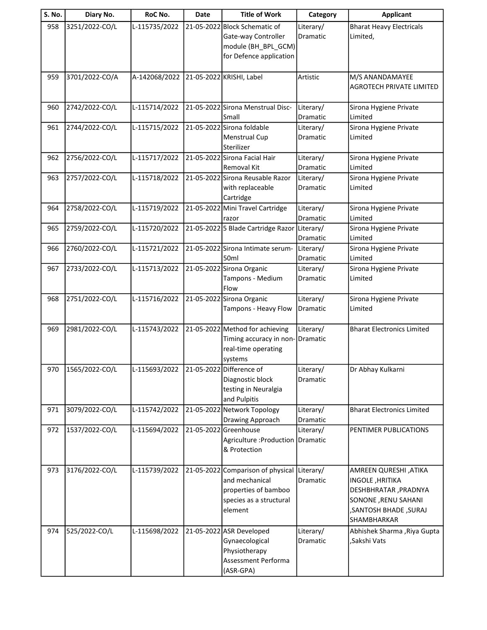| S. No. | Diary No.      | RoC No.       | Date | <b>Title of Work</b>                                | Category              | <b>Applicant</b>                              |
|--------|----------------|---------------|------|-----------------------------------------------------|-----------------------|-----------------------------------------------|
| 958    | 3251/2022-CO/L | L-115735/2022 |      | 21-05-2022 Block Schematic of                       | Literary/             | <b>Bharat Heavy Electricals</b>               |
|        |                |               |      | Gate-way Controller                                 | Dramatic              | Limited,                                      |
|        |                |               |      | module (BH_BPL_GCM)                                 |                       |                                               |
|        |                |               |      | for Defence application                             |                       |                                               |
| 959    | 3701/2022-CO/A | A-142068/2022 |      | 21-05-2022 KRISHI, Label                            | Artistic              | M/S ANANDAMAYEE                               |
|        |                |               |      |                                                     |                       | <b>AGROTECH PRIVATE LIMITED</b>               |
|        |                |               |      |                                                     |                       |                                               |
| 960    | 2742/2022-CO/L | L-115714/2022 |      | 21-05-2022 Sirona Menstrual Disc-                   | Literary/             | Sirona Hygiene Private                        |
|        |                |               |      | Small                                               | Dramatic              | Limited                                       |
| 961    | 2744/2022-CO/L | L-115715/2022 |      | 21-05-2022 Sirona foldable                          | Literary/             | Sirona Hygiene Private                        |
|        |                |               |      | <b>Menstrual Cup</b>                                | Dramatic              | Limited                                       |
|        |                |               |      | Sterilizer                                          |                       |                                               |
| 962    | 2756/2022-CO/L | L-115717/2022 |      | 21-05-2022 Sirona Facial Hair<br><b>Removal Kit</b> | Literary/<br>Dramatic | Sirona Hygiene Private<br>Limited             |
| 963    | 2757/2022-CO/L | L-115718/2022 |      | 21-05-2022 Sirona Reusable Razor                    | Literary/             | Sirona Hygiene Private                        |
|        |                |               |      | with replaceable                                    | Dramatic              | Limited                                       |
|        |                |               |      | Cartridge                                           |                       |                                               |
| 964    | 2758/2022-CO/L | L-115719/2022 |      | 21-05-2022 Mini Travel Cartridge                    | Literary/             | Sirona Hygiene Private                        |
|        |                |               |      | razor                                               | Dramatic              | Limited                                       |
| 965    | 2759/2022-CO/L | L-115720/2022 |      | 21-05-2022 5 Blade Cartridge Razor                  | Literary/             | Sirona Hygiene Private                        |
|        |                |               |      |                                                     | Dramatic              | Limited                                       |
| 966    | 2760/2022-CO/L | L-115721/2022 |      | 21-05-2022 Sirona Intimate serum-                   | Literary/             | Sirona Hygiene Private                        |
|        |                |               |      | 50ml                                                | Dramatic              | Limited                                       |
| 967    | 2733/2022-CO/L | L-115713/2022 |      | 21-05-2022 Sirona Organic                           | Literary/             | Sirona Hygiene Private                        |
|        |                |               |      | Tampons - Medium                                    | Dramatic              | Limited                                       |
| 968    | 2751/2022-CO/L | L-115716/2022 |      | Flow<br>21-05-2022 Sirona Organic                   | Literary/             | Sirona Hygiene Private                        |
|        |                |               |      | Tampons - Heavy Flow                                | Dramatic              | Limited                                       |
|        |                |               |      |                                                     |                       |                                               |
| 969    | 2981/2022-CO/L | L-115743/2022 |      | 21-05-2022 Method for achieving                     | Literary/             | <b>Bharat Electronics Limited</b>             |
|        |                |               |      | Timing accuracy in non-                             | Dramatic              |                                               |
|        |                |               |      | real-time operating                                 |                       |                                               |
|        |                |               |      | systems                                             |                       |                                               |
| 970    | 1565/2022-CO/L | L-115693/2022 |      | 21-05-2022 Difference of                            | Literary/             | Dr Abhay Kulkarni                             |
|        |                |               |      | Diagnostic block                                    | Dramatic              |                                               |
|        |                |               |      | testing in Neuralgia<br>and Pulpitis                |                       |                                               |
| 971    | 3079/2022-CO/L | L-115742/2022 |      | 21-05-2022 Network Topology                         | Literary/             | <b>Bharat Electronics Limited</b>             |
|        |                |               |      | Drawing Approach                                    | Dramatic              |                                               |
| 972    | 1537/2022-CO/L | L-115694/2022 |      | 21-05-2022 Greenhouse                               | Literary/             | PENTIMER PUBLICATIONS                         |
|        |                |               |      | Agriculture : Production   Dramatic                 |                       |                                               |
|        |                |               |      | & Protection                                        |                       |                                               |
|        |                |               |      |                                                     |                       |                                               |
| 973    | 3176/2022-CO/L | L-115739/2022 |      | 21-05-2022 Comparison of physical                   | Literary/             | AMREEN QURESHI, ATIKA                         |
|        |                |               |      | and mechanical                                      | Dramatic              | <b>INGOLE, HRITIKA</b>                        |
|        |                |               |      | properties of bamboo                                |                       | DESHBHRATAR, PRADNYA                          |
|        |                |               |      | species as a structural<br>element                  |                       | SONONE, RENU SAHANI<br>, SANTOSH BHADE, SURAJ |
|        |                |               |      |                                                     |                       | SHAMBHARKAR                                   |
| 974    | 525/2022-CO/L  | L-115698/2022 |      | 21-05-2022 ASR Developed                            | Literary/             | Abhishek Sharma , Riya Gupta                  |
|        |                |               |      | Gynaecological                                      | Dramatic              | ,Sakshi Vats                                  |
|        |                |               |      | Physiotherapy                                       |                       |                                               |
|        |                |               |      | Assessment Performa                                 |                       |                                               |
|        |                |               |      | (ASR-GPA)                                           |                       |                                               |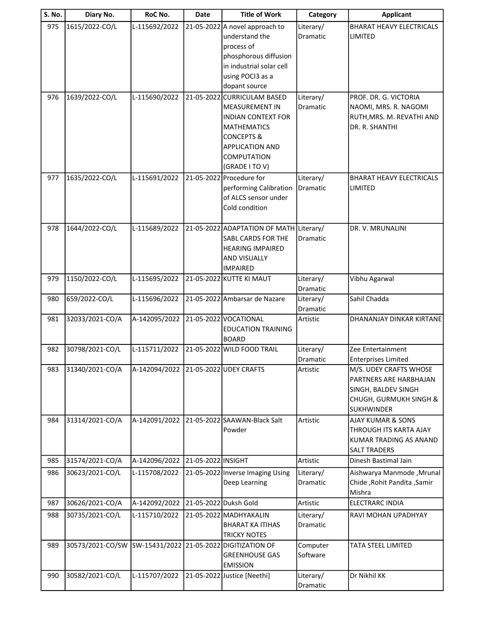| S. No. | Diary No.        | RoC No.                              | Date                  | <b>Title of Work</b>                                                                                                                                                                                         | Category                     | <b>Applicant</b>                                                                                                                  |
|--------|------------------|--------------------------------------|-----------------------|--------------------------------------------------------------------------------------------------------------------------------------------------------------------------------------------------------------|------------------------------|-----------------------------------------------------------------------------------------------------------------------------------|
| 975    | 1615/2022-CO/L   | L-115692/2022                        |                       | 21-05-2022 A novel approach to<br>understand the<br>process of<br>phosphorous diffusion<br>in industrial solar cell<br>using POCI3 as a                                                                      | Literary/<br>Dramatic        | <b>BHARAT HEAVY ELECTRICALS</b><br><b>LIMITED</b>                                                                                 |
| 976    | 1639/2022-CO/L   | L-115690/2022                        |                       | dopant source<br>21-05-2022 CURRICULAM BASED<br><b>MEASUREMENT IN</b><br><b>INDIAN CONTEXT FOR</b><br><b>MATHEMATICS</b><br><b>CONCEPTS &amp;</b><br><b>APPLICATION AND</b><br>COMPUTATION<br>(GRADE I TO V) | Literary/<br>Dramatic        | PROF. DR. G. VICTORIA<br>NAOMI, MRS. R. NAGOMI<br>RUTH, MRS. M. REVATHI AND<br>DR. R. SHANTHI                                     |
| 977    | 1635/2022-CO/L   | L-115691/2022                        |                       | 21-05-2022 Procedure for<br>performing Calibration<br>of ALCS sensor under<br>Cold condition                                                                                                                 | Literary/<br>Dramatic        | <b>BHARAT HEAVY ELECTRICALS</b><br><b>LIMITED</b>                                                                                 |
| 978    | 1644/2022-CO/L   | L-115689/2022                        |                       | 21-05-2022 ADAPTATION OF MATH Literary/<br>SABL CARDS FOR THE<br><b>HEARING IMPAIRED</b><br>AND VISUALLY<br><b>IMPAIRED</b>                                                                                  | Dramatic                     | DR. V. MRUNALINI                                                                                                                  |
| 979    | 1150/2022-CO/L   | L-115695/2022                        |                       | 21-05-2022 KUTTE KI MAUT                                                                                                                                                                                     | Literary/<br>Dramatic        | Vibhu Agarwal                                                                                                                     |
| 980    | 659/2022-CO/L    | L-115696/2022                        |                       | 21-05-2022 Ambarsar de Nazare                                                                                                                                                                                | Literary/<br>Dramatic        | Sahil Chadda                                                                                                                      |
| 981    | 32033/2021-CO/A  | A-142095/2022                        |                       | 21-05-2022 VOCATIONAL<br><b>EDUCATION TRAINING</b><br><b>BOARD</b>                                                                                                                                           | Artistic                     | DHANANJAY DINKAR KIRTANE                                                                                                          |
| 982    | 30798/2021-CO/L  | L-115711/2022                        |                       | 21-05-2022 WILD FOOD TRAIL                                                                                                                                                                                   | Literary/<br><b>Dramatic</b> | Zee Entertainment<br><b>Enterprises Limited</b>                                                                                   |
| 983    | 31340/2021-CO/A  | A-142094/2022 21-05-2022 UDEY CRAFTS |                       |                                                                                                                                                                                                              | Artistic                     | M/S. UDEY CRAFTS WHOSE<br>PARTNERS ARE HARBHAJAN<br>SINGH, BALDEV SINGH<br><b>CHUGH, GURMUKH SINGH &amp;</b><br><b>SUKHWINDER</b> |
| 984    | 31314/2021-CO/A  | A-142091/2022                        |                       | 21-05-2022 SAAWAN-Black Salt<br>Powder                                                                                                                                                                       | Artistic                     | <b>AJAY KUMAR &amp; SONS</b><br>THROUGH ITS KARTA AJAY<br>KUMAR TRADING AS ANAND<br><b>SALT TRADERS</b>                           |
| 985    | 31574/2021-CO/A  | A-142096/2022                        | 21-05-2022 INSIGHT    |                                                                                                                                                                                                              | Artistic                     | Dinesh Bastimal Jain                                                                                                              |
| 986    | 30623/2021-CO/L  | L-115708/2022                        |                       | 21-05-2022 Inverse Imaging Using<br>Deep Learning                                                                                                                                                            | Literary/<br>Dramatic        | Aishwarya Manmode, Mrunal<br>Chide, Rohit Pandita, Samir<br>Mishra                                                                |
| 987    | 30626/2021-CO/A  | A-142092/2022                        | 21-05-2022 Duksh Gold |                                                                                                                                                                                                              | Artistic                     | <b>ELECTRARC INDIA</b>                                                                                                            |
| 988    | 30735/2021-CO/L  | L-115710/2022                        |                       | 21-05-2022 MADHYAKALIN<br><b>BHARAT KA ITIHAS</b><br><b>TRICKY NOTES</b>                                                                                                                                     | Literary/<br>Dramatic        | RAVI MOHAN UPADHYAY                                                                                                               |
| 989    | 30573/2021-CO/SW |                                      |                       | SW-15431/2022 21-05-2022 DIGITIZATION OF<br><b>GREENHOUSE GAS</b><br><b>EMISSION</b>                                                                                                                         | Computer<br>Software         | TATA STEEL LIMITED                                                                                                                |
| 990    | 30582/2021-CO/L  | L-115707/2022                        |                       | 21-05-2022 Justice [Neethi]                                                                                                                                                                                  | Literary/<br>Dramatic        | Dr Nikhil KK                                                                                                                      |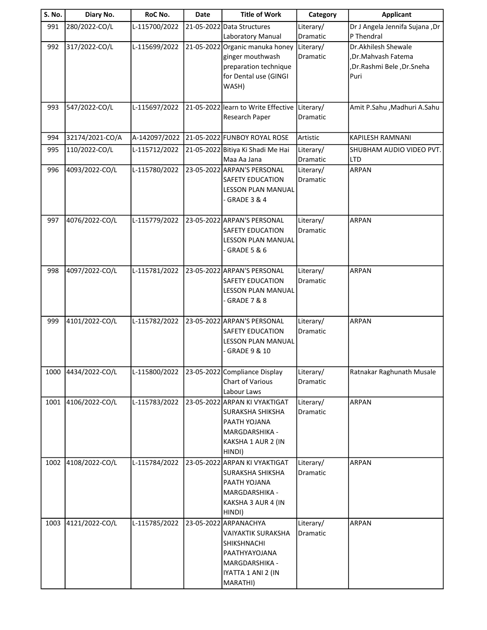| S. No. | Diary No.       | RoC No.       | <b>Date</b> | <b>Title of Work</b>                   | Category              | <b>Applicant</b>               |
|--------|-----------------|---------------|-------------|----------------------------------------|-----------------------|--------------------------------|
| 991    | 280/2022-CO/L   | L-115700/2022 |             | 21-05-2022 Data Structures             | Literary/             | Dr J Angela Jennifa Sujana ,Dr |
|        |                 |               |             | Laboratory Manual                      | Dramatic              | P Thendral                     |
| 992    | 317/2022-CO/L   | L-115699/2022 |             | 21-05-2022 Organic manuka honey        | Literary/             | Dr.Akhilesh Shewale            |
|        |                 |               |             | ginger mouthwash                       | Dramatic              | ,Dr.Mahvash Fatema             |
|        |                 |               |             | preparation technique                  |                       | ,Dr.Rashmi Bele,Dr.Sneha       |
|        |                 |               |             | for Dental use (GINGI                  |                       | Puri                           |
|        |                 |               |             | WASH)                                  |                       |                                |
| 993    | 547/2022-CO/L   | L-115697/2022 |             | 21-05-2022 learn to Write Effective    | Literary/             | Amit P.Sahu , Madhuri A.Sahu   |
|        |                 |               |             | Research Paper                         | Dramatic              |                                |
|        |                 |               |             |                                        |                       |                                |
| 994    | 32174/2021-CO/A | A-142097/2022 |             | 21-05-2022 FUNBOY ROYAL ROSE           | Artistic              | KAPILESH RAMNANI               |
| 995    | 110/2022-CO/L   | L-115712/2022 |             | 21-05-2022 Bitiya Ki Shadi Me Hai      | Literary/             | SHUBHAM AUDIO VIDEO PVT.       |
|        |                 |               |             | Maa Aa Jana                            | Dramatic              | <b>LTD</b>                     |
| 996    | 4093/2022-CO/L  | L-115780/2022 |             | 23-05-2022 ARPAN'S PERSONAL            | Literary/             | <b>ARPAN</b>                   |
|        |                 |               |             | SAFETY EDUCATION                       | Dramatic              |                                |
|        |                 |               |             | <b>LESSON PLAN MANUAL</b>              |                       |                                |
|        |                 |               |             | - GRADE 3 & 4                          |                       |                                |
|        |                 |               |             |                                        |                       |                                |
| 997    | 4076/2022-CO/L  | L-115779/2022 |             | 23-05-2022 ARPAN'S PERSONAL            | Literary/<br>Dramatic | ARPAN                          |
|        |                 |               |             | SAFETY EDUCATION<br>LESSON PLAN MANUAL |                       |                                |
|        |                 |               |             | - GRADE 5 & 6                          |                       |                                |
|        |                 |               |             |                                        |                       |                                |
| 998    | 4097/2022-CO/L  | L-115781/2022 |             | 23-05-2022 ARPAN'S PERSONAL            | Literary/             | <b>ARPAN</b>                   |
|        |                 |               |             | SAFETY EDUCATION                       | Dramatic              |                                |
|        |                 |               |             | <b>LESSON PLAN MANUAL</b>              |                       |                                |
|        |                 |               |             | GRADE 7 & 8                            |                       |                                |
|        |                 |               |             |                                        |                       |                                |
| 999    | 4101/2022-CO/L  | L-115782/2022 |             | 23-05-2022 ARPAN'S PERSONAL            | Literary/             | <b>ARPAN</b>                   |
|        |                 |               |             | <b>SAFETY EDUCATION</b>                | Dramatic              |                                |
|        |                 |               |             | <b>LESSON PLAN MANUAL</b>              |                       |                                |
|        |                 |               |             | $\cdot$ GRADE 9 & 10                   |                       |                                |
| 1000   | 4434/2022-CO/L  | L-115800/2022 |             | 23-05-2022 Compliance Display          | Literary/             | Ratnakar Raghunath Musale      |
|        |                 |               |             | Chart of Various                       | Dramatic              |                                |
|        |                 |               |             | Labour Laws                            |                       |                                |
| 1001   | 4106/2022-CO/L  | L-115783/2022 |             | 23-05-2022 ARPAN KI VYAKTIGAT          | Literary/             | <b>ARPAN</b>                   |
|        |                 |               |             | <b>SURAKSHA SHIKSHA</b>                | Dramatic              |                                |
|        |                 |               |             | PAATH YOJANA                           |                       |                                |
|        |                 |               |             | MARGDARSHIKA -                         |                       |                                |
|        |                 |               |             | KAKSHA 1 AUR 2 (IN                     |                       |                                |
|        |                 |               |             | HINDI)                                 |                       |                                |
| 1002   | 4108/2022-CO/L  | L-115784/2022 |             | 23-05-2022 ARPAN KI VYAKTIGAT          | Literary/             | <b>ARPAN</b>                   |
|        |                 |               |             | SURAKSHA SHIKSHA                       | Dramatic              |                                |
|        |                 |               |             | PAATH YOJANA                           |                       |                                |
|        |                 |               |             | MARGDARSHIKA -                         |                       |                                |
|        |                 |               |             | KAKSHA 3 AUR 4 (IN                     |                       |                                |
|        |                 |               |             | HINDI)                                 |                       |                                |
| 1003   | 4121/2022-CO/L  | L-115785/2022 |             | 23-05-2022 ARPANACHYA                  | Literary/             | <b>ARPAN</b>                   |
|        |                 |               |             | <b>VAIYAKTIK SURAKSHA</b>              | Dramatic              |                                |
|        |                 |               |             | SHIKSHNACHI<br>PAATHYAYOJANA           |                       |                                |
|        |                 |               |             | <b>MARGDARSHIKA -</b>                  |                       |                                |
|        |                 |               |             | IYATTA 1 ANI 2 (IN                     |                       |                                |
|        |                 |               |             | MARATHI)                               |                       |                                |
|        |                 |               |             |                                        |                       |                                |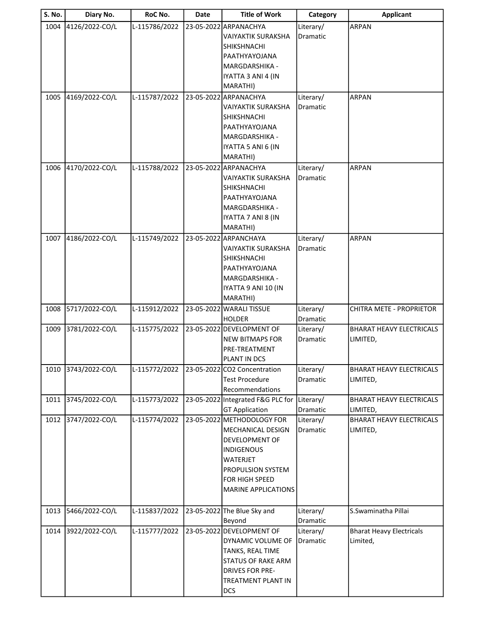| S. No. | Diary No.           | RoC No.       | <b>Date</b> | <b>Title of Work</b>                                | Category              | <b>Applicant</b>                            |
|--------|---------------------|---------------|-------------|-----------------------------------------------------|-----------------------|---------------------------------------------|
| 1004   | 4126/2022-CO/L      | L-115786/2022 |             | 23-05-2022 ARPANACHYA                               | Literary/             | <b>ARPAN</b>                                |
|        |                     |               |             | <b>VAIYAKTIK SURAKSHA</b>                           | Dramatic              |                                             |
|        |                     |               |             | <b>SHIKSHNACHI</b>                                  |                       |                                             |
|        |                     |               |             | PAATHYAYOJANA                                       |                       |                                             |
|        |                     |               |             | MARGDARSHIKA -                                      |                       |                                             |
|        |                     |               |             | IYATTA 3 ANI 4 (IN                                  |                       |                                             |
|        |                     |               |             | MARATHI)                                            |                       |                                             |
| 1005   | 4169/2022-CO/L      | L-115787/2022 |             | 23-05-2022 ARPANACHYA                               | Literary/             | <b>ARPAN</b>                                |
|        |                     |               |             | <b>VAIYAKTIK SURAKSHA</b>                           | Dramatic              |                                             |
|        |                     |               |             | <b>SHIKSHNACHI</b>                                  |                       |                                             |
|        |                     |               |             | PAATHYAYOJANA                                       |                       |                                             |
|        |                     |               |             | <b>MARGDARSHIKA -</b>                               |                       |                                             |
|        |                     |               |             | IYATTA 5 ANI 6 (IN                                  |                       |                                             |
|        |                     |               |             | MARATHI)                                            |                       |                                             |
| 1006   | 4170/2022-CO/L      | L-115788/2022 |             | 23-05-2022 ARPANACHYA                               | Literary/             | <b>ARPAN</b>                                |
|        |                     |               |             | VAIYAKTIK SURAKSHA                                  | Dramatic              |                                             |
|        |                     |               |             | <b>SHIKSHNACHI</b>                                  |                       |                                             |
|        |                     |               |             | PAATHYAYOJANA<br><b>MARGDARSHIKA -</b>              |                       |                                             |
|        |                     |               |             | IYATTA 7 ANI 8 (IN                                  |                       |                                             |
|        |                     |               |             | MARATHI)                                            |                       |                                             |
| 1007   | 4186/2022-CO/L      | L-115749/2022 |             | 23-05-2022 ARPANCHAYA                               | Literary/             | <b>ARPAN</b>                                |
|        |                     |               |             | <b>VAIYAKTIK SURAKSHA</b>                           | Dramatic              |                                             |
|        |                     |               |             | <b>SHIKSHNACHI</b>                                  |                       |                                             |
|        |                     |               |             | PAATHYAYOJANA                                       |                       |                                             |
|        |                     |               |             | MARGDARSHIKA -                                      |                       |                                             |
|        |                     |               |             | IYATTA 9 ANI 10 (IN                                 |                       |                                             |
|        |                     |               |             | MARATHI)                                            |                       |                                             |
| 1008   | 5717/2022-CO/L      | L-115912/2022 |             | 23-05-2022 WARALI TISSUE                            | Literary/             | CHITRA METE - PROPRIETOR                    |
|        |                     |               |             | <b>HOLDER</b>                                       | Dramatic              |                                             |
| 1009   | 3781/2022-CO/L      | L-115775/2022 |             | 23-05-2022 DEVELOPMENT OF                           | Literary/             | BHARAT HEAVY ELECTRICALS                    |
|        |                     |               |             | <b>NEW BITMAPS FOR</b>                              | Dramatic              | LIMITED,                                    |
|        |                     |               |             | PRE-TREATMENT                                       |                       |                                             |
|        |                     |               |             | PLANT IN DCS                                        |                       |                                             |
|        | 1010 3743/2022-CO/L | L-115772/2022 |             | 23-05-2022 CO2 Concentration                        | Literary/             | <b>BHARAT HEAVY ELECTRICALS</b>             |
|        |                     |               |             | <b>Test Procedure</b>                               | Dramatic              | LIMITED,                                    |
|        |                     |               |             | Recommendations                                     |                       |                                             |
| 1011   | 3745/2022-CO/L      | L-115773/2022 |             | 23-05-2022 Integrated F&G PLC for                   | Literary/             | BHARAT HEAVY ELECTRICALS                    |
|        | 3747/2022-CO/L      | L-115774/2022 |             | <b>GT Application</b><br>23-05-2022 METHODOLOGY FOR | Dramatic              | LIMITED,<br><b>BHARAT HEAVY ELECTRICALS</b> |
| 1012   |                     |               |             | MECHANICAL DESIGN                                   | Literary/<br>Dramatic | LIMITED,                                    |
|        |                     |               |             | DEVELOPMENT OF                                      |                       |                                             |
|        |                     |               |             | <b>INDIGENOUS</b>                                   |                       |                                             |
|        |                     |               |             | <b>WATERJET</b>                                     |                       |                                             |
|        |                     |               |             | <b>PROPULSION SYSTEM</b>                            |                       |                                             |
|        |                     |               |             | FOR HIGH SPEED                                      |                       |                                             |
|        |                     |               |             | <b>MARINE APPLICATIONS</b>                          |                       |                                             |
|        |                     |               |             |                                                     |                       |                                             |
| 1013   | 5466/2022-CO/L      | L-115837/2022 |             | 23-05-2022 The Blue Sky and                         | Literary/             | S.Swaminatha Pillai                         |
|        |                     |               |             | Beyond                                              | Dramatic              |                                             |
| 1014   | 3922/2022-CO/L      | L-115777/2022 |             | 23-05-2022 DEVELOPMENT OF                           | Literary/             | <b>Bharat Heavy Electricals</b>             |
|        |                     |               |             | DYNAMIC VOLUME OF                                   | Dramatic              | Limited,                                    |
|        |                     |               |             | TANKS, REAL TIME                                    |                       |                                             |
|        |                     |               |             | <b>STATUS OF RAKE ARM</b>                           |                       |                                             |
|        |                     |               |             | <b>DRIVES FOR PRE-</b>                              |                       |                                             |
|        |                     |               |             | TREATMENT PLANT IN                                  |                       |                                             |
|        |                     |               |             | <b>DCS</b>                                          |                       |                                             |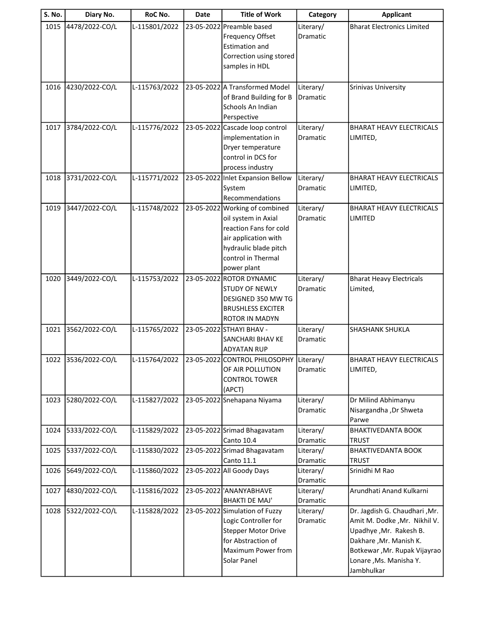| 4478/2022-CO/L<br>23-05-2022 Preamble based<br>1015<br>L-115801/2022<br>Literary/<br><b>Bharat Electronics Limited</b><br><b>Frequency Offset</b><br>Dramatic<br><b>Estimation and</b><br>Correction using stored<br>samples in HDL<br>23-05-2022 A Transformed Model<br>4230/2022-CO/L<br>L-115763/2022<br>Literary/<br>1016<br><b>Srinivas University</b><br>of Brand Building for B<br><b>Dramatic</b><br>Schools An Indian<br>Perspective<br>3784/2022-CO/L<br>L-115776/2022<br>1017<br>23-05-2022 Cascade loop control<br>Literary/<br><b>BHARAT HEAVY ELECTRICALS</b><br>implementation in<br>Dramatic<br>LIMITED,<br>Dryer temperature<br>control in DCS for<br>process industry<br>L-115771/2022<br>23-05-2022 Inlet Expansion Bellow<br>Literary/<br>1018<br>3731/2022-CO/L<br><b>BHARAT HEAVY ELECTRICALS</b><br>System<br>Dramatic<br>LIMITED,<br>Recommendations<br>3447/2022-CO/L<br>23-05-2022 Working of combined<br>1019<br>L-115748/2022<br>Literary/<br><b>BHARAT HEAVY ELECTRICALS</b><br>oil system in Axial<br><b>Dramatic</b><br>LIMITED<br>reaction Fans for cold<br>air application with<br>hydraulic blade pitch | <b>S. No.</b> | Diary No. | RoC No. | Date | <b>Title of Work</b> | Category | <b>Applicant</b> |
|-------------------------------------------------------------------------------------------------------------------------------------------------------------------------------------------------------------------------------------------------------------------------------------------------------------------------------------------------------------------------------------------------------------------------------------------------------------------------------------------------------------------------------------------------------------------------------------------------------------------------------------------------------------------------------------------------------------------------------------------------------------------------------------------------------------------------------------------------------------------------------------------------------------------------------------------------------------------------------------------------------------------------------------------------------------------------------------------------------------------------------------------|---------------|-----------|---------|------|----------------------|----------|------------------|
|                                                                                                                                                                                                                                                                                                                                                                                                                                                                                                                                                                                                                                                                                                                                                                                                                                                                                                                                                                                                                                                                                                                                           |               |           |         |      |                      |          |                  |
|                                                                                                                                                                                                                                                                                                                                                                                                                                                                                                                                                                                                                                                                                                                                                                                                                                                                                                                                                                                                                                                                                                                                           |               |           |         |      |                      |          |                  |
|                                                                                                                                                                                                                                                                                                                                                                                                                                                                                                                                                                                                                                                                                                                                                                                                                                                                                                                                                                                                                                                                                                                                           |               |           |         |      |                      |          |                  |
|                                                                                                                                                                                                                                                                                                                                                                                                                                                                                                                                                                                                                                                                                                                                                                                                                                                                                                                                                                                                                                                                                                                                           |               |           |         |      |                      |          |                  |
|                                                                                                                                                                                                                                                                                                                                                                                                                                                                                                                                                                                                                                                                                                                                                                                                                                                                                                                                                                                                                                                                                                                                           |               |           |         |      |                      |          |                  |
|                                                                                                                                                                                                                                                                                                                                                                                                                                                                                                                                                                                                                                                                                                                                                                                                                                                                                                                                                                                                                                                                                                                                           |               |           |         |      |                      |          |                  |
|                                                                                                                                                                                                                                                                                                                                                                                                                                                                                                                                                                                                                                                                                                                                                                                                                                                                                                                                                                                                                                                                                                                                           |               |           |         |      |                      |          |                  |
|                                                                                                                                                                                                                                                                                                                                                                                                                                                                                                                                                                                                                                                                                                                                                                                                                                                                                                                                                                                                                                                                                                                                           |               |           |         |      |                      |          |                  |
|                                                                                                                                                                                                                                                                                                                                                                                                                                                                                                                                                                                                                                                                                                                                                                                                                                                                                                                                                                                                                                                                                                                                           |               |           |         |      |                      |          |                  |
|                                                                                                                                                                                                                                                                                                                                                                                                                                                                                                                                                                                                                                                                                                                                                                                                                                                                                                                                                                                                                                                                                                                                           |               |           |         |      |                      |          |                  |
|                                                                                                                                                                                                                                                                                                                                                                                                                                                                                                                                                                                                                                                                                                                                                                                                                                                                                                                                                                                                                                                                                                                                           |               |           |         |      |                      |          |                  |
|                                                                                                                                                                                                                                                                                                                                                                                                                                                                                                                                                                                                                                                                                                                                                                                                                                                                                                                                                                                                                                                                                                                                           |               |           |         |      |                      |          |                  |
|                                                                                                                                                                                                                                                                                                                                                                                                                                                                                                                                                                                                                                                                                                                                                                                                                                                                                                                                                                                                                                                                                                                                           |               |           |         |      |                      |          |                  |
|                                                                                                                                                                                                                                                                                                                                                                                                                                                                                                                                                                                                                                                                                                                                                                                                                                                                                                                                                                                                                                                                                                                                           |               |           |         |      |                      |          |                  |
|                                                                                                                                                                                                                                                                                                                                                                                                                                                                                                                                                                                                                                                                                                                                                                                                                                                                                                                                                                                                                                                                                                                                           |               |           |         |      |                      |          |                  |
|                                                                                                                                                                                                                                                                                                                                                                                                                                                                                                                                                                                                                                                                                                                                                                                                                                                                                                                                                                                                                                                                                                                                           |               |           |         |      |                      |          |                  |
|                                                                                                                                                                                                                                                                                                                                                                                                                                                                                                                                                                                                                                                                                                                                                                                                                                                                                                                                                                                                                                                                                                                                           |               |           |         |      |                      |          |                  |
|                                                                                                                                                                                                                                                                                                                                                                                                                                                                                                                                                                                                                                                                                                                                                                                                                                                                                                                                                                                                                                                                                                                                           |               |           |         |      |                      |          |                  |
|                                                                                                                                                                                                                                                                                                                                                                                                                                                                                                                                                                                                                                                                                                                                                                                                                                                                                                                                                                                                                                                                                                                                           |               |           |         |      |                      |          |                  |
|                                                                                                                                                                                                                                                                                                                                                                                                                                                                                                                                                                                                                                                                                                                                                                                                                                                                                                                                                                                                                                                                                                                                           |               |           |         |      |                      |          |                  |
|                                                                                                                                                                                                                                                                                                                                                                                                                                                                                                                                                                                                                                                                                                                                                                                                                                                                                                                                                                                                                                                                                                                                           |               |           |         |      |                      |          |                  |
| control in Thermal                                                                                                                                                                                                                                                                                                                                                                                                                                                                                                                                                                                                                                                                                                                                                                                                                                                                                                                                                                                                                                                                                                                        |               |           |         |      |                      |          |                  |
| power plant                                                                                                                                                                                                                                                                                                                                                                                                                                                                                                                                                                                                                                                                                                                                                                                                                                                                                                                                                                                                                                                                                                                               |               |           |         |      |                      |          |                  |
| 23-05-2022 ROTOR DYNAMIC<br>3449/2022-CO/L<br>L-115753/2022<br>Literary/<br><b>Bharat Heavy Electricals</b><br>1020                                                                                                                                                                                                                                                                                                                                                                                                                                                                                                                                                                                                                                                                                                                                                                                                                                                                                                                                                                                                                       |               |           |         |      |                      |          |                  |
| STUDY OF NEWLY<br>Dramatic<br>Limited,                                                                                                                                                                                                                                                                                                                                                                                                                                                                                                                                                                                                                                                                                                                                                                                                                                                                                                                                                                                                                                                                                                    |               |           |         |      |                      |          |                  |
| DESIGNED 350 MW TG                                                                                                                                                                                                                                                                                                                                                                                                                                                                                                                                                                                                                                                                                                                                                                                                                                                                                                                                                                                                                                                                                                                        |               |           |         |      |                      |          |                  |
| <b>BRUSHLESS EXCITER</b>                                                                                                                                                                                                                                                                                                                                                                                                                                                                                                                                                                                                                                                                                                                                                                                                                                                                                                                                                                                                                                                                                                                  |               |           |         |      |                      |          |                  |
| <b>ROTOR IN MADYN</b><br>L-115765/2022                                                                                                                                                                                                                                                                                                                                                                                                                                                                                                                                                                                                                                                                                                                                                                                                                                                                                                                                                                                                                                                                                                    |               |           |         |      |                      |          |                  |
| 3562/2022-CO/L<br>23-05-2022 STHAYI BHAV -<br>Literary/<br>SHASHANK SHUKLA<br>1021<br>SANCHARI BHAV KE<br>Dramatic                                                                                                                                                                                                                                                                                                                                                                                                                                                                                                                                                                                                                                                                                                                                                                                                                                                                                                                                                                                                                        |               |           |         |      |                      |          |                  |
| <b>ADYATAN RUP</b>                                                                                                                                                                                                                                                                                                                                                                                                                                                                                                                                                                                                                                                                                                                                                                                                                                                                                                                                                                                                                                                                                                                        |               |           |         |      |                      |          |                  |
| 1022 3536/2022-CO/L<br>23-05-2022 CONTROL PHILOSOPHY<br>L-115764/2022<br>Literary/<br>BHARAT HEAVY ELECTRICALS                                                                                                                                                                                                                                                                                                                                                                                                                                                                                                                                                                                                                                                                                                                                                                                                                                                                                                                                                                                                                            |               |           |         |      |                      |          |                  |
| OF AIR POLLUTION<br>Dramatic<br>LIMITED,                                                                                                                                                                                                                                                                                                                                                                                                                                                                                                                                                                                                                                                                                                                                                                                                                                                                                                                                                                                                                                                                                                  |               |           |         |      |                      |          |                  |
| <b>CONTROL TOWER</b>                                                                                                                                                                                                                                                                                                                                                                                                                                                                                                                                                                                                                                                                                                                                                                                                                                                                                                                                                                                                                                                                                                                      |               |           |         |      |                      |          |                  |
| (APCT)                                                                                                                                                                                                                                                                                                                                                                                                                                                                                                                                                                                                                                                                                                                                                                                                                                                                                                                                                                                                                                                                                                                                    |               |           |         |      |                      |          |                  |
| 5280/2022-CO/L<br>L-115827/2022<br>23-05-2022 Snehapana Niyama<br>Literary/<br>Dr Milind Abhimanyu<br>1023                                                                                                                                                                                                                                                                                                                                                                                                                                                                                                                                                                                                                                                                                                                                                                                                                                                                                                                                                                                                                                |               |           |         |      |                      |          |                  |
| Nisargandha, Dr Shweta<br>Dramatic                                                                                                                                                                                                                                                                                                                                                                                                                                                                                                                                                                                                                                                                                                                                                                                                                                                                                                                                                                                                                                                                                                        |               |           |         |      |                      |          |                  |
| Parwe                                                                                                                                                                                                                                                                                                                                                                                                                                                                                                                                                                                                                                                                                                                                                                                                                                                                                                                                                                                                                                                                                                                                     |               |           |         |      |                      |          |                  |
| 5333/2022-CO/L<br>L-115829/2022<br>23-05-2022 Srimad Bhagavatam<br>Literary/<br><b>BHAKTIVEDANTA BOOK</b><br>1024<br><b>Canto 10.4</b><br><b>Dramatic</b><br><b>TRUST</b>                                                                                                                                                                                                                                                                                                                                                                                                                                                                                                                                                                                                                                                                                                                                                                                                                                                                                                                                                                 |               |           |         |      |                      |          |                  |
| 5337/2022-CO/L<br>L-115830/2022<br>23-05-2022 Srimad Bhagavatam<br>1025<br>Literary/<br><b>BHAKTIVEDANTA BOOK</b>                                                                                                                                                                                                                                                                                                                                                                                                                                                                                                                                                                                                                                                                                                                                                                                                                                                                                                                                                                                                                         |               |           |         |      |                      |          |                  |
| <b>Canto 11.1</b><br><b>Dramatic</b><br><b>TRUST</b>                                                                                                                                                                                                                                                                                                                                                                                                                                                                                                                                                                                                                                                                                                                                                                                                                                                                                                                                                                                                                                                                                      |               |           |         |      |                      |          |                  |
| 23-05-2022 All Goody Days<br>5649/2022-CO/L<br>L-115860/2022<br>Literary/<br>Srinidhi M Rao<br>1026                                                                                                                                                                                                                                                                                                                                                                                                                                                                                                                                                                                                                                                                                                                                                                                                                                                                                                                                                                                                                                       |               |           |         |      |                      |          |                  |
| Dramatic                                                                                                                                                                                                                                                                                                                                                                                                                                                                                                                                                                                                                                                                                                                                                                                                                                                                                                                                                                                                                                                                                                                                  |               |           |         |      |                      |          |                  |
| 4830/2022-CO/L<br>L-115816/2022<br>23-05-2022 'ANANYABHAVE<br>Arundhati Anand Kulkarni<br>1027<br>Literary/                                                                                                                                                                                                                                                                                                                                                                                                                                                                                                                                                                                                                                                                                                                                                                                                                                                                                                                                                                                                                               |               |           |         |      |                      |          |                  |
| <b>BHAKTI DE MAJ'</b><br>Dramatic                                                                                                                                                                                                                                                                                                                                                                                                                                                                                                                                                                                                                                                                                                                                                                                                                                                                                                                                                                                                                                                                                                         |               |           |         |      |                      |          |                  |
| Dr. Jagdish G. Chaudhari , Mr.<br>5322/2022-CO/L<br>L-115828/2022<br>23-05-2022 Simulation of Fuzzy<br>1028<br>Literary/                                                                                                                                                                                                                                                                                                                                                                                                                                                                                                                                                                                                                                                                                                                                                                                                                                                                                                                                                                                                                  |               |           |         |      |                      |          |                  |
| Logic Controller for<br>Amit M. Dodke , Mr. Nikhil V.<br>Dramatic                                                                                                                                                                                                                                                                                                                                                                                                                                                                                                                                                                                                                                                                                                                                                                                                                                                                                                                                                                                                                                                                         |               |           |         |      |                      |          |                  |
| <b>Stepper Motor Drive</b><br>Upadhye, Mr. Rakesh B.                                                                                                                                                                                                                                                                                                                                                                                                                                                                                                                                                                                                                                                                                                                                                                                                                                                                                                                                                                                                                                                                                      |               |           |         |      |                      |          |                  |
| for Abstraction of<br>Dakhare, Mr. Manish K.<br>Maximum Power from<br>Botkewar, Mr. Rupak Vijayrao                                                                                                                                                                                                                                                                                                                                                                                                                                                                                                                                                                                                                                                                                                                                                                                                                                                                                                                                                                                                                                        |               |           |         |      |                      |          |                  |
| Solar Panel<br>Lonare, Ms. Manisha Y.                                                                                                                                                                                                                                                                                                                                                                                                                                                                                                                                                                                                                                                                                                                                                                                                                                                                                                                                                                                                                                                                                                     |               |           |         |      |                      |          |                  |
| Jambhulkar                                                                                                                                                                                                                                                                                                                                                                                                                                                                                                                                                                                                                                                                                                                                                                                                                                                                                                                                                                                                                                                                                                                                |               |           |         |      |                      |          |                  |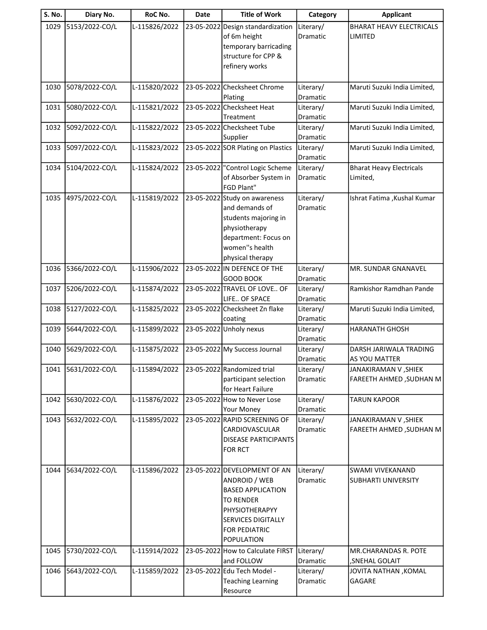| S. No. | Diary No.           | RoC No.       | <b>Date</b> | <b>Title of Work</b>                                                                                                                                                        | Category                     | <b>Applicant</b>                                |
|--------|---------------------|---------------|-------------|-----------------------------------------------------------------------------------------------------------------------------------------------------------------------------|------------------------------|-------------------------------------------------|
| 1029   | 5153/2022-CO/L      | L-115826/2022 | 23-05-2022  | Design standardization<br>of 6m height<br>temporary barricading<br>structure for CPP &<br>refinery works                                                                    | Literary/<br>Dramatic        | <b>BHARAT HEAVY ELECTRICALS</b><br>LIMITED      |
| 1030   | 5078/2022-CO/L      | L-115820/2022 |             | 23-05-2022 Checksheet Chrome<br>Plating                                                                                                                                     | Literary/<br>Dramatic        | Maruti Suzuki India Limited,                    |
| 1031   | 5080/2022-CO/L      | L-115821/2022 |             | 23-05-2022 Checksheet Heat<br>Treatment                                                                                                                                     | Literary/<br>Dramatic        | Maruti Suzuki India Limited,                    |
| 1032   | 5092/2022-CO/L      | L-115822/2022 |             | 23-05-2022 Checksheet Tube<br>Supplier                                                                                                                                      | Literary/<br>Dramatic        | Maruti Suzuki India Limited,                    |
| 1033   | 5097/2022-CO/L      | L-115823/2022 |             | 23-05-2022 SOR Plating on Plastics                                                                                                                                          | Literary/<br>Dramatic        | Maruti Suzuki India Limited,                    |
| 1034   | 5104/2022-CO/L      | L-115824/2022 |             | 23-05-2022 "Control Logic Scheme<br>of Absorber System in<br>FGD Plant"                                                                                                     | Literary/<br>Dramatic        | <b>Bharat Heavy Electricals</b><br>Limited,     |
| 1035   | 4975/2022-CO/L      | L-115819/2022 |             | 23-05-2022 Study on awareness<br>and demands of<br>students majoring in<br>physiotherapy<br>department: Focus on<br>women"s health<br>physical therapy                      | Literary/<br><b>Dramatic</b> | Ishrat Fatima , Kushal Kumar                    |
| 1036   | 5366/2022-CO/L      | L-115906/2022 |             | 23-05-2022 IN DEFENCE OF THE<br><b>GOOD BOOK</b>                                                                                                                            | Literary/<br>Dramatic        | MR. SUNDAR GNANAVEL                             |
| 1037   | 5206/2022-CO/L      | L-115874/2022 |             | 23-05-2022 TRAVEL OF LOVE OF<br>LIFE OF SPACE                                                                                                                               | Literary/<br>Dramatic        | Ramkishor Ramdhan Pande                         |
| 1038   | 5127/2022-CO/L      | L-115825/2022 |             | 23-05-2022 Checksheet Zn flake<br>coating                                                                                                                                   | Literary/<br>Dramatic        | Maruti Suzuki India Limited,                    |
| 1039   | 5644/2022-CO/L      | L-115899/2022 |             | 23-05-2022 Unholy nexus                                                                                                                                                     | Literary/<br>Dramatic        | <b>HARANATH GHOSH</b>                           |
| 1040   | 5629/2022-CO/L      | L-115875/2022 |             | 23-05-2022 My Success Journal                                                                                                                                               | Literary/<br>Dramatic        | DARSH JARIWALA TRADING<br>AS YOU MATTER         |
|        | 1041 5631/2022-CO/L | L-115894/2022 |             | 23-05-2022 Randomized trial<br>participant selection<br>for Heart Failure                                                                                                   | Literary/<br><b>Dramatic</b> | JANAKIRAMAN V ,SHIEK<br>FAREETH AHMED, SUDHAN M |
| 1042   | 5630/2022-CO/L      | L-115876/2022 |             | 23-05-2022 How to Never Lose<br>Your Money                                                                                                                                  | Literary/<br>Dramatic        | <b>TARUN KAPOOR</b>                             |
| 1043   | 5632/2022-CO/L      | L-115895/2022 |             | 23-05-2022 RAPID SCREENING OF<br>CARDIOVASCULAR<br><b>DISEASE PARTICIPANTS</b><br><b>FOR RCT</b>                                                                            | Literary/<br>Dramatic        | JANAKIRAMAN V, SHIEK<br>FAREETH AHMED, SUDHAN M |
| 1044   | 5634/2022-CO/L      | L-115896/2022 |             | 23-05-2022 DEVELOPMENT OF AN<br>ANDROID / WEB<br><b>BASED APPLICATION</b><br><b>TO RENDER</b><br>PHYSIOTHERAPYY<br><b>SERVICES DIGITALLY</b><br>FOR PEDIATRIC<br>POPULATION | Literary/<br>Dramatic        | SWAMI VIVEKANAND<br><b>SUBHARTI UNIVERSITY</b>  |
| 1045   | 5730/2022-CO/L      | L-115914/2022 |             | 23-05-2022 How to Calculate FIRST<br>and FOLLOW                                                                                                                             | Literary/<br>Dramatic        | MR.CHARANDAS R. POTE<br>, SNEHAL GOLAIT         |
| 1046   | 5643/2022-CO/L      | L-115859/2022 |             | 23-05-2022 Edu Tech Model -<br><b>Teaching Learning</b><br>Resource                                                                                                         | Literary/<br>Dramatic        | JOVITA NATHAN , KOMAL<br>GAGARE                 |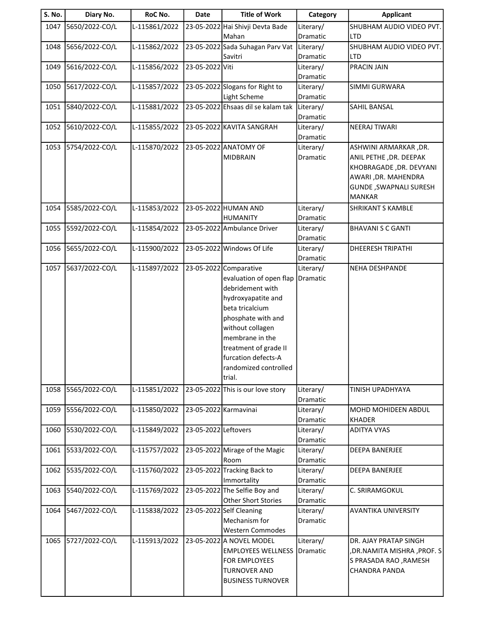| S. No. | Diary No.      | RoC No.       | Date                  | <b>Title of Work</b>                                 | Category              | <b>Applicant</b>                                      |
|--------|----------------|---------------|-----------------------|------------------------------------------------------|-----------------------|-------------------------------------------------------|
| 1047   | 5650/2022-CO/L | L-115861/2022 |                       | 23-05-2022 Hai Shivji Devta Bade<br>Mahan            | Literary/<br>Dramatic | SHUBHAM AUDIO VIDEO PVT.<br><b>LTD</b>                |
| 1048   | 5656/2022-CO/L | L-115862/2022 |                       | 23-05-2022 Sada Suhagan Parv Vat                     | Literary/             | SHUBHAM AUDIO VIDEO PVT.                              |
| 1049   | 5616/2022-CO/L | L-115856/2022 | 23-05-2022 Viti       | Savitri                                              | Dramatic<br>Literary/ | LTD<br><b>PRACIN JAIN</b>                             |
|        |                |               |                       |                                                      | Dramatic              |                                                       |
| 1050   | 5617/2022-CO/L | L-115857/2022 |                       | 23-05-2022 Slogans for Right to<br>Light Scheme      | Literary/<br>Dramatic | <b>SIMMI GURWARA</b>                                  |
| 1051   | 5840/2022-CO/L | L-115881/2022 |                       | 23-05-2022 Ehsaas dil se kalam tak                   | Literary/             | <b>SAHIL BANSAL</b>                                   |
| 1052   | 5610/2022-CO/L | L-115855/2022 |                       | 23-05-2022 KAVITA SANGRAH                            | Dramatic<br>Literary/ | NEERAJ TIWARI                                         |
|        |                |               |                       |                                                      | Dramatic              |                                                       |
| 1053   | 5754/2022-CO/L | L-115870/2022 |                       | 23-05-2022 ANATOMY OF                                | Literary/             | ASHWINI ARMARKAR , DR.                                |
|        |                |               |                       | <b>MIDBRAIN</b>                                      | Dramatic              | ANIL PETHE , DR. DEEPAK                               |
|        |                |               |                       |                                                      |                       | KHOBRAGADE, DR. DEVYANI<br>AWARI, DR. MAHENDRA        |
|        |                |               |                       |                                                      |                       | <b>GUNDE, SWAPNALI SURESH</b>                         |
|        |                |               |                       |                                                      |                       | <b>MANKAR</b>                                         |
| 1054   | 5585/2022-CO/L | L-115853/2022 |                       | 23-05-2022 HUMAN AND                                 | Literary/             | <b>SHRIKANT S KAMBLE</b>                              |
|        |                |               |                       | <b>HUMANITY</b>                                      | Dramatic              |                                                       |
| 1055   | 5592/2022-CO/L | L-115854/2022 |                       | 23-05-2022 Ambulance Driver                          | Literary/<br>Dramatic | <b>BHAVANI S C GANTI</b>                              |
| 1056   | 5655/2022-CO/L | L-115900/2022 |                       | 23-05-2022 Windows Of Life                           | Literary/             | <b>DHEERESH TRIPATHI</b>                              |
|        |                |               |                       |                                                      | Dramatic              |                                                       |
| 1057   | 5637/2022-CO/L | L-115897/2022 |                       | 23-05-2022 Comparative                               | Literary/             | <b>NEHA DESHPANDE</b>                                 |
|        |                |               |                       | evaluation of open flap                              | Dramatic              |                                                       |
|        |                |               |                       | debridement with<br>hydroxyapatite and               |                       |                                                       |
|        |                |               |                       | beta tricalcium                                      |                       |                                                       |
|        |                |               |                       | phosphate with and                                   |                       |                                                       |
|        |                |               |                       | without collagen                                     |                       |                                                       |
|        |                |               |                       | membrane in the<br>treatment of grade II             |                       |                                                       |
|        |                |               |                       | furcation defects-A                                  |                       |                                                       |
|        |                |               |                       | randomized controlled                                |                       |                                                       |
|        |                |               |                       | trial.                                               |                       |                                                       |
| 1058   | 5565/2022-CO/L | L-115851/2022 |                       | 23-05-2022 This is our love story                    | Literary/<br>Dramatic | <b>TINISH UPADHYAYA</b>                               |
| 1059   | 5556/2022-CO/L | L-115850/2022 | 23-05-2022 Karmavinai |                                                      | Literary/             | MOHD MOHIDEEN ABDUL                                   |
|        |                |               |                       |                                                      | Dramatic              | <b>KHADER</b>                                         |
| 1060   | 5530/2022-CO/L | L-115849/2022 | 23-05-2022 Leftovers  |                                                      | Literary/             | ADITYA VYAS                                           |
| 1061   | 5533/2022-CO/L | L-115757/2022 |                       | 23-05-2022 Mirage of the Magic                       | Dramatic<br>Literary/ | DEEPA BANERJEE                                        |
|        |                |               |                       | Room                                                 | Dramatic              |                                                       |
| 1062   | 5535/2022-CO/L | L-115760/2022 |                       | 23-05-2022 Tracking Back to                          | Literary/             | <b>DEEPA BANERJEE</b>                                 |
|        |                |               |                       | Immortality                                          | Dramatic              |                                                       |
| 1063   | 5540/2022-CO/L | L-115769/2022 |                       | 23-05-2022 The Selfie Boy and<br>Other Short Stories | Literary/<br>Dramatic | C. SRIRAMGOKUL                                        |
| 1064   | 5467/2022-CO/L | L-115838/2022 |                       | 23-05-2022 Self Cleaning                             | Literary/             | <b>AVANTIKA UNIVERSITY</b>                            |
|        |                |               |                       | Mechanism for                                        | Dramatic              |                                                       |
|        |                |               |                       | <b>Western Commodes</b>                              |                       |                                                       |
| 1065   | 5727/2022-CO/L | L-115913/2022 |                       | 23-05-2022 A NOVEL MODEL                             | Literary/             | DR. AJAY PRATAP SINGH                                 |
|        |                |               |                       | <b>EMPLOYEES WELLNESS</b><br>FOR EMPLOYEES           | Dramatic              | , DR. NAMITA MISHRA, PROF. S<br>S PRASADA RAO, RAMESH |
|        |                |               |                       | <b>TURNOVER AND</b>                                  |                       | <b>CHANDRA PANDA</b>                                  |
|        |                |               |                       | <b>BUSINESS TURNOVER</b>                             |                       |                                                       |
|        |                |               |                       |                                                      |                       |                                                       |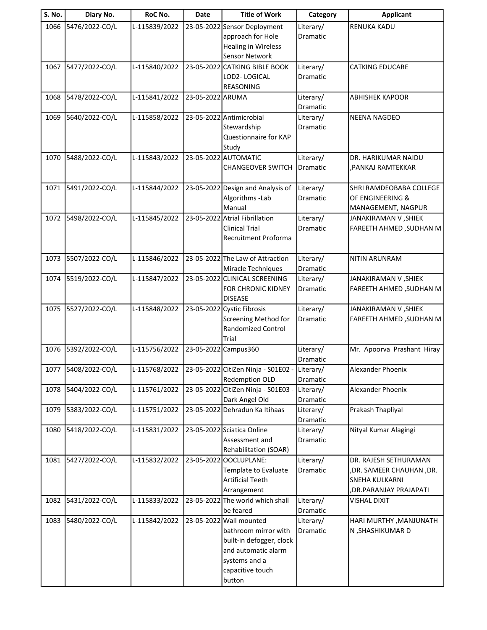| <b>S. No.</b> | Diary No.      | RoC No.       | <b>Date</b>      | <b>Title of Work</b>                              | Category              | <b>Applicant</b>                       |
|---------------|----------------|---------------|------------------|---------------------------------------------------|-----------------------|----------------------------------------|
| 1066          | 5476/2022-CO/L | L-115839/2022 |                  | 23-05-2022 Sensor Deployment                      | Literary/             | <b>RENUKA KADU</b>                     |
|               |                |               |                  | approach for Hole                                 | Dramatic              |                                        |
|               |                |               |                  | <b>Healing in Wireless</b>                        |                       |                                        |
|               |                |               |                  | Sensor Network                                    |                       |                                        |
| 1067          | 5477/2022-CO/L | L-115840/2022 |                  | 23-05-2022 CATKING BIBLE BOOK                     | Literary/             | <b>CATKING EDUCARE</b>                 |
|               |                |               |                  | LOD2-LOGICAL                                      | Dramatic              |                                        |
|               |                |               |                  | REASONING                                         |                       |                                        |
| 1068          | 5478/2022-CO/L | L-115841/2022 | 23-05-2022 ARUMA |                                                   | Literary/             | <b>ABHISHEK KAPOOR</b>                 |
|               |                |               |                  |                                                   | Dramatic              |                                        |
| 1069          | 5640/2022-CO/L | L-115858/2022 |                  | 23-05-2022 Antimicrobial                          | Literary/             | <b>NEENA NAGDEO</b>                    |
|               |                |               |                  | Stewardship<br>Questionnaire for KAP              | Dramatic              |                                        |
|               |                |               |                  | Study                                             |                       |                                        |
| 1070          | 5488/2022-CO/L | L-115843/2022 |                  | 23-05-2022 AUTOMATIC                              | Literary/             | DR. HARIKUMAR NAIDU                    |
|               |                |               |                  | <b>CHANGEOVER SWITCH</b>                          | Dramatic              | ,PANKAJ RAMTEKKAR                      |
|               |                |               |                  |                                                   |                       |                                        |
| 1071          | 5491/2022-CO/L | L-115844/2022 |                  | 23-05-2022 Design and Analysis of                 | Literary/             | SHRI RAMDEOBABA COLLEGE                |
|               |                |               |                  | Algorithms - Lab                                  | Dramatic              | OF ENGINEERING &                       |
|               |                |               |                  | Manual                                            |                       | MANAGEMENT, NAGPUR                     |
| 1072          | 5498/2022-CO/L | L-115845/2022 |                  | 23-05-2022 Atrial Fibrillation                    | Literary/             | JANAKIRAMAN V, SHIEK                   |
|               |                |               |                  | <b>Clinical Trial</b>                             | <b>Dramatic</b>       | <b>FAREETH AHMED, SUDHAN M</b>         |
|               |                |               |                  | Recruitment Proforma                              |                       |                                        |
|               |                |               |                  |                                                   |                       |                                        |
| 1073          | 5507/2022-CO/L | L-115846/2022 |                  | 23-05-2022 The Law of Attraction                  | Literary/             | <b>NITIN ARUNRAM</b>                   |
|               |                |               |                  | Miracle Techniques                                | Dramatic              |                                        |
| 1074          | 5519/2022-CO/L | L-115847/2022 |                  | 23-05-2022 CLINICAL SCREENING                     | Literary/             | JANAKIRAMAN V, SHIEK                   |
|               |                |               |                  | FOR CHRONIC KIDNEY                                | Dramatic              | FAREETH AHMED, SUDHAN M                |
|               |                |               |                  | <b>DISEASE</b>                                    |                       |                                        |
| 1075          | 5527/2022-CO/L | L-115848/2022 |                  | 23-05-2022 Cystic Fibrosis                        | Literary/<br>Dramatic | JANAKIRAMAN V , SHIEK                  |
|               |                |               |                  | Screening Method for<br><b>Randomized Control</b> |                       | <b>FAREETH AHMED, SUDHAN M</b>         |
|               |                |               |                  | Trial                                             |                       |                                        |
| 1076          | 5392/2022-CO/L | L-115756/2022 |                  | 23-05-2022 Campus 360                             | Literary/             | Mr. Apoorva Prashant Hiray             |
|               |                |               |                  |                                                   | Dramatic              |                                        |
| 1077          | 5408/2022-CO/L | L-115768/2022 |                  | 23-05-2022 CitiZen Ninja - S01E02 - Literary/     |                       | Alexander Phoenix                      |
|               |                |               |                  | Redemption OLD                                    | Dramatic              |                                        |
| 1078          | 5404/2022-CO/L | L-115761/2022 |                  | 23-05-2022 CitiZen Ninja - S01E03 -               | Literary/             | Alexander Phoenix                      |
|               |                |               |                  | Dark Angel Old                                    | Dramatic              |                                        |
| 1079          | 5383/2022-CO/L | L-115751/2022 |                  | 23-05-2022 Dehradun Ka Itihaas                    | Literary/             | Prakash Thapliyal                      |
|               |                |               |                  |                                                   | Dramatic              |                                        |
| 1080          | 5418/2022-CO/L | L-115831/2022 |                  | 23-05-2022 Sciatica Online                        | Literary/             | Nityal Kumar Alagingi                  |
|               |                |               |                  | Assessment and                                    | Dramatic              |                                        |
|               |                |               |                  | Rehabilitation (SOAR)                             |                       |                                        |
| 1081          | 5427/2022-CO/L | L-115832/2022 | 23-05-2022       | OOCLUPLANE:                                       | Literary/             | DR. RAJESH SETHURAMAN                  |
|               |                |               |                  | Template to Evaluate                              | Dramatic              | ,DR. SAMEER CHAUHAN ,DR.               |
|               |                |               |                  | <b>Artificial Teeth</b>                           |                       | SNEHA KULKARNI                         |
| 1082          | 5431/2022-CO/L | L-115833/2022 |                  | Arrangement<br>23-05-2022 The world which shall   | Literary/             | ,DR.PARANJAY PRAJAPATI<br>VISHAL DIXIT |
|               |                |               |                  | be feared                                         | Dramatic              |                                        |
| 1083          | 5480/2022-CO/L | L-115842/2022 |                  | 23-05-2022 Wall mounted                           | Literary/             | HARI MURTHY, MANJUNATH                 |
|               |                |               |                  | bathroom mirror with                              | Dramatic              | N , SHASHIKUMAR D                      |
|               |                |               |                  | built-in defogger, clock                          |                       |                                        |
|               |                |               |                  | and automatic alarm                               |                       |                                        |
|               |                |               |                  | systems and a                                     |                       |                                        |
|               |                |               |                  | capacitive touch                                  |                       |                                        |
|               |                |               |                  | button                                            |                       |                                        |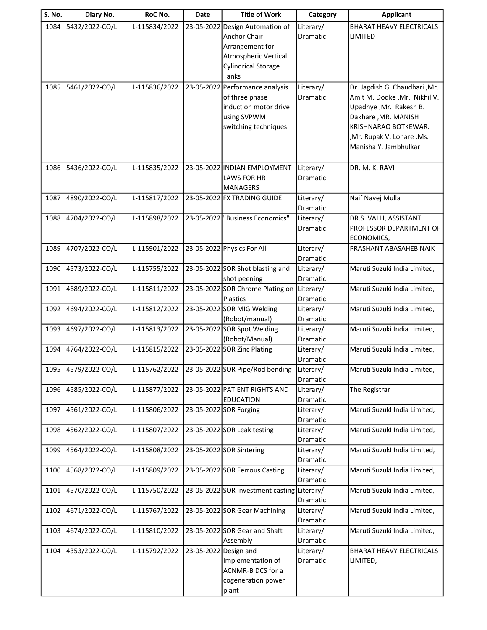| <b>S. No.</b> | Diary No.      | RoC No.       | Date                  | <b>Title of Work</b>                                                                                                       | Category              | <b>Applicant</b>                                                                                                                                                                              |
|---------------|----------------|---------------|-----------------------|----------------------------------------------------------------------------------------------------------------------------|-----------------------|-----------------------------------------------------------------------------------------------------------------------------------------------------------------------------------------------|
| 1084          | 5432/2022-CO/L | L-115834/2022 | 23-05-2022            | Design Automation of<br>Anchor Chair<br>Arrangement for<br>Atmospheric Vertical<br><b>Cylindrical Storage</b>              | Literary/<br>Dramatic | <b>BHARAT HEAVY ELECTRICALS</b><br><b>LIMITED</b>                                                                                                                                             |
| 1085          | 5461/2022-CO/L | L-115836/2022 |                       | Tanks<br>23-05-2022 Performance analysis<br>of three phase<br>induction motor drive<br>using SVPWM<br>switching techniques | Literary/<br>Dramatic | Dr. Jagdish G. Chaudhari, Mr.<br>Amit M. Dodke , Mr. Nikhil V.<br>Upadhye, Mr. Rakesh B.<br>Dakhare, MR. MANISH<br>KRISHNARAO BOTKEWAR.<br>,Mr. Rupak V. Lonare, Ms.<br>Manisha Y. Jambhulkar |
| 1086          | 5436/2022-CO/L | L-115835/2022 |                       | 23-05-2022 INDIAN EMPLOYMENT<br><b>LAWS FOR HR</b><br><b>MANAGERS</b>                                                      | Literary/<br>Dramatic | DR. M. K. RAVI                                                                                                                                                                                |
| 1087          | 4890/2022-CO/L | L-115817/2022 |                       | 23-05-2022 FX TRADING GUIDE                                                                                                | Literary/<br>Dramatic | Naif Navej Mulla                                                                                                                                                                              |
| 1088          | 4704/2022-CO/L | L-115898/2022 |                       | 23-05-2022 Business Economics"                                                                                             | Literary/<br>Dramatic | DR.S. VALLI, ASSISTANT<br>PROFESSOR DEPARTMENT OF<br>ECONOMICS,                                                                                                                               |
| 1089          | 4707/2022-CO/L | L-115901/2022 |                       | 23-05-2022 Physics For All                                                                                                 | Literary/<br>Dramatic | PRASHANT ABASAHEB NAIK                                                                                                                                                                        |
| 1090          | 4573/2022-CO/L | L-115755/2022 |                       | 23-05-2022 SOR Shot blasting and<br>shot peening                                                                           | Literary/<br>Dramatic | Maruti Suzuki India Limited,                                                                                                                                                                  |
| 1091          | 4689/2022-CO/L | L-115811/2022 |                       | 23-05-2022 SOR Chrome Plating on<br>Plastics                                                                               | Literary/<br>Dramatic | Maruti Suzuki India Limited,                                                                                                                                                                  |
| 1092          | 4694/2022-CO/L | L-115812/2022 |                       | 23-05-2022 SOR MIG Welding<br>(Robot/manual)                                                                               | Literary/<br>Dramatic | Maruti Suzuki India Limited,                                                                                                                                                                  |
| 1093          | 4697/2022-CO/L | L-115813/2022 |                       | 23-05-2022 SOR Spot Welding<br>(Robot/Manual)                                                                              | Literary/<br>Dramatic | Maruti Suzuki India Limited,                                                                                                                                                                  |
| 1094          | 4764/2022-CO/L | L-115815/2022 |                       | 23-05-2022 SOR Zinc Plating                                                                                                | Literary/<br>Dramatic | Maruti Suzuki India Limited,                                                                                                                                                                  |
| 1095          | 4579/2022-CO/L | L-115762/2022 |                       | 23-05-2022 SOR Pipe/Rod bending                                                                                            | Literary/<br>Dramatic | Maruti Suzuki India Limited,                                                                                                                                                                  |
| 1096          | 4585/2022-CO/L | L-115877/2022 |                       | 23-05-2022 PATIENT RIGHTS AND<br><b>EDUCATION</b>                                                                          | Literary/<br>Dramatic | The Registrar                                                                                                                                                                                 |
| 1097          | 4561/2022-CO/L | L-115806/2022 |                       | 23-05-2022 SOR Forging                                                                                                     | Literary/<br>Dramatic | Maruti Suzukl India Limited,                                                                                                                                                                  |
| 1098          | 4562/2022-CO/L | L-115807/2022 |                       | 23-05-2022 SOR Leak testing                                                                                                | Literary/<br>Dramatic | Maruti Suzukl India Limited,                                                                                                                                                                  |
| 1099          | 4564/2022-CO/L | L-115808/2022 |                       | 23-05-2022 SOR Sintering                                                                                                   | Literary/<br>Dramatic | Maruti Suzukl India Limited,                                                                                                                                                                  |
| 1100          | 4568/2022-CO/L | L-115809/2022 |                       | 23-05-2022 SOR Ferrous Casting                                                                                             | Literary/<br>Dramatic | Maruti Suzukl India Limited,                                                                                                                                                                  |
| 1101          | 4570/2022-CO/L | L-115750/2022 |                       | 23-05-2022 SOR Investment casting Literary/                                                                                | Dramatic              | Maruti Suzuki India Limited,                                                                                                                                                                  |
| 1102          | 4671/2022-CO/L | L-115767/2022 |                       | 23-05-2022 SOR Gear Machining                                                                                              | Literary/<br>Dramatic | Maruti Suzuki India Limited,                                                                                                                                                                  |
| 1103          | 4674/2022-CO/L | L-115810/2022 |                       | 23-05-2022 SOR Gear and Shaft<br>Assembly                                                                                  | Literary/<br>Dramatic | Maruti Suzuki India Limited,                                                                                                                                                                  |
| 1104          | 4353/2022-CO/L | L-115792/2022 | 23-05-2022 Design and | Implementation of<br>ACNMR-B DCS for a<br>cogeneration power<br>plant                                                      | Literary/<br>Dramatic | BHARAT HEAVY ELECTRICALS<br>LIMITED,                                                                                                                                                          |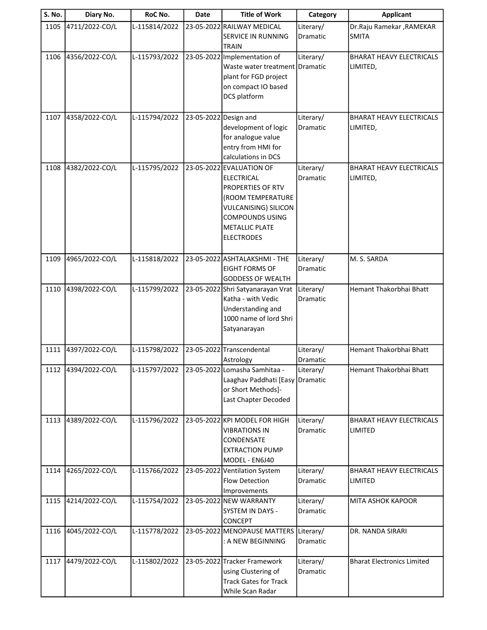| S. No. | Diary No.           | RoC No.       | Date                  | <b>Title of Work</b>                                                                                                                                                                           | Category              | <b>Applicant</b>                            |
|--------|---------------------|---------------|-----------------------|------------------------------------------------------------------------------------------------------------------------------------------------------------------------------------------------|-----------------------|---------------------------------------------|
| 1105   | 4711/2022-CO/L      | L-115814/2022 |                       | 23-05-2022 RAILWAY MEDICAL<br><b>SERVICE IN RUNNING</b><br><b>TRAIN</b>                                                                                                                        | Literary/<br>Dramatic | Dr.Raju Ramekar, RAMEKAR<br><b>SMITA</b>    |
| 1106   | 4356/2022-CO/L      | L-115793/2022 |                       | 23-05-2022 Implementation of<br>Waste water treatment Dramatic<br>plant for FGD project<br>on compact IO based<br>DCS platform                                                                 | Literary/             | <b>BHARAT HEAVY ELECTRICALS</b><br>LIMITED, |
| 1107   | 4358/2022-CO/L      | L-115794/2022 | 23-05-2022 Design and | development of logic<br>for analogue value<br>entry from HMI for<br>calculations in DCS                                                                                                        | Literary/<br>Dramatic | <b>BHARAT HEAVY ELECTRICALS</b><br>LIMITED, |
| 1108   | 4382/2022-CO/L      | L-115795/2022 |                       | 23-05-2022 EVALUATION OF<br><b>ELECTRICAL</b><br>PROPERTIES OF RTV<br>(ROOM TEMPERATURE<br><b>VULCANISING) SILICON</b><br><b>COMPOUNDS USING</b><br><b>METALLIC PLATE</b><br><b>ELECTRODES</b> | Literary/<br>Dramatic | <b>BHARAT HEAVY ELECTRICALS</b><br>LIMITED, |
| 1109   | 4965/2022-CO/L      | L-115818/2022 |                       | 23-05-2022 ASHTALAKSHMI - THE<br><b>EIGHT FORMS OF</b><br><b>GODDESS OF WEALTH</b>                                                                                                             | Literary/<br>Dramatic | M. S. SARDA                                 |
| 1110   | 4398/2022-CO/L      | L-115799/2022 |                       | 23-05-2022 Shri Satyanarayan Vrat<br>Katha - with Vedic<br>Understanding and<br>1000 name of lord Shri<br>Satyanarayan                                                                         | Literary/<br>Dramatic | Hemant Thakorbhai Bhatt                     |
| 1111   | 4397/2022-CO/L      | L-115798/2022 |                       | 23-05-2022 Transcendental<br>Astrology                                                                                                                                                         | Literary/<br>Dramatic | Hemant Thakorbhai Bhatt                     |
|        | 1112 4394/2022-CO/L | L-115797/2022 |                       | 23-05-2022 Lomasha Samhitaa -<br>Laaghav Paddhati [Easy]<br>or Short Methods]-<br>Last Chapter Decoded                                                                                         | Literary/<br>Dramatic | Hemant Thakorbhai Bhatt                     |
| 1113   | 4389/2022-CO/L      | L-115796/2022 |                       | 23-05-2022 KPI MODEL FOR HIGH<br><b>VIBRATIONS IN</b><br>CONDENSATE<br><b>EXTRACTION PUMP</b><br>MODEL - EN6J40                                                                                | Literary/<br>Dramatic | <b>BHARAT HEAVY ELECTRICALS</b><br>LIMITED  |
| 1114   | 4265/2022-CO/L      | L-115766/2022 |                       | 23-05-2022 Ventilation System<br><b>Flow Detection</b><br>Improvements                                                                                                                         | Literary/<br>Dramatic | BHARAT HEAVY ELECTRICALS<br>LIMITED         |
| 1115   | 4214/2022-CO/L      | L-115754/2022 |                       | 23-05-2022 NEW WARRANTY<br>SYSTEM IN DAYS -<br><b>CONCEPT</b>                                                                                                                                  | Literary/<br>Dramatic | MITA ASHOK KAPOOR                           |
| 1116   | 4045/2022-CO/L      | L-115778/2022 |                       | 23-05-2022 MENOPAUSE MATTERS<br>: A NEW BEGINNING                                                                                                                                              | Literary/<br>Dramatic | DR. NANDA SIRARI                            |
| 1117   | 4479/2022-CO/L      | L-115802/2022 |                       | 23-05-2022 Tracker Framework<br>using Clustering of<br><b>Track Gates for Track</b><br>While Scan Radar                                                                                        | Literary/<br>Dramatic | <b>Bharat Electronics Limited</b>           |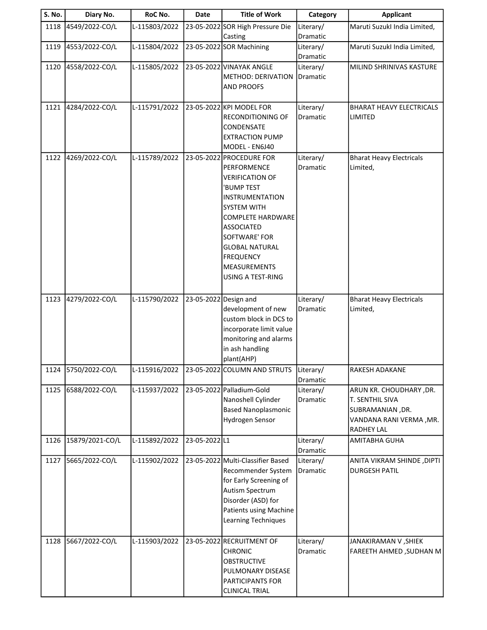| S. No. | Diary No.       | RoC No.       | <b>Date</b>           | <b>Title of Work</b>                                                                                                                                                                                                                                                                              | Category                     | <b>Applicant</b>                                                                                         |
|--------|-----------------|---------------|-----------------------|---------------------------------------------------------------------------------------------------------------------------------------------------------------------------------------------------------------------------------------------------------------------------------------------------|------------------------------|----------------------------------------------------------------------------------------------------------|
| 1118   | 4549/2022-CO/L  | L-115803/2022 |                       | 23-05-2022 SOR High Pressure Die<br>Casting                                                                                                                                                                                                                                                       | Literary/<br>Dramatic        | Maruti Suzukl India Limited,                                                                             |
| 1119   | 4553/2022-CO/L  | L-115804/2022 |                       | 23-05-2022 SOR Machining                                                                                                                                                                                                                                                                          | Literary/<br>Dramatic        | Maruti Suzukl India Limited,                                                                             |
| 1120   | 4558/2022-CO/L  | L-115805/2022 |                       | 23-05-2022 VINAYAK ANGLE<br>METHOD: DERIVATION<br><b>AND PROOFS</b>                                                                                                                                                                                                                               | Literary/<br>Dramatic        | MILIND SHRINIVAS KASTURE                                                                                 |
| 1121   | 4284/2022-CO/L  | L-115791/2022 |                       | 23-05-2022 KPI MODEL FOR<br><b>RECONDITIONING OF</b><br>CONDENSATE<br><b>EXTRACTION PUMP</b><br>MODEL - EN6J40                                                                                                                                                                                    | Literary/<br><b>Dramatic</b> | <b>BHARAT HEAVY ELECTRICALS</b><br>LIMITED                                                               |
| 1122   | 4269/2022-CO/L  | L-115789/2022 |                       | 23-05-2022 PROCEDURE FOR<br>PERFORMENCE<br><b>VERIFICATION OF</b><br>'BUMP TEST<br><b>INSTRUMENTATION</b><br><b>SYSTEM WITH</b><br><b>COMPLETE HARDWARE</b><br><b>ASSOCIATED</b><br>SOFTWARE' FOR<br><b>GLOBAL NATURAL</b><br><b>FREQUENCY</b><br><b>MEASUREMENTS</b><br><b>USING A TEST-RING</b> | Literary/<br>Dramatic        | <b>Bharat Heavy Electricals</b><br>Limited,                                                              |
| 1123   | 4279/2022-CO/L  | L-115790/2022 | 23-05-2022 Design and | development of new<br>custom block in DCS to<br>incorporate limit value<br>monitoring and alarms<br>in ash handling<br>plant(AHP)                                                                                                                                                                 | Literary/<br>Dramatic        | <b>Bharat Heavy Electricals</b><br>Limited,                                                              |
| 1124   | 5750/2022-CO/L  | L-115916/2022 |                       | 23-05-2022 COLUMN AND STRUTS                                                                                                                                                                                                                                                                      | Literary/<br>Dramatic        | RAKESH ADAKANE                                                                                           |
| 1125   | 6588/2022-CO/L  | L-115937/2022 |                       | 23-05-2022 Palladium-Gold<br>Nanoshell Cylinder<br><b>Based Nanoplasmonic</b><br>Hydrogen Sensor                                                                                                                                                                                                  | Literary/<br>Dramatic        | ARUN KR. CHOUDHARY, DR.<br>T. SENTHIL SIVA<br>SUBRAMANIAN, DR.<br>VANDANA RANI VERMA , MR.<br>RADHEY LAL |
| 1126   | 15879/2021-CO/L | L-115892/2022 | 23-05-2022L1          |                                                                                                                                                                                                                                                                                                   | Literary/<br>Dramatic        | <b>AMITABHA GUHA</b>                                                                                     |
| 1127   | 5665/2022-CO/L  | L-115902/2022 |                       | 23-05-2022 Multi-Classifier Based<br>Recommender System<br>for Early Screening of<br>Autism Spectrum<br>Disorder (ASD) for<br><b>Patients using Machine</b><br>Learning Techniques                                                                                                                | Literary/<br>Dramatic        | ANITA VIKRAM SHINDE, DIPTI<br><b>DURGESH PATIL</b>                                                       |
| 1128   | 5667/2022-CO/L  | L-115903/2022 |                       | 23-05-2022 RECRUITMENT OF<br><b>CHRONIC</b><br><b>OBSTRUCTIVE</b><br>PULMONARY DISEASE<br>PARTICIPANTS FOR<br><b>CLINICAL TRIAL</b>                                                                                                                                                               | Literary/<br>Dramatic        | JANAKIRAMAN V , SHIEK<br>FAREETH AHMED, SUDHAN M                                                         |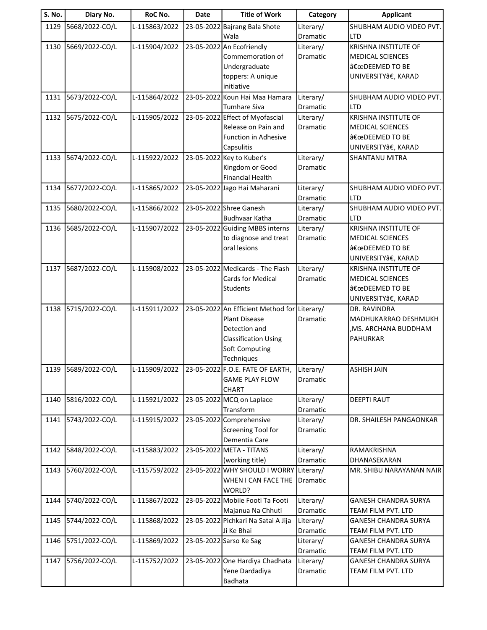| S. No. | Diary No.      | RoC No.       | <b>Date</b> | <b>Title of Work</b>                         | Category        | <b>Applicant</b>                            |
|--------|----------------|---------------|-------------|----------------------------------------------|-----------------|---------------------------------------------|
| 1129   | 5668/2022-CO/L | L-115863/2022 |             | 23-05-2022 Bajrang Bala Shote                | Literary/       | SHUBHAM AUDIO VIDEO PVT.                    |
|        |                |               |             | Wala                                         | Dramatic        | <b>LTD</b>                                  |
| 1130   | 5669/2022-CO/L | L-115904/2022 |             | 23-05-2022 An Ecofriendly                    | Literary/       | KRISHNA INSTITUTE OF                        |
|        |                |               |             | Commemoration of                             | Dramatic        | MEDICAL SCIENCES                            |
|        |                |               |             | Undergraduate                                |                 | "DEEMED TO BE                               |
|        |                |               |             | toppers: A unique<br>initiative              |                 | UNIVERSITYâ€, KARAD                         |
| 1131   | 5673/2022-CO/L | L-115864/2022 |             | 23-05-2022 Koun Hai Maa Hamara               | Literary/       | SHUBHAM AUDIO VIDEO PVT.                    |
|        |                |               |             | Tumhare Siva                                 | Dramatic        | <b>LTD</b>                                  |
| 1132   | 5675/2022-CO/L | L-115905/2022 |             | 23-05-2022 Effect of Myofascial              | Literary/       | <b>KRISHNA INSTITUTE OF</b>                 |
|        |                |               |             | Release on Pain and                          | Dramatic        | MEDICAL SCIENCES                            |
|        |                |               |             | <b>Function in Adhesive</b>                  |                 | "DEEMED TO BE                               |
|        |                |               |             | Capsulitis                                   |                 | UNIVERSITYâ€, KARAD                         |
| 1133   | 5674/2022-CO/L | L-115922/2022 |             | 23-05-2022 Key to Kuber's                    | Literary/       | <b>SHANTANU MITRA</b>                       |
|        |                |               |             | Kingdom or Good                              | Dramatic        |                                             |
|        |                |               |             | <b>Financial Health</b>                      |                 |                                             |
| 1134   | 5677/2022-CO/L | L-115865/2022 |             | 23-05-2022 Jago Hai Maharani                 | Literary/       | SHUBHAM AUDIO VIDEO PVT.                    |
|        |                |               |             |                                              | Dramatic        | <b>LTD</b>                                  |
| 1135   | 5680/2022-CO/L | L-115866/2022 |             | 23-05-2022 Shree Ganesh                      | Literary/       | SHUBHAM AUDIO VIDEO PVT.                    |
|        |                |               |             | <b>Budhvaar Katha</b>                        | Dramatic        | <b>LTD</b>                                  |
| 1136   | 5685/2022-CO/L | L-115907/2022 |             | 23-05-2022 Guiding MBBS interns              | Literary/       | <b>KRISHNA INSTITUTE OF</b>                 |
|        |                |               |             | to diagnose and treat                        | Dramatic        | <b>MEDICAL SCIENCES</b>                     |
|        |                |               |             | oral lesions                                 |                 | "DEEMED TO BE                               |
| 1137   | 5687/2022-CO/L | L-115908/2022 |             | 23-05-2022 Medicards - The Flash             | Literary/       | UNIVERSITYâ€, KARAD<br>KRISHNA INSTITUTE OF |
|        |                |               |             | Cards for Medical                            | Dramatic        | <b>MEDICAL SCIENCES</b>                     |
|        |                |               |             | <b>Students</b>                              |                 | "DEEMED TO BE                               |
|        |                |               |             |                                              |                 | UNIVERSITYâ€, KARAD                         |
| 1138   | 5715/2022-CO/L | L-115911/2022 |             | 23-05-2022 An Efficient Method for Literary/ |                 | DR. RAVINDRA                                |
|        |                |               |             | <b>Plant Disease</b>                         | Dramatic        | MADHUKARRAO DESHMUKH                        |
|        |                |               |             | Detection and                                |                 | , MS. ARCHANA BUDDHAM                       |
|        |                |               |             | <b>Classification Using</b>                  |                 | <b>PAHURKAR</b>                             |
|        |                |               |             | Soft Computing                               |                 |                                             |
|        |                |               |             | Techniques                                   |                 |                                             |
| 1139   | 5689/2022-CO/L | L-115909/2022 |             | 23-05-2022 F.O.E. FATE OF EARTH,             | Literary/       | <b>ASHISH JAIN</b>                          |
|        |                |               |             | <b>GAME PLAY FLOW</b>                        | <b>Dramatic</b> |                                             |
|        |                |               |             | <b>CHART</b>                                 |                 |                                             |
| 1140   | 5816/2022-CO/L | L-115921/2022 |             | 23-05-2022 MCQ on Laplace                    | Literary/       | <b>DEEPTI RAUT</b>                          |
|        |                |               |             | Transform                                    | Dramatic        |                                             |
| 1141   | 5743/2022-CO/L | L-115915/2022 |             | 23-05-2022 Comprehensive                     | Literary/       | DR. SHAILESH PANGAONKAR                     |
|        |                |               |             | Screening Tool for<br>Dementia Care          | Dramatic        |                                             |
| 1142   | 5848/2022-CO/L | L-115883/2022 |             | 23-05-2022 META - TITANS                     | Literary/       | RAMAKRISHNA                                 |
|        |                |               |             | (working title)                              | Dramatic        | DHANASEKARAN                                |
| 1143   | 5760/2022-CO/L | L-115759/2022 |             | 23-05-2022 WHY SHOULD I WORRY                | Literary/       | MR. SHIBU NARAYANAN NAIR                    |
|        |                |               |             | WHEN I CAN FACE THE                          | Dramatic        |                                             |
|        |                |               |             | WORLD?                                       |                 |                                             |
| 1144   | 5740/2022-CO/L | L-115867/2022 |             | 23-05-2022 Mobile Footi Ta Footi             | Literary/       | <b>GANESH CHANDRA SURYA</b>                 |
|        |                |               |             | Majanua Na Chhuti                            | Dramatic        | TEAM FILM PVT. LTD                          |
| 1145   | 5744/2022-CO/L | L-115868/2022 |             | 23-05-2022 Pichkari Na Satai A Jija          | Literary/       | <b>GANESH CHANDRA SURYA</b>                 |
|        |                |               |             | Ji Ke Bhai                                   | Dramatic        | TEAM FILM PVT. LTD                          |
| 1146   | 5751/2022-CO/L | L-115869/2022 |             | 23-05-2022 Sarso Ke Sag                      | Literary/       | <b>GANESH CHANDRA SURYA</b>                 |
|        |                |               |             |                                              | Dramatic        | TEAM FILM PVT. LTD                          |
| 1147   | 5756/2022-CO/L | L-115752/2022 |             | 23-05-2022 One Hardiya Chadhata              | Literary/       | <b>GANESH CHANDRA SURYA</b>                 |
|        |                |               |             | Yene Dardadiya                               | Dramatic        | TEAM FILM PVT. LTD                          |
|        |                |               |             | Badhata                                      |                 |                                             |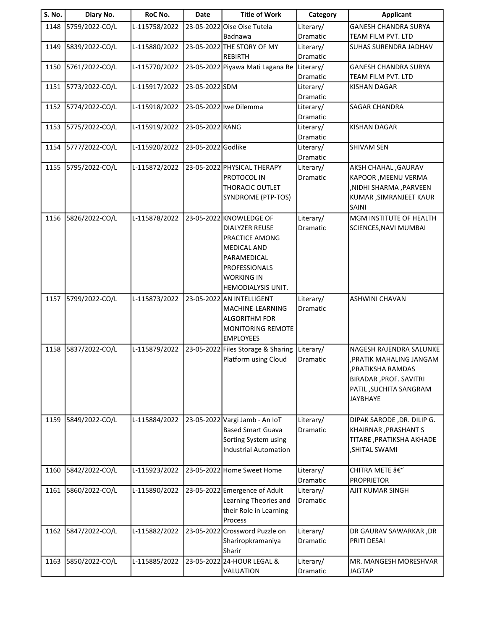| <b>S. No.</b> | Diary No.      | RoC No.       | <b>Date</b>        | <b>Title of Work</b>               | Category              | <b>Applicant</b>                          |
|---------------|----------------|---------------|--------------------|------------------------------------|-----------------------|-------------------------------------------|
| 1148          | 5759/2022-CO/L | L-115758/2022 |                    | 23-05-2022 Oise Oise Tutela        | Literary/             | GANESH CHANDRA SURYA                      |
|               |                |               |                    | Badnawa                            | Dramatic              | TEAM FILM PVT. LTD                        |
| 1149          | 5839/2022-CO/L | L-115880/2022 |                    | 23-05-2022 THE STORY OF MY         | Literary/             | <b>SUHAS SURENDRA JADHAV</b>              |
|               |                |               |                    | <b>REBIRTH</b>                     | Dramatic              |                                           |
| 1150          | 5761/2022-CO/L | L-115770/2022 |                    | 23-05-2022 Piyawa Mati Lagana Re   | Literary/             | GANESH CHANDRA SURYA                      |
|               |                |               |                    |                                    | Dramatic              | TEAM FILM PVT. LTD                        |
| 1151          | 5773/2022-CO/L | L-115917/2022 | 23-05-2022 SDM     |                                    | Literary/             | KISHAN DAGAR                              |
| 1152          | 5774/2022-CO/L | L-115918/2022 |                    | 23-05-2022 lwe Dilemma             | Dramatic<br>Literary/ | <b>SAGAR CHANDRA</b>                      |
|               |                |               |                    |                                    | Dramatic              |                                           |
| 1153          | 5775/2022-CO/L | L-115919/2022 | 23-05-2022 RANG    |                                    | Literary/             | <b>KISHAN DAGAR</b>                       |
|               |                |               |                    |                                    | Dramatic              |                                           |
| 1154          | 5777/2022-CO/L | L-115920/2022 | 23-05-2022 Godlike |                                    | Literary/             | <b>SHIVAM SEN</b>                         |
|               |                |               |                    |                                    | Dramatic              |                                           |
| 1155          | 5795/2022-CO/L | L-115872/2022 |                    | 23-05-2022 PHYSICAL THERAPY        | Literary/             | <b>AKSH CHAHAL, GAURAV</b>                |
|               |                |               |                    | PROTOCOL IN                        | Dramatic              | KAPOOR , MEENU VERMA                      |
|               |                |               |                    | <b>THORACIC OUTLET</b>             |                       | ,NIDHI SHARMA ,PARVEEN                    |
|               |                |               |                    | SYNDROME (PTP-TOS)                 |                       | KUMAR , SIMRANJEET KAUR                   |
|               |                |               |                    |                                    |                       | <b>SAINI</b>                              |
| 1156          | 5826/2022-CO/L | L-115878/2022 |                    | 23-05-2022 KNOWLEDGE OF            | Literary/             | <b>MGM INSTITUTE OF HEALTH</b>            |
|               |                |               |                    | <b>DIALYZER REUSE</b>              | Dramatic              | SCIENCES, NAVI MUMBAI                     |
|               |                |               |                    | PRACTICE AMONG                     |                       |                                           |
|               |                |               |                    | <b>MEDICAL AND</b>                 |                       |                                           |
|               |                |               |                    | PARAMEDICAL                        |                       |                                           |
|               |                |               |                    | PROFESSIONALS                      |                       |                                           |
|               |                |               |                    | <b>WORKING IN</b>                  |                       |                                           |
|               |                |               |                    | HEMODIALYSIS UNIT.                 |                       |                                           |
| 1157          | 5799/2022-CO/L | L-115873/2022 |                    | 23-05-2022 AN INTELLIGENT          | Literary/             | <b>ASHWINI CHAVAN</b>                     |
|               |                |               |                    | MACHINE-LEARNING                   | Dramatic              |                                           |
|               |                |               |                    | <b>ALGORITHM FOR</b>               |                       |                                           |
|               |                |               |                    | MONITORING REMOTE                  |                       |                                           |
|               |                |               |                    | <b>EMPLOYEES</b>                   |                       |                                           |
| 1158          | 5837/2022-CO/L | L-115879/2022 |                    | 23-05-2022 Files Storage & Sharing | Literary/             | NAGESH RAJENDRA SALUNKE                   |
|               |                |               |                    | Platform using Cloud               | Dramatic              | PRATIK MAHALING JANGAM,                   |
|               |                |               |                    |                                    |                       | , PRATIKSHA RAMDAS                        |
|               |                |               |                    |                                    |                       | <b>BIRADAR, PROF. SAVITRI</b>             |
|               |                |               |                    |                                    |                       | PATIL, SUCHITA SANGRAM<br><b>JAYBHAYE</b> |
|               |                |               |                    |                                    |                       |                                           |
| 1159          | 5849/2022-CO/L | L-115884/2022 |                    | 23-05-2022 Vargi Jamb - An IoT     | Literary/             | DIPAK SARODE, DR. DILIP G.                |
|               |                |               |                    | <b>Based Smart Guava</b>           | Dramatic              | KHAIRNAR, PRASHANT S                      |
|               |                |               |                    | Sorting System using               |                       | TITARE, PRATIKSHA AKHADE                  |
|               |                |               |                    | <b>Industrial Automation</b>       |                       | <b>SHITAL SWAMI</b>                       |
|               |                |               |                    |                                    |                       |                                           |
| 1160          | 5842/2022-CO/L | L-115923/2022 |                    | 23-05-2022 Home Sweet Home         | Literary/             | CHITRA METE â€"                           |
|               |                |               |                    |                                    | Dramatic              | <b>PROPRIETOR</b>                         |
| 1161          | 5860/2022-CO/L | L-115890/2022 |                    | 23-05-2022 Emergence of Adult      | Literary/             | AJIT KUMAR SINGH                          |
|               |                |               |                    | Learning Theories and              | Dramatic              |                                           |
|               |                |               |                    | their Role in Learning             |                       |                                           |
|               |                |               |                    | Process                            |                       |                                           |
| 1162          | 5847/2022-CO/L | L-115882/2022 |                    | 23-05-2022 Crossword Puzzle on     | Literary/             | DR GAURAV SAWARKAR ,DR                    |
|               |                |               |                    | Shariropkramaniya                  | Dramatic              | PRITI DESAI                               |
|               |                |               |                    | Sharir                             |                       |                                           |
| 1163          | 5850/2022-CO/L | L-115885/2022 |                    | 23-05-2022 24-HOUR LEGAL &         | Literary/             | MR. MANGESH MORESHVAR                     |
|               |                |               |                    | VALUATION                          | Dramatic              | <b>JAGTAP</b>                             |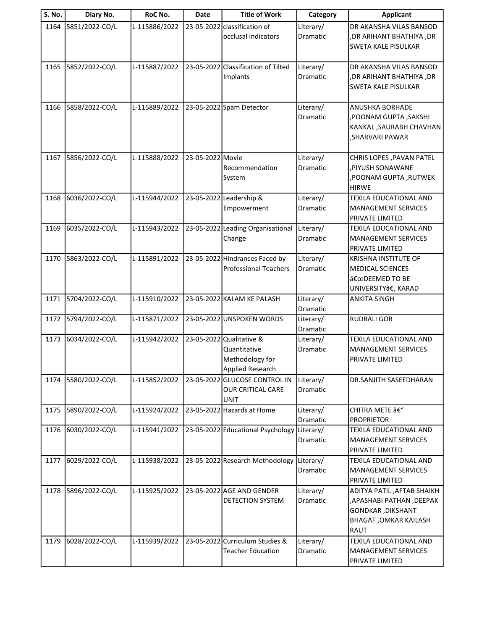| <b>S. No.</b> | Diary No.      | RoC No.       | Date             | <b>Title of Work</b>                                           | Category              | <b>Applicant</b>                                       |
|---------------|----------------|---------------|------------------|----------------------------------------------------------------|-----------------------|--------------------------------------------------------|
| 1164          | 5851/2022-CO/L | L-115886/2022 |                  | 23-05-2022 classification of                                   | Literary/             | DR AKANSHA VILAS BANSOD                                |
|               |                |               |                  | occlusal indicators                                            | Dramatic              | ,DR ARIHANT BHATHIYA ,DR                               |
|               |                |               |                  |                                                                |                       | <b>SWETA KALE PISULKAR</b>                             |
| 1165          | 5852/2022-CO/L | L-115887/2022 |                  | 23-05-2022 Classification of Tilted                            | Literary/             | DR AKANSHA VILAS BANSOD                                |
|               |                |               |                  | Implants                                                       | Dramatic              | , DR ARIHANT BHATHIYA, DR                              |
|               |                |               |                  |                                                                |                       | <b>SWETA KALE PISULKAR</b>                             |
|               |                |               |                  |                                                                |                       |                                                        |
| 1166          | 5858/2022-CO/L | L-115889/2022 |                  | 23-05-2022 Spam Detector                                       | Literary/             | <b>ANUSHKA BORHADE</b>                                 |
|               |                |               |                  |                                                                | Dramatic              | ,POONAM GUPTA, SAKSHI                                  |
|               |                |               |                  |                                                                |                       | KANKAL, SAURABH CHAVHAN                                |
|               |                |               |                  |                                                                |                       | , SHARVARI PAWAR                                       |
| 1167          | 5856/2022-CO/L | L-115888/2022 | 23-05-2022 Movie |                                                                | Literary/             | CHRIS LOPES, PAVAN PATEL                               |
|               |                |               |                  | Recommendation                                                 | Dramatic              | PIYUSH SONAWANE,                                       |
|               |                |               |                  | System                                                         |                       | ,POONAM GUPTA ,RUTWEK                                  |
|               |                |               |                  |                                                                |                       | <b>HIRWE</b>                                           |
| 1168          | 6036/2022-CO/L | L-115944/2022 |                  | 23-05-2022 Leadership &                                        | Literary/             | TEXILA EDUCATIONAL AND                                 |
|               |                |               |                  | Empowerment                                                    | Dramatic              | MANAGEMENT SERVICES                                    |
|               |                |               |                  |                                                                |                       | <b>PRIVATE LIMITED</b>                                 |
| 1169          | 6035/2022-CO/L | L-115943/2022 |                  | 23-05-2022 Leading Organisational                              | Literary/             | <b>TEXILA EDUCATIONAL AND</b>                          |
|               |                |               |                  | Change                                                         | Dramatic              | MANAGEMENT SERVICES                                    |
|               |                |               |                  |                                                                |                       | <b>PRIVATE LIMITED</b>                                 |
| 1170          | 5863/2022-CO/L | L-115891/2022 |                  | 23-05-2022 Hindrances Faced by<br><b>Professional Teachers</b> | Literary/<br>Dramatic | <b>KRISHNA INSTITUTE OF</b><br><b>MEDICAL SCIENCES</b> |
|               |                |               |                  |                                                                |                       | "DEEMED TO BE                                          |
|               |                |               |                  |                                                                |                       | UNIVERSITYâ€, KARAD                                    |
| 1171          | 5704/2022-CO/L | L-115910/2022 |                  | 23-05-2022 KALAM KE PALASH                                     | Literary/             | <b>ANKITA SINGH</b>                                    |
|               |                |               |                  |                                                                | Dramatic              |                                                        |
| 1172          | 5794/2022-CO/L | L-115871/2022 |                  | 23-05-2022 UNSPOKEN WORDS                                      | Literary/             | <b>RUDRALI GOR</b>                                     |
|               |                |               |                  |                                                                | Dramatic              |                                                        |
| 1173          | 6034/2022-CO/L | L-115942/2022 |                  | 23-05-2022 Qualitative &                                       | Literary/             | TEXILA EDUCATIONAL AND                                 |
|               |                |               |                  | Quantitative                                                   | Dramatic              | <b>MANAGEMENT SERVICES</b>                             |
|               |                |               |                  | Methodology for                                                |                       | PRIVATE LIMITED                                        |
|               |                |               |                  | Applied Research                                               |                       |                                                        |
| 1174          | 5580/2022-CO/L | L-115852/2022 |                  | 23-05-2022 GLUCOSE CONTROL IN<br>OUR CRITICAL CARE             | Literary/<br>Dramatic | DR.SANJITH SASEEDHARAN                                 |
|               |                |               |                  | <b>UNIT</b>                                                    |                       |                                                        |
| 1175          | 5890/2022-CO/L | L-115924/2022 |                  | 23-05-2022 Hazards at Home                                     | Literary/             | CHITRA METE â€"                                        |
|               |                |               |                  |                                                                | Dramatic              | <b>PROPRIETOR</b>                                      |
| 1176          | 6030/2022-CO/L | L-115941/2022 |                  | 23-05-2022 Educational Psychology                              | Literary/             | TEXILA EDUCATIONAL AND                                 |
|               |                |               |                  |                                                                | <b>Dramatic</b>       | MANAGEMENT SERVICES                                    |
|               |                |               |                  |                                                                |                       | PRIVATE LIMITED                                        |
| 1177          | 6029/2022-CO/L | L-115938/2022 |                  | 23-05-2022 Research Methodology                                | Literary/             | TEXILA EDUCATIONAL AND                                 |
|               |                |               |                  |                                                                | Dramatic              | MANAGEMENT SERVICES                                    |
|               |                |               |                  |                                                                |                       | PRIVATE LIMITED                                        |
| 1178          | 5896/2022-CO/L | L-115925/2022 |                  | 23-05-2022 AGE AND GENDER                                      | Literary/             | ADITYA PATIL , AFTAB SHAIKH                            |
|               |                |               |                  | <b>DETECTION SYSTEM</b>                                        | Dramatic              | ,APASHABI PATHAN ,DEEPAK                               |
|               |                |               |                  |                                                                |                       | GONDKAR, DIKSHANT                                      |
|               |                |               |                  |                                                                |                       | <b>BHAGAT, OMKAR KAILASH</b><br>RAUT                   |
| 1179          | 6028/2022-CO/L | L-115939/2022 |                  | 23-05-2022 Curriculum Studies &                                | Literary/             | TEXILA EDUCATIONAL AND                                 |
|               |                |               |                  | <b>Teacher Education</b>                                       | Dramatic              | MANAGEMENT SERVICES                                    |
|               |                |               |                  |                                                                |                       | PRIVATE LIMITED                                        |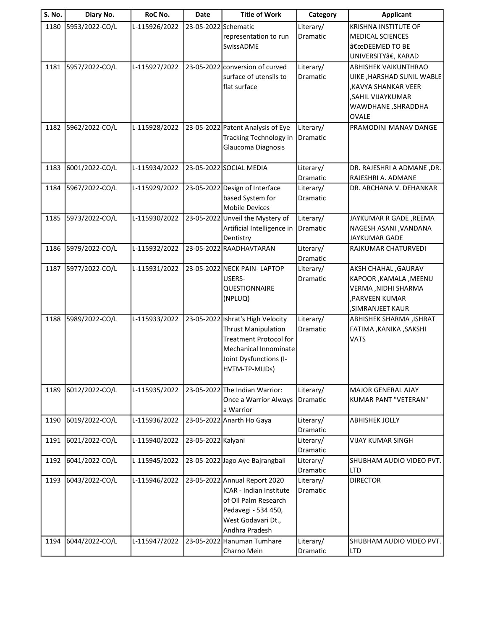| <b>S. No.</b> | Diary No.      | RoC No.       | <b>Date</b>          | <b>Title of Work</b>              | Category              | <b>Applicant</b>                       |
|---------------|----------------|---------------|----------------------|-----------------------------------|-----------------------|----------------------------------------|
| 1180          | 5953/2022-CO/L | L-115926/2022 | 23-05-2022 Schematic |                                   | Literary/             | <b>KRISHNA INSTITUTE OF</b>            |
|               |                |               |                      | representation to run             | Dramatic              | <b>MEDICAL SCIENCES</b>                |
|               |                |               |                      | SwissADME                         |                       | "DEEMED TO BE                          |
|               |                |               |                      |                                   |                       | UNIVERSITYâ€, KARAD                    |
| 1181          | 5957/2022-CO/L | L-115927/2022 |                      | 23-05-2022 conversion of curved   | Literary/             | ABHISHEK VAIKUNTHRAO                   |
|               |                |               |                      | surface of utensils to            | Dramatic              | UIKE, HARSHAD SUNIL WABLE              |
|               |                |               |                      | flat surface                      |                       | KAVYA SHANKAR VEER,                    |
|               |                |               |                      |                                   |                       | .SAHIL VIJAYKUMAR                      |
|               |                |               |                      |                                   |                       | WAWDHANE, SHRADDHA<br><b>OVALE</b>     |
| 1182          | 5962/2022-CO/L | L-115928/2022 |                      | 23-05-2022 Patent Analysis of Eye | Literary/             | PRAMODINI MANAV DANGE                  |
|               |                |               |                      | <b>Tracking Technology in</b>     | Dramatic              |                                        |
|               |                |               |                      | Glaucoma Diagnosis                |                       |                                        |
|               |                |               |                      |                                   |                       |                                        |
| 1183          | 6001/2022-CO/L | L-115934/2022 |                      | 23-05-2022 SOCIAL MEDIA           | Literary/             | DR. RAJESHRI A ADMANE, DR.             |
|               |                |               |                      |                                   | Dramatic              | RAJESHRI A. ADMANE                     |
| 1184          | 5967/2022-CO/L | L-115929/2022 |                      | 23-05-2022 Design of Interface    | Literary/             | DR. ARCHANA V. DEHANKAR                |
|               |                |               |                      | based System for                  | Dramatic              |                                        |
|               |                |               |                      | <b>Mobile Devices</b>             |                       |                                        |
| 1185          | 5973/2022-CO/L | L-115930/2022 |                      | 23-05-2022 Unveil the Mystery of  | Literary/             | JAYKUMAR R GADE , REEMA                |
|               |                |               |                      | Artificial Intelligence in        | Dramatic              | NAGESH ASANI , VANDANA                 |
|               |                |               |                      | Dentistry                         |                       | <b>JAYKUMAR GADE</b>                   |
| 1186          | 5979/2022-CO/L | L-115932/2022 |                      | 23-05-2022 RAADHAVTARAN           | Literary/             | RAJKUMAR CHATURVEDI                    |
|               |                |               |                      |                                   | Dramatic              |                                        |
| 1187          | 5977/2022-CO/L | L-115931/2022 |                      | 23-05-2022 NECK PAIN- LAPTOP      | Literary/             | <b>AKSH CHAHAL, GAURAV</b>             |
|               |                |               |                      | USERS-                            | Dramatic              | KAPOOR , KAMALA , MEENU                |
|               |                |               |                      | QUESTIONNAIRE<br>(NPLUQ)          |                       | VERMA, NIDHI SHARMA<br>, PARVEEN KUMAR |
|               |                |               |                      |                                   |                       | , SIMRANJEET KAUR                      |
| 1188          | 5989/2022-CO/L | L-115933/2022 |                      | 23-05-2022 Ishrat's High Velocity | Literary/             | ABHISHEK SHARMA, ISHRAT                |
|               |                |               |                      | <b>Thrust Manipulation</b>        | Dramatic              | FATIMA , KANIKA , SAKSHI               |
|               |                |               |                      | <b>Treatment Protocol for</b>     |                       | <b>VATS</b>                            |
|               |                |               |                      | Mechanical Innominate             |                       |                                        |
|               |                |               |                      | Joint Dysfunctions (I-            |                       |                                        |
|               |                |               |                      | HVTM-TP-MIJDs)                    |                       |                                        |
|               |                |               |                      |                                   |                       |                                        |
| 1189          | 6012/2022-CO/L | L-115935/2022 |                      | 23-05-2022 The Indian Warrior:    | Literary/             | <b>MAJOR GENERAL AJAY</b>              |
|               |                |               |                      | Once a Warrior Always             | Dramatic              | KUMAR PANT "VETERAN"                   |
|               |                |               |                      | a Warrior                         |                       |                                        |
| 1190          | 6019/2022-CO/L | L-115936/2022 |                      | 23-05-2022 Anarth Ho Gaya         | Literary/             | <b>ABHISHEK JOLLY</b>                  |
|               |                |               |                      |                                   | Dramatic              |                                        |
| 1191          | 6021/2022-CO/L | L-115940/2022 | 23-05-2022 Kalyani   |                                   | Literary/             | <b>VIJAY KUMAR SINGH</b>               |
| 1192          | 6041/2022-CO/L | L-115945/2022 |                      | 23-05-2022 Jago Aye Bajrangbali   | Dramatic<br>Literary/ | SHUBHAM AUDIO VIDEO PVT.               |
|               |                |               |                      |                                   | Dramatic              | <b>LTD</b>                             |
| 1193          | 6043/2022-CO/L | L-115946/2022 |                      | 23-05-2022 Annual Report 2020     | Literary/             | <b>DIRECTOR</b>                        |
|               |                |               |                      | ICAR - Indian Institute           | Dramatic              |                                        |
|               |                |               |                      | of Oil Palm Research              |                       |                                        |
|               |                |               |                      | Pedavegi - 534 450,               |                       |                                        |
|               |                |               |                      | West Godavari Dt.,                |                       |                                        |
|               |                |               |                      | Andhra Pradesh                    |                       |                                        |
| 1194          | 6044/2022-CO/L | L-115947/2022 |                      | 23-05-2022 Hanuman Tumhare        | Literary/             | SHUBHAM AUDIO VIDEO PVT.               |
|               |                |               |                      | Charno Mein                       | Dramatic              | <b>LTD</b>                             |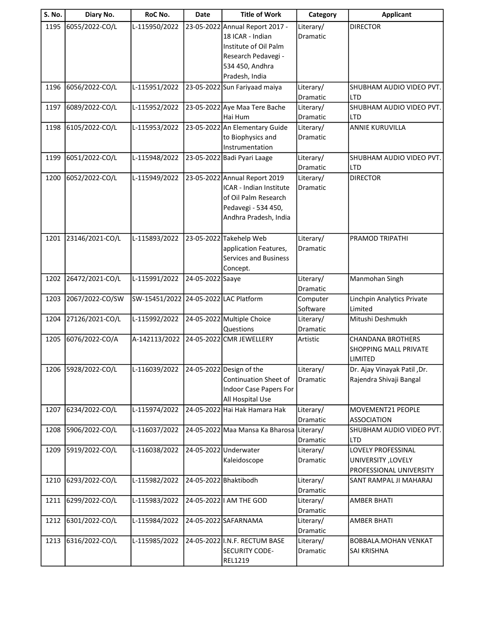| <b>S. No.</b> | Diary No.           | RoC No.                               | <b>Date</b>      | <b>Title of Work</b>            | Category              | <b>Applicant</b>             |
|---------------|---------------------|---------------------------------------|------------------|---------------------------------|-----------------------|------------------------------|
| 1195          | 6055/2022-CO/L      | L-115950/2022                         |                  | 23-05-2022 Annual Report 2017 - | Literary/             | <b>DIRECTOR</b>              |
|               |                     |                                       |                  | 18 ICAR - Indian                | Dramatic              |                              |
|               |                     |                                       |                  | Institute of Oil Palm           |                       |                              |
|               |                     |                                       |                  | Research Pedavegi -             |                       |                              |
|               |                     |                                       |                  | 534 450, Andhra                 |                       |                              |
|               |                     |                                       |                  | Pradesh, India                  |                       |                              |
| 1196          | 6056/2022-CO/L      | L-115951/2022                         |                  | 23-05-2022 Sun Fariyaad maiya   | Literary/             | SHUBHAM AUDIO VIDEO PVT.     |
|               |                     |                                       |                  |                                 | Dramatic              | <b>LTD</b>                   |
| 1197          | 6089/2022-CO/L      | L-115952/2022                         |                  | 23-05-2022 Aye Maa Tere Bache   | Literary/             | SHUBHAM AUDIO VIDEO PVT.     |
|               |                     |                                       |                  | Hai Hum                         | Dramatic              | <b>LTD</b>                   |
| 1198          | 6105/2022-CO/L      | L-115953/2022                         |                  | 23-05-2022 An Elementary Guide  | Literary/             | <b>ANNIE KURUVILLA</b>       |
|               |                     |                                       |                  | to Biophysics and               | Dramatic              |                              |
|               |                     |                                       |                  | Instrumentation                 |                       |                              |
| 1199          | 6051/2022-CO/L      | L-115948/2022                         |                  | 23-05-2022 Badi Pyari Laage     | Literary/             | SHUBHAM AUDIO VIDEO PVT.     |
|               |                     |                                       |                  |                                 | Dramatic              | <b>LTD</b>                   |
| 1200          | 6052/2022-CO/L      | L-115949/2022                         |                  | 23-05-2022 Annual Report 2019   | Literary/             | <b>DIRECTOR</b>              |
|               |                     |                                       |                  | ICAR - Indian Institute         | Dramatic              |                              |
|               |                     |                                       |                  | of Oil Palm Research            |                       |                              |
|               |                     |                                       |                  | Pedavegi - 534 450,             |                       |                              |
|               |                     |                                       |                  | Andhra Pradesh, India           |                       |                              |
|               |                     |                                       |                  |                                 |                       |                              |
| 1201          | 23146/2021-CO/L     | L-115893/2022                         |                  | 23-05-2022 Takehelp Web         | Literary/             | PRAMOD TRIPATHI              |
|               |                     |                                       |                  | application Features,           | Dramatic              |                              |
|               |                     |                                       |                  | <b>Services and Business</b>    |                       |                              |
|               |                     |                                       |                  | Concept.                        |                       |                              |
| 1202          | 26472/2021-CO/L     | L-115991/2022                         | 24-05-2022 Saaye |                                 | Literary/             | Manmohan Singh               |
| 1203          | 2067/2022-CO/SW     | SW-15451/2022 24-05-2022 LAC Platform |                  |                                 | Dramatic              | Linchpin Analytics Private   |
|               |                     |                                       |                  |                                 | Computer<br>Software  | Limited                      |
| 1204          | 27126/2021-CO/L     | L-115992/2022                         |                  | 24-05-2022 Multiple Choice      | Literary/             | Mitushi Deshmukh             |
|               |                     |                                       |                  | Questions                       | Dramatic              |                              |
| 1205          | 6076/2022-CO/A      | A-142113/2022                         |                  | 24-05-2022 CMR JEWELLERY        | Artistic              | <b>CHANDANA BROTHERS</b>     |
|               |                     |                                       |                  |                                 |                       | <b>SHOPPING MALL PRIVATE</b> |
|               |                     |                                       |                  |                                 |                       | LIMITED                      |
|               | 1206 5928/2022-CO/L | L-116039/2022                         |                  | 24-05-2022 Design of the        | Literary/             | Dr. Ajay Vinayak Patil, Dr.  |
|               |                     |                                       |                  | <b>Continuation Sheet of</b>    | Dramatic              | Rajendra Shivaji Bangal      |
|               |                     |                                       |                  | Indoor Case Papers For          |                       |                              |
|               |                     |                                       |                  | All Hospital Use                |                       |                              |
| 1207          | 6234/2022-CO/L      | L-115974/2022                         |                  | 24-05-2022 Hai Hak Hamara Hak   | Literary/             | MOVEMENT21 PEOPLE            |
|               |                     |                                       |                  |                                 | Dramatic              | <b>ASSOCIATION</b>           |
| 1208          | 5906/2022-CO/L      | L-116037/2022                         |                  | 24-05-2022 Maa Mansa Ka Bharosa | Literary/             | SHUBHAM AUDIO VIDEO PVT.     |
|               |                     |                                       |                  |                                 | Dramatic              | LTD                          |
| 1209          | 5919/2022-CO/L      | L-116038/2022                         |                  | 24-05-2022 Underwater           | Literary/             | LOVELY PROFESSINAL           |
|               |                     |                                       |                  | Kaleidoscope                    | Dramatic              | <b>UNIVERSITY, LOVELY</b>    |
|               |                     |                                       |                  |                                 |                       | PROFESSIONAL UNIVERSITY      |
| 1210          | 6293/2022-CO/L      | L-115982/2022                         |                  | 24-05-2022 Bhaktibodh           | Literary/             | SANT RAMPAL JI MAHARAJ       |
|               |                     |                                       |                  |                                 | Dramatic              |                              |
| 1211          | 6299/2022-CO/L      | L-115983/2022                         |                  | 24-05-2022   AM THE GOD         | Literary/             | <b>AMBER BHATI</b>           |
|               |                     |                                       |                  |                                 | Dramatic              |                              |
| 1212          | 6301/2022-CO/L      | L-115984/2022                         |                  | 24-05-2022 SAFARNAMA            | Literary/             | <b>AMBER BHATI</b>           |
| 1213          | 6316/2022-CO/L      | L-115985/2022                         |                  | 24-05-2022 I.N.F. RECTUM BASE   | Dramatic<br>Literary/ | <b>BOBBALA.MOHAN VENKAT</b>  |
|               |                     |                                       |                  | SECURITY CODE-                  | Dramatic              | SAI KRISHNA                  |
|               |                     |                                       |                  | REL1219                         |                       |                              |
|               |                     |                                       |                  |                                 |                       |                              |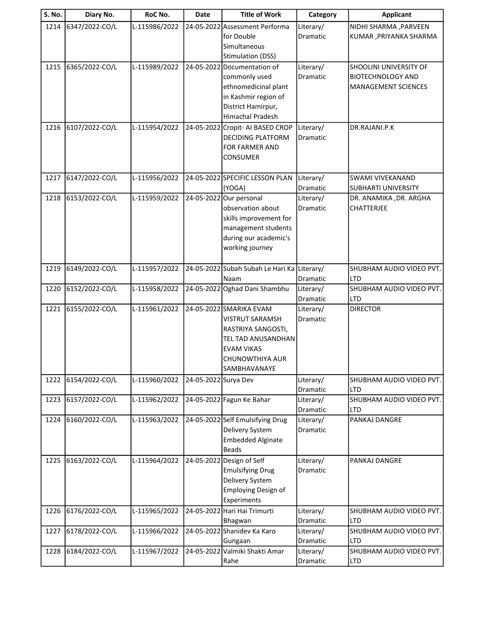| <b>S. No.</b> | Diary No.      | RoC No.       | Date                 | <b>Title of Work</b>                                                                                                                           | Category                     | <b>Applicant</b>                                                                 |
|---------------|----------------|---------------|----------------------|------------------------------------------------------------------------------------------------------------------------------------------------|------------------------------|----------------------------------------------------------------------------------|
| 1214          | 6347/2022-CO/L | L-115986/2022 |                      | 24-05-2022 Assessment Performa<br>for Double<br>Simultaneous<br><b>Stimulation (DSS)</b>                                                       | Literary/<br><b>Dramatic</b> | NIDHI SHARMA, PARVEEN<br>KUMAR , PRIYANKA SHARMA                                 |
| 1215          | 6365/2022-CO/L | L-115989/2022 |                      | 24-05-2022 Documentation of<br>commonly used<br>ethnomedicinal plant<br>in Kashmir region of<br>District Hamirpur,<br>Himachal Pradesh         | Literary/<br>Dramatic        | SHOOLINI UNIVERSITY OF<br><b>BIOTECHNOLOGY AND</b><br><b>MANAGEMENT SCIENCES</b> |
| 1216          | 6107/2022-CO/L | L-115954/2022 |                      | 24-05-2022 Cropit- AI BASED CROP<br>DECIDING PLATFORM<br>FOR FARMER AND<br><b>CONSUMER</b>                                                     | Literary/<br>Dramatic        | DR.RAJANI.P.K                                                                    |
| 1217          | 6147/2022-CO/L | L-115956/2022 |                      | 24-05-2022 SPECIFIC LESSON PLAN<br>(YOGA)                                                                                                      | Literary/<br>Dramatic        | <b>SWAMI VIVEKANAND</b><br><b>SUBHARTI UNIVERSITY</b>                            |
| 1218          | 6153/2022-CO/L | L-115959/2022 |                      | 24-05-2022 Our personal<br>observation about<br>skills improvement for<br>management students<br>during our academic's<br>working journey      | Literary/<br>Dramatic        | DR. ANAMIKA , DR. ARGHA<br><b>CHATTERJEE</b>                                     |
| 1219          | 6149/2022-CO/L | L-115957/2022 |                      | 24-05-2022 Subah Subah Le Hari Ka Literary/<br>Naam                                                                                            | Dramatic                     | SHUBHAM AUDIO VIDEO PVT.<br><b>LTD</b>                                           |
| 1220          | 6152/2022-CO/L | L-115958/2022 |                      | 24-05-2022 Oghad Dani Shambhu                                                                                                                  | Literary/<br>Dramatic        | SHUBHAM AUDIO VIDEO PVT.<br><b>LTD</b>                                           |
| 1221          | 6155/2022-CO/L | L-115961/2022 |                      | 24-05-2022 SMARIKA EVAM<br>VISTRUT SARAMSH<br>RASTRIYA SANGOSTI,<br>TEL TAD ANUSANDHAN<br><b>EVAM VIKAS</b><br>CHUNOWTHIYA AUR<br>SAMBHAVANAYE | Literary/<br>Dramatic        | <b>DIRECTOR</b>                                                                  |
| 1222          | 6154/2022-CO/L | L-115960/2022 | 24-05-2022 Surya Dev |                                                                                                                                                | Literary/<br>Dramatic        | SHUBHAM AUDIO VIDEO PVT.<br><b>LTD</b>                                           |
| 1223          | 6157/2022-CO/L | L-115962/2022 |                      | 24-05-2022 Fagun Ke Bahar                                                                                                                      | Literary/<br>Dramatic        | SHUBHAM AUDIO VIDEO PVT.<br><b>LTD</b>                                           |
| 1224          | 6160/2022-CO/L | L-115963/2022 |                      | 24-05-2022 Self Emulsifying Drug<br>Delivery System<br><b>Embedded Alginate</b><br><b>Beads</b>                                                | Literary/<br>Dramatic        | PANKAJ DANGRE                                                                    |
| 1225          | 6163/2022-CO/L | L-115964/2022 |                      | 24-05-2022 Design of Self<br><b>Emulsifying Drug</b><br>Delivery System<br>Employing Design of<br>Experiments                                  | Literary/<br>Dramatic        | PANKAJ DANGRE                                                                    |
| 1226          | 6176/2022-CO/L | L-115965/2022 |                      | 24-05-2022 Hari Hai Trimurti<br>Bhagwan                                                                                                        | Literary/<br>Dramatic        | SHUBHAM AUDIO VIDEO PVT.<br><b>LTD</b>                                           |
| 1227          | 6178/2022-CO/L | L-115966/2022 |                      | 24-05-2022 Shanidev Ka Karo<br>Gungaan                                                                                                         | Literary/<br>Dramatic        | SHUBHAM AUDIO VIDEO PVT.<br><b>LTD</b>                                           |
| 1228          | 6184/2022-CO/L | L-115967/2022 |                      | 24-05-2022 Valmiki Shakti Amar<br>Rahe                                                                                                         | Literary/<br>Dramatic        | SHUBHAM AUDIO VIDEO PVT.<br><b>LTD</b>                                           |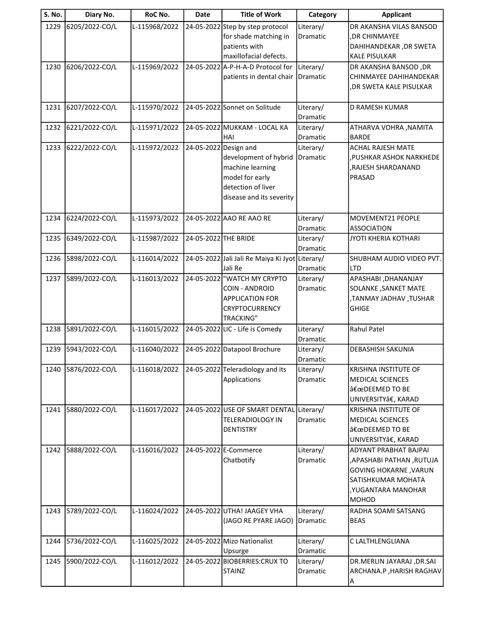| <b>S. No.</b> | Diary No.      | RoC No.       | <b>Date</b>           | <b>Title of Work</b>                                                                                                | Category              | <b>Applicant</b>                                                                                                                                     |
|---------------|----------------|---------------|-----------------------|---------------------------------------------------------------------------------------------------------------------|-----------------------|------------------------------------------------------------------------------------------------------------------------------------------------------|
| 1229          | 6205/2022-CO/L | L-115968/2022 |                       | 24-05-2022 Step by step protocol<br>for shade matching in<br>patients with<br>maxillofacial defects.                | Literary/<br>Dramatic | DR AKANSHA VILAS BANSOD<br>, DR CHINMAYEE<br>DAHIHANDEKAR , DR SWETA<br><b>KALE PISULKAR</b>                                                         |
| 1230          | 6206/2022-CO/L | L-115969/2022 |                       | 24-05-2022 A-P-H-A-D Protocol for<br>patients in dental chair                                                       | Literary/<br>Dramatic | DR AKANSHA BANSOD, DR<br>CHINMAYEE DAHIHANDEKAR<br>,DR SWETA KALE PISULKAR                                                                           |
| 1231          | 6207/2022-CO/L | L-115970/2022 |                       | 24-05-2022 Sonnet on Solitude                                                                                       | Literary/<br>Dramatic | <b>D RAMESH KUMAR</b>                                                                                                                                |
| 1232          | 6221/2022-CO/L | L-115971/2022 |                       | 24-05-2022 MUKKAM - LOCAL KA<br>HAI                                                                                 | Literary/<br>Dramatic | ATHARVA VOHRA , NAMITA<br><b>BARDE</b>                                                                                                               |
| 1233          | 6222/2022-CO/L | L-115972/2022 | 24-05-2022 Design and | development of hybrid<br>machine learning<br>model for early<br>detection of liver<br>disease and its severity      | Literary/<br>Dramatic | <b>ACHAL RAJESH MATE</b><br>, PUSHKAR ASHOK NARKHEDE<br>RAJESH SHARDANAND,<br>PRASAD                                                                 |
| 1234          | 6224/2022-CO/L | L-115973/2022 |                       | 24-05-2022 AAO RE AAO RE                                                                                            | Literary/<br>Dramatic | MOVEMENT21 PEOPLE<br><b>ASSOCIATION</b>                                                                                                              |
| 1235          | 6349/2022-CO/L | L-115987/2022 | 24-05-2022 THE BRIDE  |                                                                                                                     | Literary/<br>Dramatic | JYOTI KHERIA KOTHARI                                                                                                                                 |
| 1236          | 5898/2022-CO/L | L-116014/2022 |                       | 24-05-2022 Jali Jali Re Maiya Ki Jyot Literary/<br>Jali Re                                                          | Dramatic              | SHUBHAM AUDIO VIDEO PVT.<br><b>LTD</b>                                                                                                               |
| 1237          | 5899/2022-CO/L | L-116013/2022 |                       | 24-05-2022 WATCH MY CRYPTO<br><b>COIN - ANDROID</b><br><b>APPLICATION FOR</b><br>CRYPTOCURRENCY<br><b>TRACKING"</b> | Literary/<br>Dramatic | APASHABI , DHANANJAY<br>SOLANKE, SANKET MATE<br>,TANMAY JADHAV, TUSHAR<br><b>GHIGE</b>                                                               |
| 1238          | 5891/2022-CO/L | L-116015/2022 |                       | 24-05-2022 LIC - Life is Comedy                                                                                     | Literary/<br>Dramatic | <b>Rahul Patel</b>                                                                                                                                   |
| 1239          | 5943/2022-CO/L | L-116040/2022 |                       | 24-05-2022 Datapool Brochure                                                                                        | Literary/<br>Dramatic | DEBASHISH SAKUNIA                                                                                                                                    |
| 1240          | 5876/2022-CO/L | L-116018/2022 |                       | 24-05-2022 Teleradiology and its<br>Applications                                                                    | Literary/<br>Dramatic | <b>KRISHNA INSTITUTE OF</b><br><b>MEDICAL SCIENCES</b><br>"DEEMED TO BE<br>UNIVERSITYâ€, KARAD                                                       |
| 1241          | 5880/2022-CO/L | L-116017/2022 |                       | 24-05-2022 USE OF SMART DENTAL<br><b>TELERADIOLOGY IN</b><br><b>DENTISTRY</b>                                       | Literary/<br>Dramatic | <b>KRISHNA INSTITUTE OF</b><br><b>MEDICAL SCIENCES</b><br>"DEEMED TO BE<br>UNIVERSITYâ€, KARAD                                                       |
| 1242          | 5888/2022-CO/L | L-116016/2022 |                       | 24-05-2022 E-Commerce<br>Chatbotify                                                                                 | Literary/<br>Dramatic | <b>ADYANT PRABHAT BAJPAI</b><br>APASHABI PATHAN ,RUTUJA<br><b>GOVING HOKARNE, VARUN</b><br>SATISHKUMAR MOHATA<br>, YUGANTARA MANOHAR<br><b>MOHOD</b> |
| 1243          | 5789/2022-CO/L | L-116024/2022 |                       | 24-05-2022 UTHA! JAAGEY VHA<br>(JAGO RE PYARE JAGO)                                                                 | Literary/<br>Dramatic | RADHA SOAMI SATSANG<br><b>BEAS</b>                                                                                                                   |
| 1244          | 5736/2022-CO/L | L-116025/2022 |                       | 24-05-2022 Mizo Nationalist<br>Upsurge                                                                              | Literary/<br>Dramatic | C LALTHLENGLIANA                                                                                                                                     |
| 1245          | 5900/2022-CO/L | L-116012/2022 |                       | 24-05-2022 BIOBERRIES: CRUX TO<br><b>STAINZ</b>                                                                     | Literary/<br>Dramatic | DR.MERLIN JAYARAJ ,DR.SAI<br>ARCHANA.P, HARISH RAGHAV                                                                                                |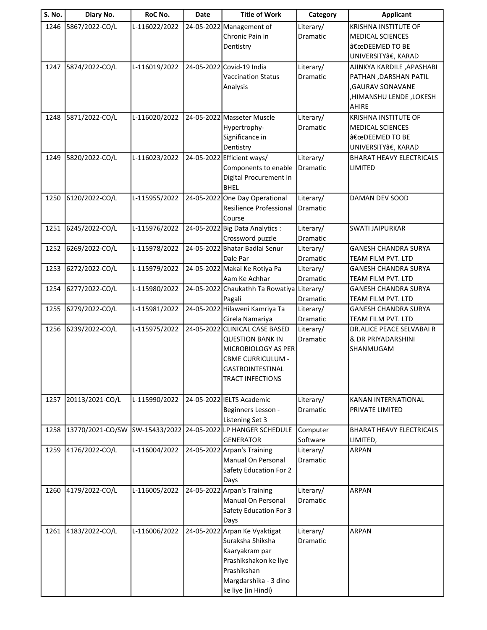| <b>S. No.</b> | Diary No.        | RoC No.       | <b>Date</b> | <b>Title of Work</b>                       | Category              | <b>Applicant</b>                                  |
|---------------|------------------|---------------|-------------|--------------------------------------------|-----------------------|---------------------------------------------------|
| 1246          | 5867/2022-CO/L   | L-116022/2022 |             | 24-05-2022 Management of                   | Literary/             | <b>KRISHNA INSTITUTE OF</b>                       |
|               |                  |               |             | Chronic Pain in                            | Dramatic              | <b>MEDICAL SCIENCES</b>                           |
|               |                  |               |             | Dentistry                                  |                       | "DEEMED TO BE                                     |
|               |                  |               |             |                                            |                       | UNIVERSITYâ€, KARAD                               |
| 1247          | 5874/2022-CO/L   | L-116019/2022 |             | 24-05-2022 Covid-19 India                  | Literary/             | AJINKYA KARDILE , APASHABI                        |
|               |                  |               |             | <b>Vaccination Status</b>                  | Dramatic              | PATHAN , DARSHAN PATIL                            |
|               |                  |               |             | Analysis                                   |                       | ,GAURAV SONAVANE                                  |
|               |                  |               |             |                                            |                       | HIMANSHU LENDE, LOKESH                            |
|               |                  |               |             |                                            |                       | AHIRE                                             |
| 1248          | 5871/2022-CO/L   | L-116020/2022 |             | 24-05-2022 Masseter Muscle                 | Literary/             | <b>KRISHNA INSTITUTE OF</b>                       |
|               |                  |               |             | Hypertrophy-                               | Dramatic              | <b>MEDICAL SCIENCES</b>                           |
|               |                  |               |             | Significance in                            |                       | "DEEMED TO BE                                     |
|               |                  |               |             | Dentistry                                  |                       | UNIVERSITYâ€, KARAD                               |
| 1249          | 5820/2022-CO/L   | L-116023/2022 |             | 24-05-2022 Efficient ways/                 | Literary/             | <b>BHARAT HEAVY ELECTRICALS</b>                   |
|               |                  |               |             | Components to enable                       | Dramatic              | LIMITED                                           |
|               |                  |               |             | Digital Procurement in                     |                       |                                                   |
|               |                  |               |             | <b>BHEL</b>                                |                       |                                                   |
| 1250          | 6120/2022-CO/L   | L-115955/2022 |             | 24-05-2022 One Day Operational             | Literary/             | DAMAN DEV SOOD                                    |
|               |                  |               |             | Resilience Professional                    | Dramatic              |                                                   |
|               |                  |               |             | Course                                     |                       |                                                   |
| 1251          | 6245/2022-CO/L   | L-115976/2022 |             | 24-05-2022 Big Data Analytics :            | Literary/             | <b>SWATI JAIPURKAR</b>                            |
|               |                  |               |             | Crossword puzzle                           | Dramatic              |                                                   |
| 1252          | 6269/2022-CO/L   | L-115978/2022 |             | 24-05-2022 Bhatar Badlai Senur             | Literary/             | <b>GANESH CHANDRA SURYA</b>                       |
|               |                  |               |             | Dale Par                                   | Dramatic              | TEAM FILM PVT. LTD                                |
| 1253          | 6272/2022-CO/L   | L-115979/2022 |             | 24-05-2022 Makai Ke Rotiya Pa              | Literary/             | <b>GANESH CHANDRA SURYA</b>                       |
|               |                  |               |             | Aam Ke Achhar                              | Dramatic              | TEAM FILM PVT. LTD                                |
| 1254          | 6277/2022-CO/L   | L-115980/2022 |             | 24-05-2022 Chaukathh Ta Rowatiya Literary/ |                       | <b>GANESH CHANDRA SURYA</b>                       |
| 1255          | 6279/2022-CO/L   | L-115981/2022 |             | Pagali<br>24-05-2022 Hilaweni Kamriya Ta   | Dramatic              | TEAM FILM PVT. LTD<br><b>GANESH CHANDRA SURYA</b> |
|               |                  |               |             | Girela Namariya                            | Literary/<br>Dramatic | TEAM FILM PVT. LTD                                |
| 1256          | 6239/2022-CO/L   | L-115975/2022 |             | 24-05-2022 CLINICAL CASE BASED             | Literary/             | <b>DR.ALICE PEACE SELVABAI R</b>                  |
|               |                  |               |             | <b>QUESTION BANK IN</b>                    | Dramatic              | & DR PRIYADARSHINI                                |
|               |                  |               |             | MICROBIOLOGY AS PER                        |                       | SHANMUGAM                                         |
|               |                  |               |             | <b>CBME CURRICULUM -</b>                   |                       |                                                   |
|               |                  |               |             | <b>GASTROINTESTINAL</b>                    |                       |                                                   |
|               |                  |               |             | <b>TRACT INFECTIONS</b>                    |                       |                                                   |
|               |                  |               |             |                                            |                       |                                                   |
| 1257          | 20113/2021-CO/L  | L-115990/2022 |             | 24-05-2022 IELTS Academic                  | Literary/             | KANAN INTERNATIONAL                               |
|               |                  |               |             | Beginners Lesson -                         | Dramatic              | PRIVATE LIMITED                                   |
|               |                  |               |             | Listening Set 3                            |                       |                                                   |
| 1258          | 13770/2021-CO/SW | SW-15433/2022 |             | 24-05-2022 LP HANGER SCHEDULE              | Computer              | BHARAT HEAVY ELECTRICALS                          |
|               |                  |               |             | <b>GENERATOR</b>                           | Software              | LIMITED,                                          |
| 1259          | 4176/2022-CO/L   | L-116004/2022 |             | 24-05-2022 Arpan's Training                | Literary/             | <b>ARPAN</b>                                      |
|               |                  |               |             | Manual On Personal                         | Dramatic              |                                                   |
|               |                  |               |             | Safety Education For 2                     |                       |                                                   |
|               |                  |               |             | Days                                       |                       |                                                   |
| 1260          | 4179/2022-CO/L   | L-116005/2022 |             | 24-05-2022 Arpan's Training                | Literary/             | <b>ARPAN</b>                                      |
|               |                  |               |             | Manual On Personal                         | Dramatic              |                                                   |
|               |                  |               |             | Safety Education For 3                     |                       |                                                   |
|               |                  |               |             | Days                                       |                       |                                                   |
| 1261          | 4183/2022-CO/L   | L-116006/2022 |             | 24-05-2022 Arpan Ke Vyaktigat              | Literary/             | ARPAN                                             |
|               |                  |               |             | Suraksha Shiksha                           | Dramatic              |                                                   |
|               |                  |               |             | Kaaryakram par                             |                       |                                                   |
|               |                  |               |             | Prashikshakon ke liye                      |                       |                                                   |
|               |                  |               |             | Prashikshan                                |                       |                                                   |
|               |                  |               |             | Margdarshika - 3 dino                      |                       |                                                   |
|               |                  |               |             | ke liye (in Hindi)                         |                       |                                                   |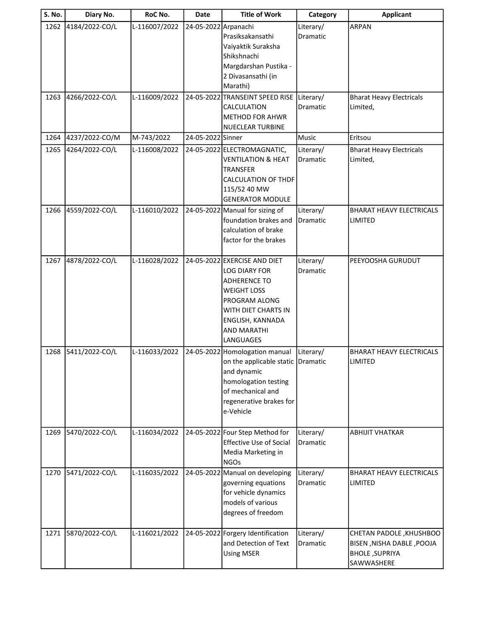| S. No. | Diary No.      | RoC No.       | Date                 | <b>Title of Work</b>                                                                                                                                                                             | Category              | <b>Applicant</b>                                                                            |
|--------|----------------|---------------|----------------------|--------------------------------------------------------------------------------------------------------------------------------------------------------------------------------------------------|-----------------------|---------------------------------------------------------------------------------------------|
| 1262   | 4184/2022-CO/L | L-116007/2022 | 24-05-2022 Arpanachi | Prasiksakansathi<br>Vaiyaktik Suraksha<br>Shikshnachi<br>Margdarshan Pustika -<br>2 Divasansathi (in<br>Marathi)                                                                                 | Literary/<br>Dramatic | <b>ARPAN</b>                                                                                |
| 1263   | 4266/2022-CO/L | L-116009/2022 |                      | 24-05-2022 TRANSEINT SPEED RISE<br>CALCULATION<br><b>METHOD FOR AHWR</b><br>NUECLEAR TURBINE                                                                                                     | Literary/<br>Dramatic | <b>Bharat Heavy Electricals</b><br>Limited,                                                 |
| 1264   | 4237/2022-CO/M | M-743/2022    | 24-05-2022 Sinner    |                                                                                                                                                                                                  | Music                 | Eritsou                                                                                     |
| 1265   | 4264/2022-CO/L | L-116008/2022 |                      | 24-05-2022 ELECTROMAGNATIC,<br><b>VENTILATION &amp; HEAT</b><br><b>TRANSFER</b><br><b>CALCULATION OF THDF</b><br>115/52 40 MW<br><b>GENERATOR MODULE</b>                                         | Literary/<br>Dramatic | <b>Bharat Heavy Electricals</b><br>Limited,                                                 |
| 1266   | 4559/2022-CO/L | L-116010/2022 |                      | 24-05-2022 Manual for sizing of<br>foundation brakes and<br>calculation of brake<br>factor for the brakes                                                                                        | Literary/<br>Dramatic | <b>BHARAT HEAVY ELECTRICALS</b><br>LIMITED                                                  |
| 1267   | 4878/2022-CO/L | L-116028/2022 |                      | 24-05-2022 EXERCISE AND DIET<br><b>LOG DIARY FOR</b><br><b>ADHERENCE TO</b><br><b>WEIGHT LOSS</b><br>PROGRAM ALONG<br>WITH DIET CHARTS IN<br>ENGLISH, KANNADA<br><b>AND MARATHI</b><br>LANGUAGES | Literary/<br>Dramatic | PEEYOOSHA GURUDUT                                                                           |
| 1268   | 5411/2022-CO/L | L-116033/2022 |                      | 24-05-2022 Homologation manual<br>on the applicable static Dramatic<br>and dynamic<br>homologation testing<br>of mechanical and<br>regenerative brakes for<br>e-Vehicle                          | Literary/             | <b>BHARAT HEAVY ELECTRICALS</b><br>LIMITED                                                  |
| 1269   | 5470/2022-CO/L | L-116034/2022 |                      | 24-05-2022 Four Step Method for<br><b>Effective Use of Social</b><br>Media Marketing in<br><b>NGOs</b>                                                                                           | Literary/<br>Dramatic | <b>ABHIJIT VHATKAR</b>                                                                      |
| 1270   | 5471/2022-CO/L | L-116035/2022 |                      | 24-05-2022 Manual on developing<br>governing equations<br>for vehicle dynamics<br>models of various<br>degrees of freedom                                                                        | Literary/<br>Dramatic | <b>BHARAT HEAVY ELECTRICALS</b><br>LIMITED                                                  |
| 1271   | 5870/2022-CO/L | L-116021/2022 |                      | 24-05-2022 Forgery Identification<br>and Detection of Text<br><b>Using MSER</b>                                                                                                                  | Literary/<br>Dramatic | CHETAN PADOLE, KHUSHBOO<br>BISEN, NISHA DABLE, POOJA<br><b>BHOLE, SUPRIYA</b><br>SAWWASHERE |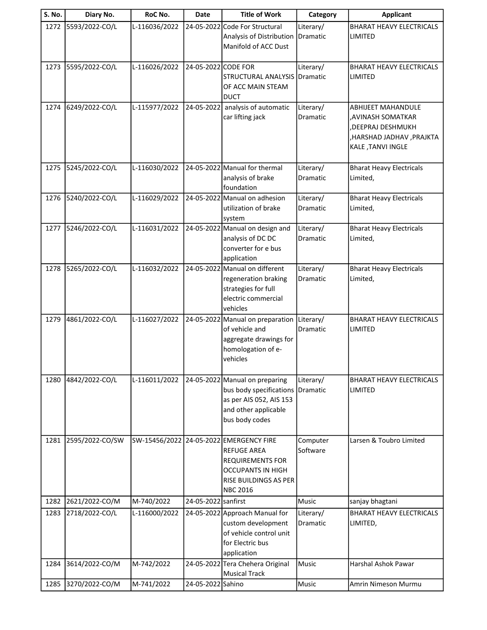| <b>S. No.</b> | Diary No.           | RoC No.       | <b>Date</b>         | <b>Title of Work</b>                                                                                                                                             | Category                     | <b>Applicant</b>                                                                                                        |
|---------------|---------------------|---------------|---------------------|------------------------------------------------------------------------------------------------------------------------------------------------------------------|------------------------------|-------------------------------------------------------------------------------------------------------------------------|
| 1272          | 5593/2022-CO/L      | L-116036/2022 |                     | 24-05-2022 Code For Structural<br>Analysis of Distribution<br>Manifold of ACC Dust                                                                               | Literary/<br>Dramatic        | <b>BHARAT HEAVY ELECTRICALS</b><br>LIMITED                                                                              |
| 1273          | 5595/2022-CO/L      | L-116026/2022 | 24-05-2022 CODE FOR | STRUCTURAL ANALYSIS<br>OF ACC MAIN STEAM<br><b>DUCT</b>                                                                                                          | Literary/<br>Dramatic        | <b>BHARAT HEAVY ELECTRICALS</b><br>LIMITED                                                                              |
| 1274          | 6249/2022-CO/L      | L-115977/2022 |                     | 24-05-2022 analysis of automatic<br>car lifting jack                                                                                                             | Literary/<br>Dramatic        | <b>ABHIJEET MAHANDULE</b><br>, AVINASH SOMATKAR<br>, DEEPRAJ DESHMUKH<br>, HARSHAD JADHAV, PRAJKTA<br>KALE, TANVI INGLE |
| 1275          | 5245/2022-CO/L      | L-116030/2022 |                     | 24-05-2022 Manual for thermal<br>analysis of brake<br>foundation                                                                                                 | Literary/<br><b>Dramatic</b> | <b>Bharat Heavy Electricals</b><br>Limited,                                                                             |
| 1276          | 5240/2022-CO/L      | L-116029/2022 |                     | 24-05-2022 Manual on adhesion<br>utilization of brake<br>system                                                                                                  | Literary/<br>Dramatic        | <b>Bharat Heavy Electricals</b><br>Limited,                                                                             |
| 1277          | 5246/2022-CO/L      | L-116031/2022 |                     | 24-05-2022 Manual on design and<br>analysis of DC DC<br>converter for e bus<br>application                                                                       | Literary/<br><b>Dramatic</b> | <b>Bharat Heavy Electricals</b><br>Limited,                                                                             |
| 1278          | 5265/2022-CO/L      | L-116032/2022 |                     | 24-05-2022 Manual on different<br>regeneration braking<br>strategies for full<br>electric commercial<br>vehicles                                                 | Literary/<br>Dramatic        | <b>Bharat Heavy Electricals</b><br>Limited,                                                                             |
| 1279          | 4861/2022-CO/L      | L-116027/2022 |                     | 24-05-2022 Manual on preparation<br>of vehicle and<br>aggregate drawings for<br>homologation of e-<br>vehicles                                                   | Literary/<br>Dramatic        | <b>BHARAT HEAVY ELECTRICALS</b><br>LIMITED                                                                              |
| 1280          | 4842/2022-CO/L      | L-116011/2022 |                     | 24-05-2022 Manual on preparing<br>bus body specifications<br>as per AIS 052, AIS 153<br>and other applicable<br>bus body codes                                   | Literary/<br>Dramatic        | <b>BHARAT HEAVY ELECTRICALS</b><br><b>LIMITED</b>                                                                       |
| 1281          | 2595/2022-CO/SW     |               |                     | SW-15456/2022 24-05-2022 EMERGENCY FIRE<br><b>REFUGE AREA</b><br><b>REQUIREMENTS FOR</b><br><b>OCCUPANTS IN HIGH</b><br>RISE BUILDINGS AS PER<br><b>NBC 2016</b> | Computer<br>Software         | Larsen & Toubro Limited                                                                                                 |
| 1282          | 2621/2022-CO/M      | M-740/2022    | 24-05-2022 sanfirst |                                                                                                                                                                  | Music                        | sanjay bhagtani                                                                                                         |
| 1283          | 2718/2022-CO/L      | L-116000/2022 |                     | 24-05-2022 Approach Manual for<br>custom development<br>of vehicle control unit<br>for Electric bus<br>application                                               | Literary/<br>Dramatic        | <b>BHARAT HEAVY ELECTRICALS</b><br>LIMITED,                                                                             |
| 1284          | 3614/2022-CO/M      | M-742/2022    |                     | 24-05-2022 Tera Chehera Original                                                                                                                                 | Music                        | Harshal Ashok Pawar                                                                                                     |
|               | 1285 3270/2022-CO/M | M-741/2022    | 24-05-2022 Sahino   | <b>Musical Track</b>                                                                                                                                             | Music                        | Amrin Nimeson Murmu                                                                                                     |
|               |                     |               |                     |                                                                                                                                                                  |                              |                                                                                                                         |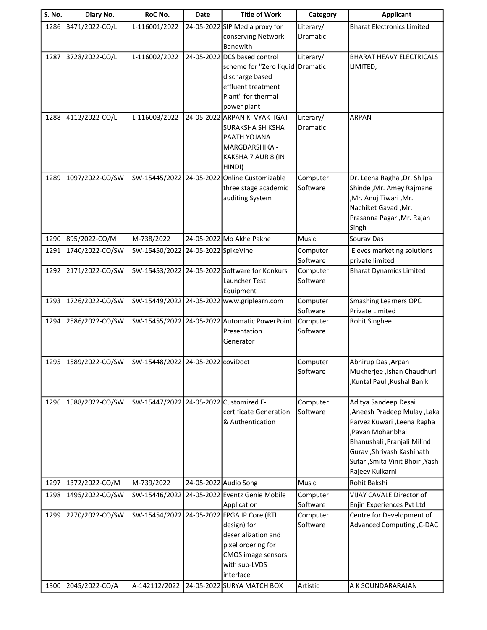| S. No. | Diary No.            | RoC No.                                | Date                 | <b>Title of Work</b>                                                                                                                                              | Category              | <b>Applicant</b>                                                                                                                                                                                                        |
|--------|----------------------|----------------------------------------|----------------------|-------------------------------------------------------------------------------------------------------------------------------------------------------------------|-----------------------|-------------------------------------------------------------------------------------------------------------------------------------------------------------------------------------------------------------------------|
| 1286   | 3471/2022-CO/L       | L-116001/2022                          |                      | 24-05-2022 SIP Media proxy for<br>conserving Network<br><b>Bandwith</b>                                                                                           | Literary/<br>Dramatic | <b>Bharat Electronics Limited</b>                                                                                                                                                                                       |
| 1287   | 3728/2022-CO/L       | L-116002/2022                          |                      | 24-05-2022 DCS based control<br>scheme for "Zero liquid Dramatic<br>discharge based<br>effluent treatment<br>Plant" for thermal<br>power plant                    | Literary/             | <b>BHARAT HEAVY ELECTRICALS</b><br>LIMITED,                                                                                                                                                                             |
| 1288   | 4112/2022-CO/L       | L-116003/2022                          |                      | 24-05-2022 ARPAN KI VYAKTIGAT<br><b>SURAKSHA SHIKSHA</b><br>PAATH YOJANA<br>MARGDARSHIKA -<br>KAKSHA 7 AUR 8 (IN<br>HINDI)                                        | Literary/<br>Dramatic | <b>ARPAN</b>                                                                                                                                                                                                            |
| 1289   | 1097/2022-CO/SW      |                                        |                      | SW-15445/2022 24-05-2022 Online Customizable<br>three stage academic<br>auditing System                                                                           | Computer<br>Software  | Dr. Leena Ragha , Dr. Shilpa<br>Shinde , Mr. Amey Rajmane<br>,Mr. Anuj Tiwari, Mr.<br>Nachiket Gavad, Mr.<br>Prasanna Pagar , Mr. Rajan<br>Singh                                                                        |
| 1290   | 895/2022-CO/M        | M-738/2022                             |                      | 24-05-2022 Mo Akhe Pakhe                                                                                                                                          | Music                 | Sourav Das                                                                                                                                                                                                              |
| 1291   | 1740/2022-CO/SW      | SW-15450/2022                          | 24-05-2022 SpikeVine |                                                                                                                                                                   | Computer<br>Software  | Eleves marketing solutions<br>private limited                                                                                                                                                                           |
| 1292   | 2171/2022-CO/SW      |                                        |                      | SW-15453/2022 24-05-2022 Software for Konkurs<br>Launcher Test<br>Equipment                                                                                       | Computer<br>Software  | <b>Bharat Dynamics Limited</b>                                                                                                                                                                                          |
| 1293   | 1726/2022-CO/SW      |                                        |                      | SW-15449/2022 24-05-2022 www.griplearn.com                                                                                                                        | Computer<br>Software  | <b>Smashing Learners OPC</b><br>Private Limited                                                                                                                                                                         |
| 1294   | 2586/2022-CO/SW      |                                        |                      | SW-15455/2022 24-05-2022 Automatic PowerPoint<br>Presentation<br>Generator                                                                                        | Computer<br>Software  | <b>Rohit Singhee</b>                                                                                                                                                                                                    |
|        | 1295 1589/2022-CO/SW | SW-15448/2022 24-05-2022 coviDoct      |                      |                                                                                                                                                                   | Computer<br>Software  | Abhirup Das, Arpan<br>Mukherjee , Ishan Chaudhuri<br>,Kuntal Paul ,Kushal Banik                                                                                                                                         |
| 1296   | 1588/2022-CO/SW      | SW-15447/2022 24-05-2022 Customized E- |                      | certificate Generation<br>& Authentication                                                                                                                        | Computer<br>Software  | Aditya Sandeep Desai<br>Aneesh Pradeep Mulay ,Laka<br>Parvez Kuwari , Leena Ragha<br>,Pavan Mohanbhai<br>Bhanushali , Pranjali Milind<br>Gurav, Shriyash Kashinath<br>Sutar, Smita Vinit Bhoir, Yash<br>Rajeev Kulkarni |
| 1297   | 1372/2022-CO/M       | M-739/2022                             |                      | 24-05-2022 Audio Song                                                                                                                                             | Music                 | Rohit Bakshi                                                                                                                                                                                                            |
| 1298   | 1495/2022-CO/SW      | SW-15446/2022                          |                      | 24-05-2022 Eventz Genie Mobile<br>Application                                                                                                                     | Computer<br>Software  | VIJAY CAVALE Director of<br>Enjin Experiences Pvt Ltd                                                                                                                                                                   |
| 1299   | 2270/2022-CO/SW      |                                        |                      | SW-15454/2022 24-05-2022 FPGA IP Core (RTL<br>design) for<br>deserialization and<br>pixel ordering for<br><b>CMOS</b> image sensors<br>with sub-LVDS<br>interface | Computer<br>Software  | Centre for Development of<br>Advanced Computing , C-DAC                                                                                                                                                                 |
| 1300   | 2045/2022-CO/A       |                                        |                      | A-142112/2022 24-05-2022 SURYA MATCH BOX                                                                                                                          | Artistic              | A K SOUNDARARAJAN                                                                                                                                                                                                       |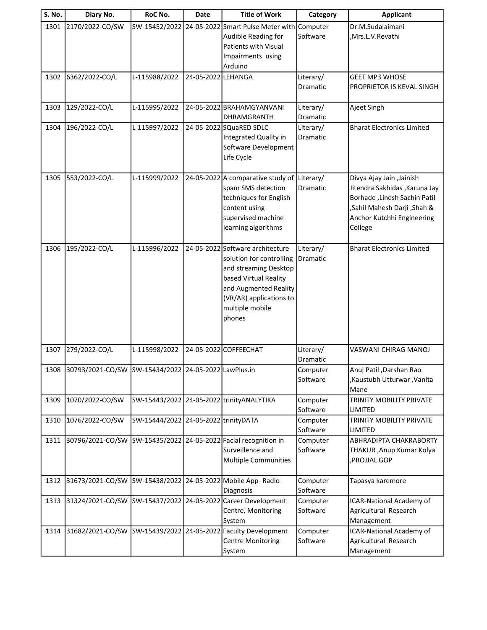| S. No. | Diary No.                                                 | RoC No.                              | Date               | <b>Title of Work</b>                                                                                                                                                                            | Category              | <b>Applicant</b>                                                                                                                                                    |
|--------|-----------------------------------------------------------|--------------------------------------|--------------------|-------------------------------------------------------------------------------------------------------------------------------------------------------------------------------------------------|-----------------------|---------------------------------------------------------------------------------------------------------------------------------------------------------------------|
| 1301   | 2170/2022-CO/SW                                           | SW-15452/2022                        |                    | 24-05-2022 Smart Pulse Meter with Computer<br>Audible Reading for<br><b>Patients with Visual</b><br>Impairments using<br>Arduino                                                                | Software              | Dr.M.Sudalaimani<br>,Mrs.L.V.Revathi                                                                                                                                |
| 1302   | 6362/2022-CO/L                                            | L-115988/2022                        | 24-05-2022 LEHANGA |                                                                                                                                                                                                 | Literary/<br>Dramatic | <b>GEET MP3 WHOSE</b><br>PROPRIETOR IS KEVAL SINGH                                                                                                                  |
| 1303   | 129/2022-CO/L                                             | L-115995/2022                        |                    | 24-05-2022 BRAHAMGYANVANI<br><b>DHRAMGRANTH</b>                                                                                                                                                 | Literary/<br>Dramatic | Ajeet Singh                                                                                                                                                         |
| 1304   | 196/2022-CO/L                                             | L-115997/2022                        |                    | 24-05-2022 SQuaRED SDLC-<br>Integrated Quality in<br>Software Development<br>Life Cycle                                                                                                         | Literary/<br>Dramatic | <b>Bharat Electronics Limited</b>                                                                                                                                   |
| 1305   | 553/2022-CO/L                                             | L-115999/2022                        |                    | 24-05-2022 A comparative study of<br>spam SMS detection<br>techniques for English<br>content using<br>supervised machine<br>learning algorithms                                                 | Literary/<br>Dramatic | Divya Ajay Jain , Jainish<br>Jitendra Sakhidas , Karuna Jay<br>Borhade, Linesh Sachin Patil<br>,Sahil Mahesh Darji ,Shah &<br>Anchor Kutchhi Engineering<br>College |
| 1306   | 195/2022-CO/L                                             | L-115996/2022                        |                    | 24-05-2022 Software architecture<br>solution for controlling<br>and streaming Desktop<br>based Virtual Reality<br>and Augmented Reality<br>(VR/AR) applications to<br>multiple mobile<br>phones | Literary/<br>Dramatic | <b>Bharat Electronics Limited</b>                                                                                                                                   |
| 1307   | 279/2022-CO/L                                             | L-115998/2022                        |                    | 24-05-2022 COFFEECHAT                                                                                                                                                                           | Literary/<br>Dramatic | VASWANI CHIRAG MANOJ                                                                                                                                                |
|        | 1308 30793/2021-CO/SW SW-15434/2022 24-05-2022 LawPlus.in |                                      |                    |                                                                                                                                                                                                 | Computer<br>Software  | Anuj Patil , Darshan Rao<br>,Kaustubh Utturwar ,Vanita<br>Mane                                                                                                      |
| 1309   | 1070/2022-CO/SW                                           |                                      |                    | SW-15443/2022 24-05-2022 trinityANALYTIKA                                                                                                                                                       | Computer<br>Software  | TRINITY MOBILITY PRIVATE<br><b>LIMITED</b>                                                                                                                          |
| 1310   | 1076/2022-CO/SW                                           | SW-15444/2022 24-05-2022 trinityDATA |                    |                                                                                                                                                                                                 | Computer<br>Software  | TRINITY MOBILITY PRIVATE<br>LIMITED                                                                                                                                 |
| 1311   | 30796/2021-CO/SW                                          |                                      |                    | SW-15435/2022 24-05-2022 Facial recognition in<br>Surveillence and<br><b>Multiple Communities</b>                                                                                               | Computer<br>Software  | ABHRADIPTA CHAKRABORTY<br>THAKUR, Anup Kumar Kolya<br>PROJJAL GOP,                                                                                                  |
| 1312   | 31673/2021-CO/SW SW-15438/2022                            |                                      |                    | 24-05-2022 Mobile App- Radio<br>Diagnosis                                                                                                                                                       | Computer<br>Software  | Tapasya karemore                                                                                                                                                    |
| 1313   |                                                           |                                      |                    | 31324/2021-CO/SW SW-15437/2022 24-05-2022 Career Development<br>Centre, Monitoring<br>System                                                                                                    | Computer<br>Software  | ICAR-National Academy of<br>Agricultural Research<br>Management                                                                                                     |
| 1314   | 31682/2021-CO/SW                                          |                                      |                    | SW-15439/2022 24-05-2022 Faculty Development<br><b>Centre Monitoring</b><br>System                                                                                                              | Computer<br>Software  | ICAR-National Academy of<br>Agricultural Research<br>Management                                                                                                     |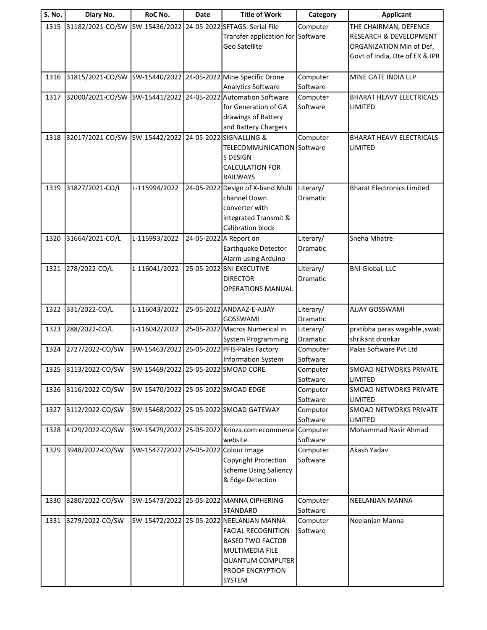| 31182/2021-CO/SW<br>SW-15436/2022<br>24-05-2022 SFTAGS: Serial File<br>1315<br>THE CHAIRMAN, DEFENCE<br>Computer                                          |                        |
|-----------------------------------------------------------------------------------------------------------------------------------------------------------|------------------------|
|                                                                                                                                                           |                        |
| Transfer application for Software                                                                                                                         | RESEARCH & DEVELOPMENT |
| Geo Satellite<br>ORGANIZATION Min of Def,                                                                                                                 |                        |
| Govt of India, Dte of ER & IPR                                                                                                                            |                        |
|                                                                                                                                                           |                        |
| SW-15440/2022 24-05-2022 Mine Specific Drone<br>31815/2021-CO/SW<br>1316<br>Computer<br>MINE GATE INDIA LLP                                               |                        |
| Software<br>Analytics Software<br>SW-15441/2022 24-05-2022 Automation Software<br>32000/2021-CO/SW<br>Computer<br>1317<br><b>BHARAT HEAVY ELECTRICALS</b> |                        |
| for Generation of GA<br>Software<br><b>LIMITED</b>                                                                                                        |                        |
| drawings of Battery                                                                                                                                       |                        |
| and Battery Chargers                                                                                                                                      |                        |
| 32017/2021-CO/SW SW-15442/2022 24-05-2022 SIGNALLING &<br><b>BHARAT HEAVY ELECTRICALS</b><br>1318<br>Computer                                             |                        |
| TELECOMMUNICATION Software<br>LIMITED                                                                                                                     |                        |
| S DESIGN                                                                                                                                                  |                        |
| <b>CALCULATION FOR</b>                                                                                                                                    |                        |
| <b>RAILWAYS</b>                                                                                                                                           |                        |
| 31827/2021-CO/L<br>L-115994/2022<br>24-05-2022 Design of X-band Multi<br>Literary/<br>1319<br><b>Bharat Electronics Limited</b>                           |                        |
| channel Down<br>Dramatic                                                                                                                                  |                        |
| converter with                                                                                                                                            |                        |
| integrated Transmit &                                                                                                                                     |                        |
| Calibration block                                                                                                                                         |                        |
| L-115993/2022<br>24-05-2022 A Report on<br>31664/2021-CO/L<br>Literary/<br>Sneha Mhatre<br>1320                                                           |                        |
| Earthquake Detector<br>Dramatic                                                                                                                           |                        |
| Alarm using Arduino<br>278/2022-CO/L<br>L-116041/2022<br>25-05-2022 BNI EXECUTIVE<br>Literary/<br><b>BNI Global, LLC</b><br>1321                          |                        |
| <b>DIRECTOR</b><br>Dramatic                                                                                                                               |                        |
| <b>OPERATIONS MANUAL</b>                                                                                                                                  |                        |
|                                                                                                                                                           |                        |
| 331/2022-CO/L<br>L-116043/2022<br>25-05-2022 ANDAAZ-E-AJJAY<br>Literary/<br>AJJAY GOSSWAMI<br>1322                                                        |                        |
| <b>GOSSWAMI</b><br>Dramatic                                                                                                                               |                        |
| 288/2022-CO/L<br>L-116042/2022<br>25-05-2022 Macros Numerical in<br>1323<br>pratibha paras wagahle, swati<br>Literary/                                    |                        |
| shrikant dronkar<br>Dramatic<br>System Programming                                                                                                        |                        |
| 2727/2022-CO/SW<br>SW-15463/2022<br>25-05-2022 PFIS-Palas Factory<br>Computer<br>Palas Software Pvt Ltd<br>1324                                           |                        |
| Software<br>Information System                                                                                                                            |                        |
| 1325<br>3113/2022-CO/SW<br>SW-15469/2022 25-05-2022 SMOAD CORE<br>Computer<br><b>SMOAD NETWORKS PRIVATE</b>                                               |                        |
| Software<br>LIMITED<br>SMOAD NETWORKS PRIVATE                                                                                                             |                        |
| SW-15470/2022 25-05-2022 SMOAD EDGE<br>3116/2022-CO/SW<br>1326<br>Computer<br>Software<br>LIMITED                                                         |                        |
| SW-15468/2022 25-05-2022 SMOAD GATEWAY<br>3112/2022-CO/SW<br>1327<br>Computer<br>SMOAD NETWORKS PRIVATE                                                   |                        |
| Software<br>LIMITED                                                                                                                                       |                        |
| 4129/2022-CO/SW<br>SW-15479/2022 25-05-2022 Krinza.com ecommerce<br>Mohammad Nasir Ahmad<br>1328<br>Computer                                              |                        |
| Software<br>website.                                                                                                                                      |                        |
| 3948/2022-CO/SW<br>SW-15477/2022 25-05-2022 Colour Image<br>Akash Yadav<br>1329<br>Computer                                                               |                        |
| Software<br>Copyright Protection                                                                                                                          |                        |
| <b>Scheme Using Saliency</b>                                                                                                                              |                        |
| & Edge Detection                                                                                                                                          |                        |
|                                                                                                                                                           |                        |
| SW-15473/2022 25-05-2022 MANNA CIPHERING<br>3280/2022-CO/SW<br>1330<br>Computer<br>NEELANJAN MANNA                                                        |                        |
| Software<br><b>STANDARD</b>                                                                                                                               |                        |
| 3279/2022-CO/SW<br>SW-15472/2022 25-05-2022 NEELANJAN MANNA<br>1331<br>Computer<br>Neelanjan Manna                                                        |                        |
| Software<br><b>FACIAL RECOGNITION</b>                                                                                                                     |                        |
| <b>BASED TWO FACTOR</b><br>MULTIMEDIA FILE                                                                                                                |                        |
| <b>QUANTUM COMPUTER</b>                                                                                                                                   |                        |
| PROOF ENCRYPTION                                                                                                                                          |                        |
|                                                                                                                                                           |                        |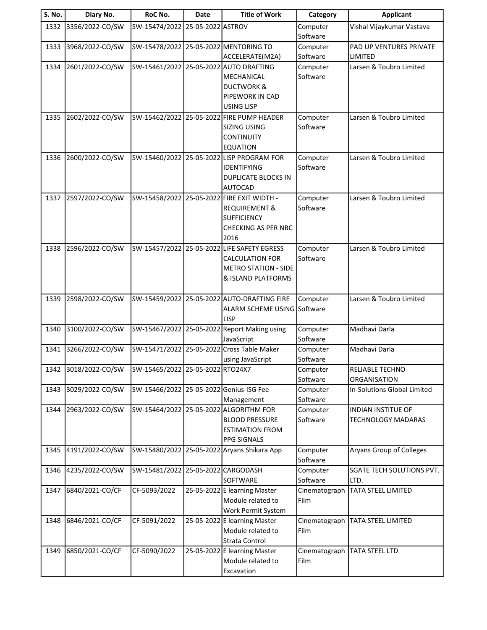| S. No. | Diary No.       | RoC No.                                 | <b>Date</b>       | <b>Title of Work</b>                                                       | Category             | <b>Applicant</b>                   |
|--------|-----------------|-----------------------------------------|-------------------|----------------------------------------------------------------------------|----------------------|------------------------------------|
| 1332   | 3356/2022-CO/SW | SW-15474/2022                           | 25-05-2022 ASTROV |                                                                            | Computer             | Vishal Vijaykumar Vastava          |
|        |                 |                                         |                   |                                                                            | Software             |                                    |
| 1333   | 3968/2022-CO/SW | SW-15478/2022 25-05-2022 MENTORING TO   |                   |                                                                            | Computer             | PAD UP VENTURES PRIVATE            |
|        |                 |                                         |                   | ACCELERATE(M2A)                                                            | Software             | LIMITED                            |
| 1334   | 2601/2022-CO/SW |                                         |                   | SW-15461/2022 25-05-2022 AUTO DRAFTING                                     | Computer             | Larsen & Toubro Limited            |
|        |                 |                                         |                   | MECHANICAL                                                                 | Software             |                                    |
|        |                 |                                         |                   | <b>DUCTWORK &amp;</b><br>PIPEWORK IN CAD                                   |                      |                                    |
|        |                 |                                         |                   | <b>USING LISP</b>                                                          |                      |                                    |
| 1335   | 2602/2022-CO/SW |                                         |                   | SW-15462/2022 25-05-2022 FIRE PUMP HEADER                                  | Computer             | Larsen & Toubro Limited            |
|        |                 |                                         |                   | <b>SIZING USING</b>                                                        | Software             |                                    |
|        |                 |                                         |                   | <b>CONTINUITY</b>                                                          |                      |                                    |
|        |                 |                                         |                   | <b>EQUATION</b>                                                            |                      |                                    |
| 1336   | 2600/2022-CO/SW |                                         |                   | SW-15460/2022 25-05-2022 LISP PROGRAM FOR                                  | Computer             | Larsen & Toubro Limited            |
|        |                 |                                         |                   | <b>IDENTIFYING</b>                                                         | Software             |                                    |
|        |                 |                                         |                   | <b>DUPLICATE BLOCKS IN</b>                                                 |                      |                                    |
|        |                 |                                         |                   | <b>AUTOCAD</b>                                                             |                      |                                    |
| 1337   | 2597/2022-CO/SW |                                         |                   | SW-15458/2022 25-05-2022 FIRE EXIT WIDTH -                                 | Computer             | Larsen & Toubro Limited            |
|        |                 |                                         |                   | <b>REQUIREMENT &amp;</b>                                                   | Software             |                                    |
|        |                 |                                         |                   | <b>SUFFICIENCY</b>                                                         |                      |                                    |
|        |                 |                                         |                   | <b>CHECKING AS PER NBC</b>                                                 |                      |                                    |
|        |                 |                                         |                   | 2016                                                                       |                      |                                    |
| 1338   | 2596/2022-CO/SW |                                         |                   | SW-15457/2022 25-05-2022 LIFE SAFETY EGRESS                                | Computer             | Larsen & Toubro Limited            |
|        |                 |                                         |                   | <b>CALCULATION FOR</b>                                                     | Software             |                                    |
|        |                 |                                         |                   | <b>METRO STATION - SIDE</b>                                                |                      |                                    |
|        |                 |                                         |                   | & ISLAND PLATFORMS                                                         |                      |                                    |
|        |                 |                                         |                   |                                                                            |                      |                                    |
| 1339   | 2598/2022-CO/SW |                                         |                   | SW-15459/2022 25-05-2022 AUTO-DRAFTING FIRE<br>ALARM SCHEME USING Software | Computer             | Larsen & Toubro Limited            |
|        |                 |                                         |                   | <b>LISP</b>                                                                |                      |                                    |
| 1340   | 3100/2022-CO/SW |                                         |                   | SW-15467/2022 25-05-2022 Report Making using                               | Computer             | Madhavi Darla                      |
|        |                 |                                         |                   | JavaScript                                                                 | Software             |                                    |
| 1341   | 3266/2022-CO/SW |                                         |                   | SW-15471/2022 25-05-2022 Cross Table Maker                                 | Computer             | Madhavi Darla                      |
|        |                 |                                         |                   | using JavaScript                                                           | Software             |                                    |
| 1342   | 3018/2022-CO/SW | SW-15465/2022 25-05-2022 RTO24X7        |                   |                                                                            | Computer             | RELIABLE TECHNO                    |
|        |                 |                                         |                   |                                                                            | Software             | ORGANISATION                       |
| 1343   | 3029/2022-CO/SW | SW-15466/2022 25-05-2022 Genius-ISG Fee |                   |                                                                            | Computer             | <b>In-Solutions Global Limited</b> |
|        |                 |                                         |                   | Management                                                                 | Software             |                                    |
| 1344   | 2963/2022-CO/SW |                                         |                   | SW-15464/2022 25-05-2022 ALGORITHM FOR                                     | Computer             | <b>INDIAN INSTITUE OF</b>          |
|        |                 |                                         |                   | <b>BLOOD PRESSURE</b>                                                      | Software             | <b>TECHNOLOGY MADARAS</b>          |
|        |                 |                                         |                   | <b>ESTIMATION FROM</b>                                                     |                      |                                    |
|        |                 |                                         |                   | <b>PPG SIGNALS</b><br>SW-15480/2022 25-05-2022 Aryans Shikara App          |                      | Aryans Group of Colleges           |
| 1345   | 4191/2022-CO/SW |                                         |                   |                                                                            | Computer<br>Software |                                    |
| 1346   | 4235/2022-CO/SW | SW-15481/2022                           |                   | 25-05-2022 CARGODASH                                                       | Computer             | SGATE TECH SOLUTIONS PVT.          |
|        |                 |                                         |                   | SOFTWARE                                                                   | Software             | LTD.                               |
| 1347   | 6840/2021-CO/CF | CF-5093/2022                            |                   | 25-05-2022 E learning Master                                               | Cinematograph        | <b>TATA STEEL LIMITED</b>          |
|        |                 |                                         |                   | Module related to                                                          | Film                 |                                    |
|        |                 |                                         |                   | Work Permit System                                                         |                      |                                    |
| 1348   | 6846/2021-CO/CF | CF-5091/2022                            |                   | 25-05-2022 E learning Master                                               | Cinematograph        | TATA STEEL LIMITED                 |
|        |                 |                                         |                   | Module related to                                                          | Film                 |                                    |
|        |                 |                                         |                   | Strata Control                                                             |                      |                                    |
| 1349   | 6850/2021-CO/CF | CF-5090/2022                            |                   | 25-05-2022 E learning Master                                               | Cinematograph        | TATA STEEL LTD                     |
|        |                 |                                         |                   | Module related to                                                          | Film                 |                                    |
|        |                 |                                         |                   | Excavation                                                                 |                      |                                    |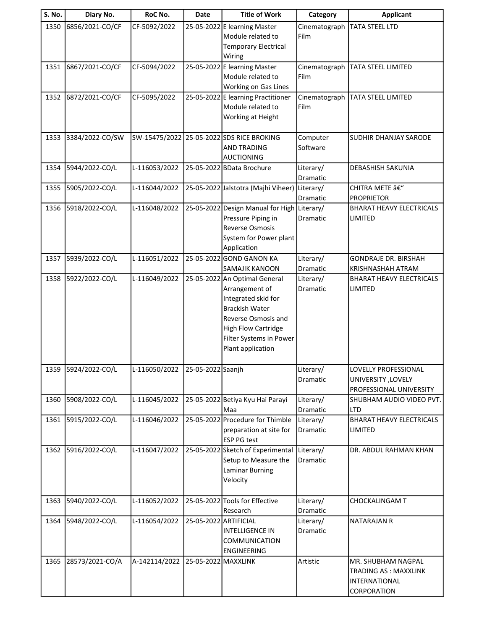| <b>S. No.</b> | Diary No.           | RoC No.       | <b>Date</b>           | <b>Title of Work</b>                         | Category        | <b>Applicant</b>                |
|---------------|---------------------|---------------|-----------------------|----------------------------------------------|-----------------|---------------------------------|
| 1350          | 6856/2021-CO/CF     | CF-5092/2022  |                       | 25-05-2022 E learning Master                 | Cinematograph   | <b>TATA STEEL LTD</b>           |
|               |                     |               |                       | Module related to                            | Film            |                                 |
|               |                     |               |                       | <b>Temporary Electrical</b>                  |                 |                                 |
|               |                     |               |                       | Wiring                                       |                 |                                 |
| 1351          | 6867/2021-CO/CF     | CF-5094/2022  |                       | 25-05-2022 E learning Master                 | Cinematograph   | TATA STEEL LIMITED              |
|               |                     |               |                       | Module related to                            | Film            |                                 |
|               |                     |               |                       | Working on Gas Lines                         |                 |                                 |
| 1352          | 6872/2021-CO/CF     | CF-5095/2022  |                       | 25-05-2022 E learning Practitioner           | Cinematograph   | TATA STEEL LIMITED              |
|               |                     |               |                       | Module related to                            | Film            |                                 |
|               |                     |               |                       | Working at Height                            |                 |                                 |
|               |                     |               |                       |                                              |                 |                                 |
| 1353          | 3384/2022-CO/SW     |               |                       | SW-15475/2022 25-05-2022 SDS RICE BROKING    | Computer        | SUDHIR DHANJAY SARODE           |
|               |                     |               |                       | <b>AND TRADING</b>                           | Software        |                                 |
|               |                     |               |                       | <b>AUCTIONING</b>                            |                 |                                 |
| 1354          | 5944/2022-CO/L      | L-116053/2022 |                       | 25-05-2022 BData Brochure                    | Literary/       | DEBASHISH SAKUNIA               |
|               |                     |               |                       |                                              | Dramatic        |                                 |
| 1355          | 5905/2022-CO/L      | L-116044/2022 |                       | 25-05-2022 Jalstotra (Majhi Viheer)          | Literary/       | CHITRA METE â€"                 |
|               |                     |               |                       |                                              | Dramatic        | <b>PROPRIETOR</b>               |
| 1356          | 5918/2022-CO/L      | L-116048/2022 |                       | 25-05-2022 Design Manual for High Literary/  |                 | <b>BHARAT HEAVY ELECTRICALS</b> |
|               |                     |               |                       | Pressure Piping in                           | Dramatic        | LIMITED                         |
|               |                     |               |                       | <b>Reverse Osmosis</b>                       |                 |                                 |
|               |                     |               |                       | System for Power plant                       |                 |                                 |
|               |                     |               |                       | Application                                  |                 |                                 |
| 1357          | 5939/2022-CO/L      | L-116051/2022 |                       | 25-05-2022 GOND GANON KA                     | Literary/       | <b>GONDRAJE DR. BIRSHAH</b>     |
|               |                     |               |                       | SAMAJIK KANOON                               | Dramatic        | KRISHNASHAH ATRAM               |
| 1358          | 5922/2022-CO/L      | L-116049/2022 |                       | 25-05-2022 An Optimal General                | Literary/       | BHARAT HEAVY ELECTRICALS        |
|               |                     |               |                       | Arrangement of                               | Dramatic        | LIMITED                         |
|               |                     |               |                       | Integrated skid for                          |                 |                                 |
|               |                     |               |                       | <b>Brackish Water</b>                        |                 |                                 |
|               |                     |               |                       | Reverse Osmosis and                          |                 |                                 |
|               |                     |               |                       | <b>High Flow Cartridge</b>                   |                 |                                 |
|               |                     |               |                       | Filter Systems in Power<br>Plant application |                 |                                 |
|               |                     |               |                       |                                              |                 |                                 |
|               | 1359 5924/2022-CO/L | L-116050/2022 | 25-05-2022 Saanjh     |                                              | Literary/       | LOVELLY PROFESSIONAL            |
|               |                     |               |                       |                                              | <b>Dramatic</b> | <b>UNIVERSITY, LOVELY</b>       |
|               |                     |               |                       |                                              |                 | PROFESSIONAL UNIVERSITY         |
| 1360          | 5908/2022-CO/L      | L-116045/2022 |                       | 25-05-2022 Betiya Kyu Hai Parayi             | Literary/       | SHUBHAM AUDIO VIDEO PVT.        |
|               |                     |               |                       | Maa                                          | Dramatic        | <b>LTD</b>                      |
| 1361          | 5915/2022-CO/L      | L-116046/2022 |                       | 25-05-2022 Procedure for Thimble             | Literary/       | <b>BHARAT HEAVY ELECTRICALS</b> |
|               |                     |               |                       | preparation at site for                      | Dramatic        | LIMITED                         |
|               |                     |               |                       | ESP PG test                                  |                 |                                 |
| 1362          | 5916/2022-CO/L      | L-116047/2022 |                       | 25-05-2022 Sketch of Experimental            | Literary/       | DR. ABDUL RAHMAN KHAN           |
|               |                     |               |                       | Setup to Measure the                         | Dramatic        |                                 |
|               |                     |               |                       | <b>Laminar Burning</b>                       |                 |                                 |
|               |                     |               |                       | Velocity                                     |                 |                                 |
|               |                     |               |                       |                                              |                 |                                 |
| 1363          | 5940/2022-CO/L      | L-116052/2022 |                       | 25-05-2022 Tools for Effective               | Literary/       | <b>CHOCKALINGAM T</b>           |
|               |                     |               |                       | Research                                     | Dramatic        |                                 |
| 1364          | 5948/2022-CO/L      | L-116054/2022 | 25-05-2022 ARTIFICIAL |                                              | Literary/       | <b>NATARAJAN R</b>              |
|               |                     |               |                       | <b>INTELLIGENCE IN</b>                       | Dramatic        |                                 |
|               |                     |               |                       | COMMUNICATION                                |                 |                                 |
|               |                     |               |                       | <b>ENGINEERING</b>                           |                 |                                 |
| 1365          | 28573/2021-CO/A     | A-142114/2022 | 25-05-2022 MAXXLINK   |                                              | Artistic        | MR. SHUBHAM NAGPAL              |
|               |                     |               |                       |                                              |                 | <b>TRADING AS: MAXXLINK</b>     |
|               |                     |               |                       |                                              |                 | INTERNATIONAL                   |
|               |                     |               |                       |                                              |                 | CORPORATION                     |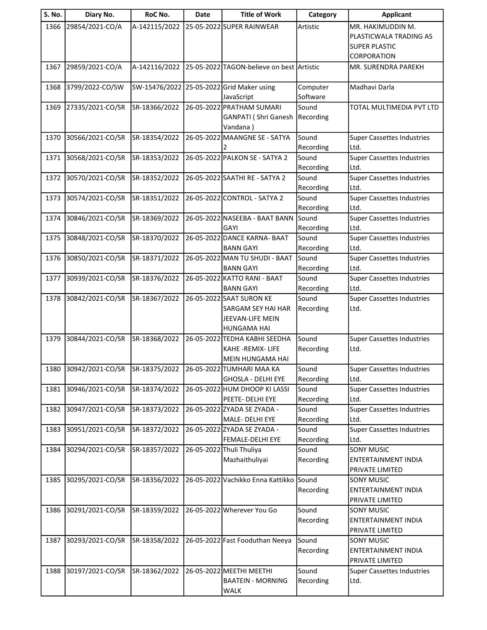| S. No. | Diary No.        | RoC No.       | <b>Date</b> | <b>Title of Work</b>                             | Category           | <b>Applicant</b>                                |
|--------|------------------|---------------|-------------|--------------------------------------------------|--------------------|-------------------------------------------------|
| 1366   | 29854/2021-CO/A  | A-142115/2022 |             | 25-05-2022 SUPER RAINWEAR                        | Artistic           | MR. HAKIMUDDIN M.                               |
|        |                  |               |             |                                                  |                    | PLASTICWALA TRADING AS                          |
|        |                  |               |             |                                                  |                    | <b>SUPER PLASTIC</b>                            |
|        |                  |               |             |                                                  |                    | <b>CORPORATION</b>                              |
| 1367   | 29859/2021-CO/A  | A-142116/2022 |             | 25-05-2022 TAGON-believe on best Artistic        |                    | MR. SURENDRA PAREKH                             |
| 1368   | 3799/2022-CO/SW  | SW-15476/2022 |             | 25-05-2022 Grid Maker using                      | Computer           | Madhavi Darla                                   |
|        |                  |               |             | JavaScript                                       | Software           |                                                 |
| 1369   | 27335/2021-CO/SR | SR-18366/2022 |             | 26-05-2022 PRATHAM SUMARI                        | Sound              | TOTAL MULTIMEDIA PVT LTD                        |
|        |                  |               |             | GANPATI (Shri Ganesh                             | Recording          |                                                 |
|        |                  |               |             | Vandana)                                         |                    |                                                 |
| 1370   | 30566/2021-CO/SR | SR-18354/2022 |             | 26-05-2022 MAANGNE SE - SATYA                    | Sound              | <b>Super Cassettes Industries</b>               |
|        |                  |               |             |                                                  | Recording          | Ltd.                                            |
| 1371   | 30568/2021-CO/SR | SR-18353/2022 |             | 26-05-2022 PALKON SE - SATYA 2                   | Sound              | <b>Super Cassettes Industries</b>               |
|        |                  |               |             |                                                  | Recording          | Ltd.                                            |
| 1372   | 30570/2021-CO/SR | SR-18352/2022 |             | 26-05-2022 SAATHI RE - SATYA 2                   | Sound              | <b>Super Cassettes Industries</b>               |
|        |                  |               |             |                                                  | Recording          | Ltd.                                            |
| 1373   | 30574/2021-CO/SR | SR-18351/2022 |             | 26-05-2022 CONTROL - SATYA 2                     | Sound              | <b>Super Cassettes Industries</b>               |
|        |                  |               |             |                                                  | Recording          | Ltd.                                            |
| 1374   | 30846/2021-CO/SR | SR-18369/2022 |             | 26-05-2022 NASEEBA - BAAT BANN                   | Sound              | <b>Super Cassettes Industries</b>               |
|        |                  |               |             | GAYI                                             | Recording          | Ltd.                                            |
| 1375   | 30848/2021-CO/SR | SR-18370/2022 |             | 26-05-2022 DANCE KARNA- BAAT                     | Sound              | <b>Super Cassettes Industries</b>               |
|        |                  |               |             | <b>BANN GAYI</b>                                 | Recording          | Ltd.                                            |
| 1376   | 30850/2021-CO/SR | SR-18371/2022 |             | 26-05-2022 MAN TU SHUDI - BAAT                   | Sound              | <b>Super Cassettes Industries</b>               |
|        | 30939/2021-CO/SR | SR-18376/2022 |             | <b>BANN GAYI</b><br>26-05-2022 KATTO RANI - BAAT | Recording<br>Sound | Ltd.                                            |
| 1377   |                  |               |             | <b>BANN GAYI</b>                                 | Recording          | <b>Super Cassettes Industries</b><br>Ltd.       |
| 1378   | 30842/2021-CO/SR | SR-18367/2022 |             | 26-05-2022 SAAT SURON KE                         | Sound              | <b>Super Cassettes Industries</b>               |
|        |                  |               |             | <b>SARGAM SEY HAI HAR</b>                        | Recording          | Ltd.                                            |
|        |                  |               |             | JEEVAN-LIFE MEIN                                 |                    |                                                 |
|        |                  |               |             | <b>HUNGAMA HAI</b>                               |                    |                                                 |
| 1379   | 30844/2021-CO/SR | SR-18368/2022 |             | 26-05-2022 TEDHA KABHI SEEDHA                    | Sound              | <b>Super Cassettes Industries</b>               |
|        |                  |               |             | KAHE-REMIX- LIFE                                 | Recording          | Ltd.                                            |
|        |                  |               |             | MEIN HUNGAMA HAI                                 |                    |                                                 |
| 1380   | 30942/2021-CO/SR | SR-18375/2022 |             | 26-05-2022 TUMHARI MAA KA                        | Sound              | <b>Super Cassettes Industries</b>               |
|        |                  |               |             | <b>GHOSLA - DELHI EYE</b>                        | Recording          | Ltd.                                            |
| 1381   | 30946/2021-CO/SR | SR-18374/2022 |             | 26-05-2022 HUM DHOOP KI LASSI                    | Sound              | <b>Super Cassettes Industries</b>               |
|        |                  |               |             | PEETE- DELHI EYE                                 | Recording          | Ltd.                                            |
| 1382   | 30947/2021-CO/SR | SR-18373/2022 |             | 26-05-2022 ZYADA SE ZYADA -                      | Sound              | <b>Super Cassettes Industries</b>               |
|        |                  |               |             | MALE- DELHI EYE                                  | Recording          | Ltd.                                            |
| 1383   | 30951/2021-CO/SR | SR-18372/2022 |             | 26-05-2022 ZYADA SE ZYADA -                      | Sound              | <b>Super Cassettes Industries</b>               |
|        |                  |               |             | FEMALE-DELHI EYE                                 | Recording          | Ltd.                                            |
| 1384   | 30294/2021-CO/SR | SR-18357/2022 |             | 26-05-2022 Thuli Thuliya                         | Sound              | <b>SONY MUSIC</b><br><b>ENTERTAINMENT INDIA</b> |
|        |                  |               |             | Mazhaithuliyai                                   | Recording          |                                                 |
|        |                  |               |             |                                                  |                    | PRIVATE LIMITED                                 |
| 1385   | 30295/2021-CO/SR | SR-18356/2022 |             | 26-05-2022 Vachikko Enna Kattikko Sound          |                    | <b>SONY MUSIC</b><br>ENTERTAINMENT INDIA        |
|        |                  |               |             |                                                  | Recording          | PRIVATE LIMITED                                 |
| 1386   | 30291/2021-CO/SR | SR-18359/2022 |             | 26-05-2022 Wherever You Go                       | Sound              | <b>SONY MUSIC</b>                               |
|        |                  |               |             |                                                  | Recording          | ENTERTAINMENT INDIA                             |
|        |                  |               |             |                                                  |                    | PRIVATE LIMITED                                 |
| 1387   | 30293/2021-CO/SR | SR-18358/2022 |             | 26-05-2022 Fast Fooduthan Neeya                  | Sound              | <b>SONY MUSIC</b>                               |
|        |                  |               |             |                                                  | Recording          | ENTERTAINMENT INDIA                             |
|        |                  |               |             |                                                  |                    | PRIVATE LIMITED                                 |
| 1388   | 30197/2021-CO/SR | SR-18362/2022 |             | 26-05-2022 MEETHI MEETHI                         | Sound              | <b>Super Cassettes Industries</b>               |
|        |                  |               |             | <b>BAATEIN - MORNING</b>                         | Recording          | Ltd.                                            |
|        |                  |               |             | <b>WALK</b>                                      |                    |                                                 |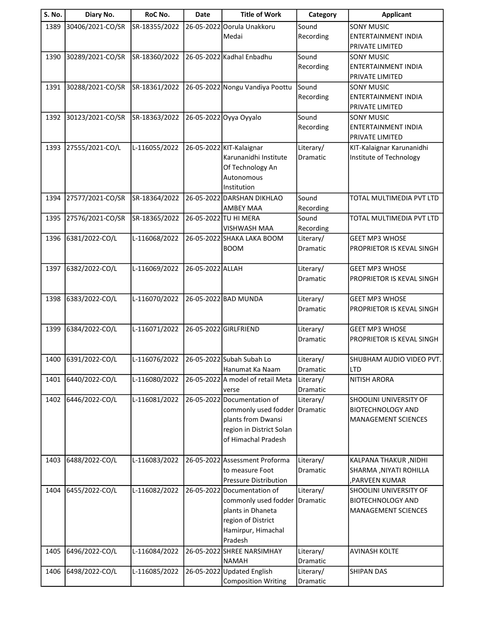| <b>S. No.</b> | Diary No.        | RoC No.       | Date             | <b>Title of Work</b>              | Category  | <b>Applicant</b>           |
|---------------|------------------|---------------|------------------|-----------------------------------|-----------|----------------------------|
| 1389          | 30406/2021-CO/SR | SR-18355/2022 |                  | 26-05-2022 Oorula Unakkoru        | Sound     | <b>SONY MUSIC</b>          |
|               |                  |               |                  | Medai                             | Recording | ENTERTAINMENT INDIA        |
|               |                  |               |                  |                                   |           | PRIVATE LIMITED            |
| 1390          | 30289/2021-CO/SR | SR-18360/2022 |                  | 26-05-2022 Kadhal Enbadhu         | Sound     | <b>SONY MUSIC</b>          |
|               |                  |               |                  |                                   | Recording | <b>ENTERTAINMENT INDIA</b> |
|               |                  |               |                  |                                   |           | PRIVATE LIMITED            |
| 1391          | 30288/2021-CO/SR | SR-18361/2022 |                  | 26-05-2022 Nongu Vandiya Poottu   | Sound     | <b>SONY MUSIC</b>          |
|               |                  |               |                  |                                   | Recording | <b>ENTERTAINMENT INDIA</b> |
|               |                  |               |                  |                                   |           | PRIVATE LIMITED            |
| 1392          | 30123/2021-CO/SR | SR-18363/2022 |                  | 26-05-2022 Oyya Oyyalo            | Sound     | <b>SONY MUSIC</b>          |
|               |                  |               |                  |                                   | Recording | ENTERTAINMENT INDIA        |
|               |                  |               |                  |                                   |           | PRIVATE LIMITED            |
| 1393          | 27555/2021-CO/L  | L-116055/2022 |                  | 26-05-2022 KIT-Kalaignar          | Literary/ | KIT-Kalaignar Karunanidhi  |
|               |                  |               |                  | Karunanidhi Institute             | Dramatic  | Institute of Technology    |
|               |                  |               |                  | Of Technology An                  |           |                            |
|               |                  |               |                  | Autonomous                        |           |                            |
|               |                  |               |                  | Institution                       |           |                            |
| 1394          | 27577/2021-CO/SR | SR-18364/2022 |                  | 26-05-2022 DARSHAN DIKHLAO        | Sound     | TOTAL MULTIMEDIA PVT LTD   |
|               |                  |               |                  | <b>AMBEY MAA</b>                  | Recording |                            |
| 1395          | 27576/2021-CO/SR | SR-18365/2022 |                  | 26-05-2022 TU HI MERA             | Sound     | TOTAL MULTIMEDIA PVT LTD   |
|               |                  |               |                  | <b>VISHWASH MAA</b>               | Recording |                            |
| 1396          | 6381/2022-CO/L   | L-116068/2022 |                  | 26-05-2022 SHAKA LAKA BOOM        | Literary/ | <b>GEET MP3 WHOSE</b>      |
|               |                  |               |                  | <b>BOOM</b>                       | Dramatic  | PROPRIETOR IS KEVAL SINGH  |
|               |                  |               |                  |                                   |           |                            |
| 1397          | 6382/2022-CO/L   | L-116069/2022 | 26-05-2022 ALLAH |                                   | Literary/ | <b>GEET MP3 WHOSE</b>      |
|               |                  |               |                  |                                   | Dramatic  | PROPRIETOR IS KEVAL SINGH  |
|               |                  |               |                  |                                   |           |                            |
| 1398          | 6383/2022-CO/L   | L-116070/2022 |                  | 26-05-2022 BAD MUNDA              | Literary/ | <b>GEET MP3 WHOSE</b>      |
|               |                  |               |                  |                                   | Dramatic  | PROPRIETOR IS KEVAL SINGH  |
| 1399          | 6384/2022-CO/L   | L-116071/2022 |                  | 26-05-2022 GIRLFRIEND             | Literary/ | <b>GEET MP3 WHOSE</b>      |
|               |                  |               |                  |                                   | Dramatic  | PROPRIETOR IS KEVAL SINGH  |
|               |                  |               |                  |                                   |           |                            |
| 1400          | 6391/2022-CO/L   | L-116076/2022 |                  | 26-05-2022 Subah Subah Lo         | Literary/ | SHUBHAM AUDIO VIDEO PVT.   |
|               |                  |               |                  | Hanumat Ka Naam                   | Dramatic  | <b>LTD</b>                 |
| 1401          | 6440/2022-CO/L   | L-116080/2022 |                  | 26-05-2022 A model of retail Meta | Literary/ | <b>NITISH ARORA</b>        |
|               |                  |               |                  | verse                             | Dramatic  |                            |
| 1402          | 6446/2022-CO/L   | L-116081/2022 |                  | 26-05-2022 Documentation of       | Literary/ | SHOOLINI UNIVERSITY OF     |
|               |                  |               |                  | commonly used fodder              | Dramatic  | <b>BIOTECHNOLOGY AND</b>   |
|               |                  |               |                  | plants from Dwansi                |           | <b>MANAGEMENT SCIENCES</b> |
|               |                  |               |                  | region in District Solan          |           |                            |
|               |                  |               |                  | of Himachal Pradesh               |           |                            |
|               |                  |               |                  |                                   |           |                            |
| 1403          | 6488/2022-CO/L   | L-116083/2022 |                  | 26-05-2022 Assessment Proforma    | Literary/ | KALPANA THAKUR, NIDHI      |
|               |                  |               |                  | to measure Foot                   | Dramatic  | SHARMA, NIYATI ROHILLA     |
|               |                  |               |                  | <b>Pressure Distribution</b>      |           | , PARVEEN KUMAR            |
| 1404          | 6455/2022-CO/L   | L-116082/2022 |                  | 26-05-2022 Documentation of       | Literary/ | SHOOLINI UNIVERSITY OF     |
|               |                  |               |                  | commonly used fodder              | Dramatic  | <b>BIOTECHNOLOGY AND</b>   |
|               |                  |               |                  | plants in Dhaneta                 |           | <b>MANAGEMENT SCIENCES</b> |
|               |                  |               |                  | region of District                |           |                            |
|               |                  |               |                  | Hamirpur, Himachal                |           |                            |
|               |                  |               |                  | Pradesh                           |           |                            |
| 1405          | 6496/2022-CO/L   | L-116084/2022 |                  | 26-05-2022 SHREE NARSIMHAY        | Literary/ | <b>AVINASH KOLTE</b>       |
|               |                  |               |                  | <b>NAMAH</b>                      | Dramatic  |                            |
| 1406          | 6498/2022-CO/L   | L-116085/2022 |                  | 26-05-2022 Updated English        | Literary/ | <b>SHIPAN DAS</b>          |
|               |                  |               |                  | <b>Composition Writing</b>        | Dramatic  |                            |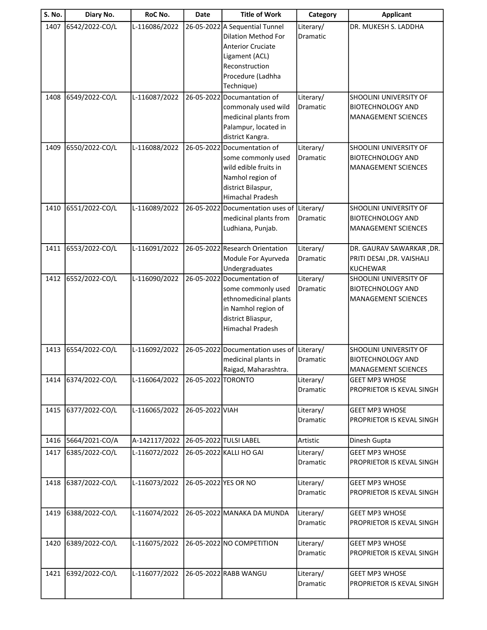| S. No. | Diary No.      | RoC No.       | Date                 | <b>Title of Work</b>                          | Category              | <b>Applicant</b>                                   |
|--------|----------------|---------------|----------------------|-----------------------------------------------|-----------------------|----------------------------------------------------|
| 1407   | 6542/2022-CO/L | L-116086/2022 |                      | 26-05-2022 A Sequential Tunnel                | Literary/             | DR. MUKESH S. LADDHA                               |
|        |                |               |                      | <b>Dilation Method For</b>                    | Dramatic              |                                                    |
|        |                |               |                      | <b>Anterior Cruciate</b>                      |                       |                                                    |
|        |                |               |                      | Ligament (ACL)                                |                       |                                                    |
|        |                |               |                      | Reconstruction                                |                       |                                                    |
|        |                |               |                      | Procedure (Ladhha                             |                       |                                                    |
|        |                |               |                      | Technique)                                    |                       |                                                    |
| 1408   | 6549/2022-CO/L | L-116087/2022 | 26-05-2022           | Documantation of                              | Literary/             | SHOOLINI UNIVERSITY OF                             |
|        |                |               |                      | commonaly used wild                           | Dramatic              | <b>BIOTECHNOLOGY AND</b>                           |
|        |                |               |                      | medicinal plants from                         |                       | <b>MANAGEMENT SCIENCES</b>                         |
|        |                |               |                      | Palampur, located in                          |                       |                                                    |
|        |                |               |                      | district Kangra.                              |                       |                                                    |
| 1409   | 6550/2022-CO/L | L-116088/2022 |                      | 26-05-2022 Documentation of                   | Literary/             | SHOOLINI UNIVERSITY OF                             |
|        |                |               |                      | some commonly used                            | Dramatic              | <b>BIOTECHNOLOGY AND</b>                           |
|        |                |               |                      | wild edible fruits in                         |                       | <b>MANAGEMENT SCIENCES</b>                         |
|        |                |               |                      | Namhol region of                              |                       |                                                    |
|        |                |               |                      | district Bilaspur,<br><b>Himachal Pradesh</b> |                       |                                                    |
|        |                |               |                      |                                               |                       |                                                    |
| 1410   | 6551/2022-CO/L | L-116089/2022 |                      | 26-05-2022 Documentation uses of Literary/    |                       | SHOOLINI UNIVERSITY OF<br><b>BIOTECHNOLOGY AND</b> |
|        |                |               |                      | medicinal plants from<br>Ludhiana, Punjab.    | Dramatic              | <b>MANAGEMENT SCIENCES</b>                         |
|        |                |               |                      |                                               |                       |                                                    |
| 1411   | 6553/2022-CO/L | L-116091/2022 |                      | 26-05-2022 Research Orientation               | Literary/             | DR. GAURAV SAWARKAR , DR.                          |
|        |                |               |                      | Module For Ayurveda                           | Dramatic              | PRITI DESAI , DR. VAISHALI                         |
|        |                |               |                      | Undergraduates                                |                       | <b>KUCHEWAR</b>                                    |
| 1412   | 6552/2022-CO/L | L-116090/2022 |                      | 26-05-2022 Documentation of                   | Literary/             | SHOOLINI UNIVERSITY OF                             |
|        |                |               |                      | some commonly used                            | Dramatic              | <b>BIOTECHNOLOGY AND</b>                           |
|        |                |               |                      | ethnomedicinal plants                         |                       | <b>MANAGEMENT SCIENCES</b>                         |
|        |                |               |                      | in Namhol region of                           |                       |                                                    |
|        |                |               |                      | district Bliaspur,                            |                       |                                                    |
|        |                |               |                      | Himachal Pradesh                              |                       |                                                    |
|        |                |               |                      |                                               |                       |                                                    |
| 1413   | 6554/2022-CO/L | L-116092/2022 |                      | 26-05-2022 Documentation uses of              | Literary/             | SHOOLINI UNIVERSITY OF                             |
|        |                |               |                      | medicinal plants in                           | Dramatic              | <b>BIOTECHNOLOGY AND</b>                           |
|        |                |               |                      | Raigad, Maharashtra.                          |                       | <b>MANAGEMENT SCIENCES</b>                         |
| 1414   | 6374/2022-CO/L | L-116064/2022 | 26-05-2022 TORONTO   |                                               | Literary/             | <b>GEET MP3 WHOSE</b>                              |
|        |                |               |                      |                                               | Dramatic              | PROPRIETOR IS KEVAL SINGH                          |
| 1415   |                |               | 26-05-2022 VIAH      |                                               |                       |                                                    |
|        | 6377/2022-CO/L | L-116065/2022 |                      |                                               | Literary/<br>Dramatic | <b>GEET MP3 WHOSE</b><br>PROPRIETOR IS KEVAL SINGH |
|        |                |               |                      |                                               |                       |                                                    |
| 1416   | 5664/2021-CO/A | A-142117/2022 |                      | 26-05-2022 TULSI LABEL                        | Artistic              | Dinesh Gupta                                       |
| 1417   | 6385/2022-CO/L | L-116072/2022 |                      | 26-05-2022 KALLI HO GAI                       | Literary/             | <b>GEET MP3 WHOSE</b>                              |
|        |                |               |                      |                                               | Dramatic              | PROPRIETOR IS KEVAL SINGH                          |
|        |                |               |                      |                                               |                       |                                                    |
| 1418   | 6387/2022-CO/L | L-116073/2022 | 26-05-2022 YES OR NO |                                               | Literary/             | <b>GEET MP3 WHOSE</b>                              |
|        |                |               |                      |                                               | Dramatic              | PROPRIETOR IS KEVAL SINGH                          |
|        |                |               |                      |                                               |                       |                                                    |
| 1419   | 6388/2022-CO/L | L-116074/2022 |                      | 26-05-2022 MANAKA DA MUNDA                    | Literary/             | <b>GEET MP3 WHOSE</b>                              |
|        |                |               |                      |                                               | Dramatic              | PROPRIETOR IS KEVAL SINGH                          |
|        |                |               |                      |                                               |                       |                                                    |
| 1420   | 6389/2022-CO/L | L-116075/2022 |                      | 26-05-2022 NO COMPETITION                     | Literary/             | <b>GEET MP3 WHOSE</b>                              |
|        |                |               |                      |                                               | Dramatic              | PROPRIETOR IS KEVAL SINGH                          |
|        |                |               |                      |                                               |                       |                                                    |
| 1421   | 6392/2022-CO/L | L-116077/2022 |                      | 26-05-2022 RABB WANGU                         | Literary/             | <b>GEET MP3 WHOSE</b>                              |
|        |                |               |                      |                                               | Dramatic              | PROPRIETOR IS KEVAL SINGH                          |
|        |                |               |                      |                                               |                       |                                                    |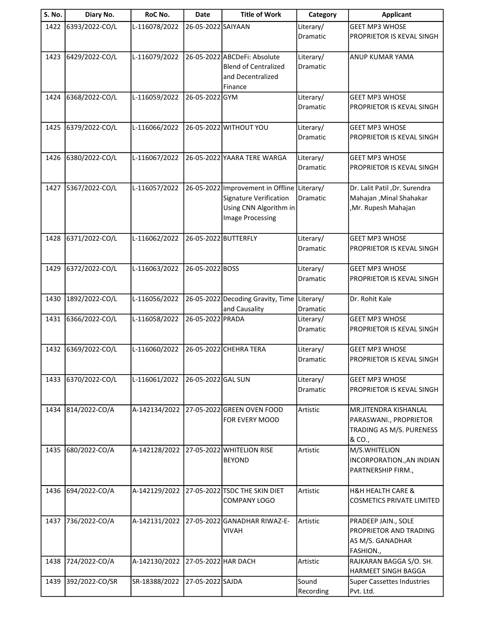| S. No. | Diary No.      | RoC No.       | <b>Date</b>          | <b>Title of Work</b>                                                                                                       | Category                     | <b>Applicant</b>                                                                      |
|--------|----------------|---------------|----------------------|----------------------------------------------------------------------------------------------------------------------------|------------------------------|---------------------------------------------------------------------------------------|
| 1422   | 6393/2022-CO/L | L-116078/2022 | 26-05-2022 SAIYAAN   |                                                                                                                            | Literary/<br>Dramatic        | <b>GEET MP3 WHOSE</b><br>PROPRIETOR IS KEVAL SINGH                                    |
| 1423   | 6429/2022-CO/L | L-116079/2022 |                      | 26-05-2022 ABCDeFi: Absolute<br><b>Blend of Centralized</b><br>and Decentralized<br>Finance                                | Literary/<br>Dramatic        | <b>ANUP KUMAR YAMA</b>                                                                |
| 1424   | 6368/2022-CO/L | L-116059/2022 | 26-05-2022 GYM       |                                                                                                                            | Literary/<br>Dramatic        | <b>GEET MP3 WHOSE</b><br>PROPRIETOR IS KEVAL SINGH                                    |
| 1425   | 6379/2022-CO/L | L-116066/2022 |                      | 26-05-2022 WITHOUT YOU                                                                                                     | Literary/<br>Dramatic        | <b>GEET MP3 WHOSE</b><br>PROPRIETOR IS KEVAL SINGH                                    |
| 1426   | 6380/2022-CO/L | L-116067/2022 |                      | 26-05-2022 YAARA TERE WARGA                                                                                                | Literary/<br>Dramatic        | <b>GEET MP3 WHOSE</b><br>PROPRIETOR IS KEVAL SINGH                                    |
| 1427   | 5367/2022-CO/L | L-116057/2022 |                      | 26-05-2022 Improvement in Offline Literary/<br><b>Signature Verification</b><br>Using CNN Algorithm in<br>Image Processing | Dramatic                     | Dr. Lalit Patil , Dr. Surendra<br>Mahajan , Minal Shahakar<br>, Mr. Rupesh Mahajan    |
| 1428   | 6371/2022-CO/L | L-116062/2022 | 26-05-2022 BUTTERFLY |                                                                                                                            | Literary/<br>Dramatic        | <b>GEET MP3 WHOSE</b><br>PROPRIETOR IS KEVAL SINGH                                    |
| 1429   | 6372/2022-CO/L | L-116063/2022 | 26-05-2022 BOSS      |                                                                                                                            | Literary/<br>Dramatic        | <b>GEET MP3 WHOSE</b><br>PROPRIETOR IS KEVAL SINGH                                    |
| 1430   | 1892/2022-CO/L | L-116056/2022 |                      | 26-05-2022 Decoding Gravity, Time<br>and Causality                                                                         | Literary/<br>Dramatic        | Dr. Rohit Kale                                                                        |
| 1431   | 6366/2022-CO/L | L-116058/2022 | 26-05-2022 PRADA     |                                                                                                                            | Literary/<br><b>Dramatic</b> | <b>GEET MP3 WHOSE</b><br>PROPRIETOR IS KEVAL SINGH                                    |
| 1432   | 6369/2022-CO/L | L-116060/2022 |                      | 26-05-2022 CHEHRA TERA                                                                                                     | Literary/<br>Dramatic        | <b>GEET MP3 WHOSE</b><br>PROPRIETOR IS KEVAL SINGH                                    |
| 1433   | 6370/2022-CO/L | L-116061/2022 | 26-05-2022 GAL SUN   |                                                                                                                            | Literary/<br><b>Dramatic</b> | <b>GEET MP3 WHOSE</b><br>PROPRIETOR IS KEVAL SINGH                                    |
| 1434   | 814/2022-CO/A  | A-142134/2022 |                      | 27-05-2022 GREEN OVEN FOOD<br>FOR EVERY MOOD                                                                               | Artistic                     | MR.JITENDRA KISHANLAL<br>PARASWANI., PROPRIETOR<br>TRADING AS M/S. PURENESS<br>& CO., |
| 1435   | 680/2022-CO/A  | A-142128/2022 |                      | 27-05-2022 WHITELION RISE<br><b>BEYOND</b>                                                                                 | Artistic                     | M/S.WHITELION<br>INCORPORATION., AN INDIAN<br>PARTNERSHIP FIRM.,                      |
| 1436   | 694/2022-CO/A  | A-142129/2022 |                      | 27-05-2022 TSDC THE SKIN DIET<br><b>COMPANY LOGO</b>                                                                       | Artistic                     | <b>H&amp;H HEALTH CARE &amp;</b><br><b>COSMETICS PRIVATE LIMITED</b>                  |
| 1437   | 736/2022-CO/A  | A-142131/2022 |                      | 27-05-2022 GANADHAR RIWAZ-E-<br><b>VIVAH</b>                                                                               | Artistic                     | PRADEEP JAIN., SOLE<br>PROPRIETOR AND TRADING<br>AS M/S. GANADHAR<br>FASHION.,        |
| 1438   | 724/2022-CO/A  | A-142130/2022 | 27-05-2022 HAR DACH  |                                                                                                                            | Artistic                     | RAJKARAN BAGGA S/O. SH.<br><b>HARMEET SINGH BAGGA</b>                                 |
| 1439   | 392/2022-CO/SR | SR-18388/2022 | 27-05-2022 SAJDA     |                                                                                                                            | Sound<br>Recording           | <b>Super Cassettes Industries</b><br>Pvt. Ltd.                                        |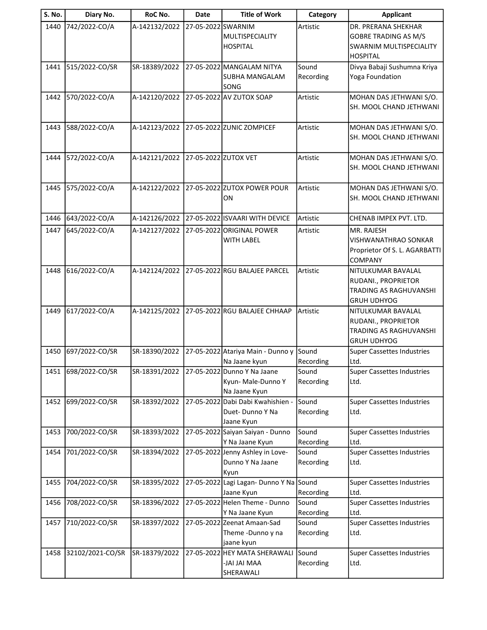| <b>S. No.</b> | Diary No.        | RoC No.       | <b>Date</b>          | <b>Title of Work</b>                                              | Category           | <b>Applicant</b>                                                                                        |
|---------------|------------------|---------------|----------------------|-------------------------------------------------------------------|--------------------|---------------------------------------------------------------------------------------------------------|
| 1440          | 742/2022-CO/A    | A-142132/2022 | 27-05-2022 SWARNIM   | MULTISPECIALITY<br><b>HOSPITAL</b>                                | Artistic           | DR. PRERANA SHEKHAR<br><b>GOBRE TRADING AS M/S</b><br><b>SWARNIM MULTISPECIALITY</b><br><b>HOSPITAL</b> |
| 1441          | 515/2022-CO/SR   | SR-18389/2022 |                      | 27-05-2022 MANGALAM NITYA<br><b>SUBHA MANGALAM</b><br>SONG        | Sound<br>Recording | Divya Babaji Sushumna Kriya<br>Yoga Foundation                                                          |
| 1442          | 570/2022-CO/A    | A-142120/2022 |                      | 27-05-2022 AV ZUTOX SOAP                                          | Artistic           | MOHAN DAS JETHWANI S/O.<br>SH. MOOL CHAND JETHWANI                                                      |
| 1443          | 588/2022-CO/A    | A-142123/2022 |                      | 27-05-2022 ZUNIC ZOMPICEF                                         | Artistic           | MOHAN DAS JETHWANI S/O.<br>SH. MOOL CHAND JETHWANI                                                      |
| 1444          | 572/2022-CO/A    | A-142121/2022 | 27-05-2022 ZUTOX VET |                                                                   | Artistic           | MOHAN DAS JETHWANI S/O.<br>SH. MOOL CHAND JETHWANI                                                      |
| 1445          | 575/2022-CO/A    | A-142122/2022 |                      | 27-05-2022 ZUTOX POWER POUR<br>ON                                 | Artistic           | MOHAN DAS JETHWANI S/O.<br>SH. MOOL CHAND JETHWANI                                                      |
| 1446          | 643/2022-CO/A    | A-142126/2022 |                      | 27-05-2022 ISVAARI WITH DEVICE                                    | Artistic           | CHENAB IMPEX PVT. LTD.                                                                                  |
| 1447          | 645/2022-CO/A    | A-142127/2022 |                      | 27-05-2022 ORIGINAL POWER<br><b>WITH LABEL</b>                    | Artistic           | MR. RAJESH<br><b>VISHWANATHRAO SONKAR</b><br>Proprietor Of S. L. AGARBATTI<br><b>COMPANY</b>            |
| 1448          | 616/2022-CO/A    | A-142124/2022 |                      | 27-05-2022 RGU BALAJEE PARCEL                                     | Artistic           | NITULKUMAR BAVALAL<br>RUDANI., PROPRIETOR<br>TRADING AS RAGHUVANSHI<br><b>GRUH UDHYOG</b>               |
| 1449          | 617/2022-CO/A    | A-142125/2022 |                      | 27-05-2022 RGU BALAJEE CHHAAP                                     | Artistic           | NITULKUMAR BAVALAL<br>RUDANI., PROPRIETOR<br><b>TRADING AS RAGHUVANSHI</b><br><b>GRUH UDHYOG</b>        |
| 1450          | 697/2022-CO/SR   | SR-18390/2022 |                      | 27-05-2022 Atariya Main - Dunno y<br>Na Jaane kyun                | Sound<br>Recording | <b>Super Cassettes Industries</b><br>Ltd.                                                               |
| 1451          | 698/2022-CO/SR   | SR-18391/2022 |                      | 27-05-2022 Dunno Y Na Jaane<br>Kyun-Male-Dunno Y<br>Na Jaane Kyun | Sound<br>Recording | <b>Super Cassettes Industries</b><br>Ltd.                                                               |
| 1452          | 699/2022-CO/SR   | SR-18392/2022 | 27-05-2022           | Dabi Dabi Kwahishien -<br>Duet-Dunno Y Na<br>Jaane Kyun           | Sound<br>Recording | <b>Super Cassettes Industries</b><br>Ltd.                                                               |
| 1453          | 700/2022-CO/SR   | SR-18393/2022 |                      | 27-05-2022 Saiyan Saiyan - Dunno<br>Y Na Jaane Kyun               | Sound<br>Recording | <b>Super Cassettes Industries</b><br>Ltd.                                                               |
| 1454          | 701/2022-CO/SR   | SR-18394/2022 |                      | 27-05-2022 Jenny Ashley in Love-<br>Dunno Y Na Jaane<br>Kyun      | Sound<br>Recording | <b>Super Cassettes Industries</b><br>Ltd.                                                               |
| 1455          | 704/2022-CO/SR   | SR-18395/2022 |                      | 27-05-2022 Lagi Lagan- Dunno Y Na Sound<br>Jaane Kyun             | Recording          | <b>Super Cassettes Industries</b><br>Ltd.                                                               |
| 1456          | 708/2022-CO/SR   | SR-18396/2022 |                      | 27-05-2022 Helen Theme - Dunno<br>Y Na Jaane Kyun                 | Sound<br>Recording | <b>Super Cassettes Industries</b><br>Ltd.                                                               |
| 1457          | 710/2022-CO/SR   | SR-18397/2022 |                      | 27-05-2022 Zeenat Amaan-Sad<br>Theme-Dunno y na<br>jaane kyun     | Sound<br>Recording | <b>Super Cassettes Industries</b><br>Ltd.                                                               |
| 1458          | 32102/2021-CO/SR | SR-18379/2022 |                      | 27-05-2022 HEY MATA SHERAWALI<br><b>JAI JAI MAA</b><br>SHERAWALI  | Sound<br>Recording | <b>Super Cassettes Industries</b><br>Ltd.                                                               |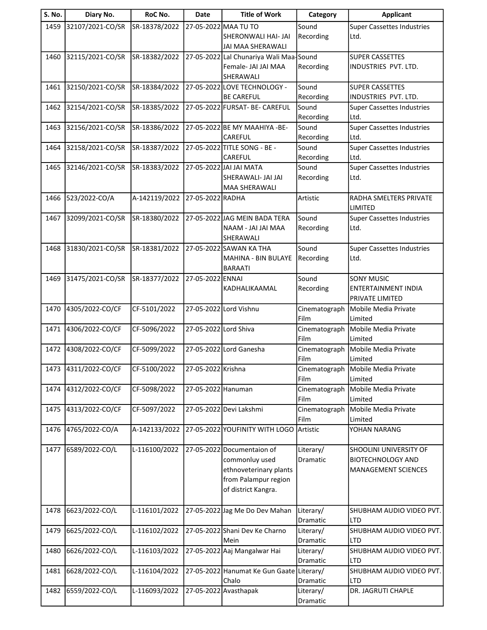| S. No. | Diary No.        | RoC No.       | <b>Date</b>           | <b>Title of Work</b>                      | Category              | <b>Applicant</b>                                       |
|--------|------------------|---------------|-----------------------|-------------------------------------------|-----------------------|--------------------------------------------------------|
| 1459   | 32107/2021-CO/SR | SR-18378/2022 |                       | 27-05-2022 MAA TU TO                      | Sound                 | <b>Super Cassettes Industries</b>                      |
|        |                  |               |                       | <b>SHERONWALI HAI- JAI</b>                | Recording             | Ltd.                                                   |
|        |                  |               |                       | JAI MAA SHERAWALI                         |                       |                                                        |
| 1460   | 32115/2021-CO/SR | SR-18382/2022 |                       | 27-05-2022 Lal Chunariya Wali Maa-Sound   |                       | <b>SUPER CASSETTES</b>                                 |
|        |                  |               |                       | Female- JAI JAI MAA                       | Recording             | INDUSTRIES PVT. LTD.                                   |
|        |                  |               |                       | SHERAWALI                                 |                       |                                                        |
| 1461   | 32150/2021-CO/SR | SR-18384/2022 |                       | 27-05-2022 LOVE TECHNOLOGY -              | Sound                 | <b>SUPER CASSETTES</b>                                 |
|        |                  |               |                       | <b>BE CAREFUL</b>                         | Recording             | INDUSTRIES PVT. LTD.                                   |
| 1462   | 32154/2021-CO/SR | SR-18385/2022 |                       | 27-05-2022 FURSAT- BE- CAREFUL            | Sound                 | <b>Super Cassettes Industries</b>                      |
|        |                  |               |                       | 27-05-2022 BE MY MAAHIYA - BE-            | Recording             | Ltd.<br><b>Super Cassettes Industries</b>              |
| 1463   | 32156/2021-CO/SR | SR-18386/2022 |                       | CAREFUL                                   | Sound<br>Recording    | Ltd.                                                   |
| 1464   | 32158/2021-CO/SR | SR-18387/2022 |                       | 27-05-2022 TITLE SONG - BE -              | Sound                 | <b>Super Cassettes Industries</b>                      |
|        |                  |               |                       | CAREFUL                                   | Recording             | Ltd.                                                   |
| 1465   | 32146/2021-CO/SR | SR-18383/2022 |                       | 27-05-2022 JAI JAI MATA                   | Sound                 | <b>Super Cassettes Industries</b>                      |
|        |                  |               |                       | SHERAWALI- JAI JAI                        | Recording             | Ltd.                                                   |
|        |                  |               |                       | <b>MAA SHERAWALI</b>                      |                       |                                                        |
| 1466   | 523/2022-CO/A    | A-142119/2022 | 27-05-2022 RADHA      |                                           | Artistic              | RADHA SMELTERS PRIVATE                                 |
|        |                  |               |                       |                                           |                       | LIMITED                                                |
| 1467   | 32099/2021-CO/SR | SR-18380/2022 |                       | 27-05-2022 JAG MEIN BADA TERA             | Sound                 | <b>Super Cassettes Industries</b>                      |
|        |                  |               |                       | NAAM - JAI JAI MAA                        | Recording             | Ltd.                                                   |
|        |                  |               |                       | SHERAWALI                                 |                       |                                                        |
| 1468   | 31830/2021-CO/SR | SR-18381/2022 |                       | 27-05-2022 SAWAN KA THA                   | Sound                 | <b>Super Cassettes Industries</b>                      |
|        |                  |               |                       | MAHINA - BIN BULAYE                       | Recording             | Ltd.                                                   |
|        |                  |               |                       | <b>BARAATI</b>                            |                       |                                                        |
| 1469   | 31475/2021-CO/SR | SR-18377/2022 | 27-05-2022 ENNAI      |                                           | Sound                 | <b>SONY MUSIC</b>                                      |
|        |                  |               |                       | KADHALIKAAMAL                             | Recording             | <b>ENTERTAINMENT INDIA</b>                             |
|        |                  |               |                       |                                           |                       | <b>PRIVATE LIMITED</b>                                 |
| 1470   | 4305/2022-CO/CF  | CF-5101/2022  |                       | 27-05-2022 Lord Vishnu                    | Cinematograph<br>Film | Mobile Media Private<br>Limited                        |
| 1471   | 4306/2022-CO/CF  | CF-5096/2022  | 27-05-2022 Lord Shiva |                                           | Cinematograph         | Mobile Media Private                                   |
|        |                  |               |                       |                                           | Film                  | Limited                                                |
| 1472   | 4308/2022-CO/CF  | CF-5099/2022  |                       | 27-05-2022 Lord Ganesha                   | Cinematograph         | Mobile Media Private                                   |
|        |                  |               |                       |                                           | Film                  | Limited                                                |
| 1473   | 4311/2022-CO/CF  | CF-5100/2022  | 27-05-2022 Krishna    |                                           | Cinematograph         | Mobile Media Private                                   |
|        |                  |               |                       |                                           | Film                  | Limited                                                |
| 1474   | 4312/2022-CO/CF  | CF-5098/2022  | 27-05-2022 Hanuman    |                                           | Cinematograph         | Mobile Media Private                                   |
|        |                  |               |                       |                                           | Film                  | Limited                                                |
| 1475   | 4313/2022-CO/CF  | CF-5097/2022  |                       | 27-05-2022 Devi Lakshmi                   | Cinematograph         | Mobile Media Private                                   |
|        |                  |               |                       |                                           | Film                  | Limited                                                |
| 1476   | 4765/2022-CO/A   | A-142133/2022 |                       | 27-05-2022 YOUFINITY WITH LOGO            | Artistic              | YOHAN NARANG                                           |
|        |                  |               |                       |                                           |                       |                                                        |
| 1477   | 6589/2022-CO/L   | L-116100/2022 |                       | 27-05-2022 Documentaion of                | Literary/             | SHOOLINI UNIVERSITY OF                                 |
|        |                  |               |                       | commonluy used<br>ethnoveterinary plants  | Dramatic              | <b>BIOTECHNOLOGY AND</b><br><b>MANAGEMENT SCIENCES</b> |
|        |                  |               |                       | from Palampur region                      |                       |                                                        |
|        |                  |               |                       | of district Kangra.                       |                       |                                                        |
|        |                  |               |                       |                                           |                       |                                                        |
| 1478   | 6623/2022-CO/L   | L-116101/2022 |                       | 27-05-2022 Jag Me Do Dev Mahan            | Literary/             | SHUBHAM AUDIO VIDEO PVT.                               |
|        |                  |               |                       |                                           | Dramatic              | <b>LTD</b>                                             |
| 1479   | 6625/2022-CO/L   | L-116102/2022 |                       | 27-05-2022 Shani Dev Ke Charno            | Literary/             | SHUBHAM AUDIO VIDEO PVT.                               |
|        |                  |               |                       | Mein                                      | Dramatic              | LTD                                                    |
| 1480   | 6626/2022-CO/L   | L-116103/2022 |                       | 27-05-2022 Aaj Mangalwar Hai              | Literary/             | SHUBHAM AUDIO VIDEO PVT.                               |
|        |                  |               |                       |                                           | Dramatic              | <b>LTD</b>                                             |
| 1481   | 6628/2022-CO/L   | L-116104/2022 |                       | 27-05-2022 Hanumat Ke Gun Gaate Literary/ |                       | SHUBHAM AUDIO VIDEO PVT.                               |
|        |                  |               |                       | Chalo                                     | Dramatic              | <b>LTD</b>                                             |
| 1482   | 6559/2022-CO/L   | L-116093/2022 |                       | 27-05-2022 Avasthapak                     | Literary/             | DR. JAGRUTI CHAPLE                                     |
|        |                  |               |                       |                                           | Dramatic              |                                                        |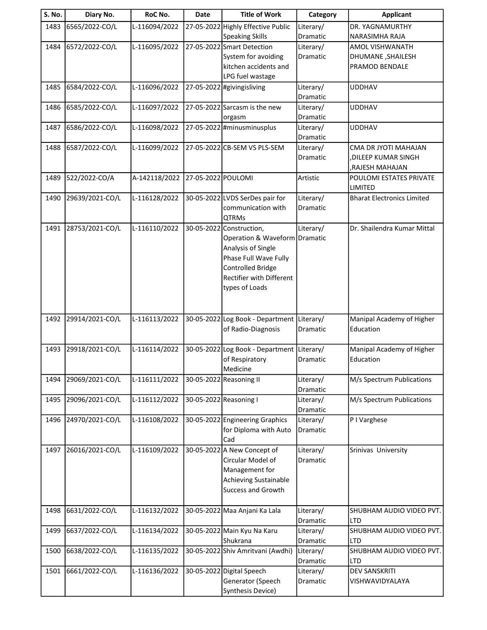| S. No. | Diary No.       | RoC No.       | <b>Date</b>        | <b>Title of Work</b>                               | Category              | <b>Applicant</b>                       |
|--------|-----------------|---------------|--------------------|----------------------------------------------------|-----------------------|----------------------------------------|
| 1483   | 6565/2022-CO/L  | L-116094/2022 |                    | 27-05-2022 Highly Effective Public                 | Literary/             | DR. YAGNAMURTHY                        |
|        |                 |               |                    | <b>Speaking Skills</b>                             | Dramatic              | NARASIMHA RAJA                         |
| 1484   | 6572/2022-CO/L  | L-116095/2022 |                    | 27-05-2022 Smart Detection                         | Literary/             | AMOL VISHWANATH                        |
|        |                 |               |                    | System for avoiding                                | Dramatic              | DHUMANE, SHAILESH                      |
|        |                 |               |                    | kitchen accidents and                              |                       | PRAMOD BENDALE                         |
|        |                 |               |                    | LPG fuel wastage                                   |                       |                                        |
| 1485   | 6584/2022-CO/L  | L-116096/2022 |                    | 27-05-2022 #givingisliving                         | Literary/             | <b>UDDHAV</b>                          |
|        |                 |               |                    |                                                    | Dramatic              |                                        |
| 1486   | 6585/2022-CO/L  | L-116097/2022 |                    | 27-05-2022 Sarcasm is the new                      | Literary/             | <b>UDDHAV</b>                          |
|        |                 |               |                    | orgasm                                             | Dramatic              |                                        |
| 1487   | 6586/2022-CO/L  | L-116098/2022 |                    | 27-05-2022 #minusminusplus                         | Literary/<br>Dramatic | <b>UDDHAV</b>                          |
| 1488   | 6587/2022-CO/L  | L-116099/2022 |                    | 27-05-2022 CB-SEM VS PLS-SEM                       | Literary/             | CMA DR JYOTI MAHAJAN                   |
|        |                 |               |                    |                                                    | Dramatic              | ,DILEEP KUMAR SINGH                    |
|        |                 |               |                    |                                                    |                       | RAJESH MAHAJAN,                        |
| 1489   | 522/2022-CO/A   | A-142118/2022 | 27-05-2022 POULOMI |                                                    | Artistic              | POULOMI ESTATES PRIVATE                |
|        |                 |               |                    |                                                    |                       | LIMITED                                |
| 1490   | 29639/2021-CO/L | L-116128/2022 |                    | 30-05-2022 LVDS SerDes pair for                    | Literary/             | <b>Bharat Electronics Limited</b>      |
|        |                 |               |                    | communication with                                 | <b>Dramatic</b>       |                                        |
|        |                 |               |                    | <b>QTRMs</b>                                       |                       |                                        |
| 1491   | 28753/2021-CO/L | L-116110/2022 |                    | 30-05-2022 Construction,                           | Literary/             | Dr. Shailendra Kumar Mittal            |
|        |                 |               |                    | Operation & Waveform Dramatic                      |                       |                                        |
|        |                 |               |                    | Analysis of Single                                 |                       |                                        |
|        |                 |               |                    | Phase Full Wave Fully                              |                       |                                        |
|        |                 |               |                    | <b>Controlled Bridge</b>                           |                       |                                        |
|        |                 |               |                    | Rectifier with Different                           |                       |                                        |
|        |                 |               |                    | types of Loads                                     |                       |                                        |
|        |                 |               |                    |                                                    |                       |                                        |
|        |                 |               |                    |                                                    |                       |                                        |
| 1492   | 29914/2021-CO/L | L-116113/2022 |                    | 30-05-2022 Log Book - Department Literary/         |                       | Manipal Academy of Higher              |
|        |                 |               |                    | of Radio-Diagnosis                                 | <b>Dramatic</b>       | Education                              |
|        |                 |               |                    |                                                    |                       |                                        |
| 1493   | 29918/2021-CO/L | L-116114/2022 |                    | 30-05-2022 Log Book - Department<br>of Respiratory | Literary/<br>Dramatic | Manipal Academy of Higher<br>Education |
|        |                 |               |                    | Medicine                                           |                       |                                        |
| 1494   | 29069/2021-CO/L | L-116111/2022 |                    | 30-05-2022 Reasoning II                            | Literary/             | M/s Spectrum Publications              |
|        |                 |               |                    |                                                    | Dramatic              |                                        |
| 1495   | 29096/2021-CO/L | L-116112/2022 |                    | 30-05-2022 Reasoning I                             | Literary/             | M/s Spectrum Publications              |
|        |                 |               |                    |                                                    | Dramatic              |                                        |
| 1496   | 24970/2021-CO/L | L-116108/2022 |                    | 30-05-2022 Engineering Graphics                    | Literary/             | P I Varghese                           |
|        |                 |               |                    | for Diploma with Auto                              | Dramatic              |                                        |
|        |                 |               |                    | Cad                                                |                       |                                        |
| 1497   | 26016/2021-CO/L | L-116109/2022 |                    | 30-05-2022 A New Concept of                        | Literary/             | Srinivas University                    |
|        |                 |               |                    | Circular Model of                                  | Dramatic              |                                        |
|        |                 |               |                    | Management for                                     |                       |                                        |
|        |                 |               |                    | <b>Achieving Sustainable</b>                       |                       |                                        |
|        |                 |               |                    | Success and Growth                                 |                       |                                        |
|        |                 |               |                    |                                                    |                       |                                        |
| 1498   | 6631/2022-CO/L  | L-116132/2022 |                    | 30-05-2022 Maa Anjani Ka Lala                      | Literary/             | SHUBHAM AUDIO VIDEO PVT.               |
|        |                 |               |                    |                                                    | Dramatic              | LTD                                    |
| 1499   | 6637/2022-CO/L  | L-116134/2022 |                    | 30-05-2022 Main Kyu Na Karu                        | Literary/             | SHUBHAM AUDIO VIDEO PVT.               |
|        |                 |               |                    | Shukrana                                           | Dramatic              | <b>LTD</b>                             |
| 1500   | 6638/2022-CO/L  | L-116135/2022 |                    | 30-05-2022 Shiv Amritvani (Awdhi)                  | Literary/             | SHUBHAM AUDIO VIDEO PVT.               |
|        |                 |               |                    |                                                    | Dramatic              | <b>LTD</b>                             |
| 1501   | 6661/2022-CO/L  | L-116136/2022 |                    | 30-05-2022 Digital Speech                          | Literary/             | <b>DEV SANSKRITI</b>                   |
|        |                 |               |                    | Generator (Speech                                  | Dramatic              | VISHWAVIDYALAYA                        |
|        |                 |               |                    | Synthesis Device)                                  |                       |                                        |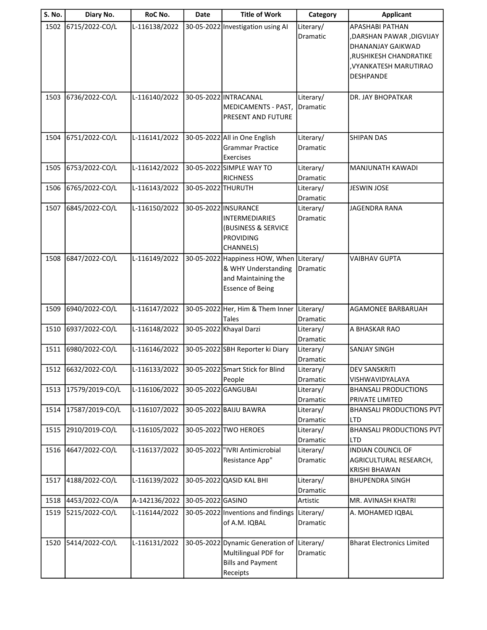| <b>S. No.</b> | Diary No.       | RoC No.       | <b>Date</b>         | <b>Title of Work</b>                                                                                         | Category                     | <b>Applicant</b>                                                                                                                         |
|---------------|-----------------|---------------|---------------------|--------------------------------------------------------------------------------------------------------------|------------------------------|------------------------------------------------------------------------------------------------------------------------------------------|
| 1502          | 6715/2022-CO/L  | L-116138/2022 |                     | 30-05-2022 Investigation using AI                                                                            | Literary/<br>Dramatic        | APASHABI PATHAN<br>,DARSHAN PAWAR, DIGVIJAY<br>DHANANJAY GAIKWAD<br>,RUSHIKESH CHANDRATIKE<br>, VYANKATESH MARUTIRAO<br><b>DESHPANDE</b> |
| 1503          | 6736/2022-CO/L  | L-116140/2022 |                     | 30-05-2022 INTRACANAL<br>MEDICAMENTS - PAST,<br>PRESENT AND FUTURE                                           | Literary/<br><b>Dramatic</b> | <b>DR. JAY BHOPATKAR</b>                                                                                                                 |
| 1504          | 6751/2022-CO/L  | L-116141/2022 |                     | 30-05-2022 All in One English<br><b>Grammar Practice</b><br>Exercises                                        | Literary/<br>Dramatic        | <b>SHIPAN DAS</b>                                                                                                                        |
| 1505          | 6753/2022-CO/L  | L-116142/2022 |                     | 30-05-2022 SIMPLE WAY TO<br><b>RICHNESS</b>                                                                  | Literary/<br>Dramatic        | MANJUNATH KAWADI                                                                                                                         |
| 1506          | 6765/2022-CO/L  | L-116143/2022 | 30-05-2022 THURUTH  |                                                                                                              | Literary/<br>Dramatic        | <b>JESWIN JOSE</b>                                                                                                                       |
| 1507          | 6845/2022-CO/L  | L-116150/2022 |                     | 30-05-2022 INSURANCE<br><b>INTERMEDIARIES</b><br>(BUSINESS & SERVICE<br><b>PROVIDING</b><br><b>CHANNELS)</b> | Literary/<br>Dramatic        | <b>JAGENDRA RANA</b>                                                                                                                     |
| 1508          | 6847/2022-CO/L  | L-116149/2022 |                     | 30-05-2022 Happiness HOW, When<br>& WHY Understanding<br>and Maintaining the<br><b>Essence of Being</b>      | Literary/<br>Dramatic        | <b>VAIBHAV GUPTA</b>                                                                                                                     |
| 1509          | 6940/2022-CO/L  | L-116147/2022 |                     | 30-05-2022 Her, Him & Them Inner<br>Tales                                                                    | Literary/<br>Dramatic        | <b>AGAMONEE BARBARUAH</b>                                                                                                                |
| 1510          | 6937/2022-CO/L  | L-116148/2022 |                     | 30-05-2022 Khayal Darzi                                                                                      | Literary/<br>Dramatic        | A BHASKAR RAO                                                                                                                            |
| 1511          | 6980/2022-CO/L  | L-116146/2022 |                     | 30-05-2022 SBH Reporter ki Diary                                                                             | Literary/<br>Dramatic        | <b>SANJAY SINGH</b>                                                                                                                      |
| 1512          | 6632/2022-CO/L  | L-116133/2022 |                     | 30-05-2022 Smart Stick for Blind<br>People                                                                   | Literary/<br>Dramatic        | <b>DEV SANSKRITI</b><br>VISHWAVIDYALAYA                                                                                                  |
| 1513          | 17579/2019-CO/L | L-116106/2022 | 30-05-2022 GANGUBAI |                                                                                                              | Literary/<br>Dramatic        | <b>BHANSALI PRODUCTIONS</b><br>PRIVATE LIMITED                                                                                           |
| 1514          | 17587/2019-CO/L | L-116107/2022 |                     | 30-05-2022 BAIJU BAWRA                                                                                       | Literary/<br>Dramatic        | <b>BHANSALI PRODUCTIONS PVT</b><br><b>LTD</b>                                                                                            |
| 1515          | 2910/2019-CO/L  | L-116105/2022 |                     | 30-05-2022 TWO HEROES                                                                                        | Literary/<br>Dramatic        | <b>BHANSALI PRODUCTIONS PVT</b><br>LTD                                                                                                   |
| 1516          | 4647/2022-CO/L  | L-116137/2022 |                     | 30-05-2022  "IVRI Antimicrobial<br>Resistance App"                                                           | Literary/<br>Dramatic        | <b>INDIAN COUNCIL OF</b><br>AGRICULTURAL RESEARCH,<br><b>KRISHI BHAWAN</b>                                                               |
| 1517          | 4188/2022-CO/L  | L-116139/2022 |                     | 30-05-2022 QASID KAL BHI                                                                                     | Literary/<br>Dramatic        | <b>BHUPENDRA SINGH</b>                                                                                                                   |
| 1518          | 4453/2022-CO/A  | A-142136/2022 | 30-05-2022 GASINO   |                                                                                                              | Artistic                     | MR. AVINASH KHATRI                                                                                                                       |
| 1519          | 5215/2022-CO/L  | L-116144/2022 |                     | 30-05-2022 Inventions and findings<br>of A.M. IQBAL                                                          | Literary/<br>Dramatic        | A. MOHAMED IQBAL                                                                                                                         |
| 1520          | 5414/2022-CO/L  | L-116131/2022 |                     | 30-05-2022 Dynamic Generation of Literary/<br>Multilingual PDF for<br><b>Bills and Payment</b><br>Receipts   | Dramatic                     | <b>Bharat Electronics Limited</b>                                                                                                        |